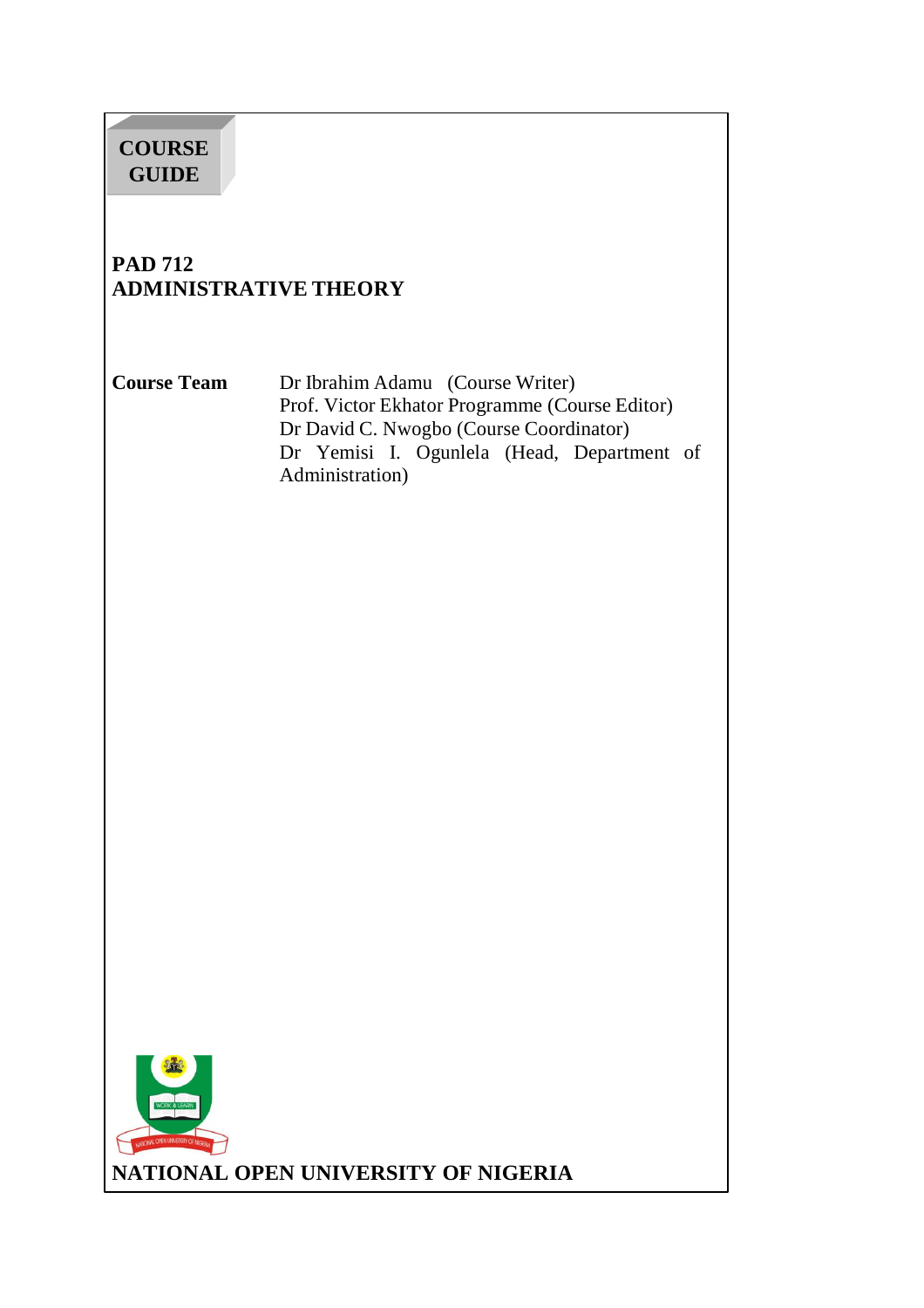# **COURSE GUIDE**

# **PAD 712 ADMINISTRATIVE THEORY**

**Course Team** Dr Ibrahim Adamu (Course Writer) Prof. Victor Ekhator Programme (Course Editor) Dr David C. Nwogbo (Course Coordinator) Dr Yemisi I. Ogunlela (Head, Department of Administration)

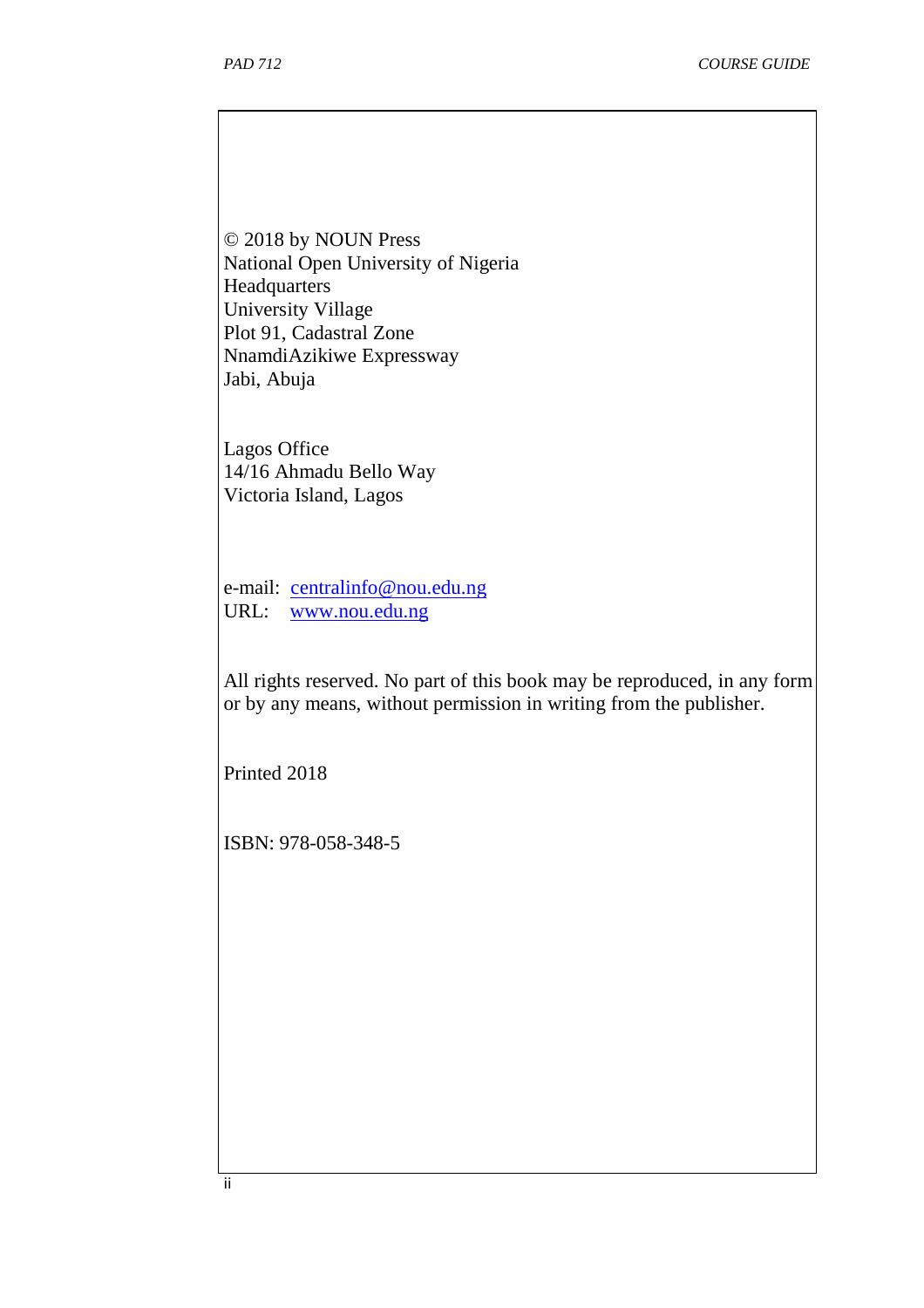© 2018 by NOUN Press National Open University of Nigeria **Headquarters** University Village Plot 91, Cadastral Zone NnamdiAzikiwe Expressway Jabi, Abuja

Lagos Office 14/16 Ahmadu Bello Way Victoria Island, Lagos

e-mail: centralinfo@nou.edu.ng URL: www.nou.edu.ng

All rights reserved. No part of this book may be reproduced, in any form or by any means, without permission in writing from the publisher.

Printed 2018

ISBN: 978-058-348-5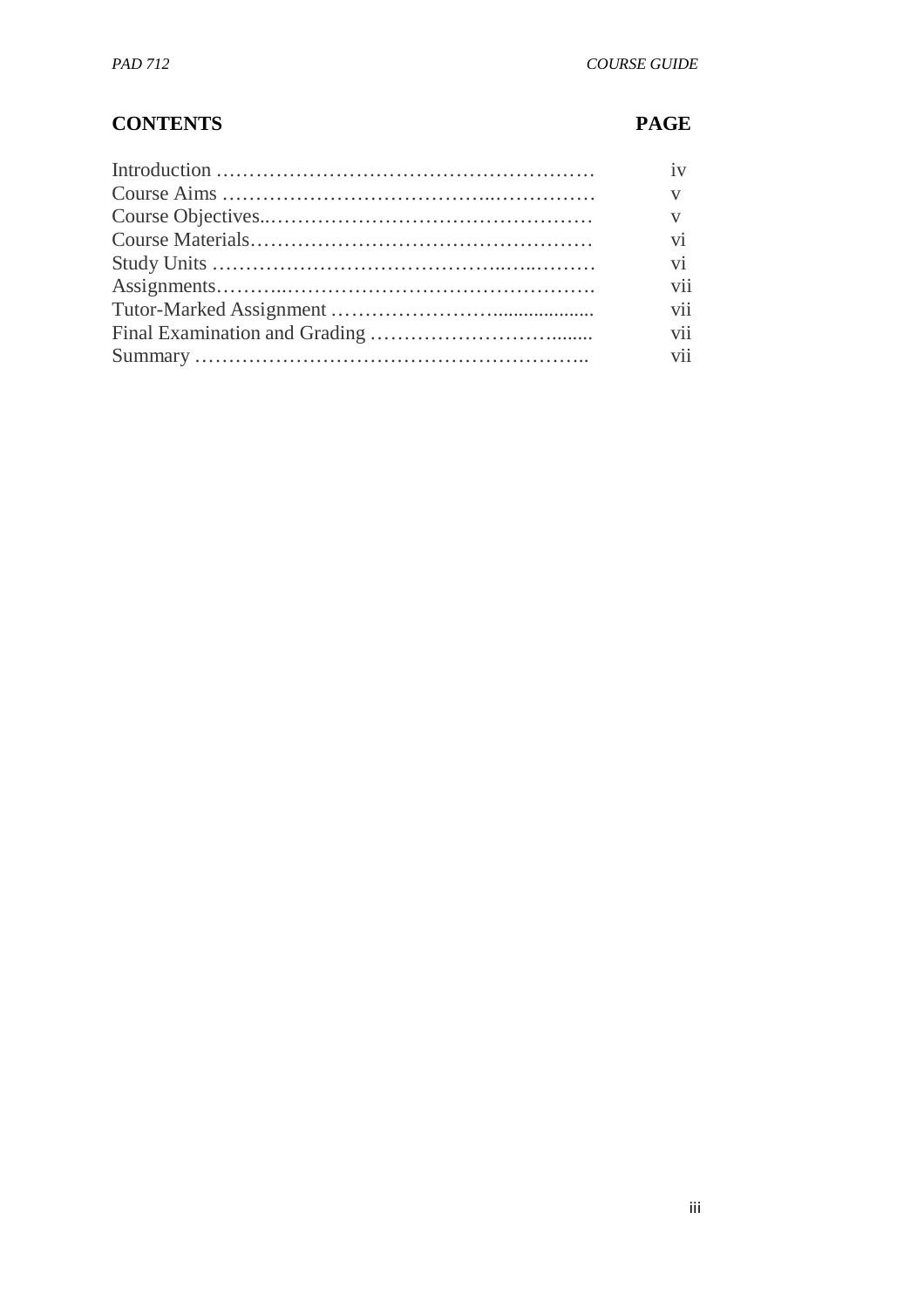## **CONTENTS PAGE**

| iv              |
|-----------------|
| $\mathbf{V}$    |
| $\mathbf{V}$    |
| $\overline{vi}$ |
| $\overline{vi}$ |
| vii             |
| vii             |
| vii             |
| vii             |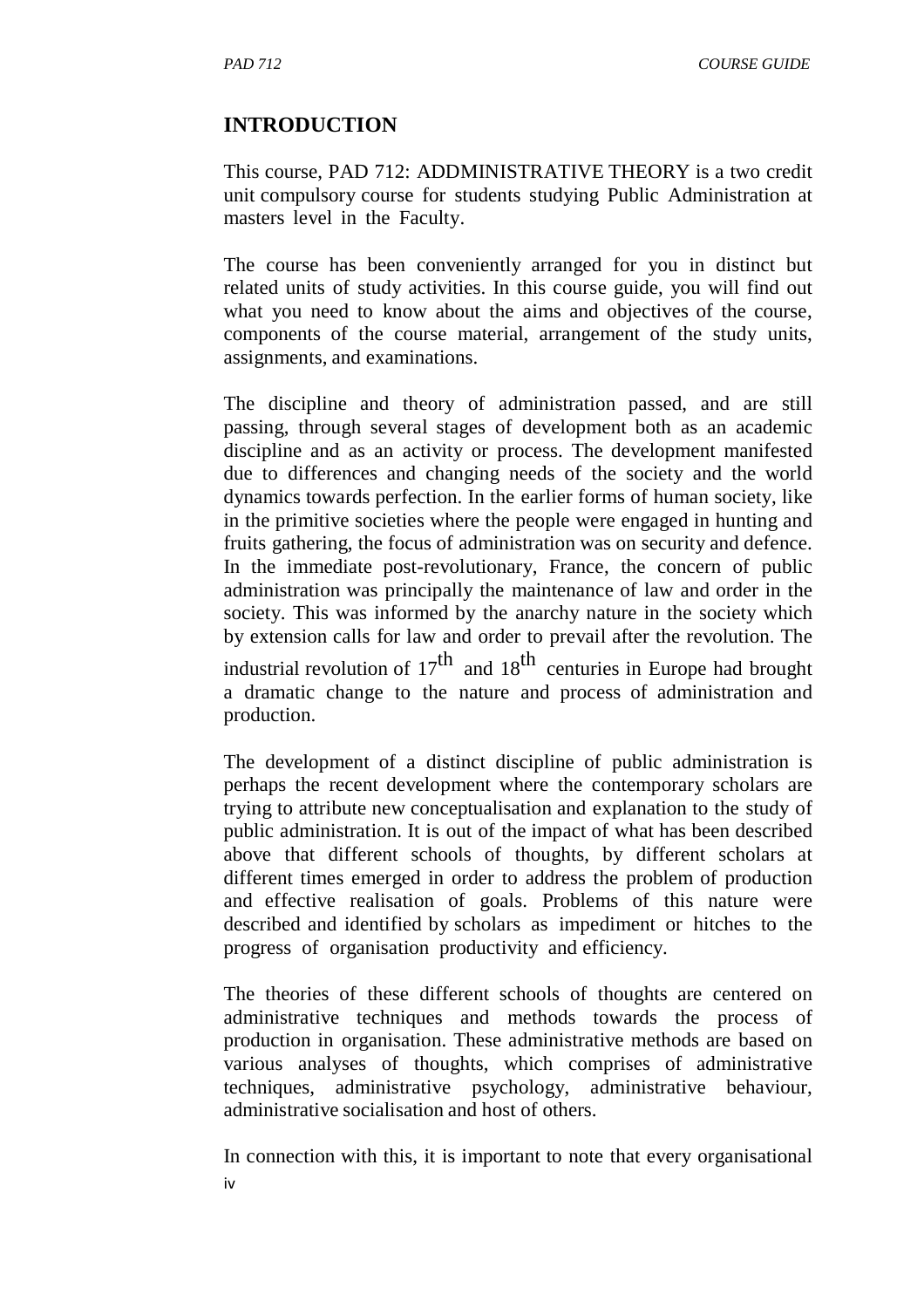### **INTRODUCTION**

This course, PAD 712: ADDMINISTRATIVE THEORY is a two credit unit compulsory course for students studying Public Administration at masters level in the Faculty.

The course has been conveniently arranged for you in distinct but related units of study activities. In this course guide, you will find out what you need to know about the aims and objectives of the course, components of the course material, arrangement of the study units, assignments, and examinations.

The discipline and theory of administration passed, and are still passing, through several stages of development both as an academic discipline and as an activity or process. The development manifested due to differences and changing needs of the society and the world dynamics towards perfection. In the earlier forms of human society, like in the primitive societies where the people were engaged in hunting and fruits gathering, the focus of administration was on security and defence. In the immediate post-revolutionary, France, the concern of public administration was principally the maintenance of law and order in the society. This was informed by the anarchy nature in the society which by extension calls for law and order to prevail after the revolution. The industrial revolution of  $17<sup>th</sup>$  and  $18<sup>th</sup>$  centuries in Europe had brought a dramatic change to the nature and process of administration and production.

The development of a distinct discipline of public administration is perhaps the recent development where the contemporary scholars are trying to attribute new conceptualisation and explanation to the study of public administration. It is out of the impact of what has been described above that different schools of thoughts, by different scholars at different times emerged in order to address the problem of production and effective realisation of goals. Problems of this nature were described and identified by scholars as impediment or hitches to the progress of organisation productivity and efficiency.

The theories of these different schools of thoughts are centered on administrative techniques and methods towards the process of production in organisation. These administrative methods are based on various analyses of thoughts, which comprises of administrative techniques, administrative psychology, administrative behaviour, administrative socialisation and host of others.

iv In connection with this, it is important to note that every organisational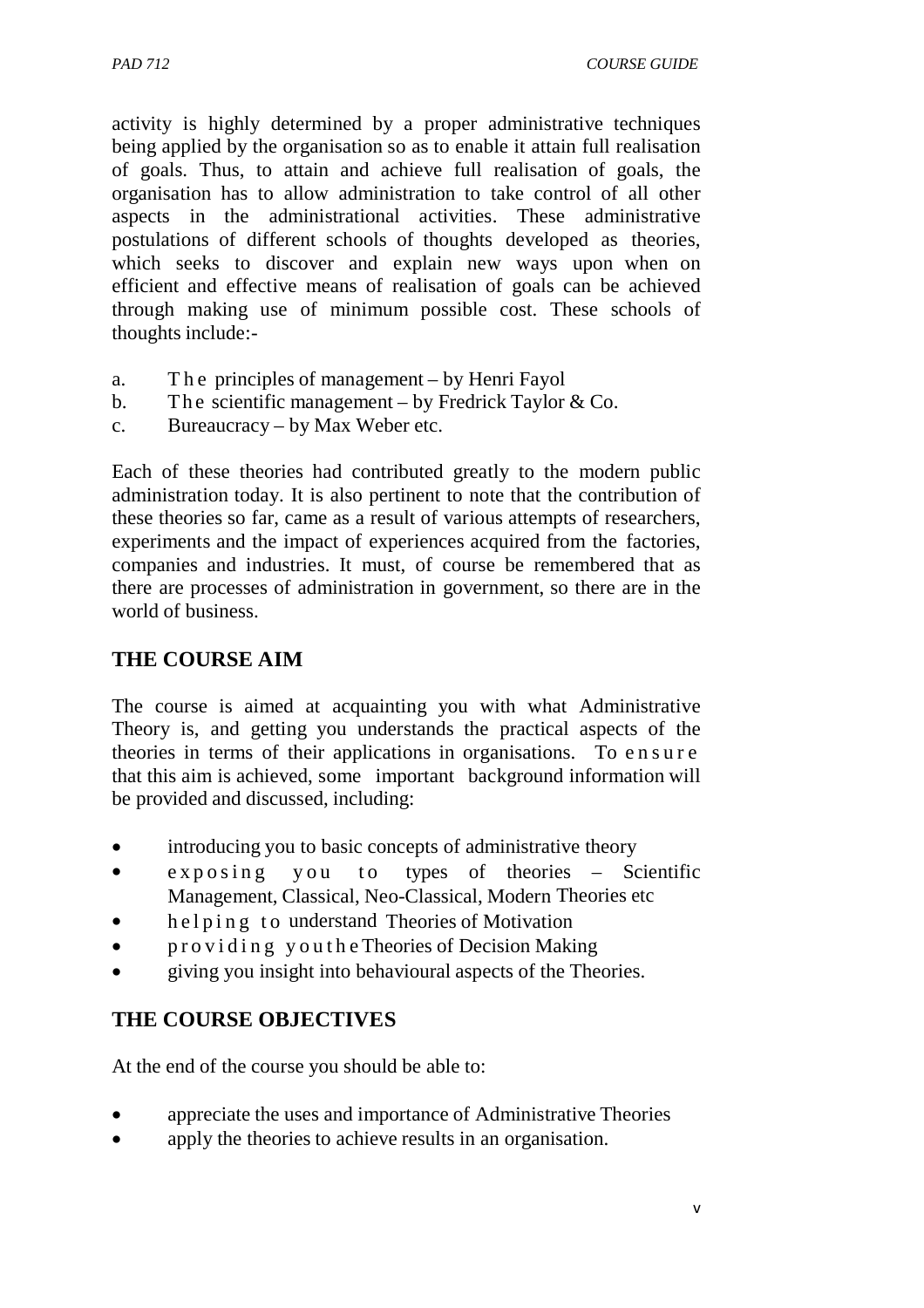activity is highly determined by a proper administrative techniques being applied by the organisation so as to enable it attain full realisation of goals. Thus, to attain and achieve full realisation of goals, the organisation has to allow administration to take control of all other aspects in the administrational activities. These administrative postulations of different schools of thoughts developed as theories, which seeks to discover and explain new ways upon when on efficient and effective means of realisation of goals can be achieved through making use of minimum possible cost. These schools of thoughts include:-

- a. T h e principles of management by Henri Fayol
- b. The scientific management by Fredrick Taylor & Co.
- c. Bureaucracy by Max Weber etc.

Each of these theories had contributed greatly to the modern public administration today. It is also pertinent to note that the contribution of these theories so far, came as a result of various attempts of researchers, experiments and the impact of experiences acquired from the factories, companies and industries. It must, of course be remembered that as there are processes of administration in government, so there are in the world of business.

## **THE COURSE AIM**

The course is aimed at acquainting you with what Administrative Theory is, and getting you understands the practical aspects of the theories in terms of their applications in organisations. To e n s u r e that this aim is achieved, some important background information will be provided and discussed, including:

- introducing you to basic concepts of administrative theory
- exposing you to types of theories Scientific Management, Classical, Neo-Classical, Modern Theories etc
- helping to understand Theories of Motivation
- providing you the Theories of Decision Making
- giving you insight into behavioural aspects of the Theories.

## **THE COURSE OBJECTIVES**

At the end of the course you should be able to:

- appreciate the uses and importance of Administrative Theories
- apply the theories to achieve results in an organisation.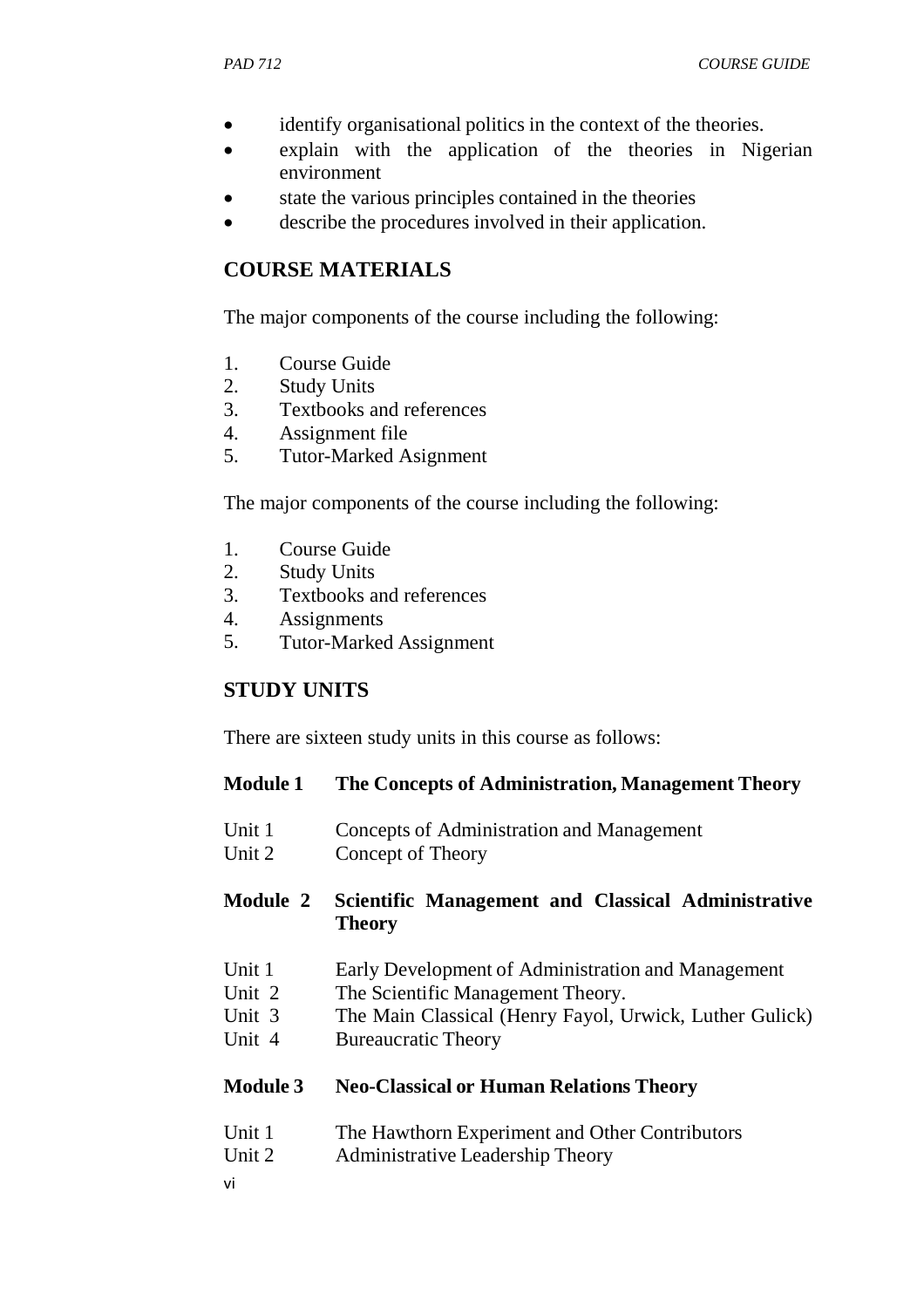- identify organisational politics in the context of the theories.
- explain with the application of the theories in Nigerian environment
- state the various principles contained in the theories
- describe the procedures involved in their application.

## **COURSE MATERIALS**

The major components of the course including the following:

- 1. Course Guide
- 2. Study Units
- 3. Textbooks and references
- 4. Assignment file
- 5. Tutor-Marked Asignment

The major components of the course including the following:

- 1. Course Guide
- 2. Study Units
- 3. Textbooks and references
- 4. Assignments
- 5. Tutor-Marked Assignment

## **STUDY UNITS**

There are sixteen study units in this course as follows:

- **Module 1 The Concepts of Administration, Management Theory**
- Unit 1 Concepts of Administration and Management
- Unit 2 Concept of Theory

#### **Module 2 Scientific Management and Classical Administrative Theory**

- Unit 1 Early Development of Administration and Management
- Unit 2 The Scientific Management Theory.
- Unit 3 The Main Classical (Henry Fayol, Urwick, Luther Gulick)
- Unit 4 Bureaucratic Theory

#### **Module 3 Neo-Classical or Human Relations Theory**

- Unit 1 The Hawthorn Experiment and Other Contributors
- Unit 2 Administrative Leadership Theory
- vi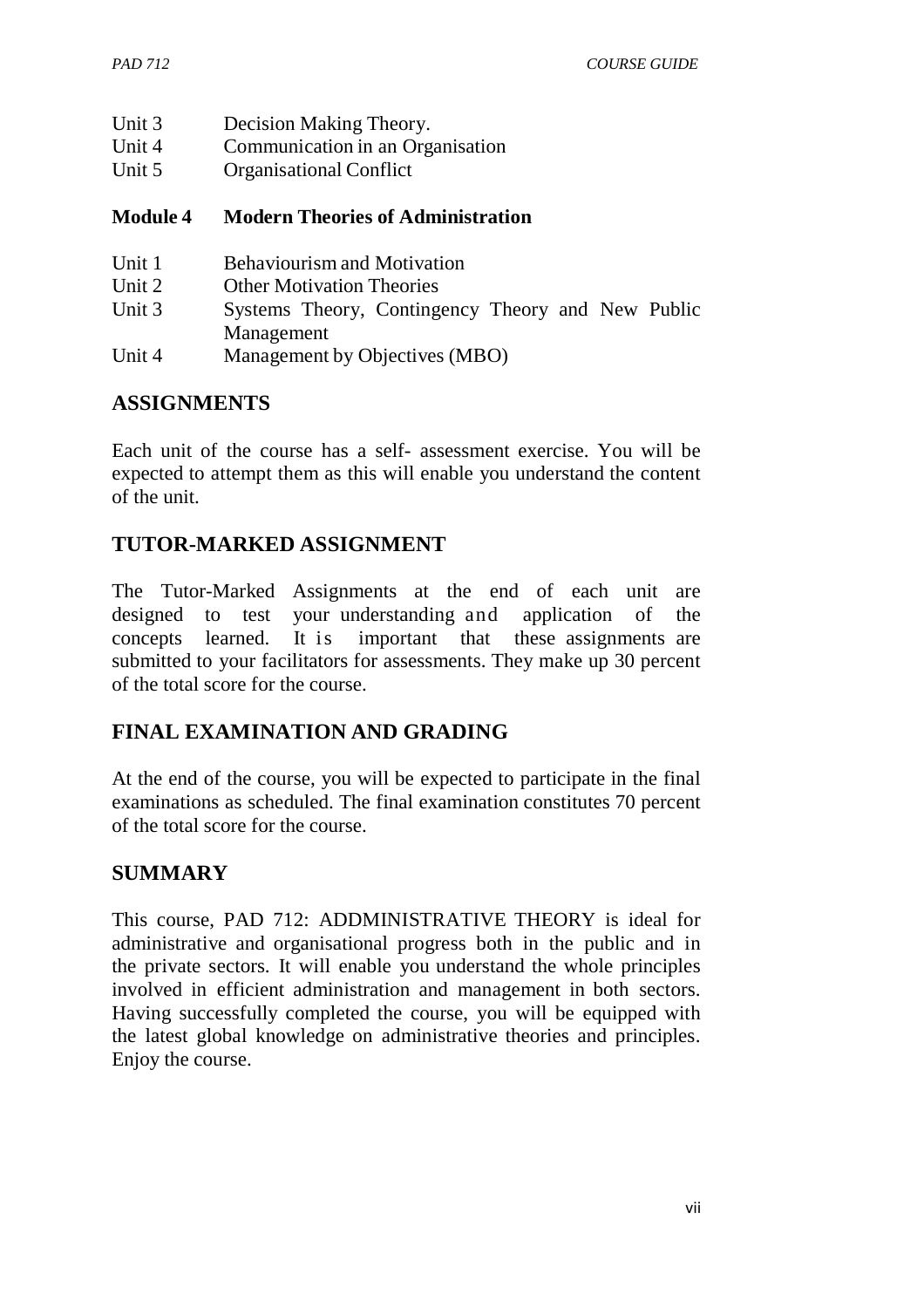| Decision Making Theory.<br>Communication in an Organisation<br><b>Organisational Conflict</b>                                             |
|-------------------------------------------------------------------------------------------------------------------------------------------|
| <b>Modern Theories of Administration</b>                                                                                                  |
| <b>Behaviourism and Motivation</b><br><b>Other Motivation Theories</b><br>Systems Theory, Contingency Theory and New Public<br>Management |
|                                                                                                                                           |

Unit 4 Management by Objectives (MBO)

### **ASSIGNMENTS**

Each unit of the course has a self- assessment exercise. You will be expected to attempt them as this will enable you understand the content of the unit.

## **TUTOR-MARKED ASSIGNMENT**

The Tutor-Marked Assignments at the end of each unit are designed to test your understanding and application of the concepts learned. It is important that these assignments are submitted to your facilitators for assessments. They make up 30 percent of the total score for the course.

## **FINAL EXAMINATION AND GRADING**

At the end of the course, you will be expected to participate in the final examinations as scheduled. The final examination constitutes 70 percent of the total score for the course.

## **SUMMARY**

This course, PAD 712: ADDMINISTRATIVE THEORY is ideal for administrative and organisational progress both in the public and in the private sectors. It will enable you understand the whole principles involved in efficient administration and management in both sectors. Having successfully completed the course, you will be equipped with the latest global knowledge on administrative theories and principles. Enjoy the course.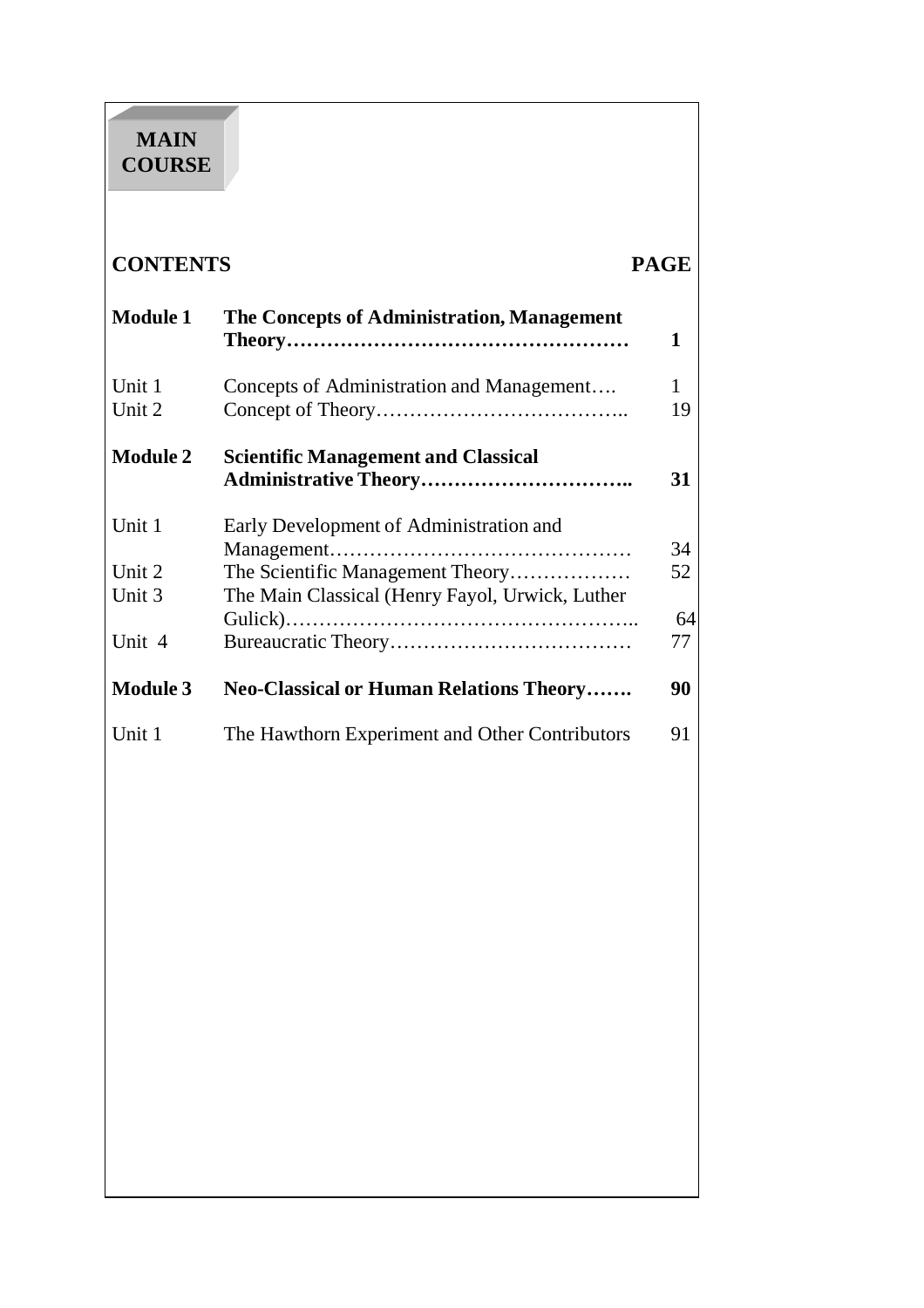# **MAIN COURSE**

# **CONTENTS PAGE**

| <b>Module 1</b>  | The Concepts of Administration, Management                                          | 1        |
|------------------|-------------------------------------------------------------------------------------|----------|
| Unit 1<br>Unit 2 | Concepts of Administration and Management                                           | 1<br>19  |
| <b>Module 2</b>  | <b>Scientific Management and Classical</b>                                          | 31       |
| Unit 1           | Early Development of Administration and                                             | 34       |
| Unit 2<br>Unit 3 | The Scientific Management Theory<br>The Main Classical (Henry Fayol, Urwick, Luther | 52       |
| Unit 4           |                                                                                     | 64<br>77 |
| <b>Module 3</b>  | <b>Neo-Classical or Human Relations Theory</b>                                      | 90       |
| Unit 1           | The Hawthorn Experiment and Other Contributors                                      | 91       |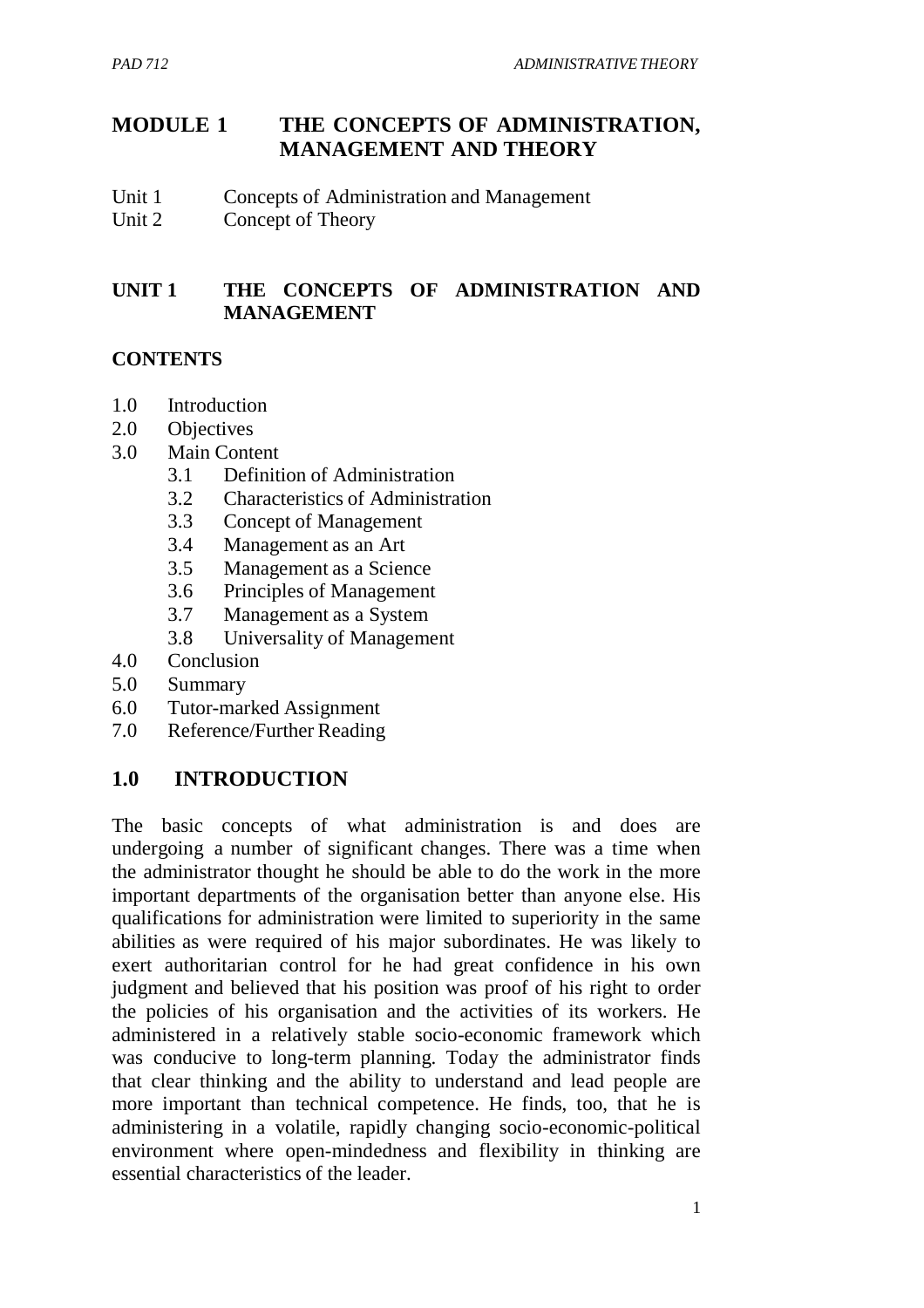## **MODULE 1 THE CONCEPTS OF ADMINISTRATION, MANAGEMENT AND THEORY**

Unit 1 Concepts of Administration and Management Unit 2 Concept of Theory

## **UNIT 1 THE CONCEPTS OF ADMINISTRATION AND MANAGEMENT**

### **CONTENTS**

- 1.0 Introduction
- 2.0 Objectives
- 3.0 Main Content
	- 3.1 Definition of Administration
	- 3.2 Characteristics of Administration
	- 3.3 Concept of Management
	- 3.4 Management as an Art
	- 3.5 Management as a Science
	- 3.6 Principles of Management
	- 3.7 Management as a System
	- 3.8 Universality of Management
- 4.0 Conclusion
- 5.0 Summary
- 6.0 Tutor-marked Assignment
- 7.0 Reference/Further Reading

## **1.0 INTRODUCTION**

The basic concepts of what administration is and does are undergoing a number of significant changes. There was a time when the administrator thought he should be able to do the work in the more important departments of the organisation better than anyone else. His qualifications for administration were limited to superiority in the same abilities as were required of his major subordinates. He was likely to exert authoritarian control for he had great confidence in his own judgment and believed that his position was proof of his right to order the policies of his organisation and the activities of its workers. He administered in a relatively stable socio-economic framework which was conducive to long-term planning. Today the administrator finds that clear thinking and the ability to understand and lead people are more important than technical competence. He finds, too, that he is administering in a volatile, rapidly changing socio-economic-political environment where open-mindedness and flexibility in thinking are essential characteristics of the leader.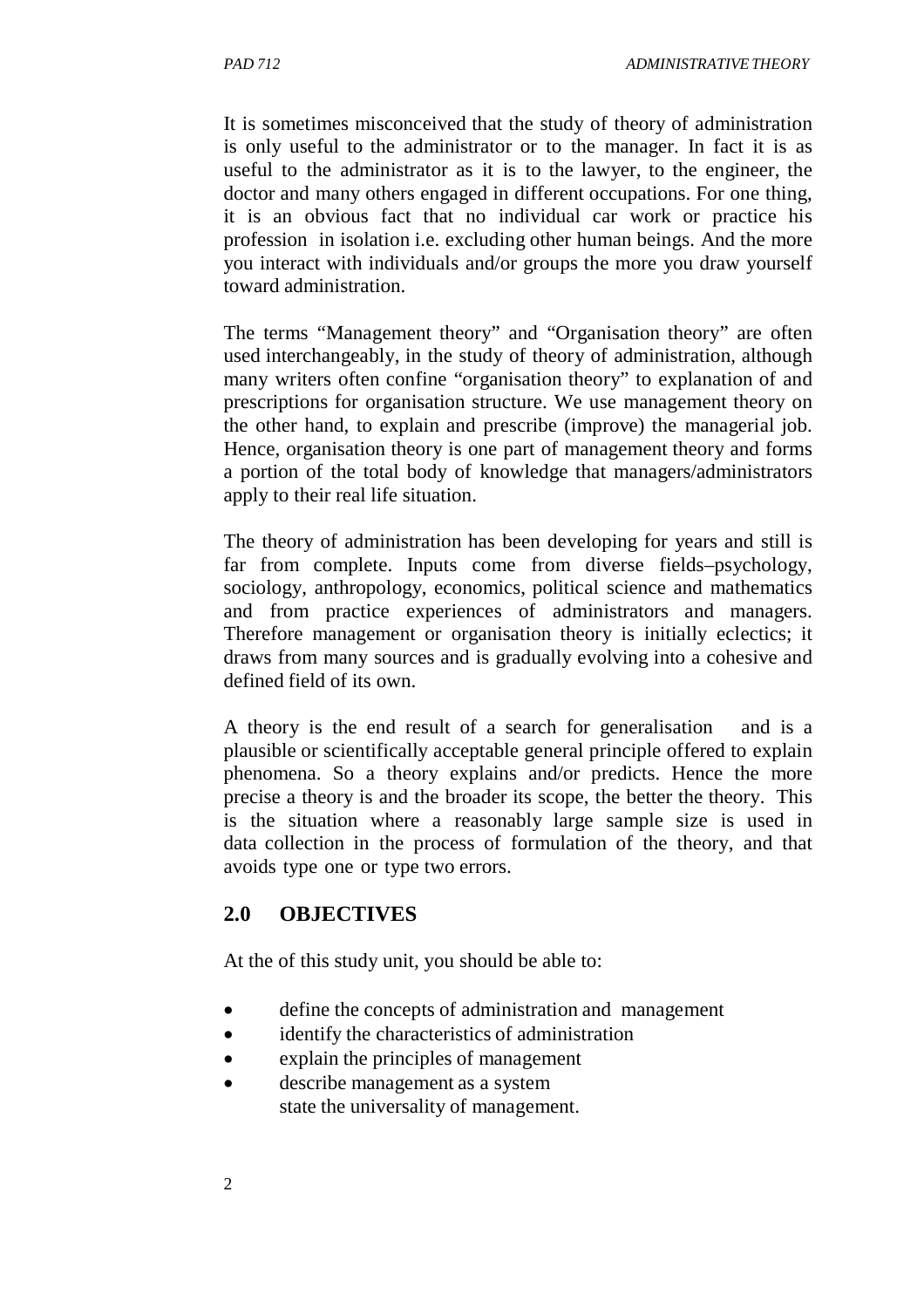It is sometimes misconceived that the study of theory of administration is only useful to the administrator or to the manager. In fact it is as useful to the administrator as it is to the lawyer, to the engineer, the doctor and many others engaged in different occupations. For one thing, it is an obvious fact that no individual car work or practice his profession in isolation i.e. excluding other human beings. And the more you interact with individuals and/or groups the more you draw yourself toward administration.

The terms "Management theory" and "Organisation theory" are often used interchangeably, in the study of theory of administration, although many writers often confine "organisation theory" to explanation of and prescriptions for organisation structure. We use management theory on the other hand, to explain and prescribe (improve) the managerial job. Hence, organisation theory is one part of management theory and forms a portion of the total body of knowledge that managers/administrators apply to their real life situation.

The theory of administration has been developing for years and still is far from complete. Inputs come from diverse fields–psychology, sociology, anthropology, economics, political science and mathematics and from practice experiences of administrators and managers. Therefore management or organisation theory is initially eclectics; it draws from many sources and is gradually evolving into a cohesive and defined field of its own.

A theory is the end result of a search for generalisation and is a plausible or scientifically acceptable general principle offered to explain phenomena. So a theory explains and/or predicts. Hence the more precise a theory is and the broader its scope, the better the theory. This is the situation where a reasonably large sample size is used in data collection in the process of formulation of the theory, and that avoids type one or type two errors.

## **2.0 OBJECTIVES**

At the of this study unit, you should be able to:

- define the concepts of administration and management
- identify the characteristics of administration
- explain the principles of management
- describe management as a system state the universality of management.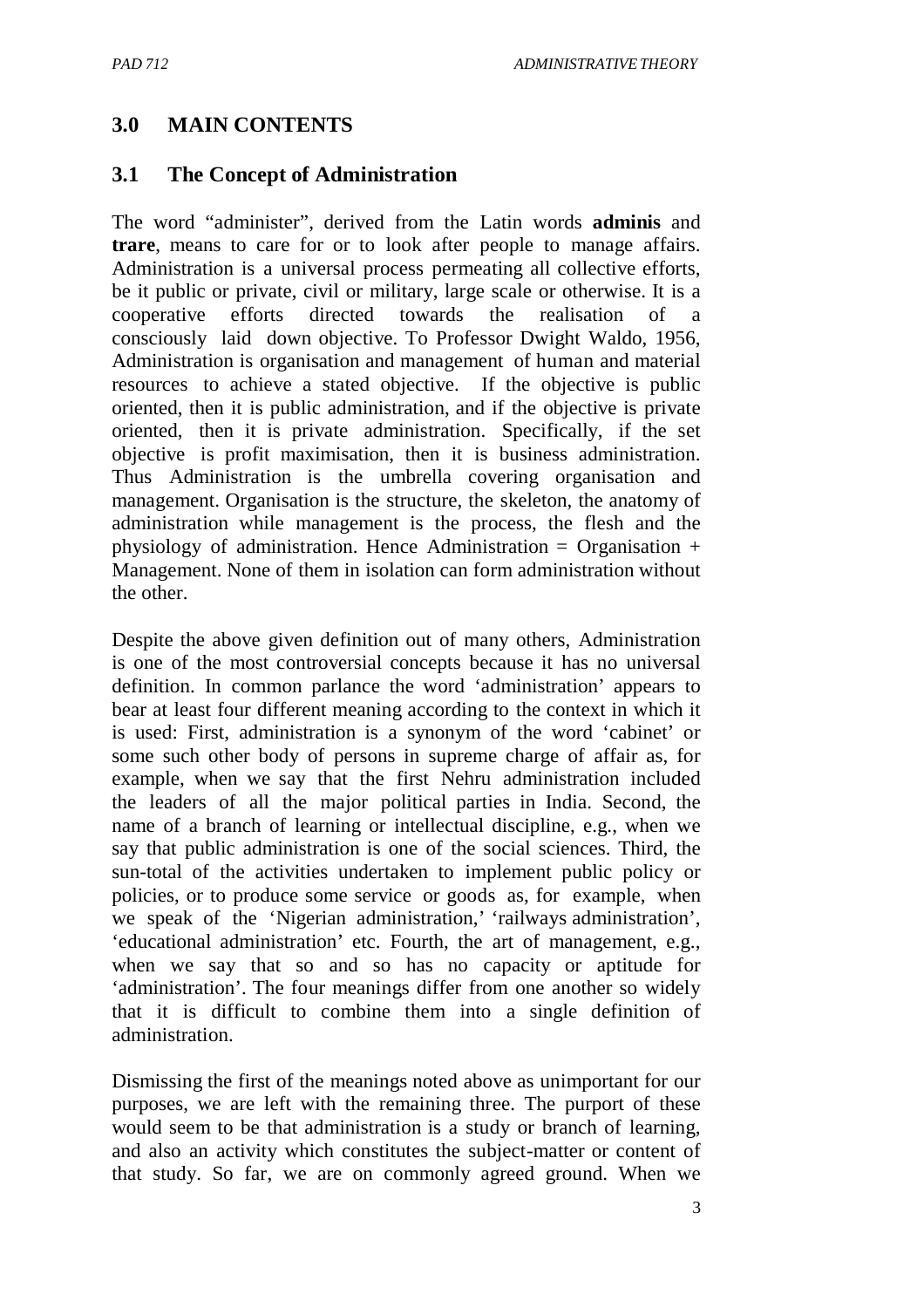#### **3.0 MAIN CONTENTS**

#### **3.1 The Concept of Administration**

The word "administer", derived from the Latin words **adminis** and **trare**, means to care for or to look after people to manage affairs. Administration is a universal process permeating all collective efforts, be it public or private, civil or military, large scale or otherwise. It is a cooperative efforts directed towards the realisation of a consciously laid down objective. To Professor Dwight Waldo, 1956, Administration is organisation and management of human and material resources to achieve a stated objective. If the objective is public oriented, then it is public administration, and if the objective is private oriented, then it is private administration. Specifically, if the set objective is profit maximisation, then it is business administration. Thus Administration is the umbrella covering organisation and management. Organisation is the structure, the skeleton, the anatomy of administration while management is the process, the flesh and the physiology of administration. Hence Administration = Organisation + Management. None of them in isolation can form administration without the other.

Despite the above given definition out of many others, Administration is one of the most controversial concepts because it has no universal definition. In common parlance the word 'administration' appears to bear at least four different meaning according to the context in which it is used: First, administration is a synonym of the word 'cabinet' or some such other body of persons in supreme charge of affair as, for example, when we say that the first Nehru administration included the leaders of all the major political parties in India. Second, the name of a branch of learning or intellectual discipline, e.g., when we say that public administration is one of the social sciences. Third, the sun-total of the activities undertaken to implement public policy or policies, or to produce some service or goods as, for example, when we speak of the 'Nigerian administration,' 'railways administration', 'educational administration' etc. Fourth, the art of management, e.g., when we say that so and so has no capacity or aptitude for 'administration'. The four meanings differ from one another so widely that it is difficult to combine them into a single definition of administration.

Dismissing the first of the meanings noted above as unimportant for our purposes, we are left with the remaining three. The purport of these would seem to be that administration is a study or branch of learning, and also an activity which constitutes the subject-matter or content of that study. So far, we are on commonly agreed ground. When we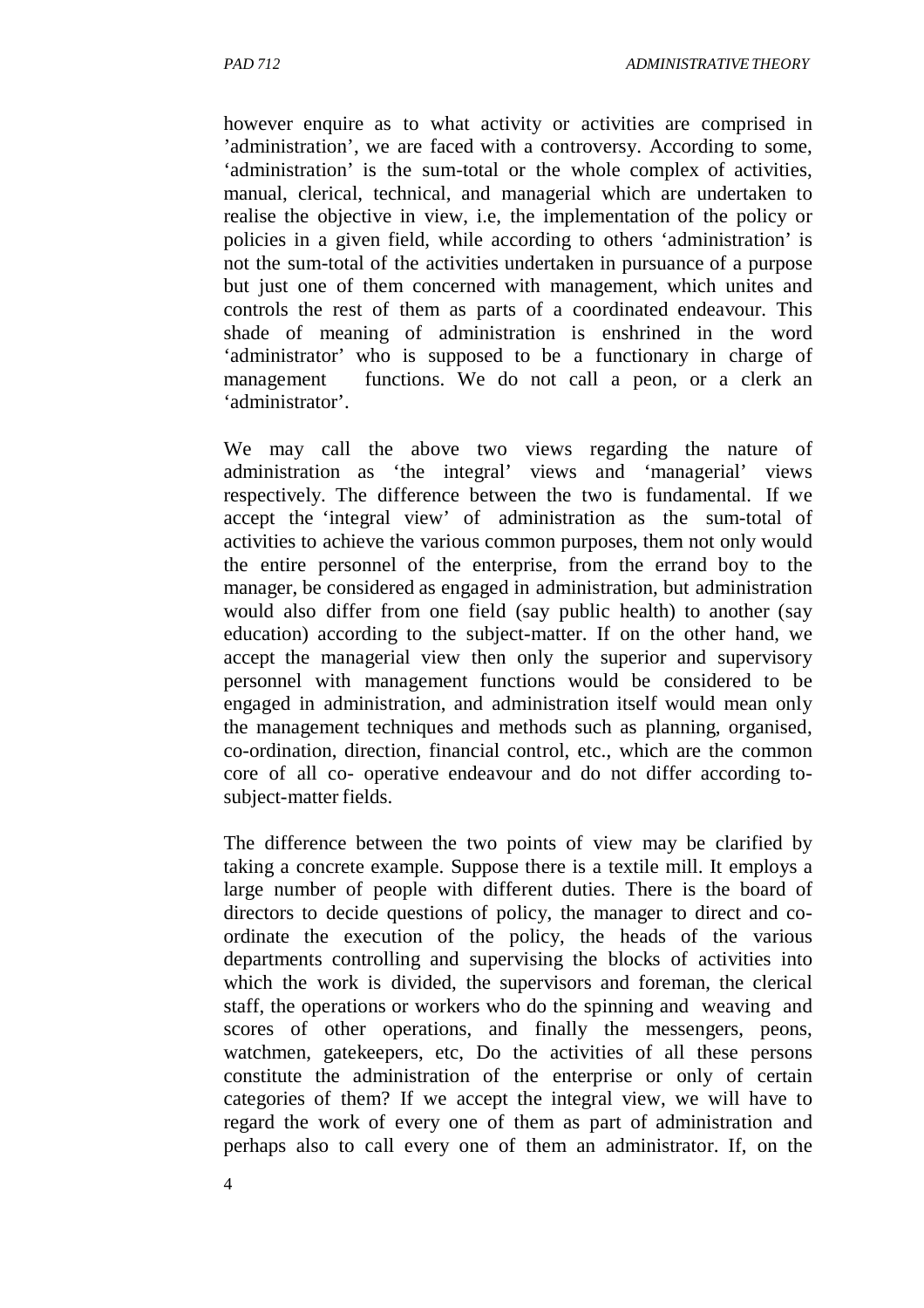however enquire as to what activity or activities are comprised in 'administration', we are faced with a controversy. According to some, 'administration' is the sum-total or the whole complex of activities, manual, clerical, technical, and managerial which are undertaken to realise the objective in view, i.e, the implementation of the policy or policies in a given field, while according to others 'administration' is not the sum-total of the activities undertaken in pursuance of a purpose but just one of them concerned with management, which unites and controls the rest of them as parts of a coordinated endeavour. This shade of meaning of administration is enshrined in the word 'administrator' who is supposed to be a functionary in charge of management functions. We do not call a peon, or a clerk an 'administrator'.

We may call the above two views regarding the nature of administration as 'the integral' views and 'managerial' views respectively. The difference between the two is fundamental. If we accept the 'integral view' of administration as the sum-total of activities to achieve the various common purposes, them not only would the entire personnel of the enterprise, from the errand boy to the manager, be considered as engaged in administration, but administration would also differ from one field (say public health) to another (say education) according to the subject-matter. If on the other hand, we accept the managerial view then only the superior and supervisory personnel with management functions would be considered to be engaged in administration, and administration itself would mean only the management techniques and methods such as planning, organised, co-ordination, direction, financial control, etc., which are the common core of all co- operative endeavour and do not differ according tosubject-matter fields.

The difference between the two points of view may be clarified by taking a concrete example. Suppose there is a textile mill. It employs a large number of people with different duties. There is the board of directors to decide questions of policy, the manager to direct and coordinate the execution of the policy, the heads of the various departments controlling and supervising the blocks of activities into which the work is divided, the supervisors and foreman, the clerical staff, the operations or workers who do the spinning and weaving and scores of other operations, and finally the messengers, peons, watchmen, gatekeepers, etc, Do the activities of all these persons constitute the administration of the enterprise or only of certain categories of them? If we accept the integral view, we will have to regard the work of every one of them as part of administration and perhaps also to call every one of them an administrator. If, on the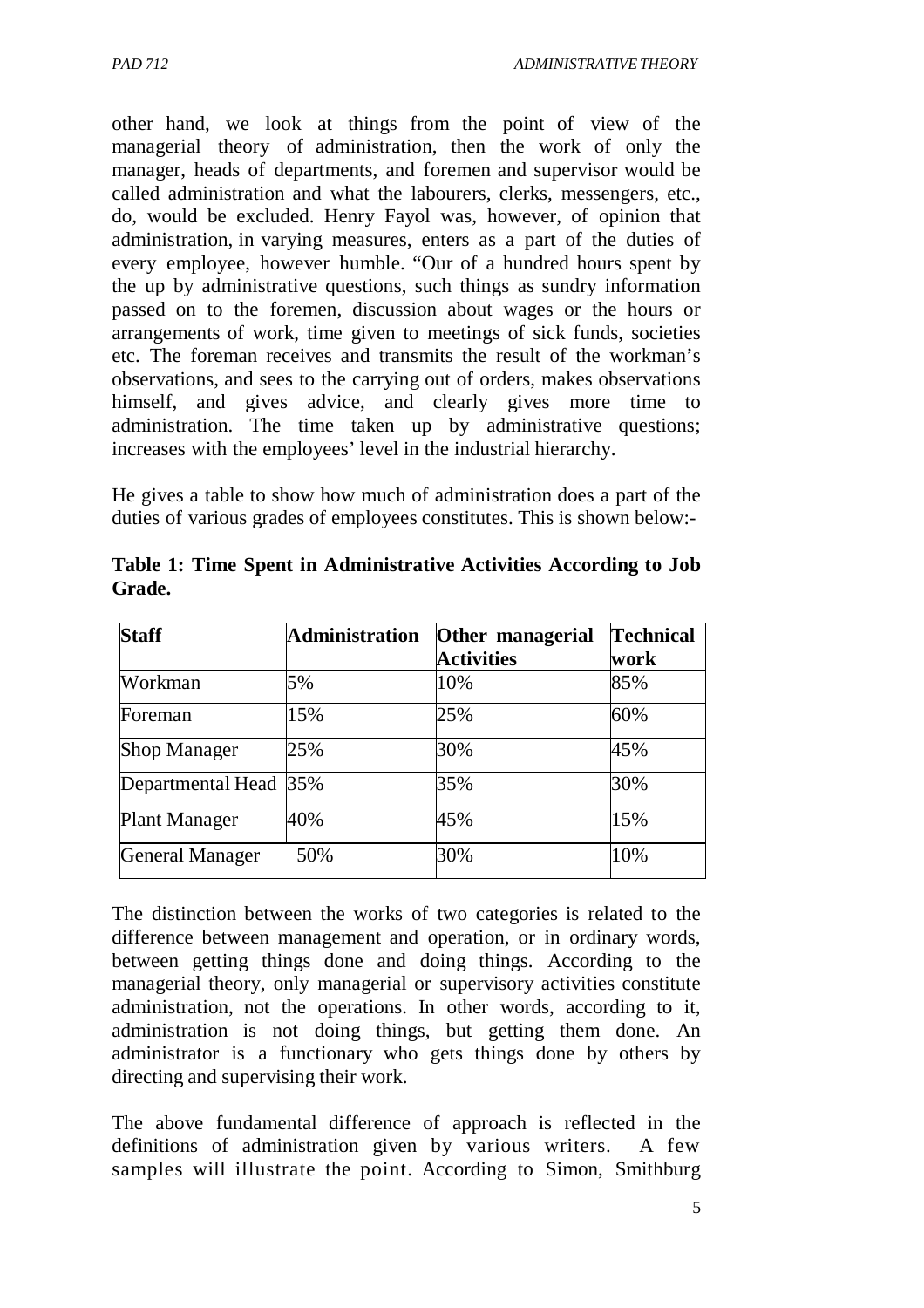other hand, we look at things from the point of view of the managerial theory of administration, then the work of only the manager, heads of departments, and foremen and supervisor would be called administration and what the labourers, clerks, messengers, etc., do, would be excluded. Henry Fayol was, however, of opinion that administration, in varying measures, enters as a part of the duties of every employee, however humble. "Our of a hundred hours spent by the up by administrative questions, such things as sundry information passed on to the foremen, discussion about wages or the hours or arrangements of work, time given to meetings of sick funds, societies etc. The foreman receives and transmits the result of the workman's observations, and sees to the carrying out of orders, makes observations himself, and gives advice, and clearly gives more time to administration. The time taken up by administrative questions; increases with the employees' level in the industrial hierarchy.

He gives a table to show how much of administration does a part of the duties of various grades of employees constitutes. This is shown below:-

| <b>Staff</b>           | <b>Administration</b> | Other managerial  | <b>Technical</b> |
|------------------------|-----------------------|-------------------|------------------|
|                        |                       | <b>Activities</b> | work             |
| Workman                | 5%                    | 10%               | 85%              |
| Foreman                | 15%                   | 25%               | 60%              |
| <b>Shop Manager</b>    | 25%                   | 30%               | 45%              |
| Departmental Head 35%  |                       | 35%               | 30%              |
| <b>Plant Manager</b>   | 40%                   | 45%               | 15%              |
| <b>General Manager</b> | 50%                   | 30%               | 10%              |

**Table 1: Time Spent in Administrative Activities According to Job Grade.**

The distinction between the works of two categories is related to the difference between management and operation, or in ordinary words, between getting things done and doing things. According to the managerial theory, only managerial or supervisory activities constitute administration, not the operations. In other words, according to it, administration is not doing things, but getting them done. An administrator is a functionary who gets things done by others by directing and supervising their work.

The above fundamental difference of approach is reflected in the definitions of administration given by various writers. A few samples will illustrate the point. According to Simon, Smithburg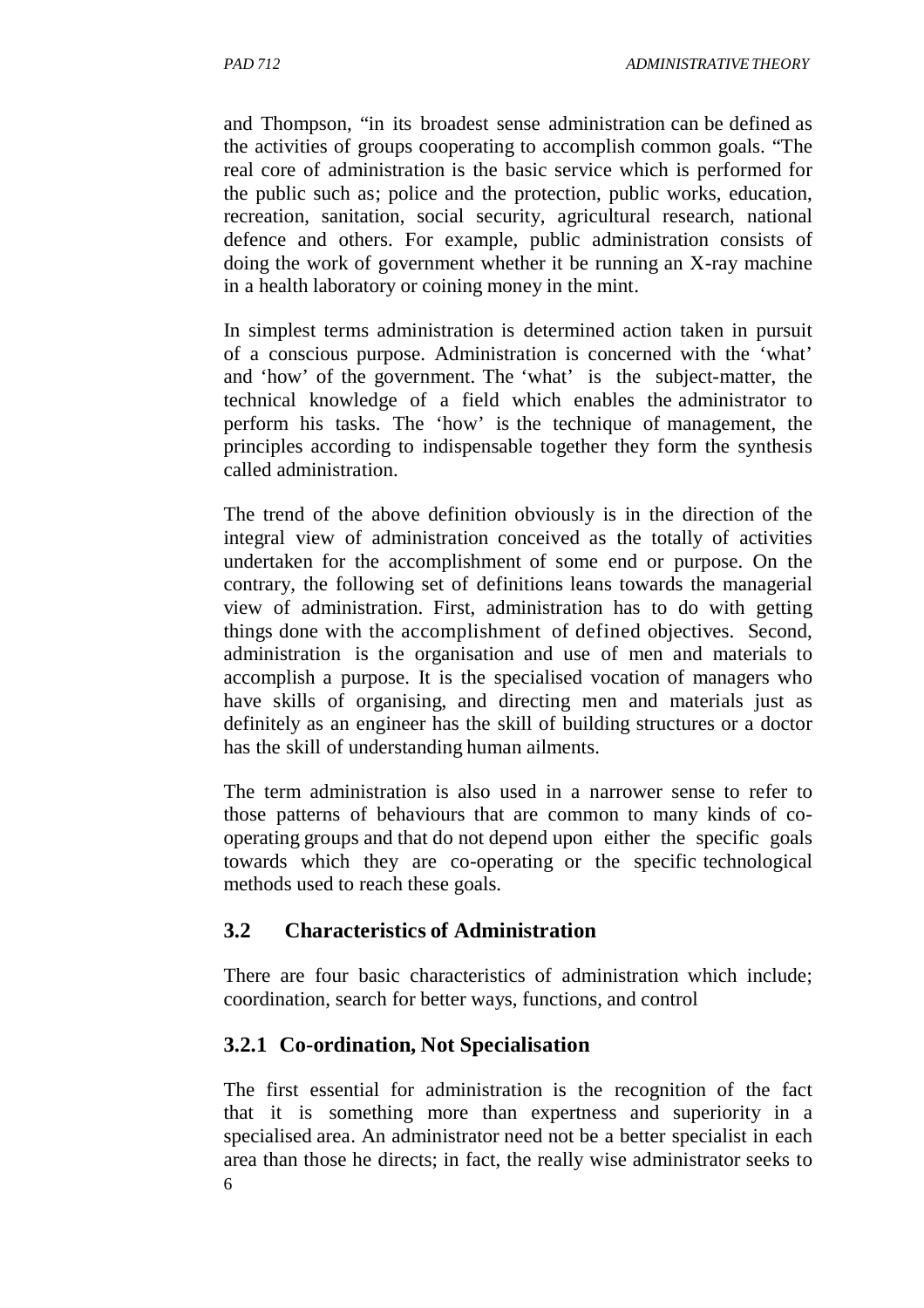and Thompson, "in its broadest sense administration can be defined as the activities of groups cooperating to accomplish common goals. "The real core of administration is the basic service which is performed for the public such as; police and the protection, public works, education, recreation, sanitation, social security, agricultural research, national defence and others. For example, public administration consists of doing the work of government whether it be running an X-ray machine in a health laboratory or coining money in the mint.

In simplest terms administration is determined action taken in pursuit of a conscious purpose. Administration is concerned with the 'what' and 'how' of the government. The 'what' is the subject-matter, the technical knowledge of a field which enables the administrator to perform his tasks. The 'how' is the technique of management, the principles according to indispensable together they form the synthesis called administration.

The trend of the above definition obviously is in the direction of the integral view of administration conceived as the totally of activities undertaken for the accomplishment of some end or purpose. On the contrary, the following set of definitions leans towards the managerial view of administration. First, administration has to do with getting things done with the accomplishment of defined objectives. Second, administration is the organisation and use of men and materials to accomplish a purpose. It is the specialised vocation of managers who have skills of organising, and directing men and materials just as definitely as an engineer has the skill of building structures or a doctor has the skill of understanding human ailments.

The term administration is also used in a narrower sense to refer to those patterns of behaviours that are common to many kinds of cooperating groups and that do not depend upon either the specific goals towards which they are co-operating or the specific technological methods used to reach these goals.

## **3.2 Characteristics of Administration**

There are four basic characteristics of administration which include; coordination, search for better ways, functions, and control

## **3.2.1 Co-ordination, Not Specialisation**

6 The first essential for administration is the recognition of the fact that it is something more than expertness and superiority in a specialised area. An administrator need not be a better specialist in each area than those he directs; in fact, the really wise administrator seeks to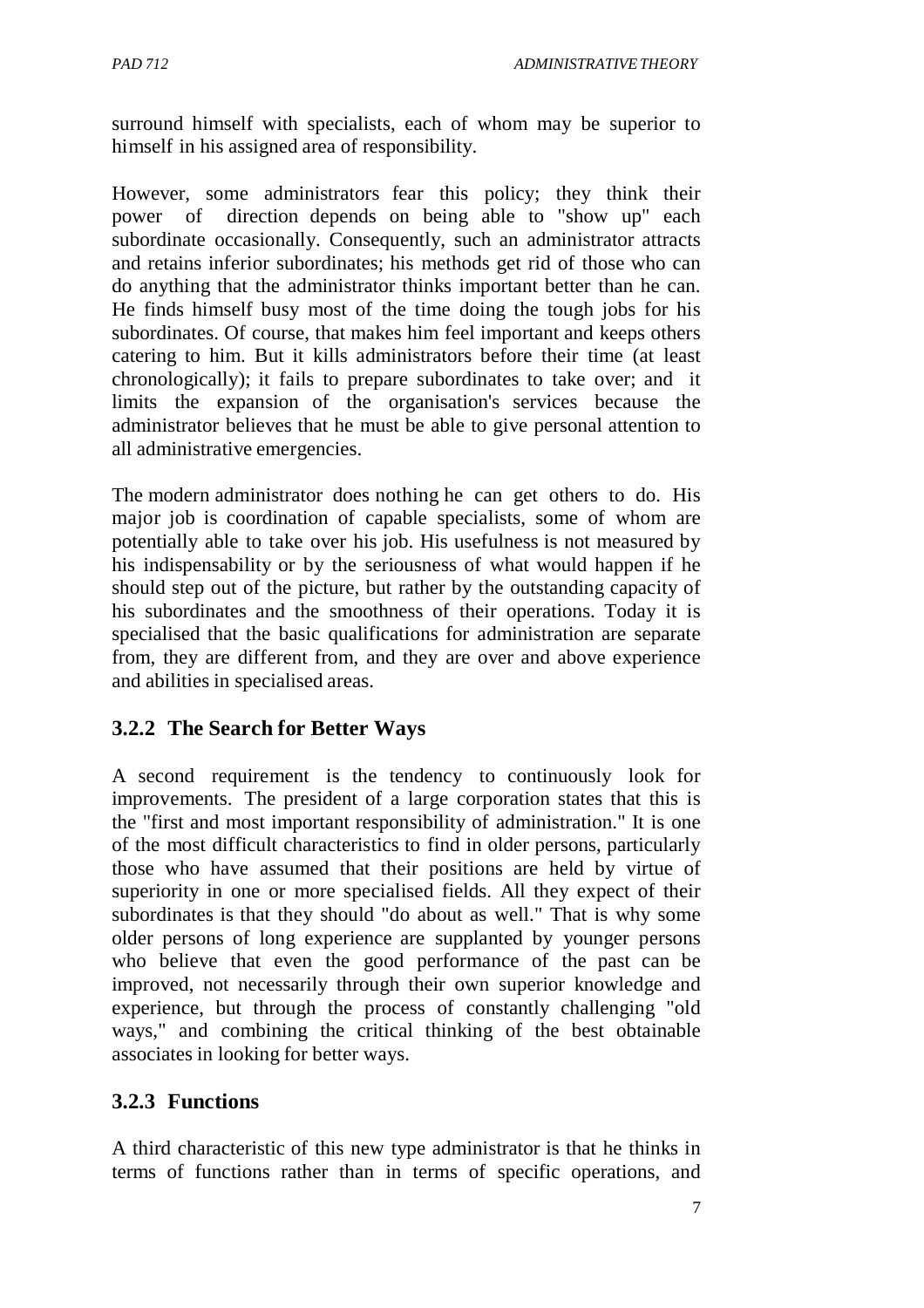surround himself with specialists, each of whom may be superior to himself in his assigned area of responsibility.

However, some administrators fear this policy; they think their power of direction depends on being able to "show up" each subordinate occasionally. Consequently, such an administrator attracts and retains inferior subordinates; his methods get rid of those who can do anything that the administrator thinks important better than he can. He finds himself busy most of the time doing the tough jobs for his subordinates. Of course, that makes him feel important and keeps others catering to him. But it kills administrators before their time (at least chronologically); it fails to prepare subordinates to take over; and it limits the expansion of the organisation's services because the administrator believes that he must be able to give personal attention to all administrative emergencies.

The modern administrator does nothing he can get others to do. His major job is coordination of capable specialists, some of whom are potentially able to take over his job. His usefulness is not measured by his indispensability or by the seriousness of what would happen if he should step out of the picture, but rather by the outstanding capacity of his subordinates and the smoothness of their operations. Today it is specialised that the basic qualifications for administration are separate from, they are different from, and they are over and above experience and abilities in specialised areas.

## **3.2.2 The Search for Better Ways**

A second requirement is the tendency to continuously look for improvements. The president of a large corporation states that this is the "first and most important responsibility of administration." It is one of the most difficult characteristics to find in older persons, particularly those who have assumed that their positions are held by virtue of superiority in one or more specialised fields. All they expect of their subordinates is that they should "do about as well." That is why some older persons of long experience are supplanted by younger persons who believe that even the good performance of the past can be improved, not necessarily through their own superior knowledge and experience, but through the process of constantly challenging "old ways," and combining the critical thinking of the best obtainable associates in looking for better ways.

## **3.2.3 Functions**

A third characteristic of this new type administrator is that he thinks in terms of functions rather than in terms of specific operations, and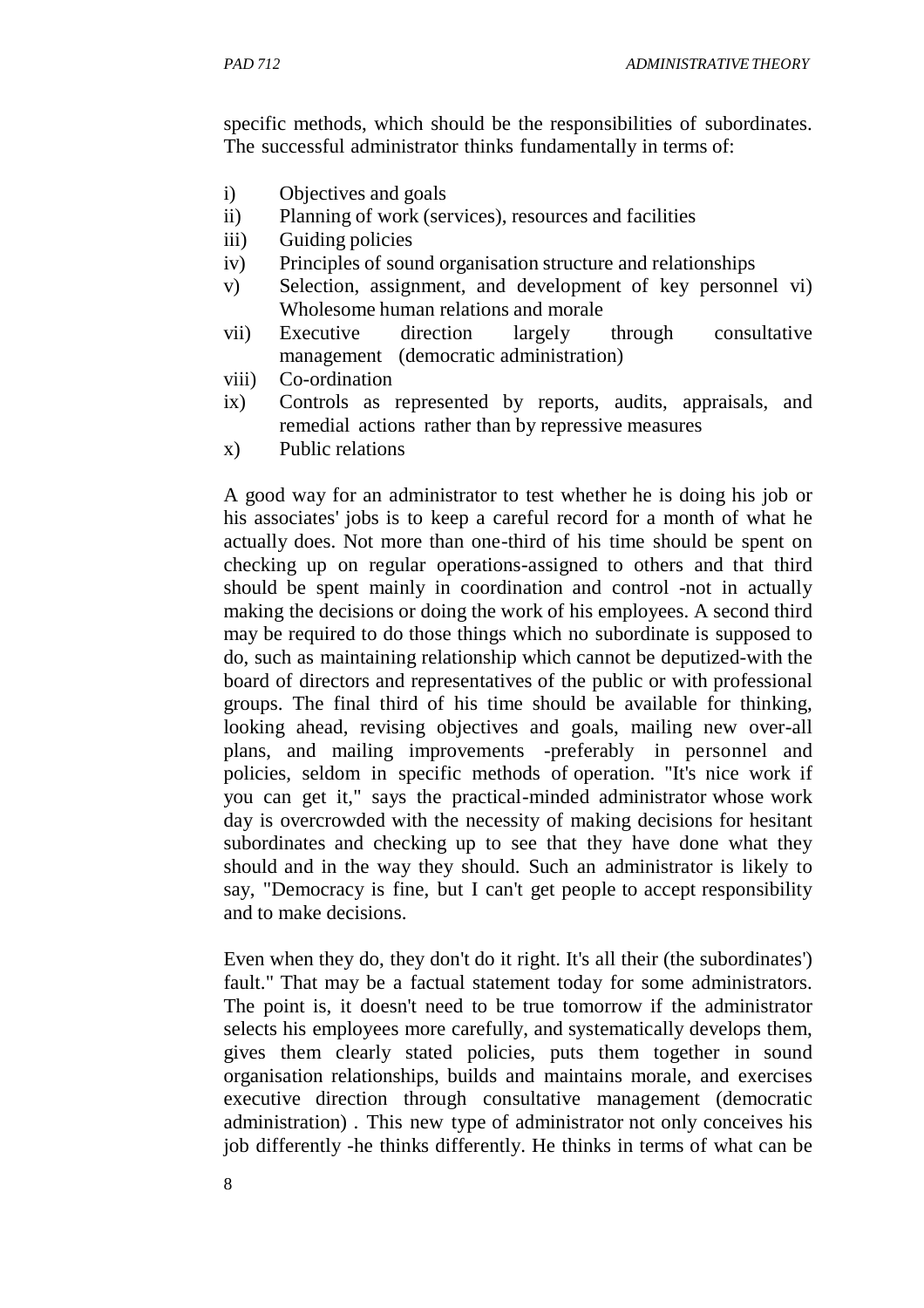specific methods, which should be the responsibilities of subordinates. The successful administrator thinks fundamentally in terms of:

- i) Objectives and goals
- ii) Planning of work (services), resources and facilities
- iii) Guiding policies
- iv) Principles of sound organisation structure and relationships
- v) Selection, assignment, and development of key personnel vi) Wholesome human relations and morale
- vii) Executive direction largely through consultative management (democratic administration)
- viii) Co-ordination
- ix) Controls as represented by reports, audits, appraisals, and remedial actions rather than by repressive measures
- x) Public relations

A good way for an administrator to test whether he is doing his job or his associates' jobs is to keep a careful record for a month of what he actually does. Not more than one-third of his time should be spent on checking up on regular operations-assigned to others and that third should be spent mainly in coordination and control -not in actually making the decisions or doing the work of his employees. A second third may be required to do those things which no subordinate is supposed to do, such as maintaining relationship which cannot be deputized-with the board of directors and representatives of the public or with professional groups. The final third of his time should be available for thinking, looking ahead, revising objectives and goals, mailing new over-all plans, and mailing improvements -preferably in personnel and policies, seldom in specific methods of operation. "It's nice work if you can get it," says the practical-minded administrator whose work day is overcrowded with the necessity of making decisions for hesitant subordinates and checking up to see that they have done what they should and in the way they should. Such an administrator is likely to say, "Democracy is fine, but I can't get people to accept responsibility and to make decisions.

Even when they do, they don't do it right. It's all their (the subordinates') fault." That may be a factual statement today for some administrators. The point is, it doesn't need to be true tomorrow if the administrator selects his employees more carefully, and systematically develops them, gives them clearly stated policies, puts them together in sound organisation relationships, builds and maintains morale, and exercises executive direction through consultative management (democratic administration) . This new type of administrator not only conceives his job differently -he thinks differently. He thinks in terms of what can be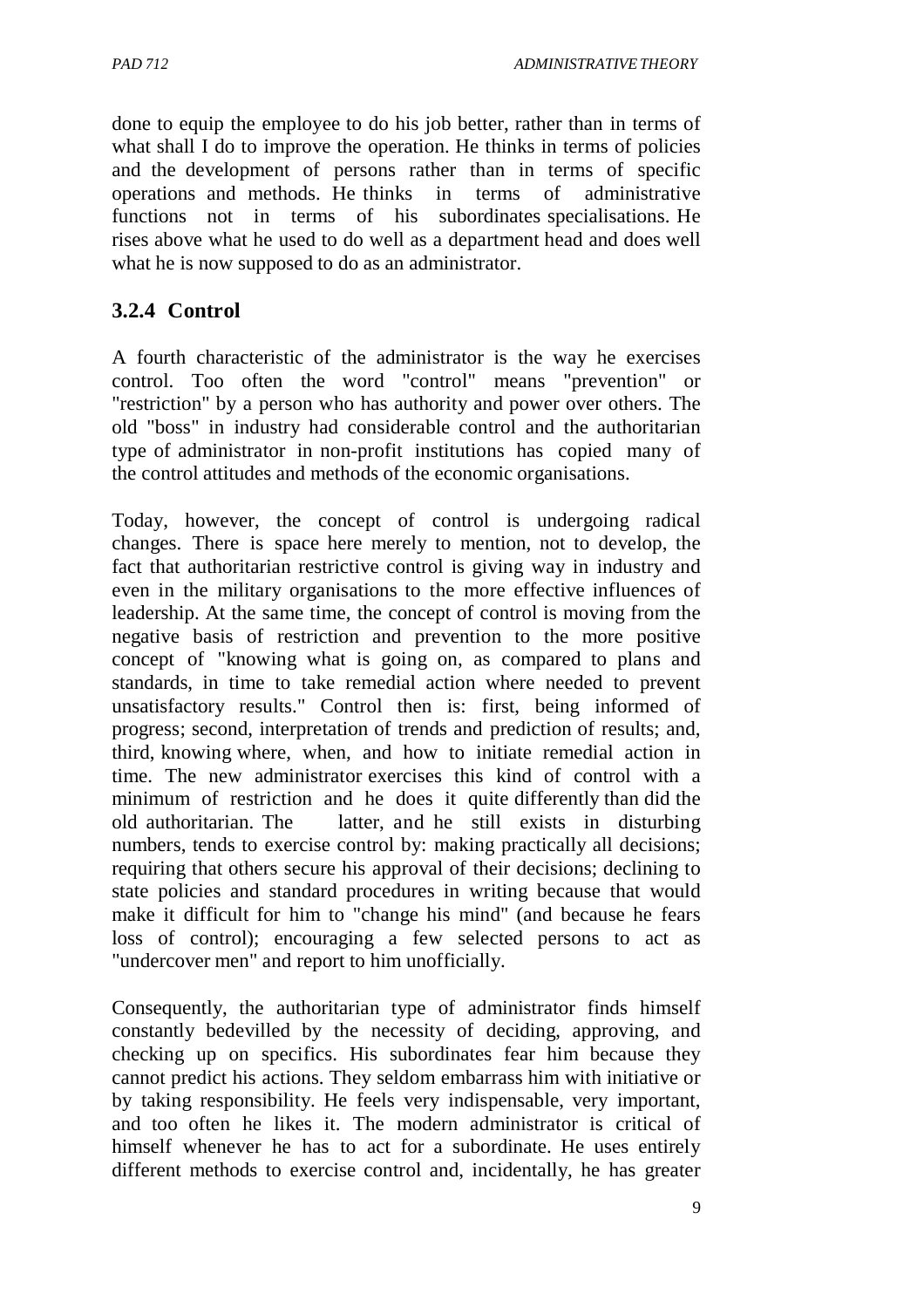*PAD 712 ADMINISTRATIVE THEORY*

done to equip the employee to do his job better, rather than in terms of what shall I do to improve the operation. He thinks in terms of policies and the development of persons rather than in terms of specific operations and methods. He thinks in terms of administrative functions not in terms of his subordinates specialisations. He rises above what he used to do well as a department head and does well what he is now supposed to do as an administrator.

## **3.2.4 Control**

A fourth characteristic of the administrator is the way he exercises control. Too often the word "control" means "prevention" or "restriction" by a person who has authority and power over others. The old "boss" in industry had considerable control and the authoritarian type of administrator in non-profit institutions has copied many of the control attitudes and methods of the economic organisations.

Today, however, the concept of control is undergoing radical changes. There is space here merely to mention, not to develop, the fact that authoritarian restrictive control is giving way in industry and even in the military organisations to the more effective influences of leadership. At the same time, the concept of control is moving from the negative basis of restriction and prevention to the more positive concept of "knowing what is going on, as compared to plans and standards, in time to take remedial action where needed to prevent unsatisfactory results." Control then is: first, being informed of progress; second, interpretation of trends and prediction of results; and, third, knowing where, when, and how to initiate remedial action in time. The new administrator exercises this kind of control with a minimum of restriction and he does it quite differently than did the old authoritarian. The latter, and he still exists in disturbing numbers, tends to exercise control by: making practically all decisions; requiring that others secure his approval of their decisions; declining to state policies and standard procedures in writing because that would make it difficult for him to "change his mind" (and because he fears loss of control); encouraging a few selected persons to act as "undercover men" and report to him unofficially.

Consequently, the authoritarian type of administrator finds himself constantly bedevilled by the necessity of deciding, approving, and checking up on specifics. His subordinates fear him because they cannot predict his actions. They seldom embarrass him with initiative or by taking responsibility. He feels very indispensable, very important, and too often he likes it. The modern administrator is critical of himself whenever he has to act for a subordinate. He uses entirely different methods to exercise control and, incidentally, he has greater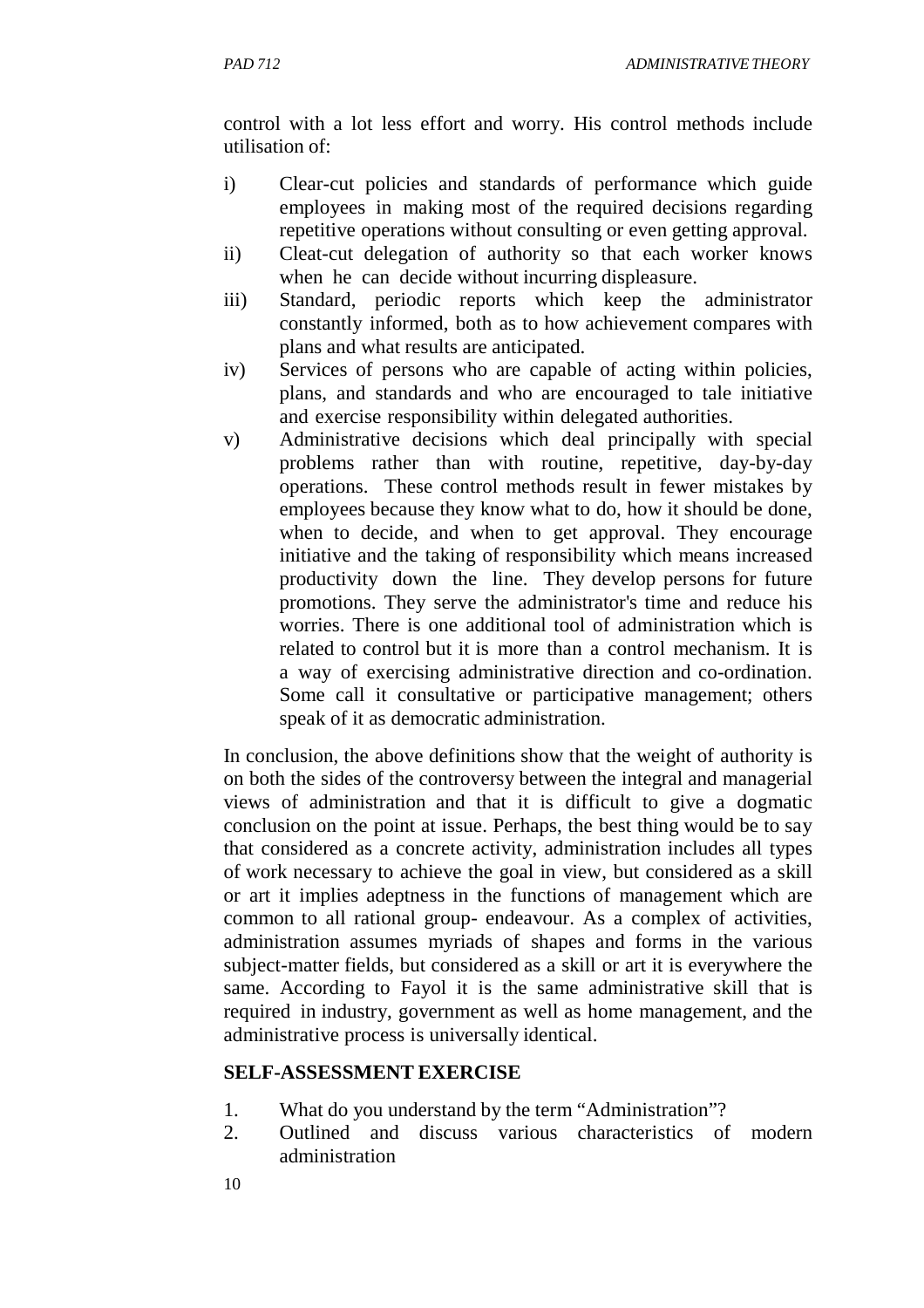control with a lot less effort and worry. His control methods include utilisation of:

- i) Clear-cut policies and standards of performance which guide employees in making most of the required decisions regarding repetitive operations without consulting or even getting approval.
- ii) Cleat-cut delegation of authority so that each worker knows when he can decide without incurring displeasure.
- iii) Standard, periodic reports which keep the administrator constantly informed, both as to how achievement compares with plans and what results are anticipated.
- iv) Services of persons who are capable of acting within policies, plans, and standards and who are encouraged to tale initiative and exercise responsibility within delegated authorities.
- v) Administrative decisions which deal principally with special problems rather than with routine, repetitive, day-by-day operations. These control methods result in fewer mistakes by employees because they know what to do, how it should be done, when to decide, and when to get approval. They encourage initiative and the taking of responsibility which means increased productivity down the line. They develop persons for future promotions. They serve the administrator's time and reduce his worries. There is one additional tool of administration which is related to control but it is more than a control mechanism. It is a way of exercising administrative direction and co-ordination. Some call it consultative or participative management; others speak of it as democratic administration.

In conclusion, the above definitions show that the weight of authority is on both the sides of the controversy between the integral and managerial views of administration and that it is difficult to give a dogmatic conclusion on the point at issue. Perhaps, the best thing would be to say that considered as a concrete activity, administration includes all types of work necessary to achieve the goal in view, but considered as a skill or art it implies adeptness in the functions of management which are common to all rational group- endeavour. As a complex of activities, administration assumes myriads of shapes and forms in the various subject-matter fields, but considered as a skill or art it is everywhere the same. According to Fayol it is the same administrative skill that is required in industry, government as well as home management, and the administrative process is universally identical.

#### **SELF-ASSESSMENT EXERCISE**

- 1. What do you understand by the term "Administration"?
- 2. Outlined and discuss various characteristics of modern administration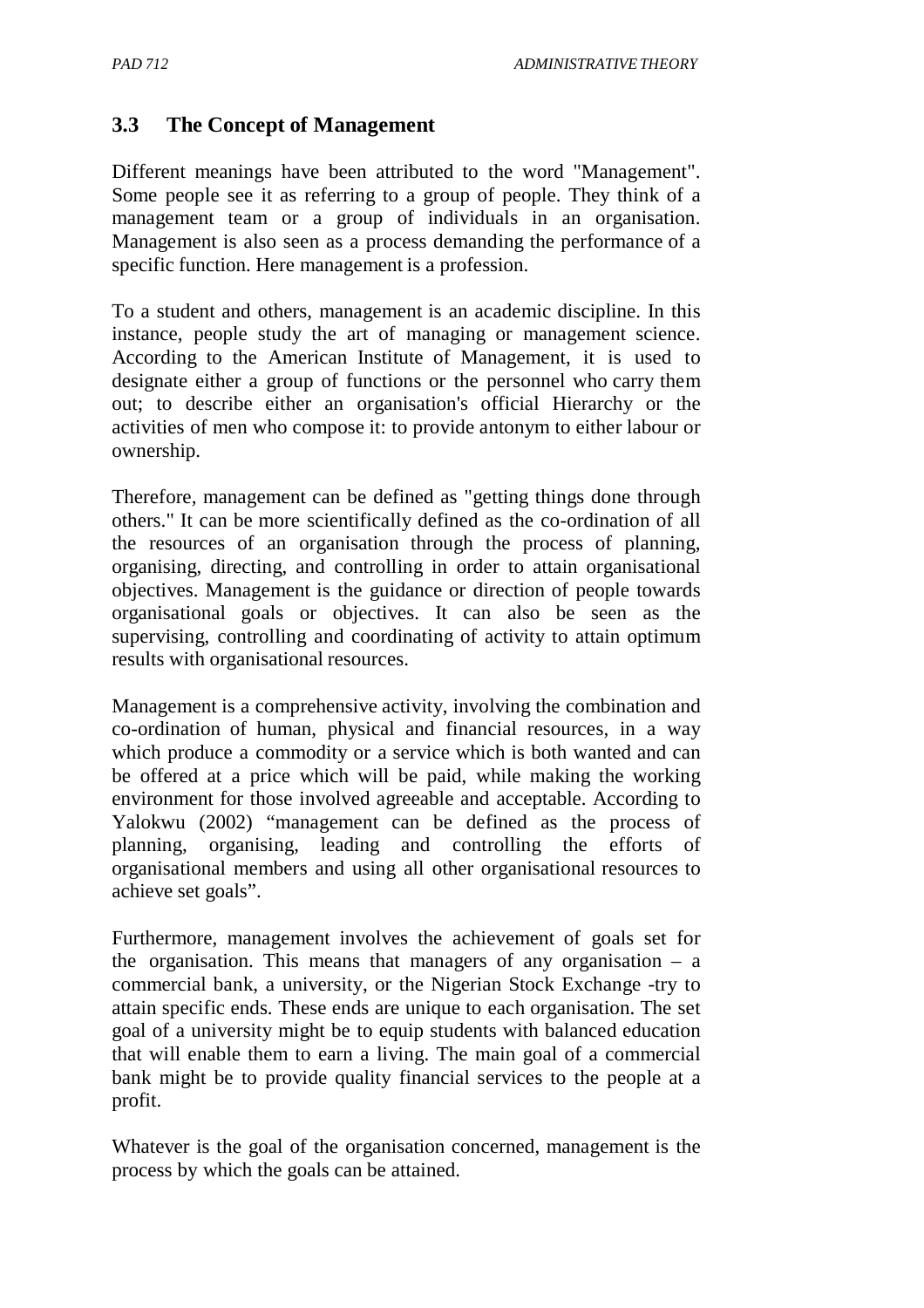# **3.3 The Concept of Management**

Different meanings have been attributed to the word "Management". Some people see it as referring to a group of people. They think of a management team or a group of individuals in an organisation. Management is also seen as a process demanding the performance of a specific function. Here management is a profession.

To a student and others, management is an academic discipline. In this instance, people study the art of managing or management science. According to the American Institute of Management, it is used to designate either a group of functions or the personnel who carry them out; to describe either an organisation's official Hierarchy or the activities of men who compose it: to provide antonym to either labour or ownership.

Therefore*,* management can be defined as "getting things done through others." It can be more scientifically defined as the co-ordination of all the resources of an organisation through the process of planning, organising, directing, and controlling in order to attain organisational objectives. Management is the guidance or direction of people towards organisational goals or objectives. It can also be seen as the supervising, controlling and coordinating of activity to attain optimum results with organisational resources.

Management is a comprehensive activity, involving the combination and co-ordination of human, physical and financial resources, in a way which produce a commodity or a service which is both wanted and can be offered at a price which will be paid, while making the working environment for those involved agreeable and acceptable. According to Yalokwu (2002) "management can be defined as the process of planning, organising, leading and controlling the efforts of organisational members and using all other organisational resources to achieve set goals".

Furthermore, management involves the achievement of goals set for the organisation. This means that managers of any organisation  $-$  a commercial bank, a university, or the Nigerian Stock Exchange -try to attain specific ends. These ends are unique to each organisation. The set goal of a university might be to equip students with balanced education that will enable them to earn a living. The main goal of a commercial bank might be to provide quality financial services to the people at a profit.

Whatever is the goal of the organisation concerned, management is the process by which the goals can be attained.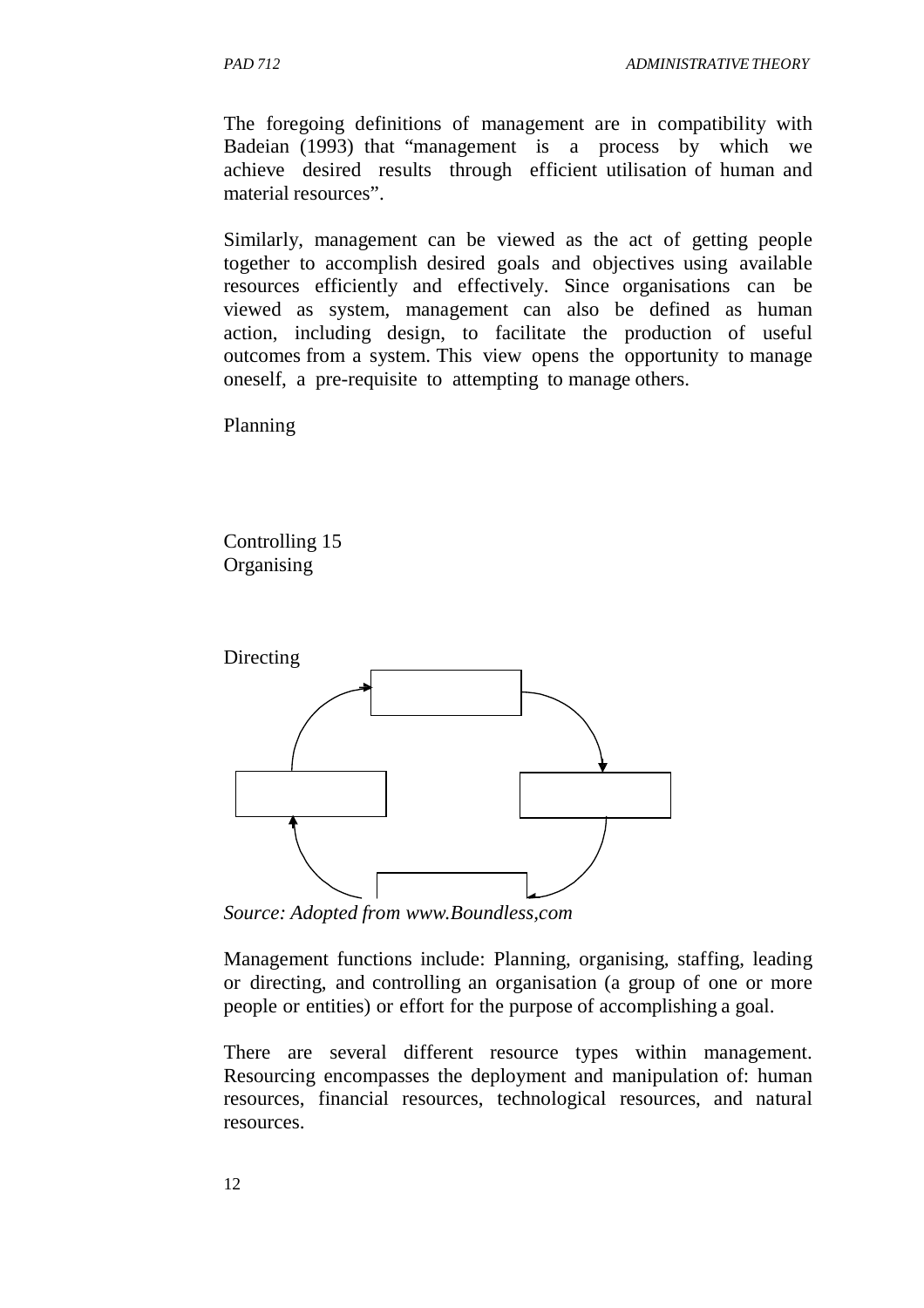The foregoing definitions of management are in compatibility with Badeian (1993) that "management is a process by which we achieve desired results through efficient utilisation of human and material resources".

Similarly, management can be viewed as the act of getting people together to accomplish desired goals and objectives using available resources efficiently and effectively. Since organisations can be viewed as system, management can also be defined as human action, including design, to facilitate the production of useful outcomes from a system. This view opens the opportunity to manage oneself, a pre-requisite to attempting to manage others.

Planning

Controlling 15 **Organising** 



*Source: Adopted from www.Boundless,com*

Management functions include: Planning, organising, staffing, leading or directing, and controlling an organisation (a group of one or more people or entities) or effort for the purpose of accomplishing a goal.

There are several different resource types within management. Resourcing encompasses the deployment and manipulation of: human resources, financial resources, technological resources, and natural resources.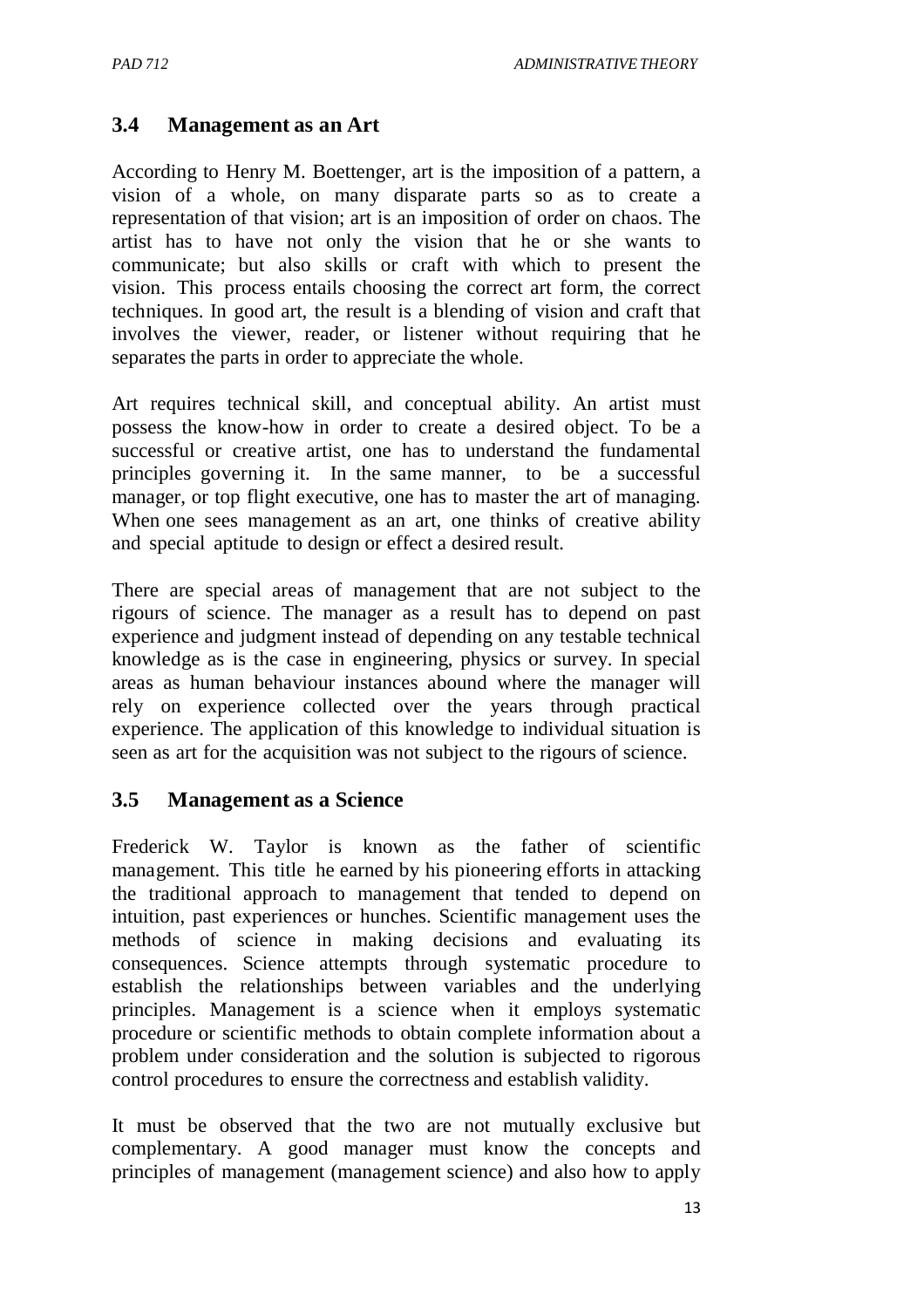## **3.4 Management as an Art**

According to Henry M. Boettenger, art is the imposition of a pattern, a vision of a whole, on many disparate parts so as to create a representation of that vision; art is an imposition of order on chaos. The artist has to have not only the vision that he or she wants to communicate; but also skills or craft with which to present the vision. This process entails choosing the correct art form, the correct techniques. In good art, the result is a blending of vision and craft that involves the viewer, reader, or listener without requiring that he separates the parts in order to appreciate the whole.

Art requires technical skill, and conceptual ability. An artist must possess the know-how in order to create a desired object. To be a successful or creative artist, one has to understand the fundamental principles governing it. In the same manner, to be a successful manager, or top flight executive, one has to master the art of managing. When one sees management as an art, one thinks of creative ability and special aptitude to design or effect a desired result.

There are special areas of management that are not subject to the rigours of science. The manager as a result has to depend on past experience and judgment instead of depending on any testable technical knowledge as is the case in engineering, physics or survey. In special areas as human behaviour instances abound where the manager will rely on experience collected over the years through practical experience. The application of this knowledge to individual situation is seen as art for the acquisition was not subject to the rigours of science.

## **3.5 Management as a Science**

Frederick W. Taylor is known as the father of scientific management. This title he earned by his pioneering efforts in attacking the traditional approach to management that tended to depend on intuition, past experiences or hunches. Scientific management uses the methods of science in making decisions and evaluating its consequences. Science attempts through systematic procedure to establish the relationships between variables and the underlying principles. Management is a science when it employs systematic procedure or scientific methods to obtain complete information about a problem under consideration and the solution is subjected to rigorous control procedures to ensure the correctness and establish validity.

It must be observed that the two are not mutually exclusive but complementary. A good manager must know the concepts and principles of management (management science) and also how to apply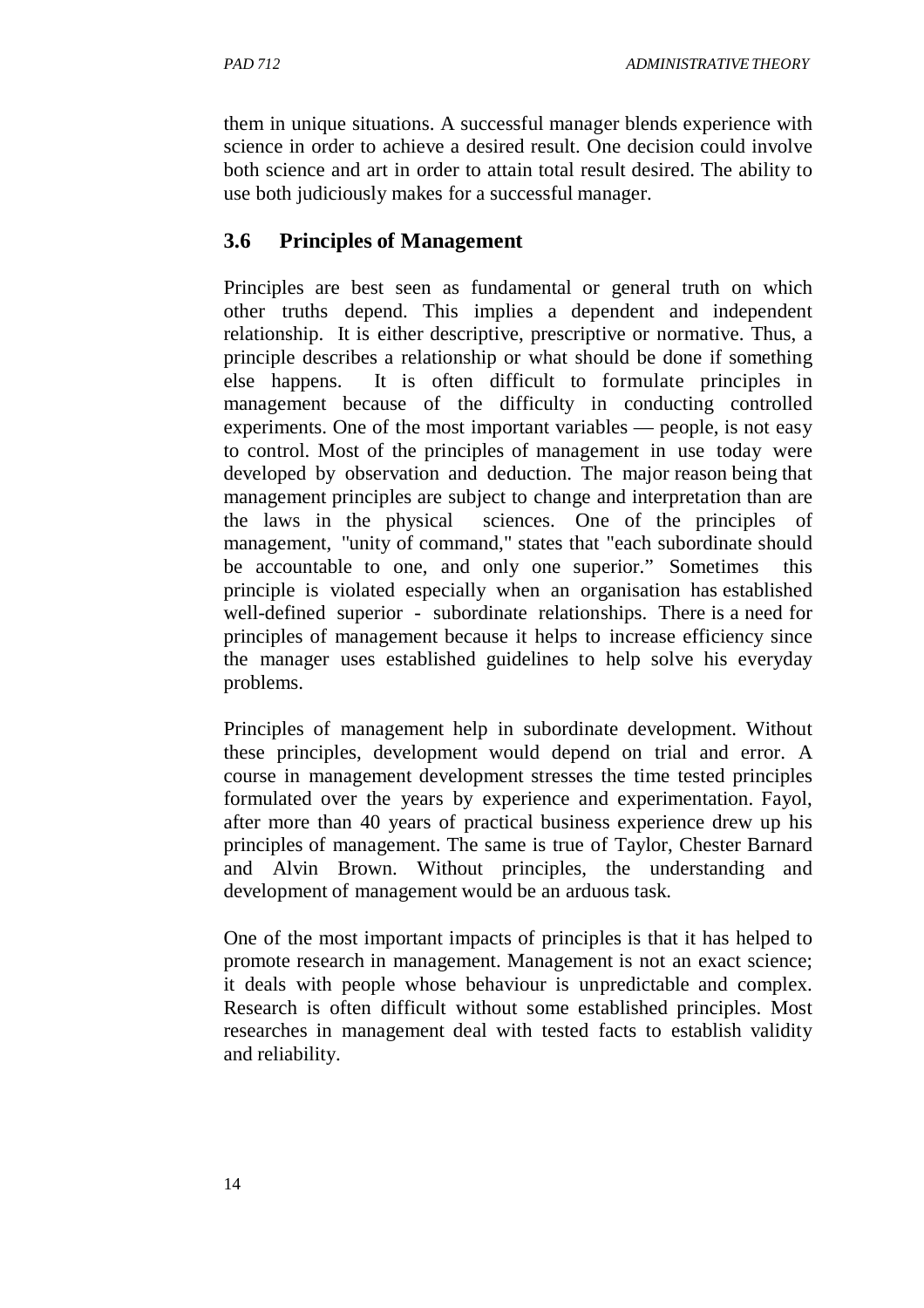them in unique situations. A successful manager blends experience with science in order to achieve a desired result. One decision could involve both science and art in order to attain total result desired. The ability to use both judiciously makes for a successful manager.

## **3.6 Principles of Management**

Principles are best seen as fundamental or general truth on which other truths depend. This implies a dependent and independent relationship. It is either descriptive, prescriptive or normative. Thus, a principle describes a relationship or what should be done if something else happens. It is often difficult to formulate principles in management because of the difficulty in conducting controlled experiments. One of the most important variables — people, is not easy to control. Most of the principles of management in use today were developed by observation and deduction. The major reason being that management principles are subject to change and interpretation than are the laws in the physical sciences. One of the principles of management, ''unity of command," states that "each subordinate should be accountable to one, and only one superior." Sometimes this principle is violated especially when an organisation has established well-defined superior - subordinate relationships. There is a need for principles of management because it helps to increase efficiency since the manager uses established guidelines to help solve his everyday problems.

Principles of management help in subordinate development. Without these principles, development would depend on trial and error. A course in management development stresses the time tested principles formulated over the years by experience and experimentation. Fayol, after more than 40 years of practical business experience drew up his principles of management. The same is true of Taylor, Chester Barnard and Alvin Brown. Without principles, the understanding and development of management would be an arduous task.

One of the most important impacts of principles is that it has helped to promote research in management. Management is not an exact science; it deals with people whose behaviour is unpredictable and complex. Research is often difficult without some established principles. Most researches in management deal with tested facts to establish validity and reliability.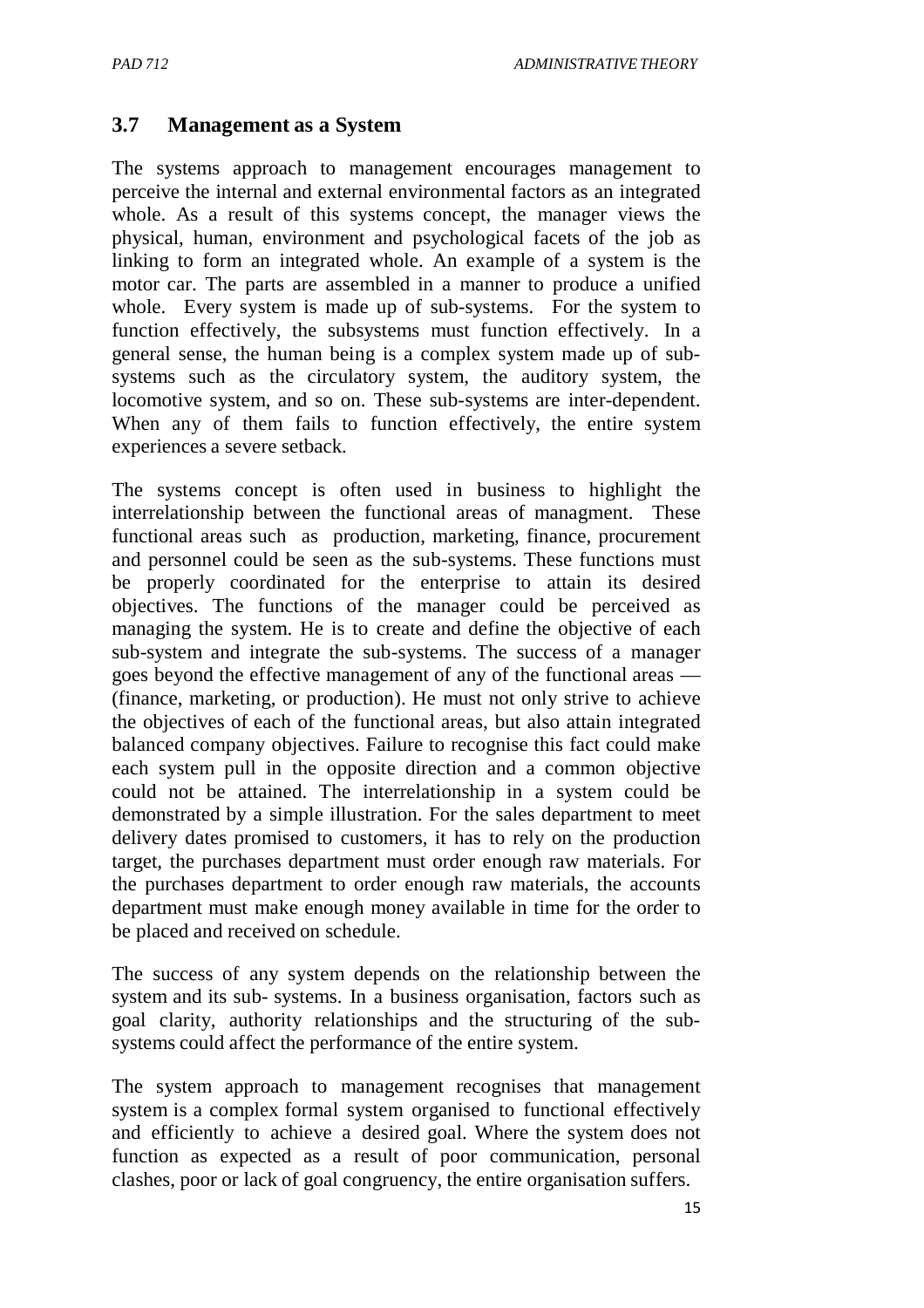### **3.7 Management as a System**

The systems approach to management encourages management to perceive the internal and external environmental factors as an integrated whole. As a result of this systems concept, the manager views the physical, human, environment and psychological facets of the job as linking to form an integrated whole. An example of a system is the motor car. The parts are assembled in a manner to produce a unified whole. Every system is made up of sub-systems. For the system to function effectively, the subsystems must function effectively. In a general sense, the human being is a complex system made up of subsystems such as the circulatory system, the auditory system, the locomotive system, and so on. These sub-systems are inter-dependent. When any of them fails to function effectively, the entire system experiences a severe setback.

The systems concept is often used in business to highlight the interrelationship between the functional areas of managment. These functional areas such as production, marketing, finance, procurement and personnel could be seen as the sub-systems. These functions must be properly coordinated for the enterprise to attain its desired objectives. The functions of the manager could be perceived as managing the system. He is to create and define the objective of each sub-system and integrate the sub-systems. The success of a manager goes beyond the effective management of any of the functional areas — (finance, marketing, or production). He must not only strive to achieve the objectives of each of the functional areas, but also attain integrated balanced company objectives. Failure to recognise this fact could make each system pull in the opposite direction and a common objective could not be attained. The interrelationship in a system could be demonstrated by a simple illustration. For the sales department to meet delivery dates promised to customers, it has to rely on the production target, the purchases department must order enough raw materials. For the purchases department to order enough raw materials, the accounts department must make enough money available in time for the order to be placed and received on schedule.

The success of any system depends on the relationship between the system and its sub- systems. In a business organisation, factors such as goal clarity, authority relationships and the structuring of the subsystems could affect the performance of the entire system.

The system approach to management recognises that management system is a complex formal system organised to functional effectively and efficiently to achieve a desired goal. Where the system does not function as expected as a result of poor communication, personal clashes, poor or lack of goal congruency, the entire organisation suffers.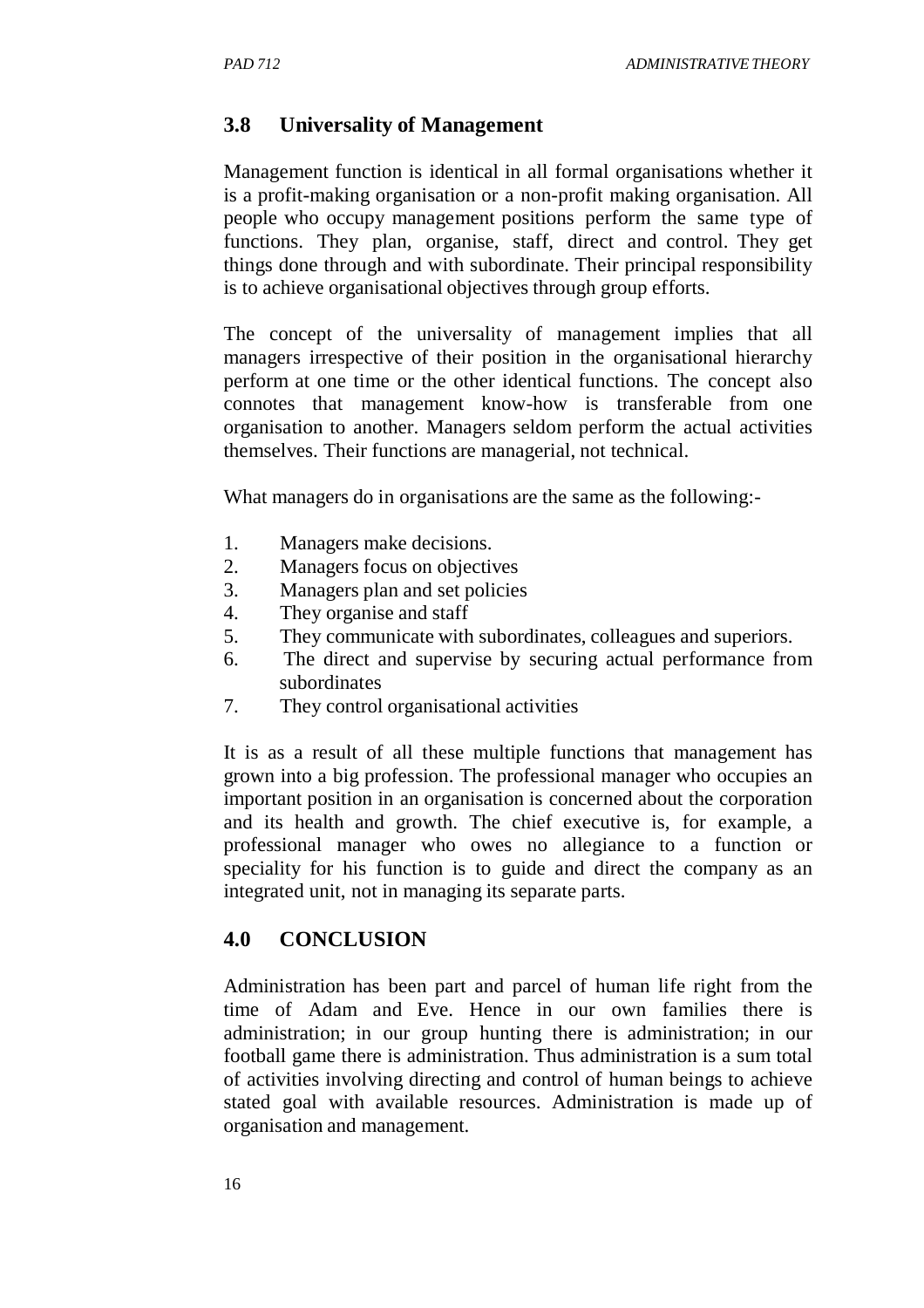#### **3.8 Universality of Management**

Management function is identical in all formal organisations whether it is a profit-making organisation or a non-profit making organisation. All people who occupy management positions perform the same type of functions. They plan, organise, staff, direct and control. They get things done through and with subordinate. Their principal responsibility is to achieve organisational objectives through group efforts.

The concept of the universality of management implies that all managers irrespective of their position in the organisational hierarchy perform at one time or the other identical functions. The concept also connotes that management know-how is transferable from one organisation to another. Managers seldom perform the actual activities themselves. Their functions are managerial, not technical.

What managers do in organisations are the same as the following:-

- 1. Managers make decisions.
- 2. Managers focus on objectives
- 3. Managers plan and set policies
- 4. They organise and staff
- 5. They communicate with subordinates, colleagues and superiors.
- 6. The direct and supervise by securing actual performance from subordinates
- 7. They control organisational activities

It is as a result of all these multiple functions that management has grown into a big profession. The professional manager who occupies an important position in an organisation is concerned about the corporation and its health and growth. The chief executive is, for example, a professional manager who owes no allegiance to a function or speciality for his function is to guide and direct the company as an integrated unit, not in managing its separate parts.

#### **4.0 CONCLUSION**

Administration has been part and parcel of human life right from the time of Adam and Eve. Hence in our own families there is administration; in our group hunting there is administration; in our football game there is administration. Thus administration is a sum total of activities involving directing and control of human beings to achieve stated goal with available resources. Administration is made up of organisation and management.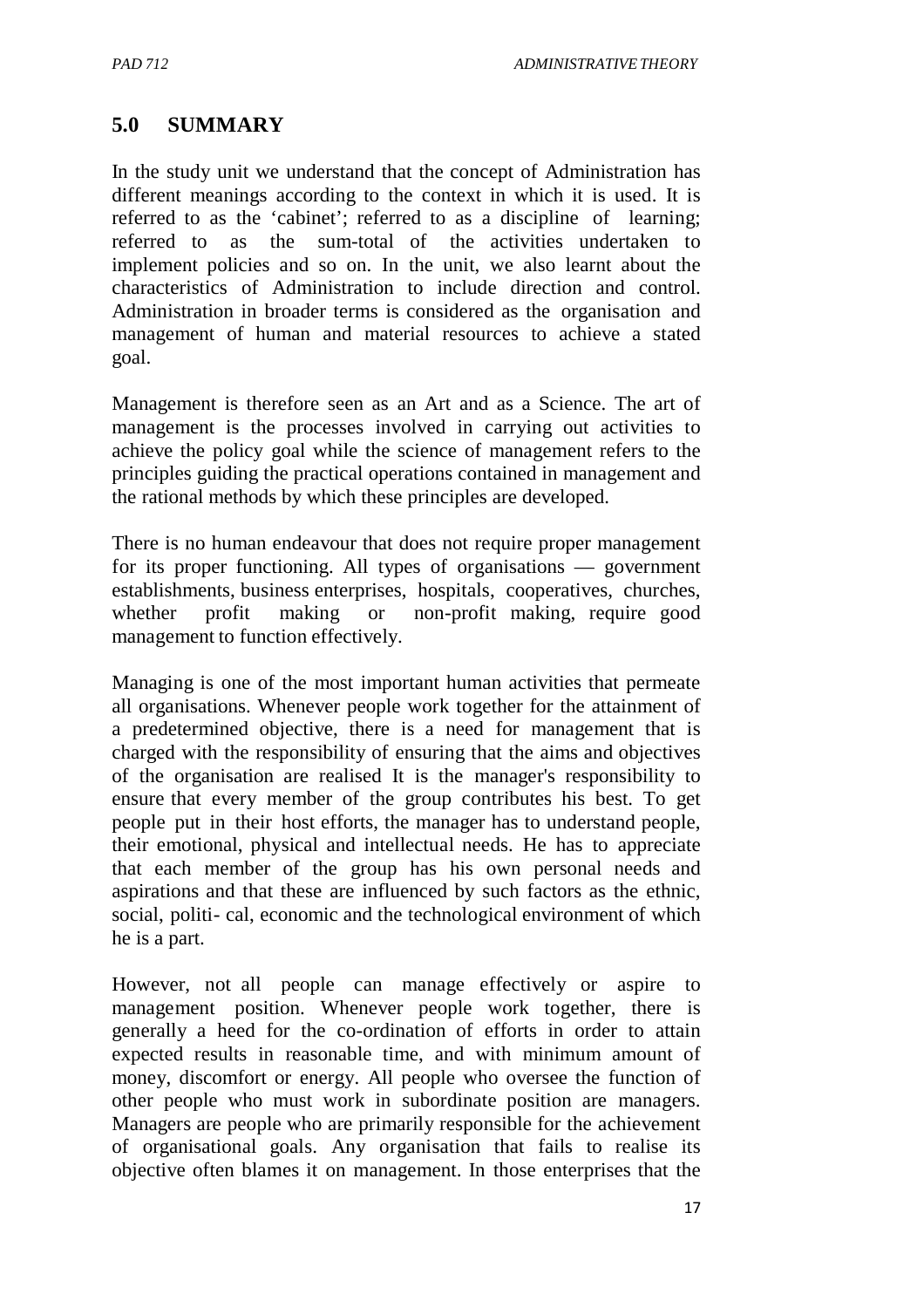### **5.0 SUMMARY**

In the study unit we understand that the concept of Administration has different meanings according to the context in which it is used. It is referred to as the 'cabinet'; referred to as a discipline of learning; referred to as the sum-total of the activities undertaken to implement policies and so on. In the unit, we also learnt about the characteristics of Administration to include direction and control. Administration in broader terms is considered as the organisation and management of human and material resources to achieve a stated goal.

Management is therefore seen as an Art and as a Science. The art of management is the processes involved in carrying out activities to achieve the policy goal while the science of management refers to the principles guiding the practical operations contained in management and the rational methods by which these principles are developed.

There is no human endeavour that does not require proper management for its proper functioning. All types of organisations — government establishments, business enterprises, hospitals, cooperatives, churches, whether profit making or non-profit making, require good management to function effectively.

Managing is one of the most important human activities that permeate all organisations. Whenever people work together for the attainment of a predetermined objective, there is a need for management that is charged with the responsibility of ensuring that the aims and objectives of the organisation are realised It is the manager's responsibility to ensure that every member of the group contributes his best. To get people put in their host efforts, the manager has to understand people, their emotional, physical and intellectual needs. He has to appreciate that each member of the group has his own personal needs and aspirations and that these are influenced by such factors as the ethnic, social, politi- cal, economic and the technological environment of which he is a part.

However, not all people can manage effectively or aspire to management position. Whenever people work together, there is generally a heed for the co-ordination of efforts in order to attain expected results in reasonable time, and with minimum amount of money, discomfort or energy. All people who oversee the function of other people who must work in subordinate position are managers. Managers are people who are primarily responsible for the achievement of organisational goals. Any organisation that fails to realise its objective often blames it on management. In those enterprises that the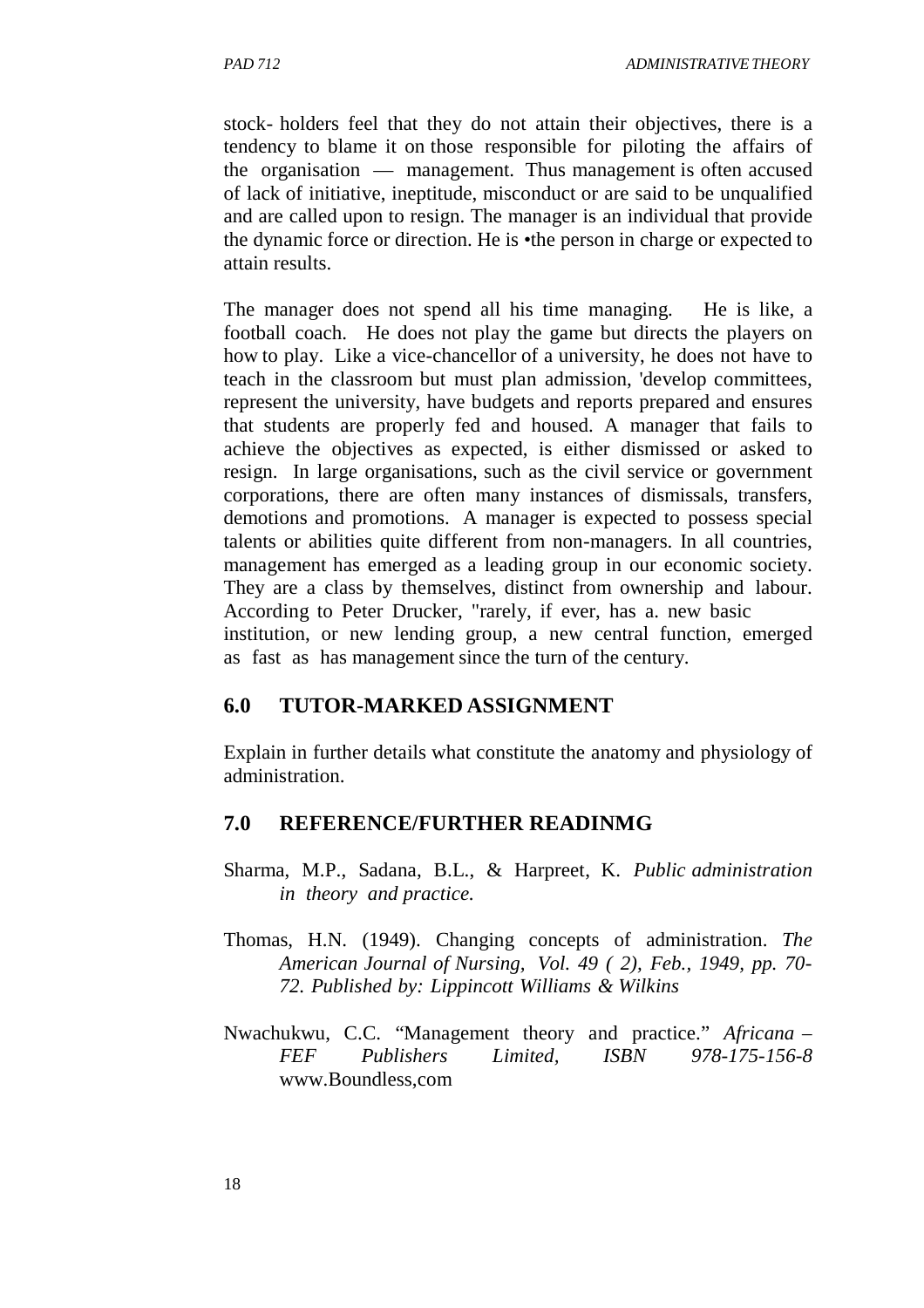stock- holders feel that they do not attain their objectives, there is a tendency to blame it on those responsible for piloting the affairs of the organisation — management. Thus management is often accused of lack of initiative, ineptitude, misconduct or are said to be unqualified and are called upon to resign. The manager is an individual that provide the dynamic force or direction. He is •the person in charge or expected to attain results.

The manager does not spend all his time managing. He is like, a football coach. He does not play the game but directs the players on how to play. Like a vice-chancellor of a university, he does not have to teach in the classroom but must plan admission, 'develop committees, represent the university, have budgets and reports prepared and ensures that students are properly fed and housed. A manager that fails to achieve the objectives as expected, is either dismissed or asked to resign. In large organisations, such as the civil service or government corporations, there are often many instances of dismissals, transfers, demotions and promotions. A manager is expected to possess special talents or abilities quite different from non-managers. In all countries, management has emerged as a leading group in our economic society. They are a class by themselves, distinct from ownership and labour. According to Peter Drucker, "rarely, if ever, has a. new basic institution, or new lending group, a new central function, emerged as fast as has management since the turn of the century.

## **6.0 TUTOR-MARKED ASSIGNMENT**

Explain in further details what constitute the anatomy and physiology of administration.

## **7.0 REFERENCE/FURTHER READINMG**

- Sharma, M.P., Sadana, B.L., & Harpreet, K. *Public administration in theory and practice.*
- Thomas, H.N. (1949). Changing concepts of administration. *The American Journal of Nursing, Vol. 49 ( 2), Feb., 1949, pp. 70- 72. Published by: Lippincott Williams & Wilkins*
- Nwachukwu, C.C. "Management theory and practice." *Africana – FEF Publishers Limited, ISBN 978-175-156-8*  www.Boundless,com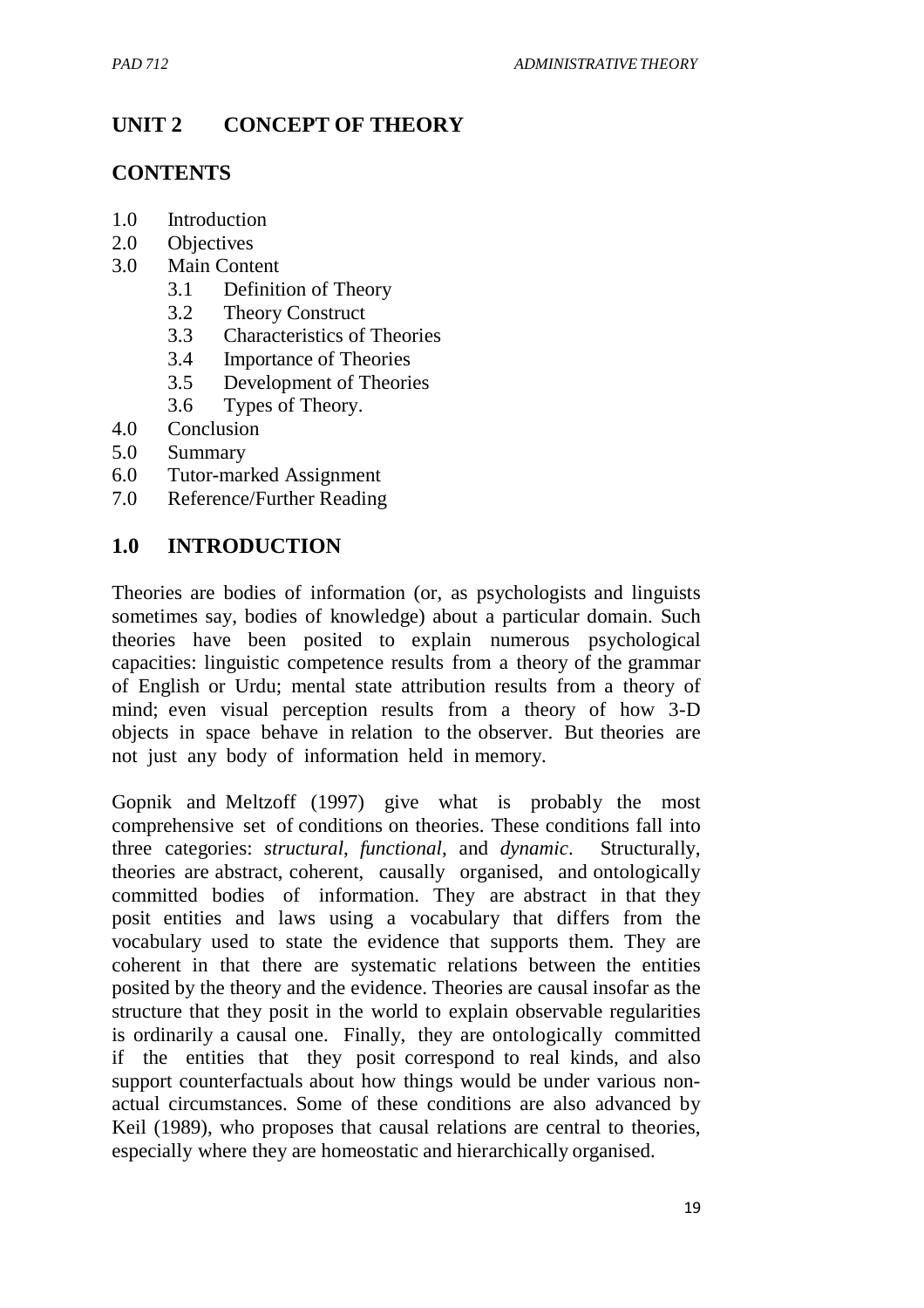# **UNIT 2 CONCEPT OF THEORY**

## **CONTENTS**

- 1.0 Introduction
- 2.0 Objectives
- 3.0 Main Content
	- 3.1 Definition of Theory
	- 3.2 Theory Construct
	- 3.3 Characteristics of Theories
	- 3.4 Importance of Theories
	- 3.5 Development of Theories
	- 3.6 Types of Theory.
- 4.0 Conclusion
- 5.0 Summary
- 6.0 Tutor-marked Assignment
- 7.0 Reference/Further Reading

## **1.0 INTRODUCTION**

Theories are bodies of information (or, as psychologists and linguists sometimes say, bodies of knowledge) about a particular domain. Such theories have been posited to explain numerous psychological capacities: linguistic competence results from a theory of the grammar of English or Urdu; mental state attribution results from a theory of mind; even visual perception results from a theory of how 3-D objects in space behave in relation to the observer. But theories are not just any body of information held in memory.

Gopnik and Meltzoff (1997) give what is probably the most comprehensive set of conditions on theories. These conditions fall into three categories: *structural*, *functional*, and *dynamic*. Structurally, theories are abstract, coherent, causally organised, and ontologically committed bodies of information. They are abstract in that they posit entities and laws using a vocabulary that differs from the vocabulary used to state the evidence that supports them. They are coherent in that there are systematic relations between the entities posited by the theory and the evidence. Theories are causal insofar as the structure that they posit in the world to explain observable regularities is ordinarily a causal one. Finally, they are ontologically committed if the entities that they posit correspond to real kinds, and also support counterfactuals about how things would be under various nonactual circumstances. Some of these conditions are also advanced by Keil (1989), who proposes that causal relations are central to theories, especially where they are homeostatic and hierarchically organised.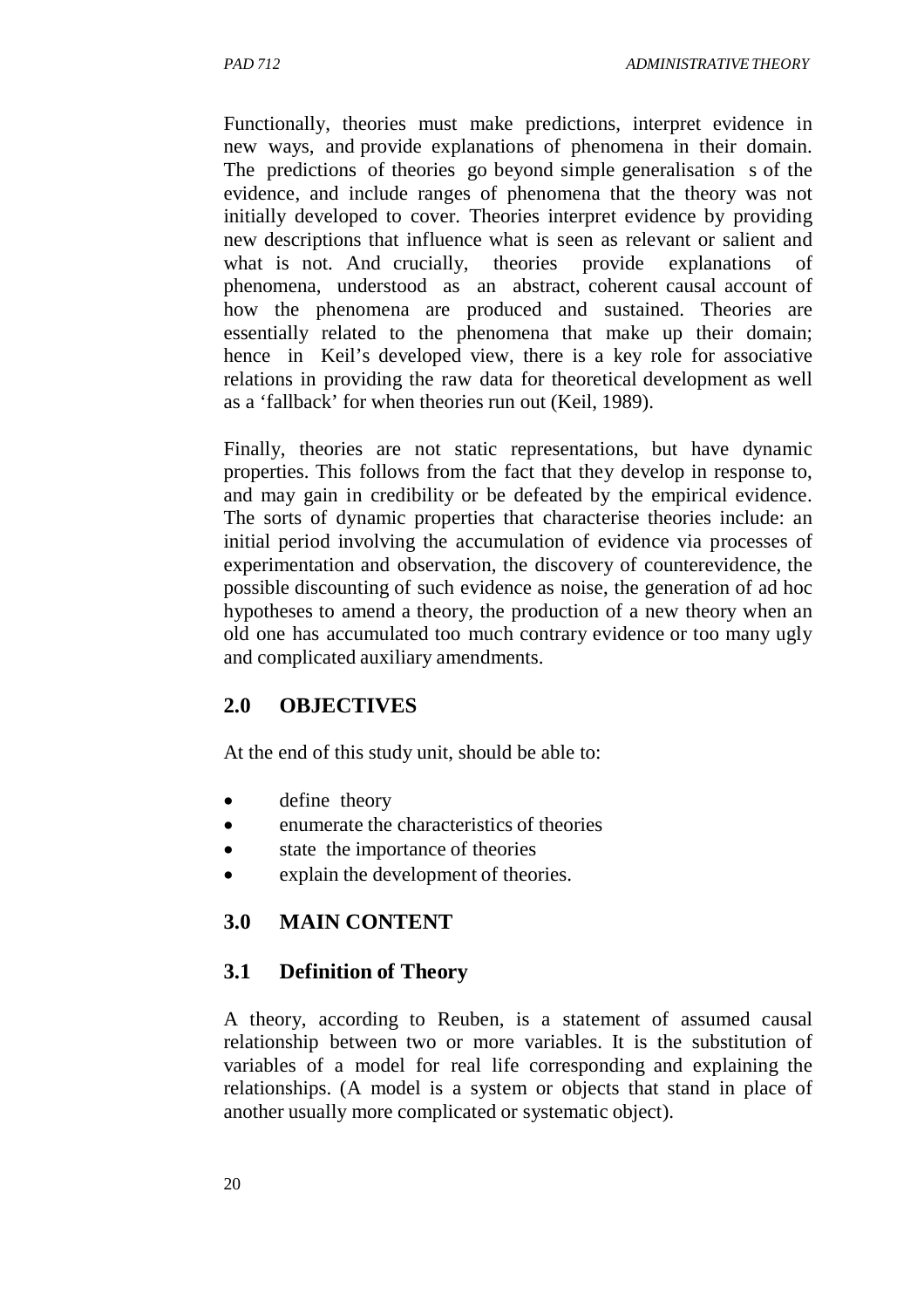Functionally, theories must make predictions, interpret evidence in new ways, and provide explanations of phenomena in their domain. The predictions of theories go beyond simple generalisation s of the evidence, and include ranges of phenomena that the theory was not initially developed to cover. Theories interpret evidence by providing new descriptions that influence what is seen as relevant or salient and what is not. And crucially, theories provide explanations of phenomena, understood as an abstract, coherent causal account of how the phenomena are produced and sustained. Theories are essentially related to the phenomena that make up their domain; hence in Keil's developed view, there is a key role for associative relations in providing the raw data for theoretical development as well as a 'fallback' for when theories run out (Keil, 1989).

Finally, theories are not static representations, but have dynamic properties. This follows from the fact that they develop in response to, and may gain in credibility or be defeated by the empirical evidence. The sorts of dynamic properties that characterise theories include: an initial period involving the accumulation of evidence via processes of experimentation and observation, the discovery of counterevidence, the possible discounting of such evidence as noise, the generation of ad hoc hypotheses to amend a theory, the production of a new theory when an old one has accumulated too much contrary evidence or too many ugly and complicated auxiliary amendments.

#### **2.0 OBJECTIVES**

At the end of this study unit, should be able to:

- define theory
- enumerate the characteristics of theories
- state the importance of theories
- explain the development of theories.

## **3.0 MAIN CONTENT**

## **3.1 Definition of Theory**

A theory, according to Reuben, is a statement of assumed causal relationship between two or more variables. It is the substitution of variables of a model for real life corresponding and explaining the relationships. (A model is a system or objects that stand in place of another usually more complicated or systematic object).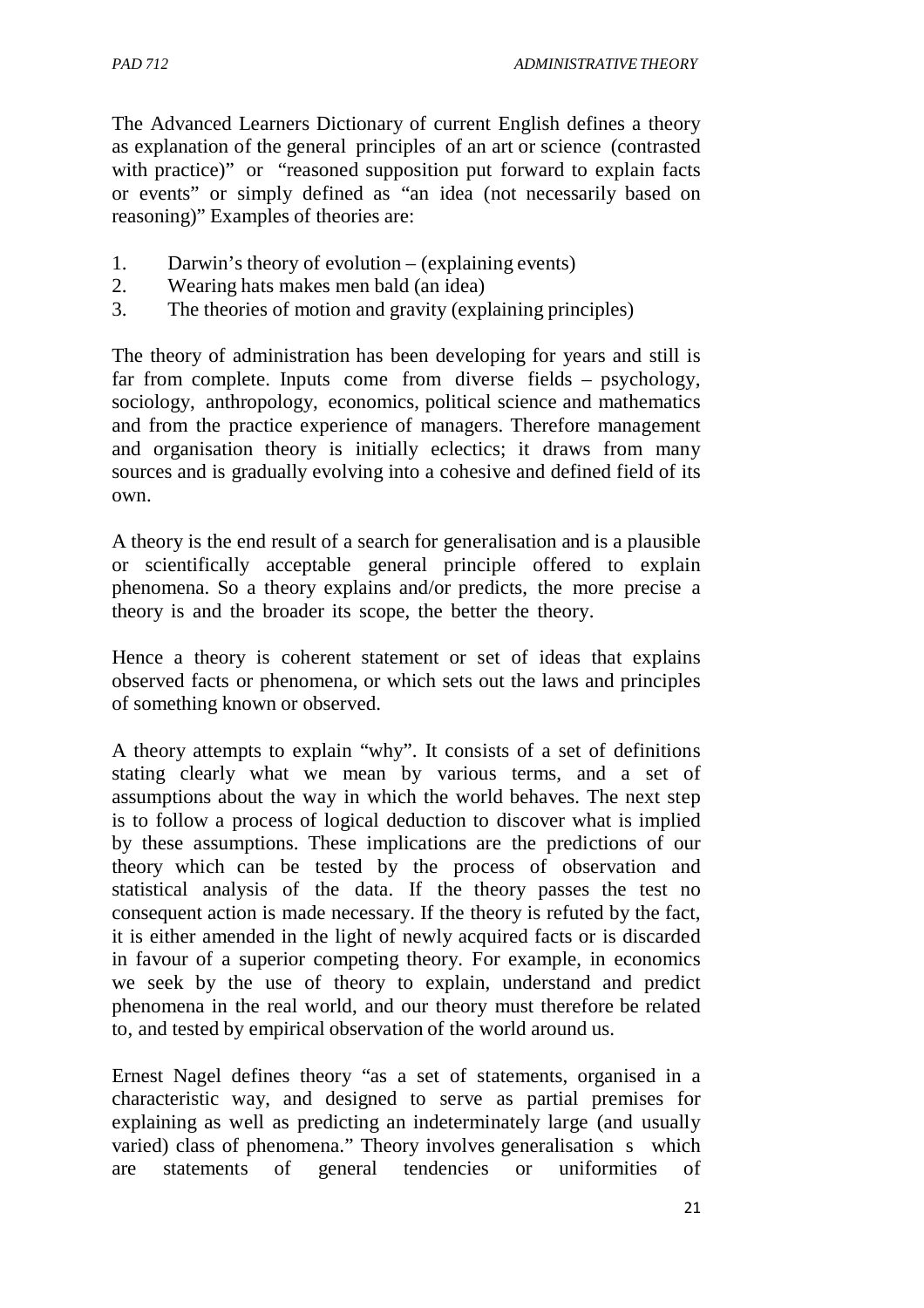The Advanced Learners Dictionary of current English defines a theory as explanation of the general principles of an art or science (contrasted with practice)" or "reasoned supposition put forward to explain facts or events" or simply defined as "an idea (not necessarily based on reasoning)" Examples of theories are:

- 1. Darwin's theory of evolution (explaining events)
- 2. Wearing hats makes men bald (an idea)
- 3. The theories of motion and gravity (explaining principles)

The theory of administration has been developing for years and still is far from complete. Inputs come from diverse fields – psychology, sociology, anthropology, economics, political science and mathematics and from the practice experience of managers. Therefore management and organisation theory is initially eclectics; it draws from many sources and is gradually evolving into a cohesive and defined field of its own.

A theory is the end result of a search for generalisation and is a plausible or scientifically acceptable general principle offered to explain phenomena. So a theory explains and/or predicts, the more precise a theory is and the broader its scope, the better the theory.

Hence a theory is coherent statement or set of ideas that explains observed facts or phenomena, or which sets out the laws and principles of something known or observed.

A theory attempts to explain "why". It consists of a set of definitions stating clearly what we mean by various terms, and a set of assumptions about the way in which the world behaves. The next step is to follow a process of logical deduction to discover what is implied by these assumptions. These implications are the predictions of our theory which can be tested by the process of observation and statistical analysis of the data. If the theory passes the test no consequent action is made necessary. If the theory is refuted by the fact, it is either amended in the light of newly acquired facts or is discarded in favour of a superior competing theory. For example, in economics we seek by the use of theory to explain, understand and predict phenomena in the real world, and our theory must therefore be related to, and tested by empirical observation of the world around us.

Ernest Nagel defines theory "as a set of statements, organised in a characteristic way, and designed to serve as partial premises for explaining as well as predicting an indeterminately large (and usually varied) class of phenomena." Theory involves generalisation s which are statements of general tendencies or uniformities of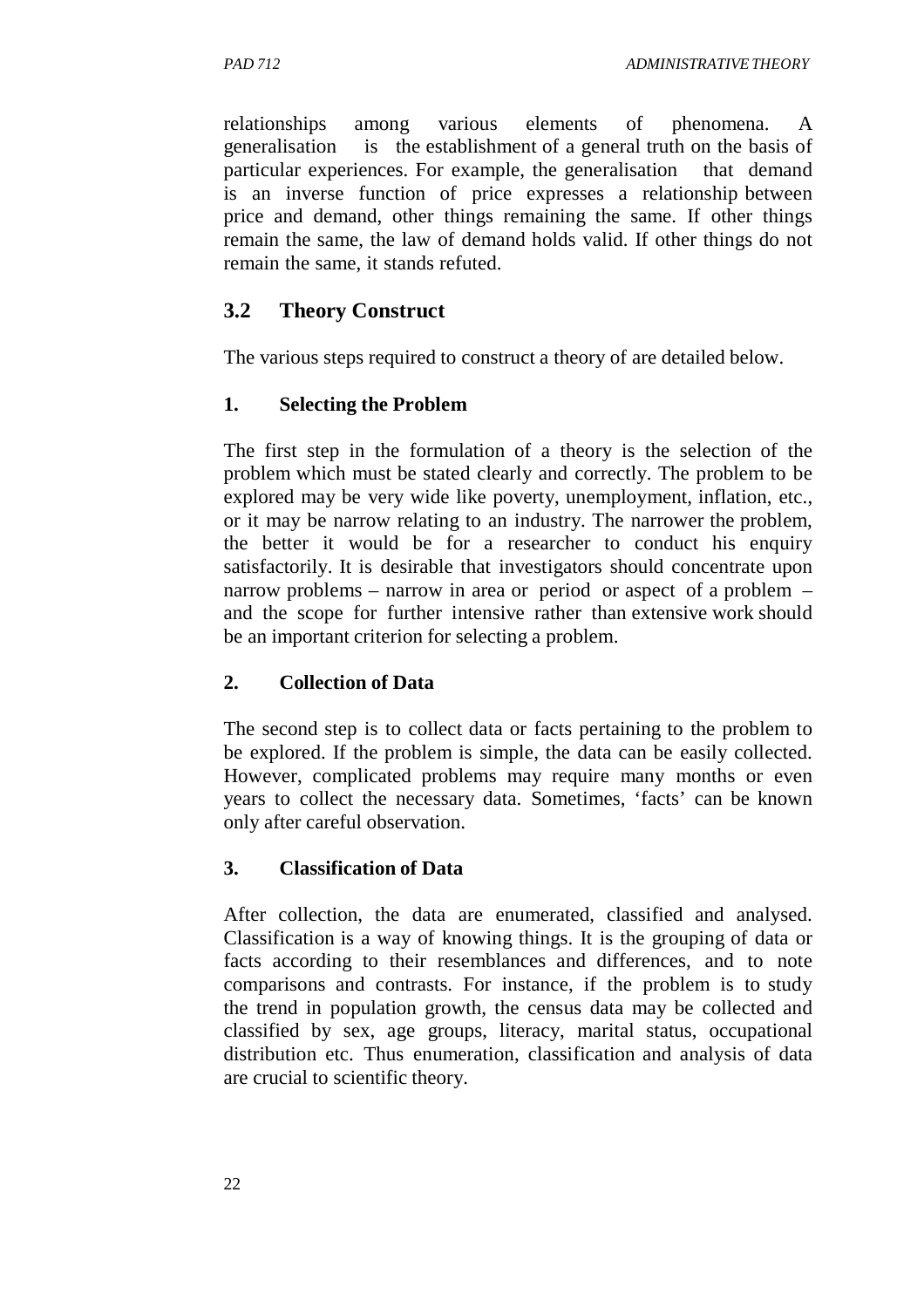relationships among various elements of phenomena. A generalisation is the establishment of a general truth on the basis of particular experiences. For example, the generalisation that demand is an inverse function of price expresses a relationship between price and demand, other things remaining the same. If other things remain the same, the law of demand holds valid. If other things do not remain the same, it stands refuted.

## **3.2 Theory Construct**

The various steps required to construct a theory of are detailed below.

#### **1. Selecting the Problem**

The first step in the formulation of a theory is the selection of the problem which must be stated clearly and correctly. The problem to be explored may be very wide like poverty, unemployment, inflation, etc., or it may be narrow relating to an industry. The narrower the problem, the better it would be for a researcher to conduct his enquiry satisfactorily. It is desirable that investigators should concentrate upon narrow problems – narrow in area or period or aspect of a problem – and the scope for further intensive rather than extensive work should be an important criterion for selecting a problem.

#### **2. Collection of Data**

The second step is to collect data or facts pertaining to the problem to be explored. If the problem is simple, the data can be easily collected. However, complicated problems may require many months or even years to collect the necessary data. Sometimes, 'facts' can be known only after careful observation.

#### **3. Classification of Data**

After collection, the data are enumerated, classified and analysed. Classification is a way of knowing things. It is the grouping of data or facts according to their resemblances and differences, and to note comparisons and contrasts. For instance, if the problem is to study the trend in population growth, the census data may be collected and classified by sex, age groups, literacy, marital status, occupational distribution etc. Thus enumeration, classification and analysis of data are crucial to scientific theory.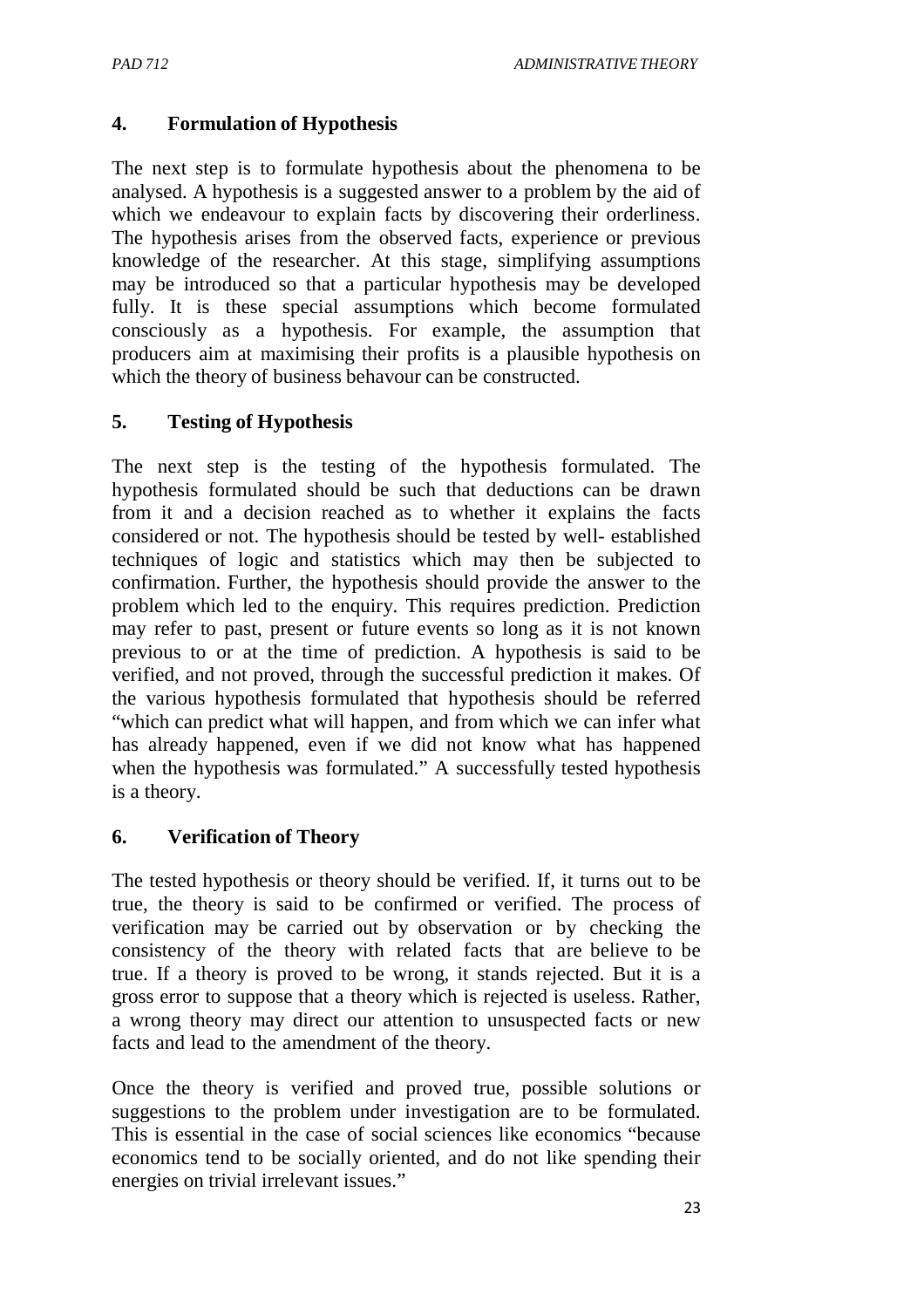### **4. Formulation of Hypothesis**

The next step is to formulate hypothesis about the phenomena to be analysed. A hypothesis is a suggested answer to a problem by the aid of which we endeavour to explain facts by discovering their orderliness. The hypothesis arises from the observed facts, experience or previous knowledge of the researcher. At this stage, simplifying assumptions may be introduced so that a particular hypothesis may be developed fully. It is these special assumptions which become formulated consciously as a hypothesis. For example, the assumption that producers aim at maximising their profits is a plausible hypothesis on which the theory of business behavour can be constructed.

### **5. Testing of Hypothesis**

The next step is the testing of the hypothesis formulated. The hypothesis formulated should be such that deductions can be drawn from it and a decision reached as to whether it explains the facts considered or not. The hypothesis should be tested by well- established techniques of logic and statistics which may then be subjected to confirmation. Further, the hypothesis should provide the answer to the problem which led to the enquiry. This requires prediction. Prediction may refer to past, present or future events so long as it is not known previous to or at the time of prediction. A hypothesis is said to be verified, and not proved, through the successful prediction it makes. Of the various hypothesis formulated that hypothesis should be referred "which can predict what will happen, and from which we can infer what has already happened, even if we did not know what has happened when the hypothesis was formulated." A successfully tested hypothesis is a theory.

#### **6. Verification of Theory**

The tested hypothesis or theory should be verified. If, it turns out to be true, the theory is said to be confirmed or verified. The process of verification may be carried out by observation or by checking the consistency of the theory with related facts that are believe to be true. If a theory is proved to be wrong, it stands rejected. But it is a gross error to suppose that a theory which is rejected is useless. Rather, a wrong theory may direct our attention to unsuspected facts or new facts and lead to the amendment of the theory.

Once the theory is verified and proved true, possible solutions or suggestions to the problem under investigation are to be formulated. This is essential in the case of social sciences like economics "because economics tend to be socially oriented, and do not like spending their energies on trivial irrelevant issues."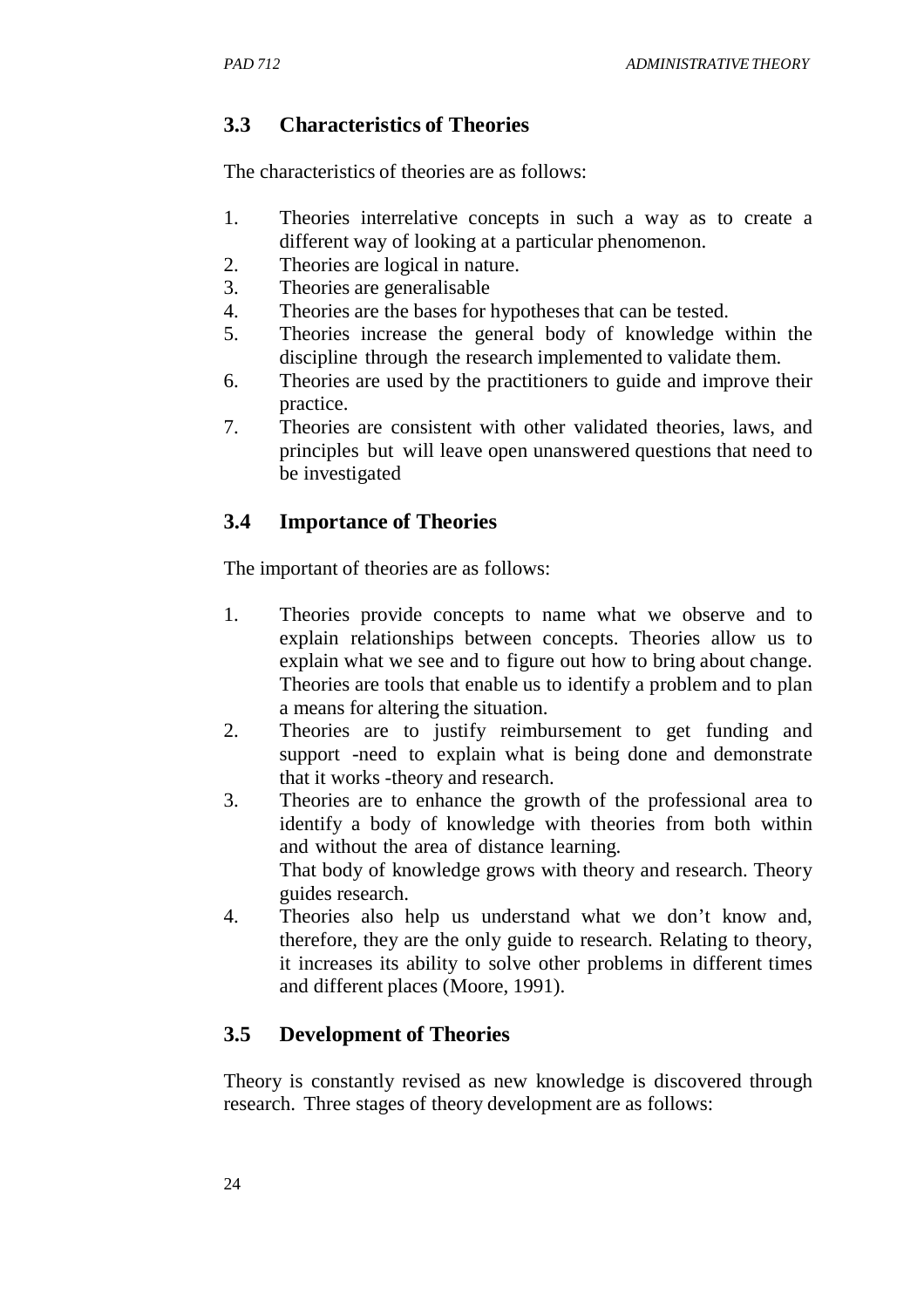## **3.3 Characteristics of Theories**

The characteristics of theories are as follows:

- 1. Theories interrelative concepts in such a way as to create a different way of looking at a particular phenomenon.
- 2. Theories are logical in nature.
- 3. Theories are generalisable
- 4. Theories are the bases for hypotheses that can be tested.
- 5. Theories increase the general body of knowledge within the discipline through the research implemented to validate them.
- 6. Theories are used by the practitioners to guide and improve their practice.
- 7. Theories are consistent with other validated theories, laws, and principles but will leave open unanswered questions that need to be investigated

# **3.4 Importance of Theories**

The important of theories are as follows:

- 1. Theories provide concepts to name what we observe and to explain relationships between concepts. Theories allow us to explain what we see and to figure out how to bring about change. Theories are tools that enable us to identify a problem and to plan a means for altering the situation.
- 2. Theories are to justify reimbursement to get funding and support -need to explain what is being done and demonstrate that it works -theory and research.
- 3. Theories are to enhance the growth of the professional area to identify a body of knowledge with theories from both within and without the area of distance learning. That body of knowledge grows with theory and research. Theory guides research.
- 4. Theories also help us understand what we don't know and, therefore, they are the only guide to research. Relating to theory, it increases its ability to solve other problems in different times and different places (Moore, 1991).

## **3.5 Development of Theories**

Theory is constantly revised as new knowledge is discovered through research. Three stages of theory development are as follows: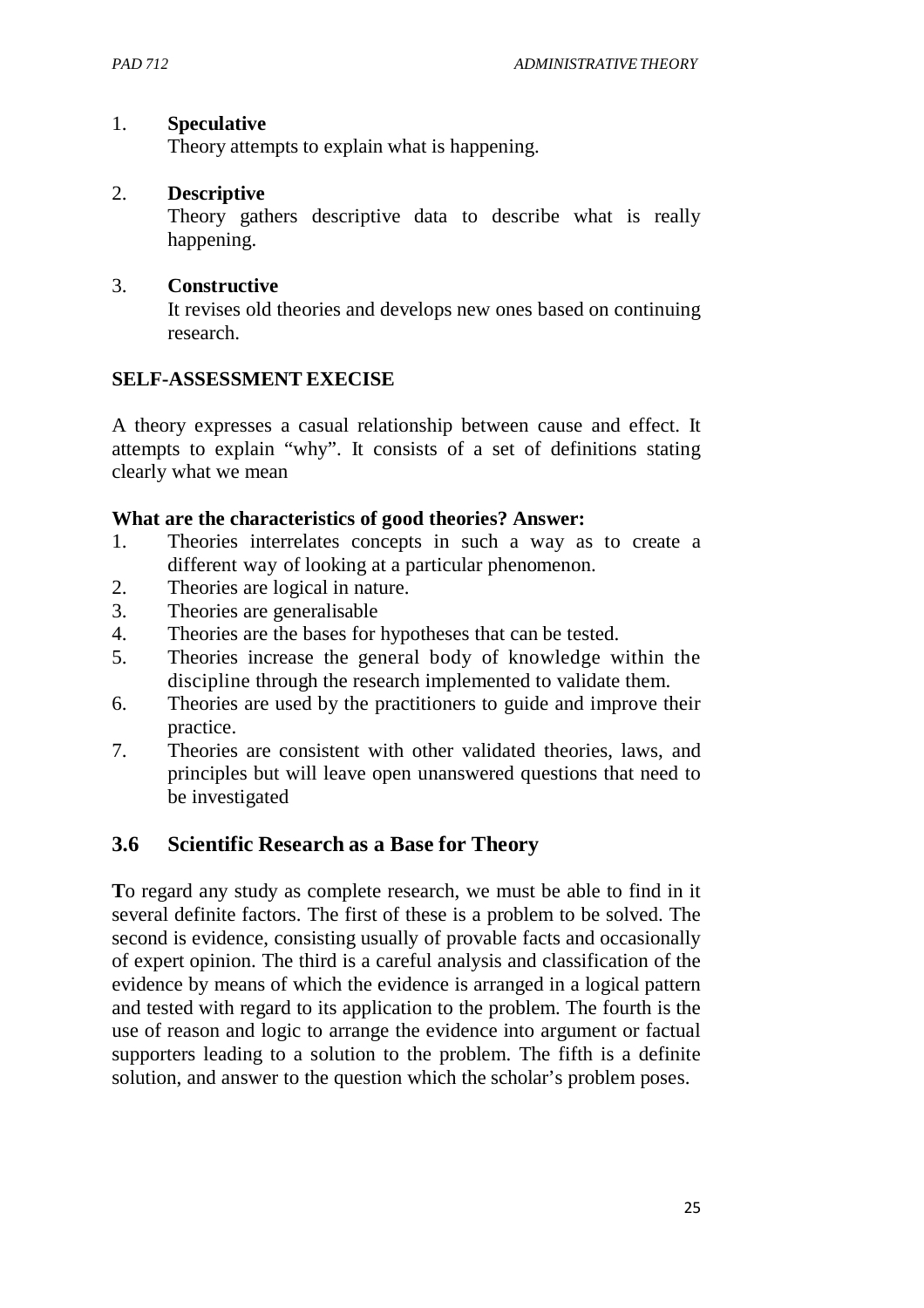#### 1. **Speculative**

Theory attempts to explain what is happening.

#### 2. **Descriptive**

Theory gathers descriptive data to describe what is really happening.

#### 3. **Constructive**

It revises old theories and develops new ones based on continuing research.

#### **SELF-ASSESSMENT EXECISE**

A theory expresses a casual relationship between cause and effect. It attempts to explain "why". It consists of a set of definitions stating clearly what we mean

#### **What are the characteristics of good theories? Answer:**

- 1. Theories interrelates concepts in such a way as to create a different way of looking at a particular phenomenon.
- 2. Theories are logical in nature.
- 3. Theories are generalisable
- 4. Theories are the bases for hypotheses that can be tested.
- 5. Theories increase the general body of knowledge within the discipline through the research implemented to validate them.
- 6. Theories are used by the practitioners to guide and improve their practice.
- 7. Theories are consistent with other validated theories, laws, and principles but will leave open unanswered questions that need to be investigated

#### **3.6 Scientific Research as a Base for Theory**

**T**o regard any study as complete research, we must be able to find in it several definite factors. The first of these is a problem to be solved. The second is evidence, consisting usually of provable facts and occasionally of expert opinion. The third is a careful analysis and classification of the evidence by means of which the evidence is arranged in a logical pattern and tested with regard to its application to the problem. The fourth is the use of reason and logic to arrange the evidence into argument or factual supporters leading to a solution to the problem. The fifth is a definite solution, and answer to the question which the scholar's problem poses.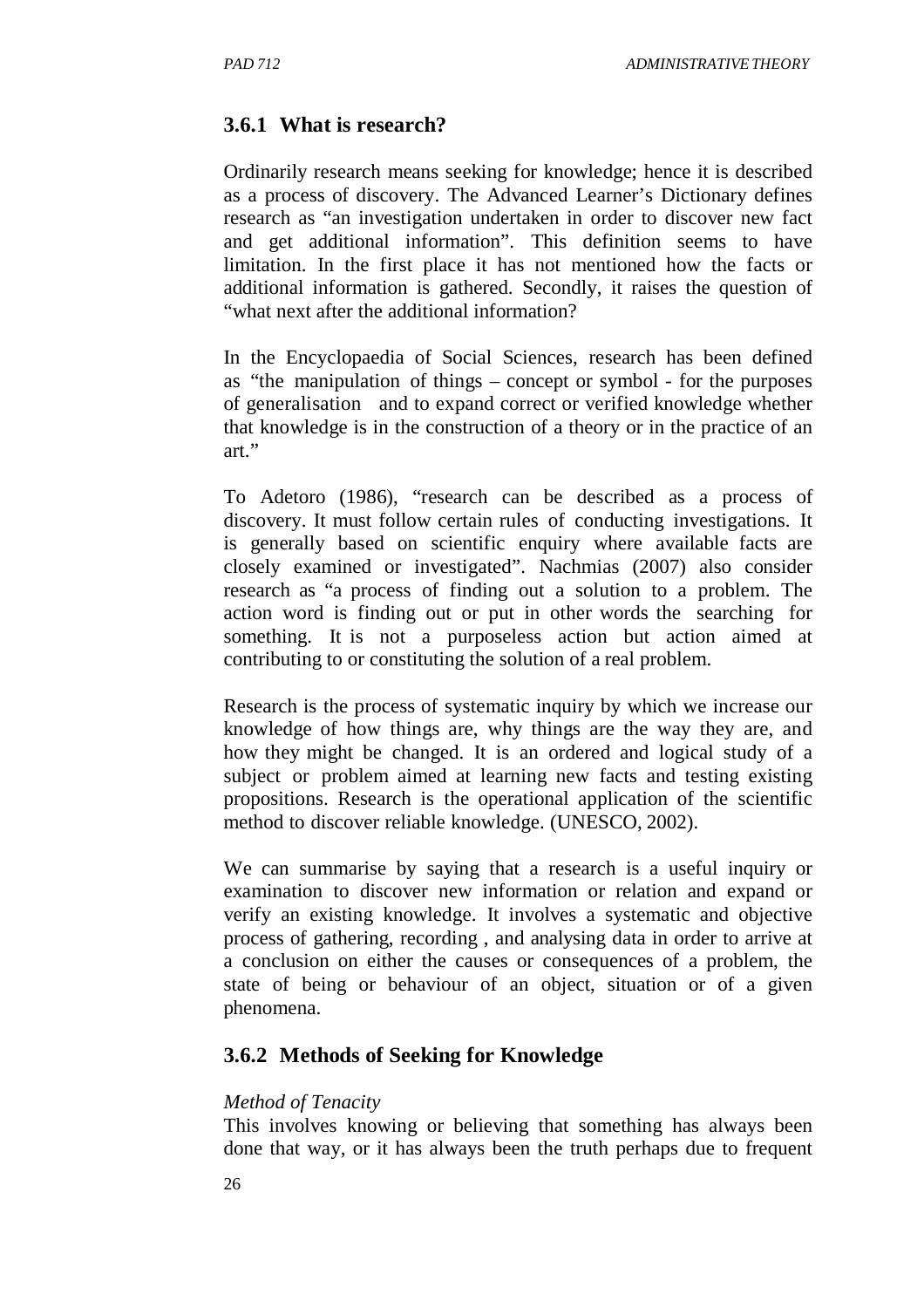#### **3.6.1 What is research?**

Ordinarily research means seeking for knowledge; hence it is described as a process of discovery. The Advanced Learner's Dictionary defines research as "an investigation undertaken in order to discover new fact and get additional information". This definition seems to have limitation. In the first place it has not mentioned how the facts or additional information is gathered. Secondly, it raises the question of "what next after the additional information?

In the Encyclopaedia of Social Sciences, research has been defined as "the manipulation of things – concept or symbol - for the purposes of generalisation and to expand correct or verified knowledge whether that knowledge is in the construction of a theory or in the practice of an art"

To Adetoro (1986), "research can be described as a process of discovery. It must follow certain rules of conducting investigations. It is generally based on scientific enquiry where available facts are closely examined or investigated". Nachmias (2007) also consider research as "a process of finding out a solution to a problem. The action word is finding out or put in other words the searching for something. It is not a purposeless action but action aimed at contributing to or constituting the solution of a real problem.

Research is the process of systematic inquiry by which we increase our knowledge of how things are, why things are the way they are, and how they might be changed. It is an ordered and logical study of a subject or problem aimed at learning new facts and testing existing propositions. Research is the operational application of the scientific method to discover reliable knowledge. (UNESCO, 2002).

We can summarise by saying that a research is a useful inquiry or examination to discover new information or relation and expand or verify an existing knowledge. It involves a systematic and objective process of gathering, recording , and analysing data in order to arrive at a conclusion on either the causes or consequences of a problem, the state of being or behaviour of an object, situation or of a given phenomena.

#### **3.6.2 Methods of Seeking for Knowledge**

#### *Method of Tenacity*

This involves knowing or believing that something has always been done that way, or it has always been the truth perhaps due to frequent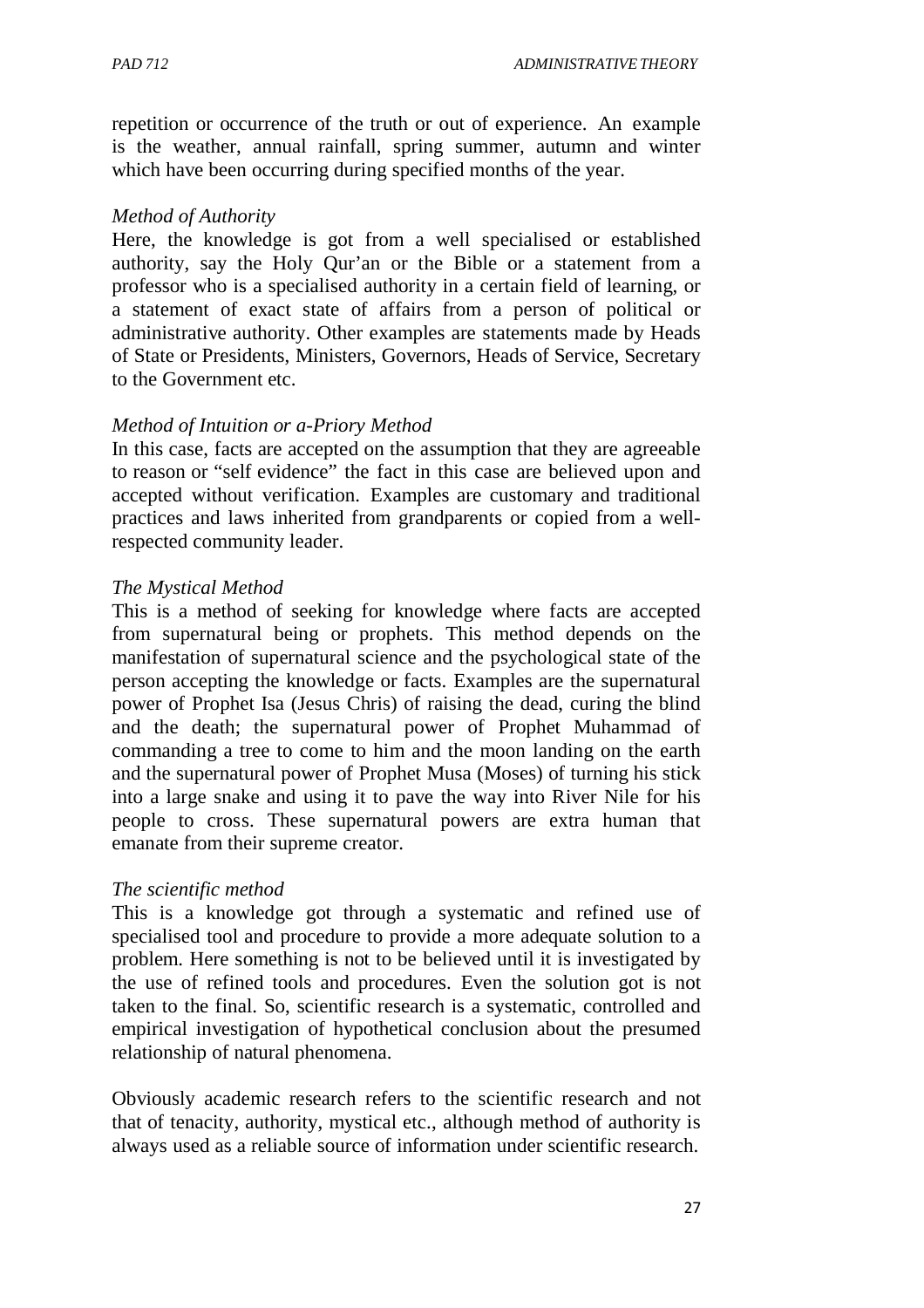repetition or occurrence of the truth or out of experience. An example is the weather, annual rainfall, spring summer, autumn and winter which have been occurring during specified months of the year.

#### *Method of Authority*

Here, the knowledge is got from a well specialised or established authority, say the Holy Qur'an or the Bible or a statement from a professor who is a specialised authority in a certain field of learning, or a statement of exact state of affairs from a person of political or administrative authority. Other examples are statements made by Heads of State or Presidents, Ministers, Governors, Heads of Service, Secretary to the Government etc.

#### *Method of Intuition or a-Priory Method*

In this case, facts are accepted on the assumption that they are agreeable to reason or "self evidence" the fact in this case are believed upon and accepted without verification. Examples are customary and traditional practices and laws inherited from grandparents or copied from a wellrespected community leader.

#### *The Mystical Method*

This is a method of seeking for knowledge where facts are accepted from supernatural being or prophets. This method depends on the manifestation of supernatural science and the psychological state of the person accepting the knowledge or facts. Examples are the supernatural power of Prophet Isa (Jesus Chris) of raising the dead, curing the blind and the death; the supernatural power of Prophet Muhammad of commanding a tree to come to him and the moon landing on the earth and the supernatural power of Prophet Musa (Moses) of turning his stick into a large snake and using it to pave the way into River Nile for his people to cross. These supernatural powers are extra human that emanate from their supreme creator.

#### *The scientific method*

This is a knowledge got through a systematic and refined use of specialised tool and procedure to provide a more adequate solution to a problem. Here something is not to be believed until it is investigated by the use of refined tools and procedures. Even the solution got is not taken to the final. So, scientific research is a systematic, controlled and empirical investigation of hypothetical conclusion about the presumed relationship of natural phenomena.

Obviously academic research refers to the scientific research and not that of tenacity, authority, mystical etc., although method of authority is always used as a reliable source of information under scientific research.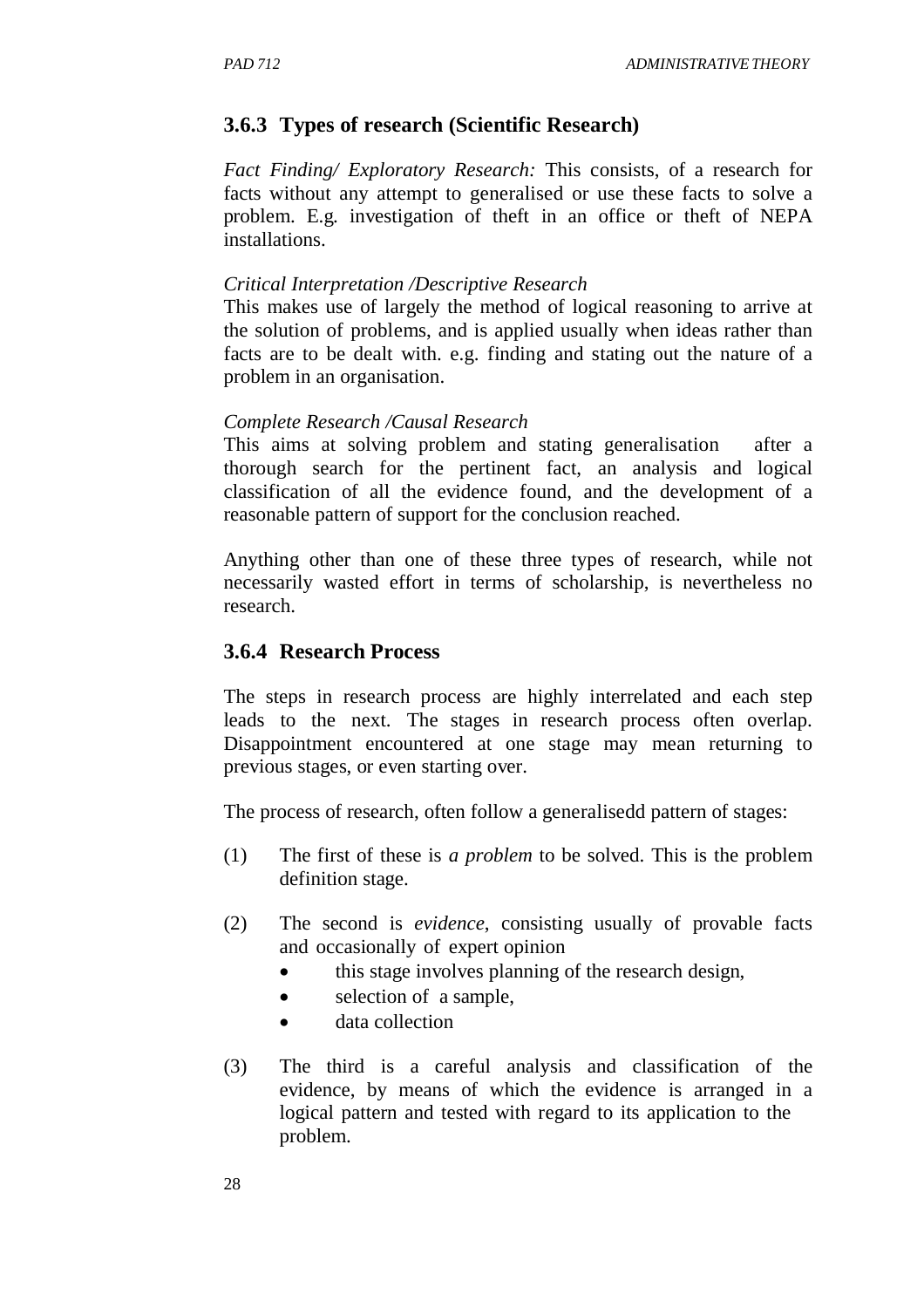#### **3.6.3 Types of research (Scientific Research)**

*Fact Finding/ Exploratory Research:* This consists, of a research for facts without any attempt to generalised or use these facts to solve a problem. E.g. investigation of theft in an office or theft of NEPA installations.

#### *Critical Interpretation /Descriptive Research*

This makes use of largely the method of logical reasoning to arrive at the solution of problems, and is applied usually when ideas rather than facts are to be dealt with. e.g. finding and stating out the nature of a problem in an organisation.

#### *Complete Research /Causal Research*

This aims at solving problem and stating generalisation after a thorough search for the pertinent fact, an analysis and logical classification of all the evidence found, and the development of a reasonable pattern of support for the conclusion reached.

Anything other than one of these three types of research, while not necessarily wasted effort in terms of scholarship, is nevertheless no research.

#### **3.6.4 Research Process**

The steps in research process are highly interrelated and each step leads to the next. The stages in research process often overlap. Disappointment encountered at one stage may mean returning to previous stages, or even starting over.

The process of research, often follow a generalisedd pattern of stages:

- (1) The first of these is *a problem* to be solved. This is the problem definition stage.
- (2) The second is *evidence*, consisting usually of provable facts and occasionally of expert opinion
	- this stage involves planning of the research design,
	- selection of a sample,
	- data collection
- (3) The third is a careful analysis and classification of the evidence, by means of which the evidence is arranged in a logical pattern and tested with regard to its application to the problem.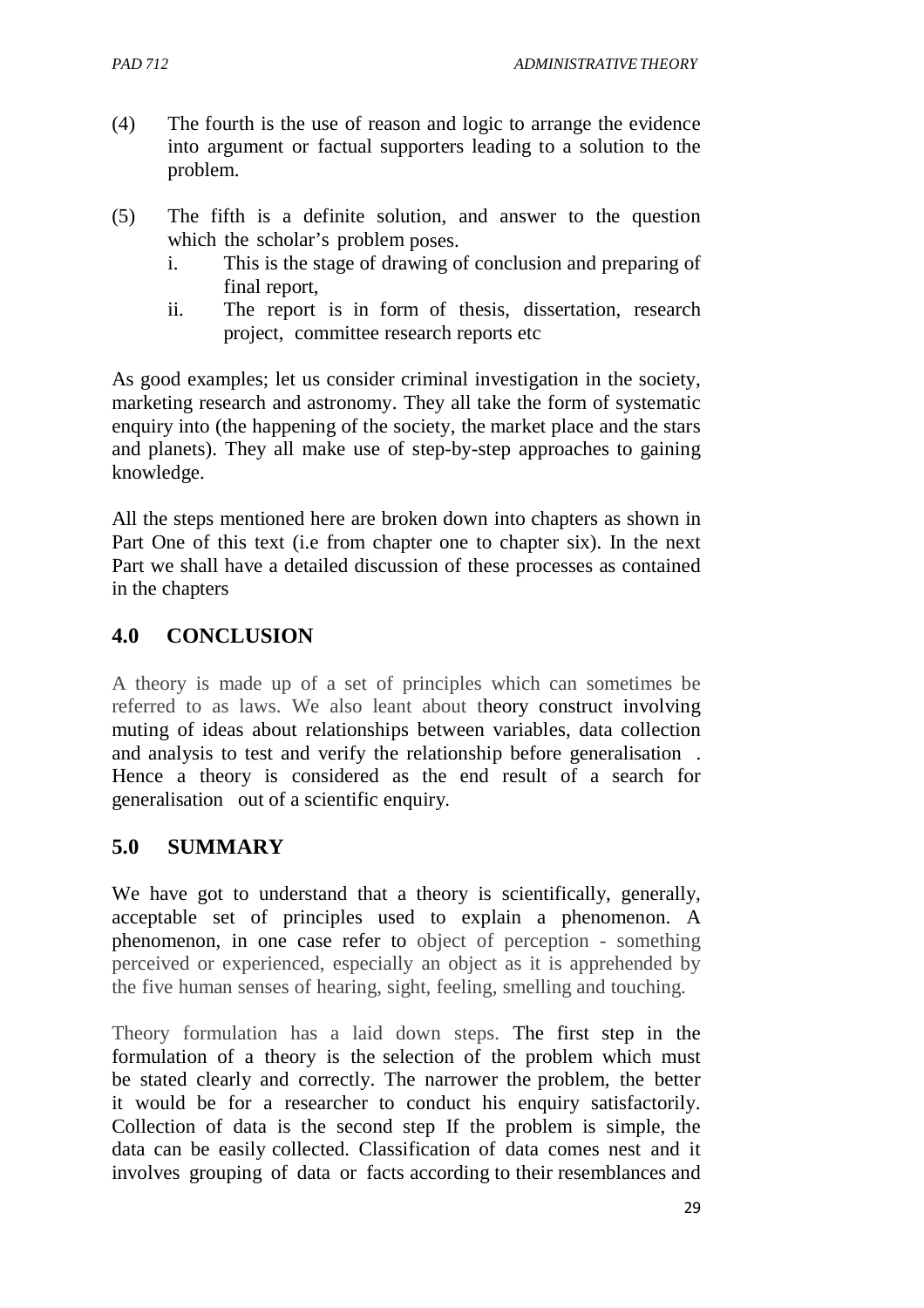- (4) The fourth is the use of reason and logic to arrange the evidence into argument or factual supporters leading to a solution to the problem.
- (5) The fifth is a definite solution, and answer to the question which the scholar's problem poses.
	- i. This is the stage of drawing of conclusion and preparing of final report,
	- ii. The report is in form of thesis, dissertation, research project, committee research reports etc

As good examples; let us consider criminal investigation in the society, marketing research and astronomy. They all take the form of systematic enquiry into (the happening of the society, the market place and the stars and planets). They all make use of step-by-step approaches to gaining knowledge.

All the steps mentioned here are broken down into chapters as shown in Part One of this text (i.e from chapter one to chapter six). In the next Part we shall have a detailed discussion of these processes as contained in the chapters

# **4.0 CONCLUSION**

A theory is made up of a set of principles which can sometimes be referred to as laws. We also leant about theory construct involving muting of ideas about relationships between variables, data collection and analysis to test and verify the relationship before generalisation . Hence a theory is considered as the end result of a search for generalisation out of a scientific enquiry.

# **5.0 SUMMARY**

We have got to understand that a theory is scientifically, generally, acceptable set of principles used to explain a phenomenon. A phenomenon, in one case refer to object of perception - something perceived or experienced, especially an object as it is apprehended by the five human senses of hearing, sight, feeling, smelling and touching.

Theory formulation has a laid down steps. The first step in the formulation of a theory is the selection of the problem which must be stated clearly and correctly. The narrower the problem, the better it would be for a researcher to conduct his enquiry satisfactorily. Collection of data is the second step If the problem is simple, the data can be easily collected. Classification of data comes nest and it involves grouping of data or facts according to their resemblances and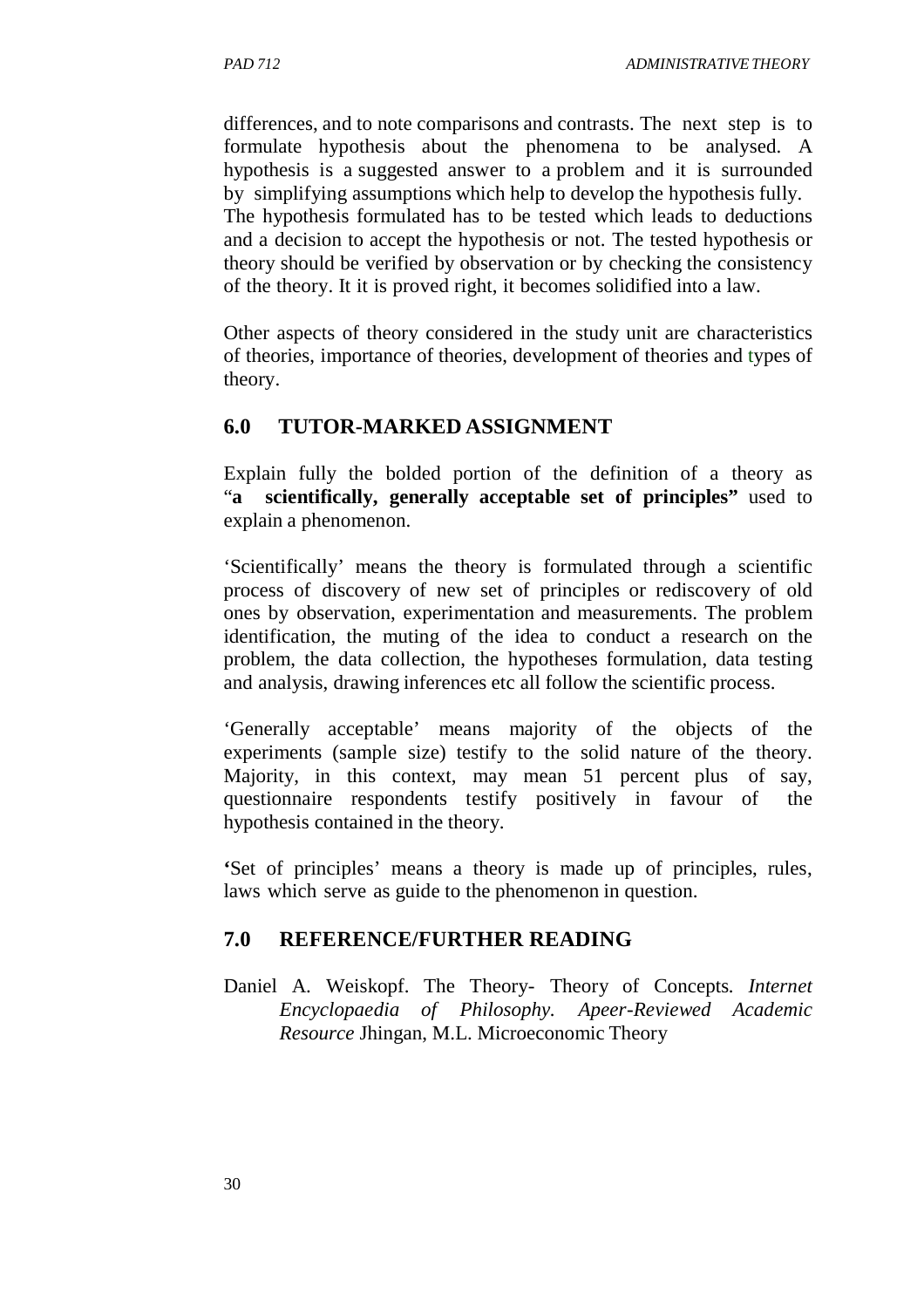differences, and to note comparisons and contrasts. The next step is to formulate hypothesis about the phenomena to be analysed. A hypothesis is a suggested answer to a problem and it is surrounded by simplifying assumptions which help to develop the hypothesis fully.

The hypothesis formulated has to be tested which leads to deductions and a decision to accept the hypothesis or not. The tested hypothesis or theory should be verified by observation or by checking the consistency of the theory. It it is proved right, it becomes solidified into a law.

Other aspects of theory considered in the study unit are characteristics of theories, importance of theories, development of theories and types of theory.

#### **6.0 TUTOR-MARKED ASSIGNMENT**

Explain fully the bolded portion of the definition of a theory as "**a scientifically, generally acceptable set of principles"** used to explain a phenomenon.

'Scientifically' means the theory is formulated through a scientific process of discovery of new set of principles or rediscovery of old ones by observation, experimentation and measurements. The problem identification, the muting of the idea to conduct a research on the problem, the data collection, the hypotheses formulation, data testing and analysis, drawing inferences etc all follow the scientific process.

'Generally acceptable' means majority of the objects of the experiments (sample size) testify to the solid nature of the theory. Majority, in this context, may mean 51 percent plus of say, questionnaire respondents testify positively in favour of the hypothesis contained in the theory.

**'**Set of principles' means a theory is made up of principles, rules, laws which serve as guide to the phenomenon in question.

#### **7.0 REFERENCE/FURTHER READING**

Daniel A. Weiskopf. The Theory- Theory of Concepts*. Internet Encyclopaedia of Philosophy. Apeer-Reviewed Academic Resource* Jhingan, M.L. Microeconomic Theory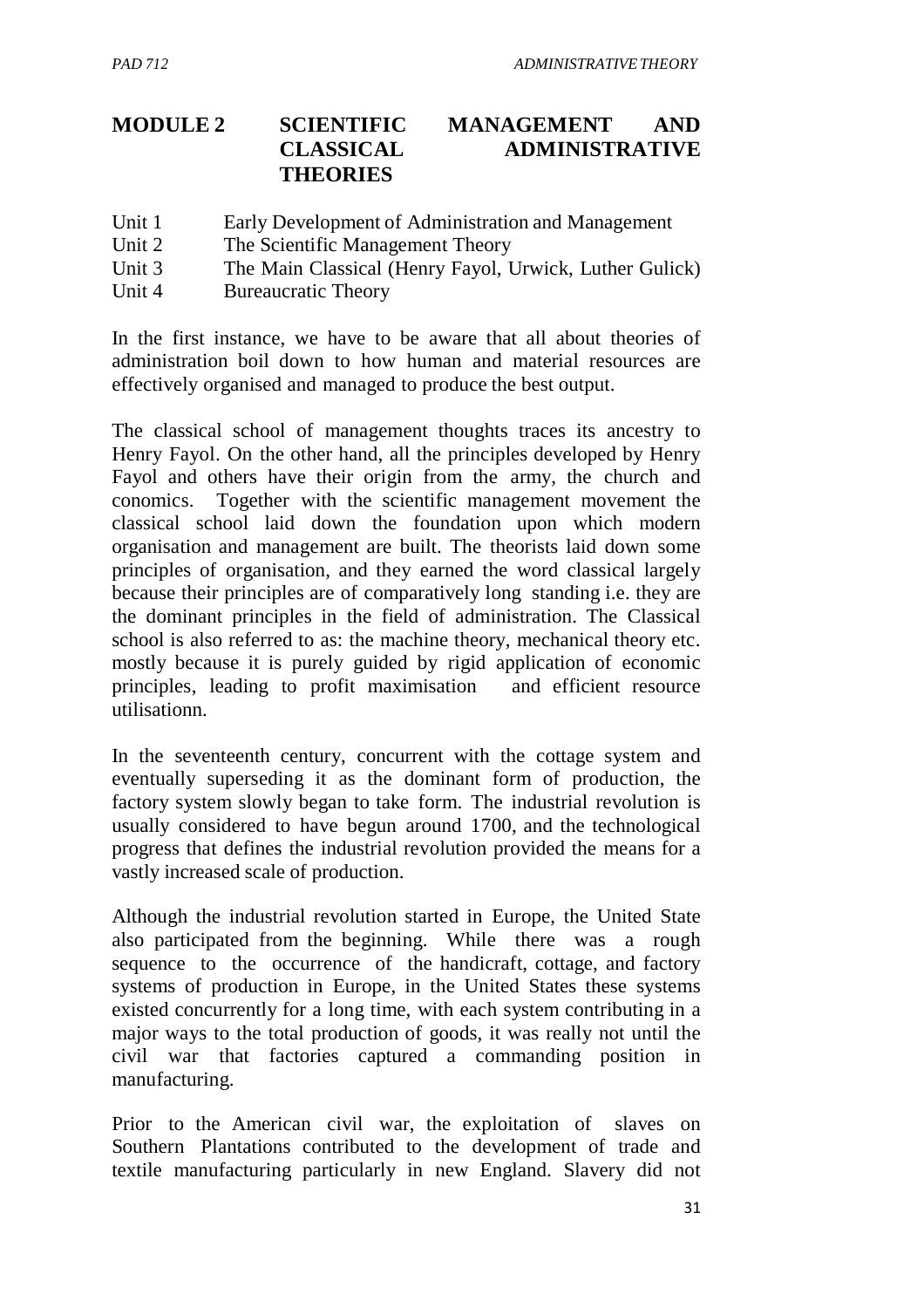# **MODULE 2 SCIENTIFIC MANAGEMENT AND CLASSICAL ADMINISTRATIVE THEORIES**

- Unit 1 Early Development of Administration and Management
- Unit 2 The Scientific Management Theory
- Unit 3 The Main Classical (Henry Fayol, Urwick, Luther Gulick)
- Unit 4 Bureaucratic Theory

In the first instance, we have to be aware that all about theories of administration boil down to how human and material resources are effectively organised and managed to produce the best output.

The classical school of management thoughts traces its ancestry to Henry Fayol. On the other hand, all the principles developed by Henry Fayol and others have their origin from the army, the church and conomics. Together with the scientific management movement the classical school laid down the foundation upon which modern organisation and management are built. The theorists laid down some principles of organisation, and they earned the word classical largely because their principles are of comparatively long standing i.e. they are the dominant principles in the field of administration. The Classical school is also referred to as: the machine theory, mechanical theory etc. mostly because it is purely guided by rigid application of economic principles, leading to profit maximisation and efficient resource utilisationn.

In the seventeenth century, concurrent with the cottage system and eventually superseding it as the dominant form of production, the factory system slowly began to take form. The industrial revolution is usually considered to have begun around 1700, and the technological progress that defines the industrial revolution provided the means for a vastly increased scale of production.

Although the industrial revolution started in Europe, the United State also participated from the beginning. While there was a rough sequence to the occurrence of the handicraft, cottage, and factory systems of production in Europe, in the United States these systems existed concurrently for a long time, with each system contributing in a major ways to the total production of goods, it was really not until the civil war that factories captured a commanding position in manufacturing.

Prior to the American civil war, the exploitation of slaves on Southern Plantations contributed to the development of trade and textile manufacturing particularly in new England. Slavery did not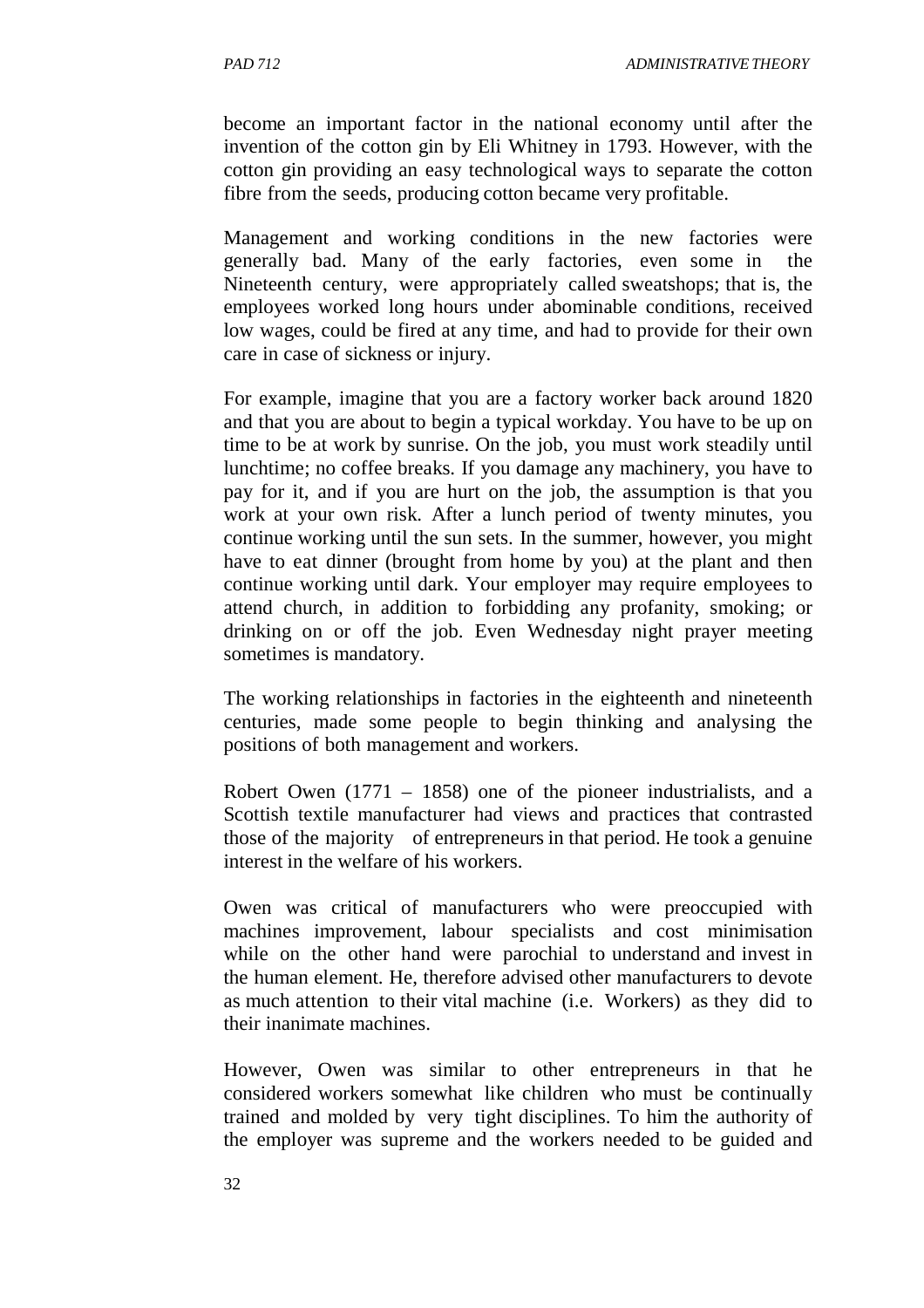become an important factor in the national economy until after the invention of the cotton gin by Eli Whitney in 1793. However, with the cotton gin providing an easy technological ways to separate the cotton fibre from the seeds, producing cotton became very profitable.

Management and working conditions in the new factories were generally bad. Many of the early factories, even some in the Nineteenth century, were appropriately called sweatshops; that is, the employees worked long hours under abominable conditions, received low wages, could be fired at any time, and had to provide for their own care in case of sickness or injury.

For example, imagine that you are a factory worker back around 1820 and that you are about to begin a typical workday. You have to be up on time to be at work by sunrise. On the job, you must work steadily until lunchtime; no coffee breaks. If you damage any machinery, you have to pay for it, and if you are hurt on the job, the assumption is that you work at your own risk. After a lunch period of twenty minutes, you continue working until the sun sets. In the summer, however, you might have to eat dinner (brought from home by you) at the plant and then continue working until dark. Your employer may require employees to attend church, in addition to forbidding any profanity, smoking; or drinking on or off the job. Even Wednesday night prayer meeting sometimes is mandatory.

The working relationships in factories in the eighteenth and nineteenth centuries, made some people to begin thinking and analysing the positions of both management and workers.

Robert Owen (1771 – 1858) one of the pioneer industrialists, and a Scottish textile manufacturer had views and practices that contrasted those of the majority of entrepreneurs in that period. He took a genuine interest in the welfare of his workers.

Owen was critical of manufacturers who were preoccupied with machines improvement, labour specialists and cost minimisation while on the other hand were parochial to understand and invest in the human element. He, therefore advised other manufacturers to devote as much attention to their vital machine (i.e. Workers) as they did to their inanimate machines.

However, Owen was similar to other entrepreneurs in that he considered workers somewhat like children who must be continually trained and molded by very tight disciplines. To him the authority of the employer was supreme and the workers needed to be guided and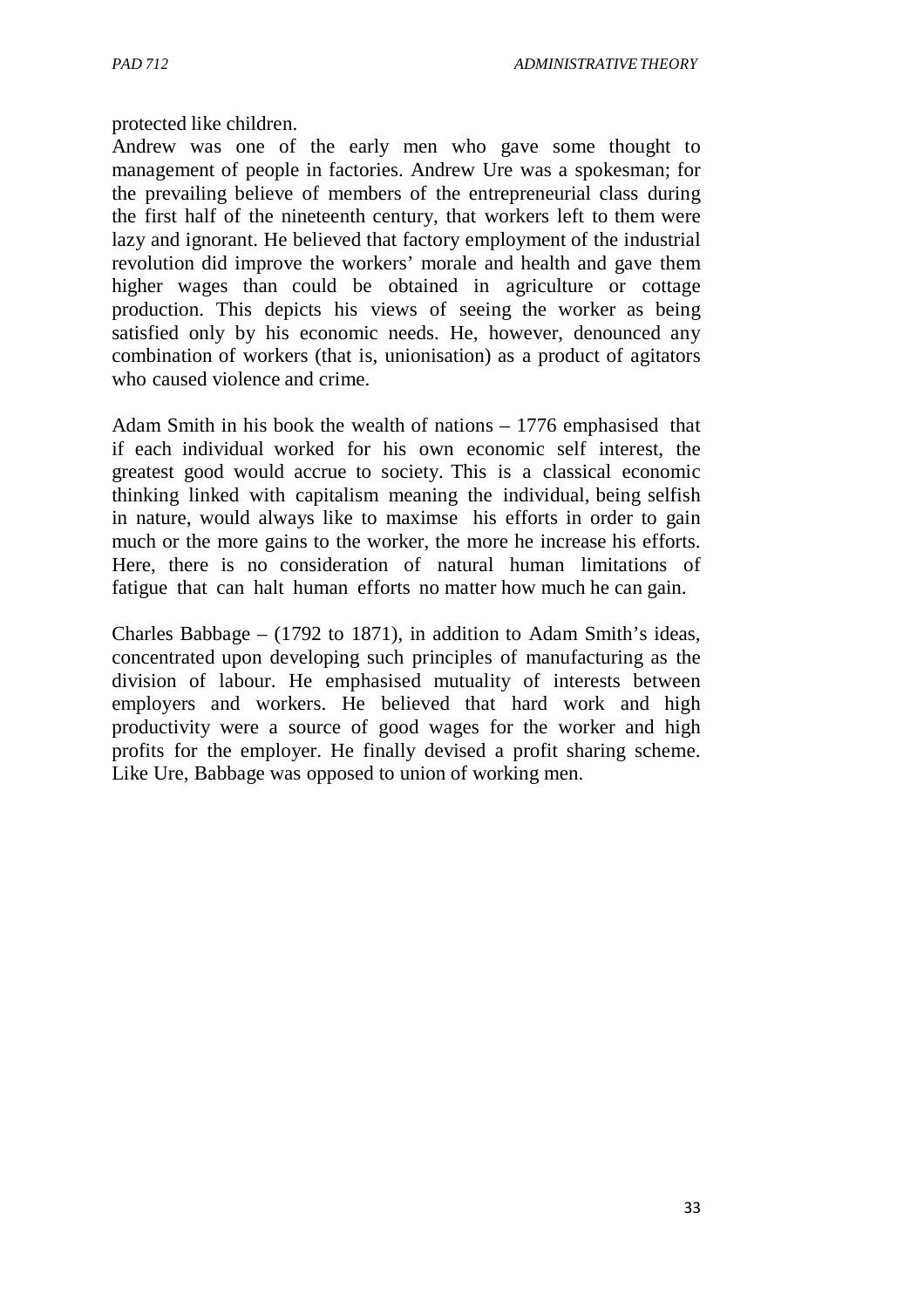protected like children.

Andrew was one of the early men who gave some thought to management of people in factories. Andrew Ure was a spokesman; for the prevailing believe of members of the entrepreneurial class during the first half of the nineteenth century, that workers left to them were lazy and ignorant. He believed that factory employment of the industrial revolution did improve the workers' morale and health and gave them higher wages than could be obtained in agriculture or cottage production. This depicts his views of seeing the worker as being satisfied only by his economic needs. He, however, denounced any combination of workers (that is, unionisation) as a product of agitators who caused violence and crime.

Adam Smith in his book the wealth of nations – 1776 emphasised that if each individual worked for his own economic self interest, the greatest good would accrue to society. This is a classical economic thinking linked with capitalism meaning the individual, being selfish in nature, would always like to maximse his efforts in order to gain much or the more gains to the worker, the more he increase his efforts. Here, there is no consideration of natural human limitations of fatigue that can halt human efforts no matter how much he can gain.

Charles Babbage – (1792 to 1871), in addition to Adam Smith's ideas, concentrated upon developing such principles of manufacturing as the division of labour. He emphasised mutuality of interests between employers and workers. He believed that hard work and high productivity were a source of good wages for the worker and high profits for the employer. He finally devised a profit sharing scheme. Like Ure, Babbage was opposed to union of working men.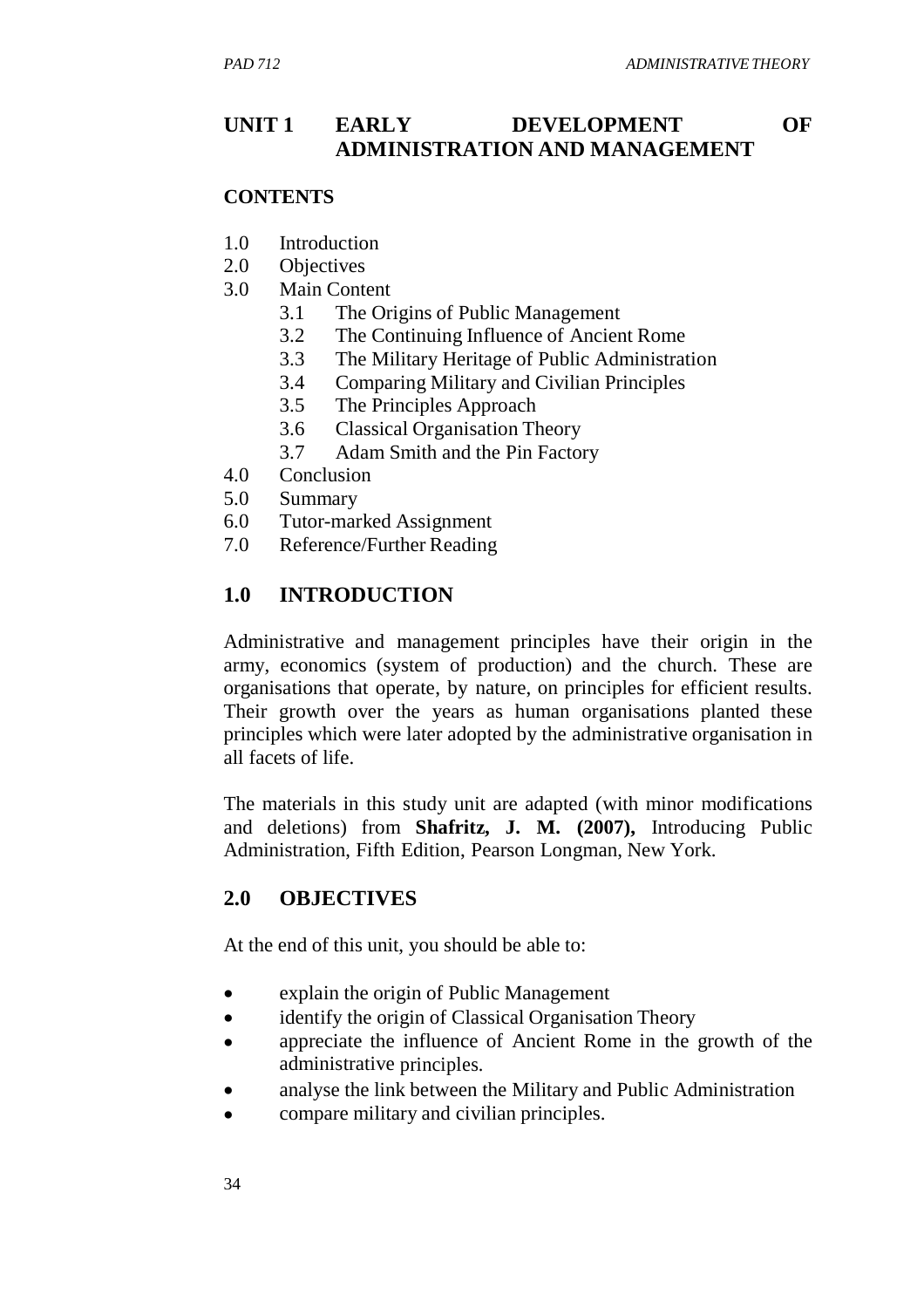# **UNIT 1 EARLY DEVELOPMENT OF ADMINISTRATION AND MANAGEMENT**

#### **CONTENTS**

- 1.0 Introduction
- 2.0 Objectives
- 3.0 Main Content
	- 3.1 The Origins of Public Management
	- 3.2 The Continuing Influence of Ancient Rome
	- 3.3 The Military Heritage of Public Administration
	- 3.4 Comparing Military and Civilian Principles
	- 3.5 The Principles Approach
	- 3.6 Classical Organisation Theory
	- 3.7 Adam Smith and the Pin Factory
- 4.0 Conclusion
- 5.0 Summary
- 6.0 Tutor-marked Assignment
- 7.0 Reference/Further Reading

# **1.0 INTRODUCTION**

Administrative and management principles have their origin in the army, economics (system of production) and the church. These are organisations that operate, by nature, on principles for efficient results. Their growth over the years as human organisations planted these principles which were later adopted by the administrative organisation in all facets of life.

The materials in this study unit are adapted (with minor modifications and deletions) from **Shafritz, J. M. (2007),** Introducing Public Administration, Fifth Edition, Pearson Longman, New York.

# **2.0 OBJECTIVES**

At the end of this unit, you should be able to:

- explain the origin of Public Management
- identify the origin of Classical Organisation Theory
- appreciate the influence of Ancient Rome in the growth of the administrative principles.
- analyse the link between the Military and Public Administration
- compare military and civilian principles.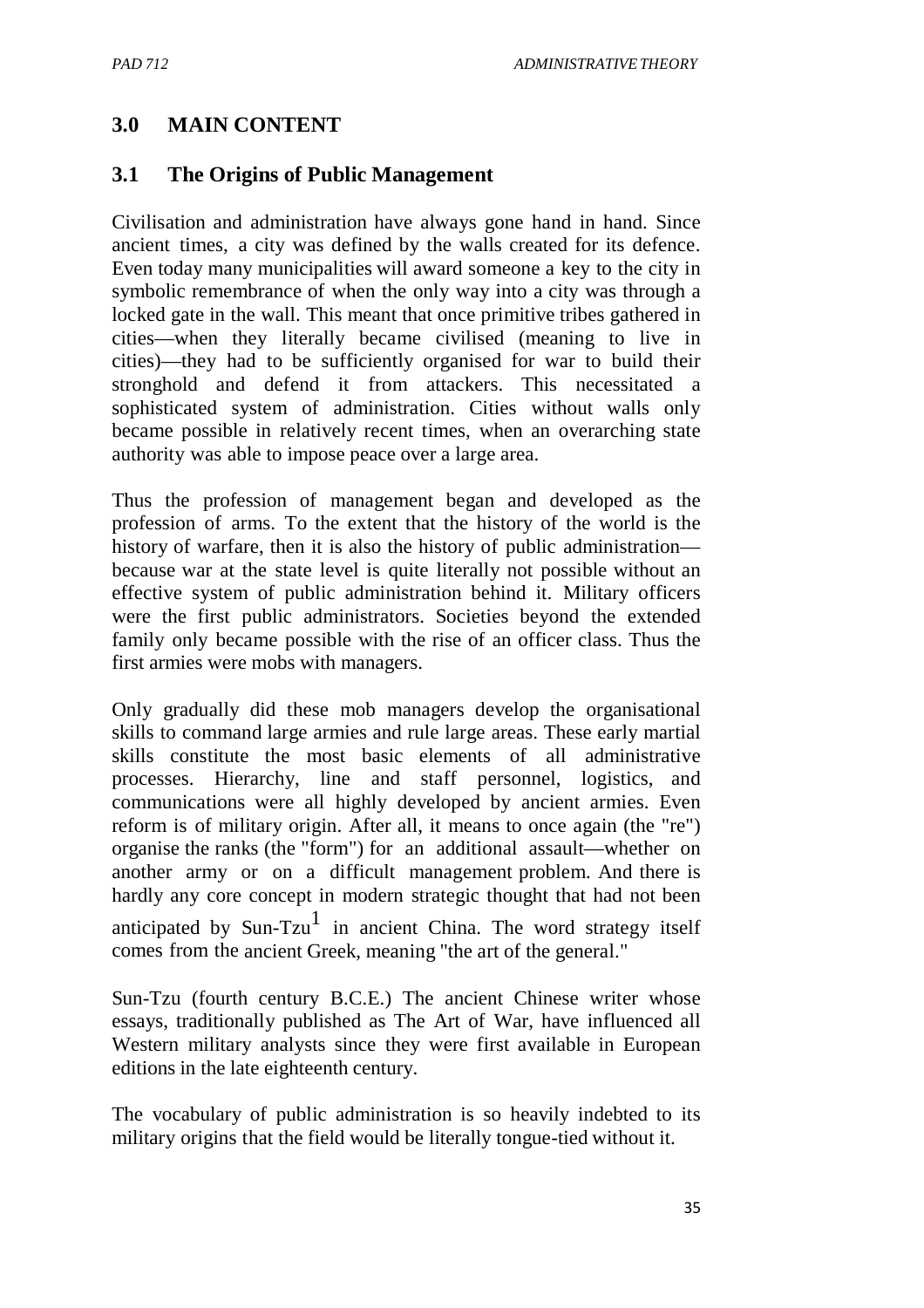# **3.0 MAIN CONTENT**

### **3.1 The Origins of Public Management**

Civilisation and administration have always gone hand in hand. Since ancient times, a city was defined by the walls created for its defence. Even today many municipalities will award someone a key to the city in symbolic remembrance of when the only way into a city was through a locked gate in the wall. This meant that once primitive tribes gathered in cities—when they literally became civilised (meaning to live in cities)—they had to be sufficiently organised for war to build their stronghold and defend it from attackers. This necessitated a sophisticated system of administration. Cities without walls only became possible in relatively recent times, when an overarching state authority was able to impose peace over a large area.

Thus the profession of management began and developed as the profession of arms. To the extent that the history of the world is the history of warfare, then it is also the history of public administration because war at the state level is quite literally not possible without an effective system of public administration behind it. Military officers were the first public administrators. Societies beyond the extended family only became possible with the rise of an officer class. Thus the first armies were mobs with managers.

Only gradually did these mob managers develop the organisational skills to command large armies and rule large areas. These early martial skills constitute the most basic elements of all administrative processes. Hierarchy, line and staff personnel, logistics, and communications were all highly developed by ancient armies. Even reform is of military origin. After all, it means to once again (the "re") organise the ranks (the "form") for an additional assault—whether on another army or on a difficult management problem. And there is hardly any core concept in modern strategic thought that had not been anticipated by Sun-Tzu<sup>1</sup> in ancient China. The word strategy itself comes from the ancient Greek, meaning "the art of the general."

Sun-Tzu (fourth century B.C.E.) The ancient Chinese writer whose essays, traditionally published as The Art of War, have influenced all Western military analysts since they were first available in European editions in the late eighteenth century.

The vocabulary of public administration is so heavily indebted to its military origins that the field would be literally tongue-tied without it.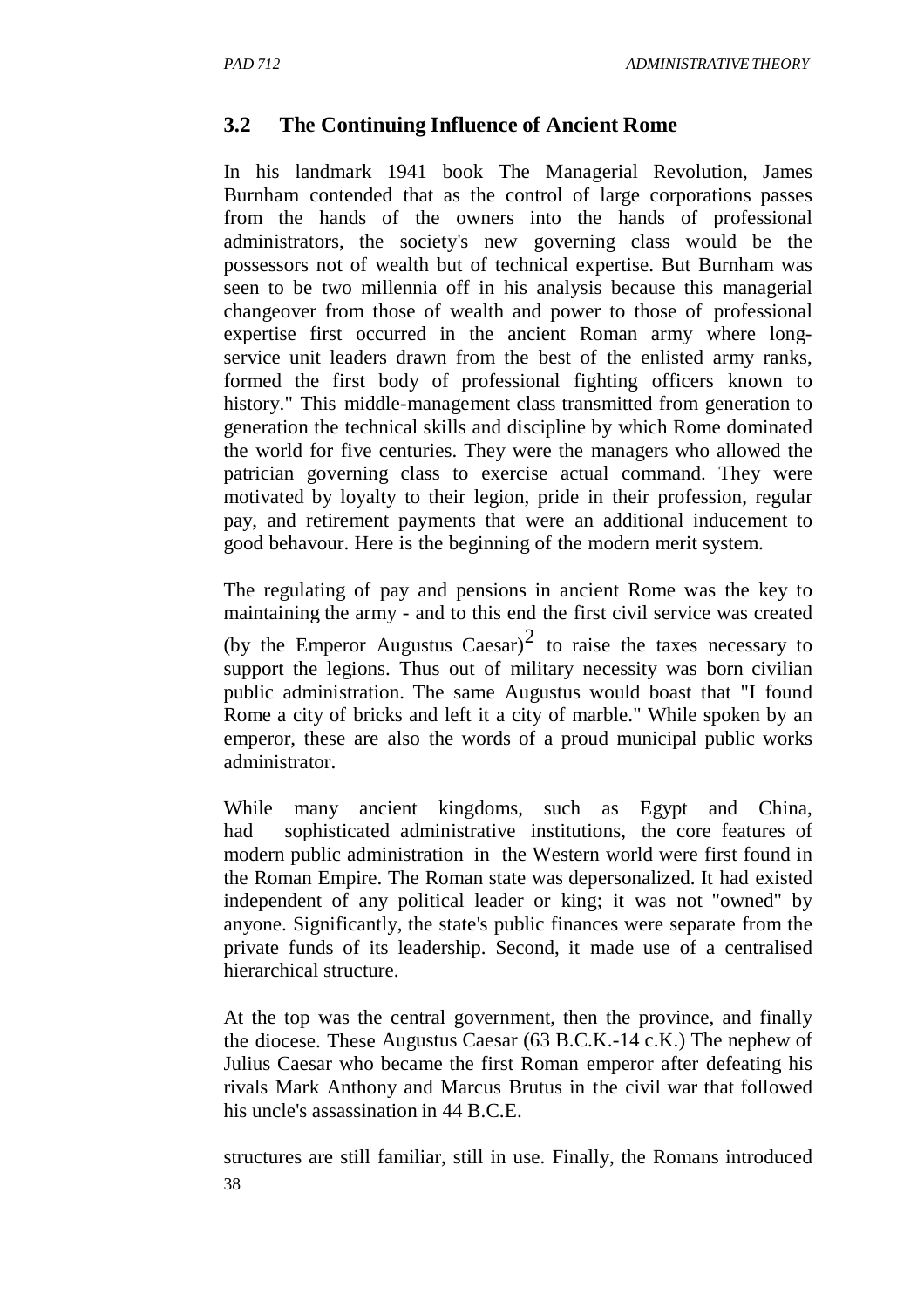#### **3.2 The Continuing Influence of Ancient Rome**

In his landmark 1941 book The Managerial Revolution, James Burnham contended that as the control of large corporations passes from the hands of the owners into the hands of professional administrators, the society's new governing class would be the possessors not of wealth but of technical expertise. But Burnham was seen to be two millennia off in his analysis because this managerial changeover from those of wealth and power to those of professional expertise first occurred in the ancient Roman army where longservice unit leaders drawn from the best of the enlisted army ranks, formed the first body of professional fighting officers known to history." This middle-management class transmitted from generation to generation the technical skills and discipline by which Rome dominated the world for five centuries. They were the managers who allowed the patrician governing class to exercise actual command. They were motivated by loyalty to their legion, pride in their profession, regular pay, and retirement payments that were an additional inducement to good behavour. Here is the beginning of the modern merit system.

The regulating of pay and pensions in ancient Rome was the key to maintaining the army - and to this end the first civil service was created (by the Emperor Augustus Caesar)<sup>2</sup> to raise the taxes necessary to support the legions. Thus out of military necessity was born civilian public administration. The same Augustus would boast that "I found Rome a city of bricks and left it a city of marble." While spoken by an emperor, these are also the words of a proud municipal public works administrator.

While many ancient kingdoms, such as Egypt and China, had sophisticated administrative institutions, the core features of modern public administration in the Western world were first found in the Roman Empire. The Roman state was depersonalized. It had existed independent of any political leader or king; it was not "owned" by anyone. Significantly, the state's public finances were separate from the private funds of its leadership. Second, it made use of a centralised hierarchical structure.

At the top was the central government, then the province, and finally the diocese. These Augustus Caesar (63 B.C.K.-14 c.K.) The nephew of Julius Caesar who became the first Roman emperor after defeating his rivals Mark Anthony and Marcus Brutus in the civil war that followed his uncle's assassination in 44 B.C.E.

38 structures are still familiar, still in use. Finally, the Romans introduced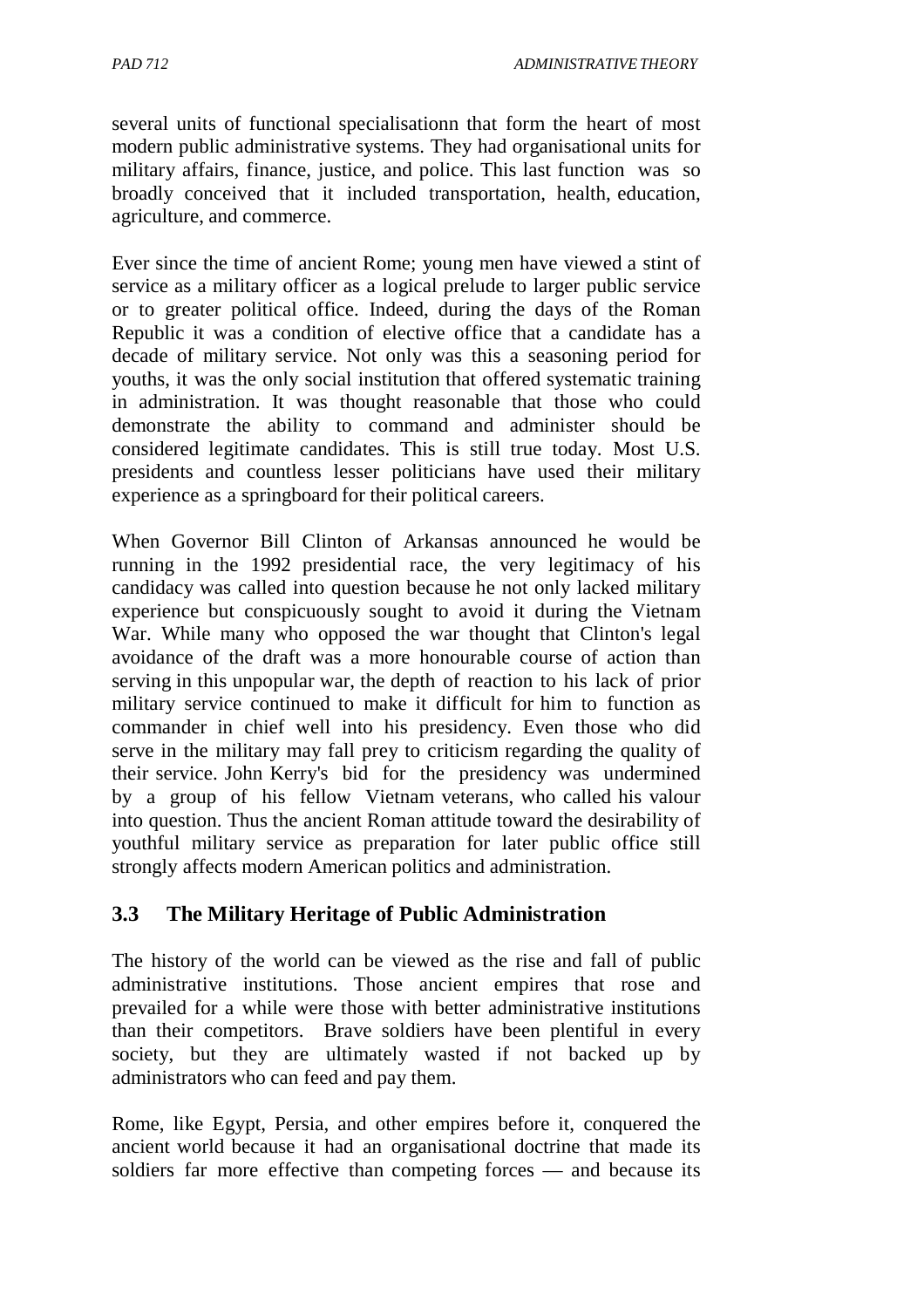*PAD 712 ADMINISTRATIVE THEORY*

several units of functional specialisationn that form the heart of most modern public administrative systems. They had organisational units for military affairs, finance, justice, and police. This last function was so broadly conceived that it included transportation, health, education, agriculture, and commerce.

Ever since the time of ancient Rome; young men have viewed a stint of service as a military officer as a logical prelude to larger public service or to greater political office. Indeed, during the days of the Roman Republic it was a condition of elective office that a candidate has a decade of military service. Not only was this a seasoning period for youths, it was the only social institution that offered systematic training in administration. It was thought reasonable that those who could demonstrate the ability to command and administer should be considered legitimate candidates. This is still true today. Most U.S. presidents and countless lesser politicians have used their military experience as a springboard for their political careers.

When Governor Bill Clinton of Arkansas announced he would be running in the 1992 presidential race, the very legitimacy of his candidacy was called into question because he not only lacked military experience but conspicuously sought to avoid it during the Vietnam War. While many who opposed the war thought that Clinton's legal avoidance of the draft was a more honourable course of action than serving in this unpopular war, the depth of reaction to his lack of prior military service continued to make it difficult for him to function as commander in chief well into his presidency. Even those who did serve in the military may fall prey to criticism regarding the quality of their service. John Kerry's bid for the presidency was undermined by a group of his fellow Vietnam veterans, who called his valour into question. Thus the ancient Roman attitude toward the desirability of youthful military service as preparation for later public office still strongly affects modern American politics and administration.

# **3.3 The Military Heritage of Public Administration**

The history of the world can be viewed as the rise and fall of public administrative institutions. Those ancient empires that rose and prevailed for a while were those with better administrative institutions than their competitors. Brave soldiers have been plentiful in every society, but they are ultimately wasted if not backed up by administrators who can feed and pay them.

Rome, like Egypt, Persia, and other empires before it, conquered the ancient world because it had an organisational doctrine that made its soldiers far more effective than competing forces — and because its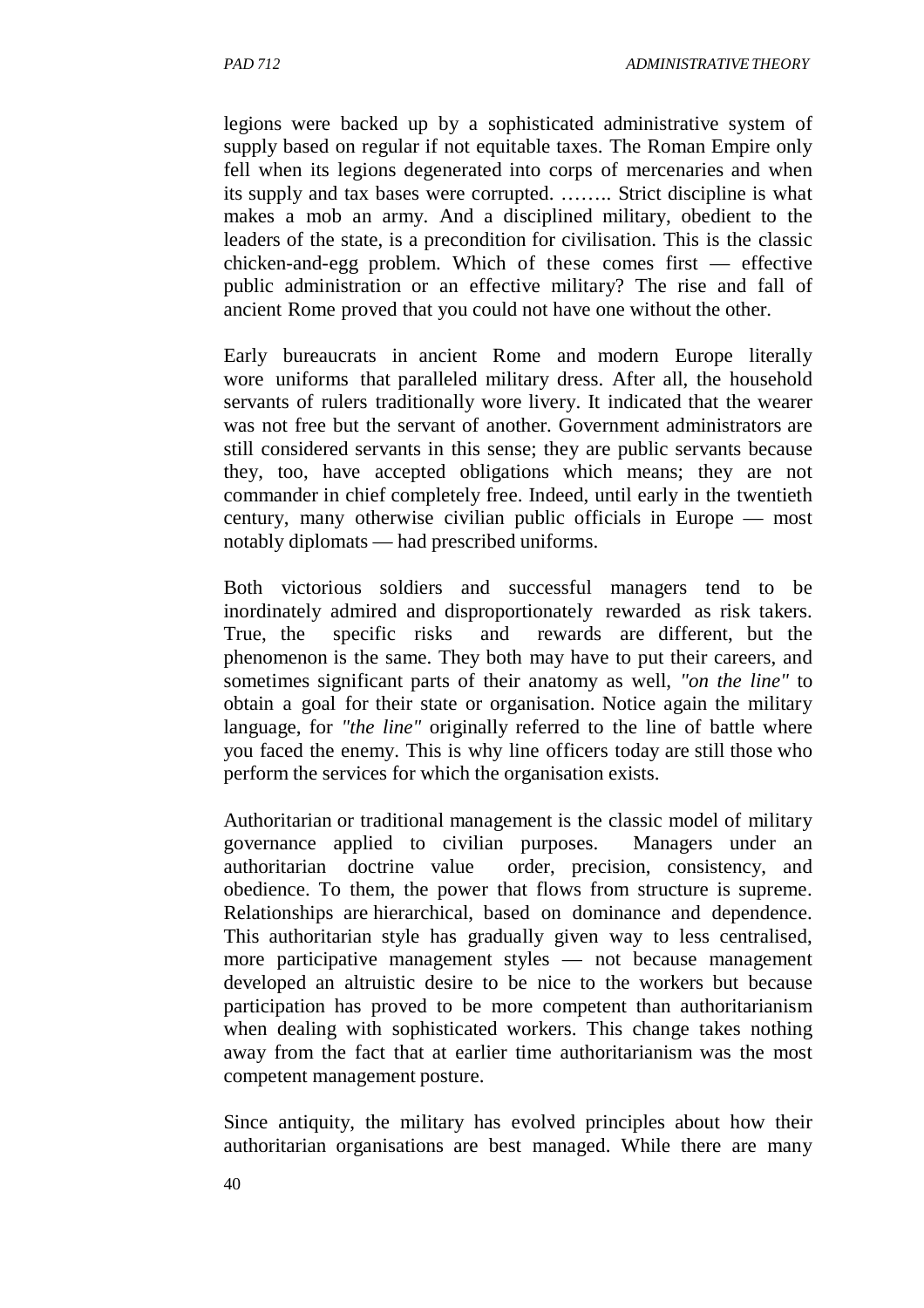legions were backed up by a sophisticated administrative system of supply based on regular if not equitable taxes. The Roman Empire only fell when its legions degenerated into corps of mercenaries and when its supply and tax bases were corrupted. …….. Strict discipline is what makes a mob an army. And a disciplined military, obedient to the leaders of the state, is a precondition for civilisation. This is the classic chicken-and-egg problem. Which of these comes first — effective public administration or an effective military? The rise and fall of ancient Rome proved that you could not have one without the other.

Early bureaucrats in ancient Rome and modern Europe literally wore uniforms that paralleled military dress. After all, the household servants of rulers traditionally wore livery. It indicated that the wearer was not free but the servant of another. Government administrators are still considered servants in this sense; they are public servants because they, too, have accepted obligations which means; they are not commander in chief completely free. Indeed, until early in the twentieth century, many otherwise civilian public officials in Europe — most notably diplomats — had prescribed uniforms.

Both victorious soldiers and successful managers tend to be inordinately admired and disproportionately rewarded as risk takers. True, the specific risks and rewards are different, but the phenomenon is the same. They both may have to put their careers, and sometimes significant parts of their anatomy as well, *"on the line"* to obtain a goal for their state or organisation. Notice again the military language, for *"the line"* originally referred to the line of battle where you faced the enemy. This is why line officers today are still those who perform the services for which the organisation exists.

Authoritarian or traditional management is the classic model of military governance applied to civilian purposes. Managers under an authoritarian doctrine value order, precision, consistency, and obedience. To them, the power that flows from structure is supreme. Relationships are hierarchical, based on dominance and dependence. This authoritarian style has gradually given way to less centralised, more participative management styles — not because management developed an altruistic desire to be nice to the workers but because participation has proved to be more competent than authoritarianism when dealing with sophisticated workers. This change takes nothing away from the fact that at earlier time authoritarianism was the most competent management posture.

Since antiquity, the military has evolved principles about how their authoritarian organisations are best managed. While there are many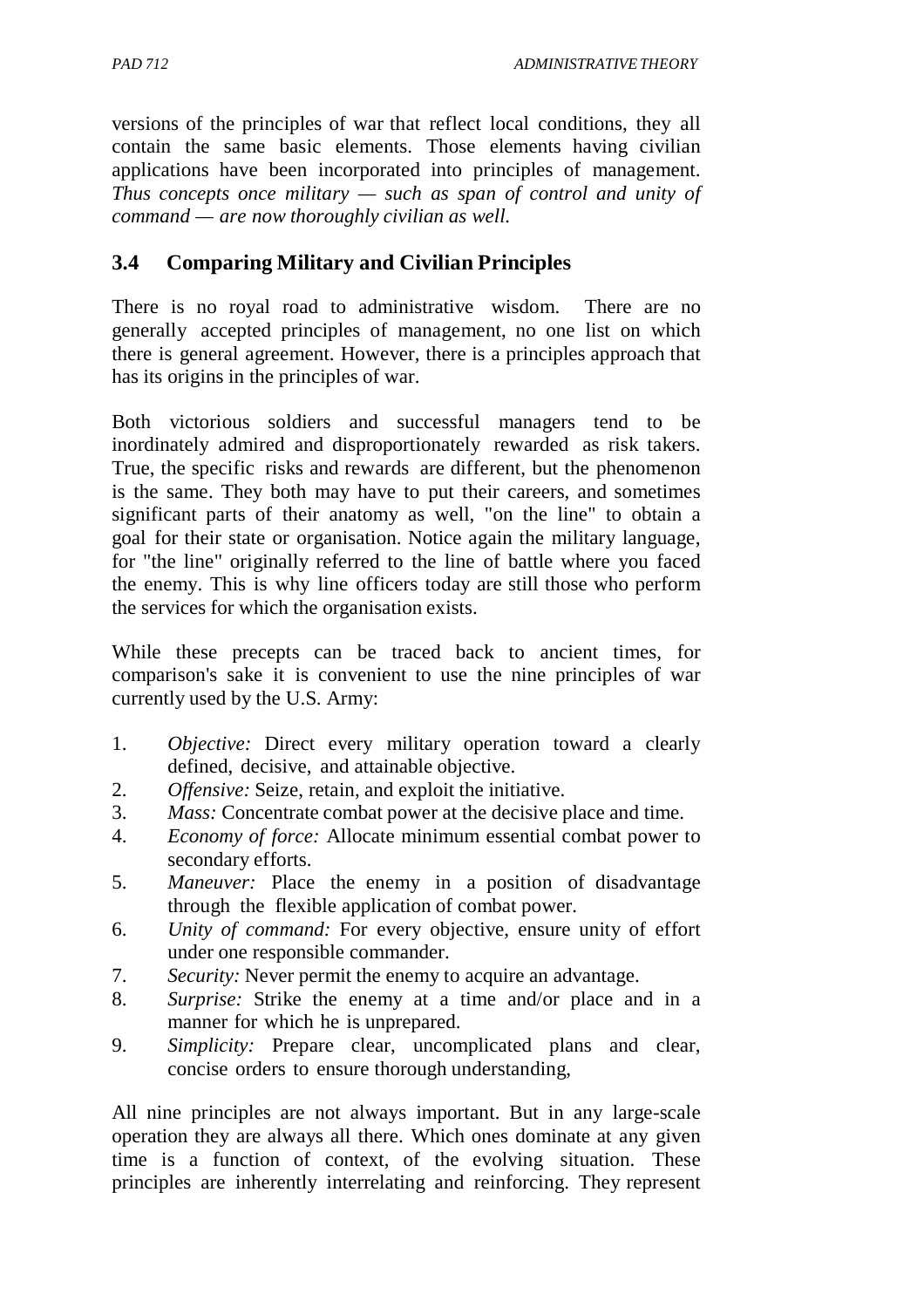*PAD 712 ADMINISTRATIVE THEORY*

versions of the principles of war that reflect local conditions, they all contain the same basic elements. Those elements having civilian applications have been incorporated into principles of management. *Thus concepts once military — such as span of control and unity of command — are now thoroughly civilian as well.*

# **3.4 Comparing Military and Civilian Principles**

There is no royal road to administrative wisdom. There are no generally accepted principles of management, no one list on which there is general agreement. However, there is a principles approach that has its origins in the principles of war.

Both victorious soldiers and successful managers tend to be inordinately admired and disproportionately rewarded as risk takers. True, the specific risks and rewards are different, but the phenomenon is the same. They both may have to put their careers, and sometimes significant parts of their anatomy as well, "on the line" to obtain a goal for their state or organisation. Notice again the military language, for "the line" originally referred to the line of battle where you faced the enemy. This is why line officers today are still those who perform the services for which the organisation exists.

While these precepts can be traced back to ancient times, for comparison's sake it is convenient to use the nine principles of war currently used by the U.S. Army:

- 1. *Objective:* Direct every military operation toward a clearly defined, decisive, and attainable objective.
- 2. *Offensive:* Seize, retain, and exploit the initiative.
- 3. *Mass:* Concentrate combat power at the decisive place and time.
- 4. *Economy of force:* Allocate minimum essential combat power to secondary efforts.
- 5. *Maneuver:* Place the enemy in a position of disadvantage through the flexible application of combat power.
- 6. *Unity of command:* For every objective, ensure unity of effort under one responsible commander.
- 7. *Security:* Never permit the enemy to acquire an advantage.
- 8. *Surprise:* Strike the enemy at a time and/or place and in a manner for which he is unprepared.
- 9. *Simplicity:* Prepare clear, uncomplicated plans and clear, concise orders to ensure thorough understanding,

All nine principles are not always important. But in any large-scale operation they are always all there. Which ones dominate at any given time is a function of context, of the evolving situation. These principles are inherently interrelating and reinforcing. They represent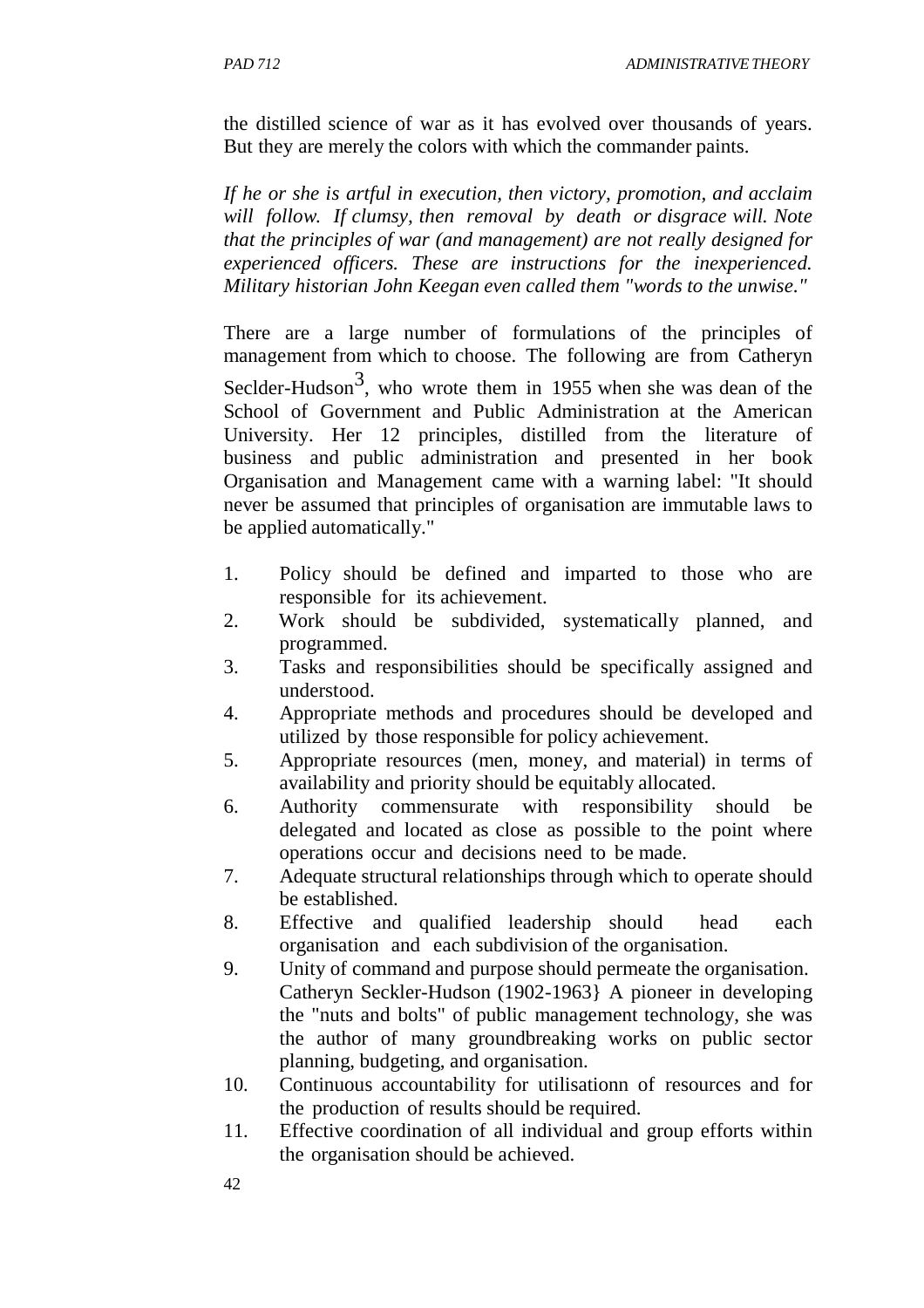the distilled science of war as it has evolved over thousands of years. But they are merely the colors with which the commander paints.

*If he or she is artful in execution, then victory, promotion, and acclaim will follow. If clumsy, then removal by death or disgrace will. Note that the principles of war (and management) are not really designed for experienced officers. These are instructions for the inexperienced. Military historian John Keegan even called them "words to the unwise."*

There are a large number of formulations of the principles of management from which to choose. The following are from Catheryn Seclder-Hudson<sup>3</sup>, who wrote them in 1955 when she was dean of the School of Government and Public Administration at the American University. Her 12 principles, distilled from the literature of business and public administration and presented in her book Organisation and Management came with a warning label: "It should never be assumed that principles of organisation are immutable laws to be applied automatically."

- 1. Policy should be defined and imparted to those who are responsible for its achievement.
- 2. Work should be subdivided, systematically planned, and programmed.
- 3. Tasks and responsibilities should be specifically assigned and understood.
- 4. Appropriate methods and procedures should be developed and utilized by those responsible for policy achievement.
- 5. Appropriate resources (men, money, and material) in terms of availability and priority should be equitably allocated.
- 6. Authority commensurate with responsibility should be delegated and located as close as possible to the point where operations occur and decisions need to be made.
- 7. Adequate structural relationships through which to operate should be established.
- 8. Effective and qualified leadership should head each organisation and each subdivision of the organisation.
- 9. Unity of command and purpose should permeate the organisation. Catheryn Seckler-Hudson (1902-1963} A pioneer in developing the "nuts and bolts" of public management technology, she was the author of many groundbreaking works on public sector planning, budgeting, and organisation.
- 10. Continuous accountability for utilisationn of resources and for the production of results should be required.
- 11. Effective coordination of all individual and group efforts within the organisation should be achieved.
- 42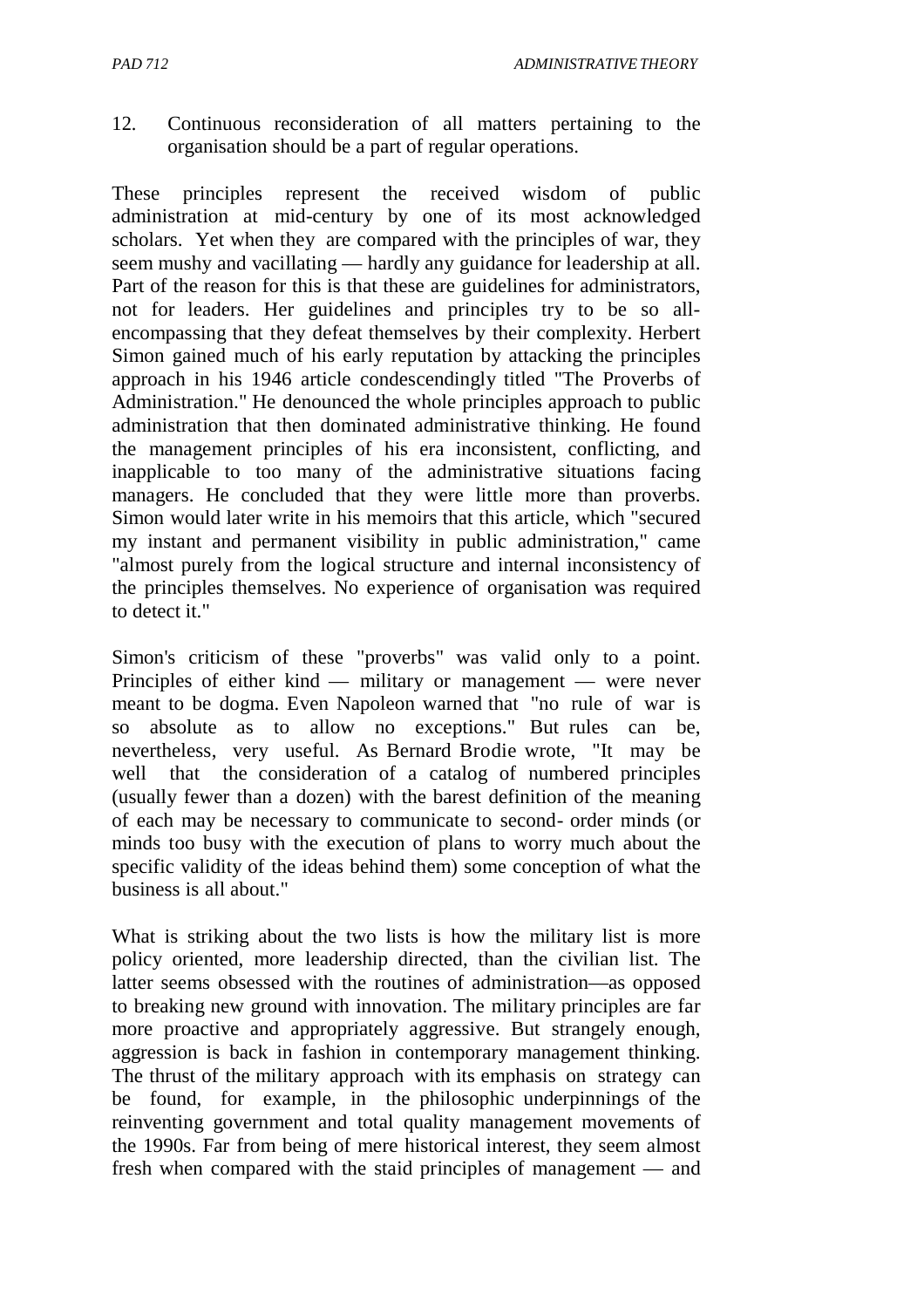*PAD 712 ADMINISTRATIVE THEORY*

12. Continuous reconsideration of all matters pertaining to the organisation should be a part of regular operations.

These principles represent the received wisdom of public administration at mid-century by one of its most acknowledged scholars. Yet when they are compared with the principles of war, they seem mushy and vacillating — hardly any guidance for leadership at all. Part of the reason for this is that these are guidelines for administrators, not for leaders. Her guidelines and principles try to be so allencompassing that they defeat themselves by their complexity. Herbert Simon gained much of his early reputation by attacking the principles approach in his 1946 article condescendingly titled "The Proverbs of Administration." He denounced the whole principles approach to public administration that then dominated administrative thinking. He found the management principles of his era inconsistent, conflicting, and inapplicable to too many of the administrative situations facing managers. He concluded that they were little more than proverbs. Simon would later write in his memoirs that this article, which "secured my instant and permanent visibility in public administration," came "almost purely from the logical structure and internal inconsistency of the principles themselves. No experience of organisation was required to detect it."

Simon's criticism of these "proverbs" was valid only to a point. Principles of either kind — military or management — were never meant to be dogma. Even Napoleon warned that "no rule of war is so absolute as to allow no exceptions." But rules can be, nevertheless, very useful. As Bernard Brodie wrote, "It may be well that the consideration of a catalog of numbered principles (usually fewer than a dozen) with the barest definition of the meaning of each may be necessary to communicate to second- order minds (or minds too busy with the execution of plans to worry much about the specific validity of the ideas behind them) some conception of what the business is all about."

What is striking about the two lists is how the military list is more policy oriented, more leadership directed, than the civilian list. The latter seems obsessed with the routines of administration—as opposed to breaking new ground with innovation. The military principles are far more proactive and appropriately aggressive. But strangely enough, aggression is back in fashion in contemporary management thinking. The thrust of the military approach with its emphasis on strategy can be found, for example, in the philosophic underpinnings of the reinventing government and total quality management movements of the 1990s. Far from being of mere historical interest, they seem almost fresh when compared with the staid principles of management — and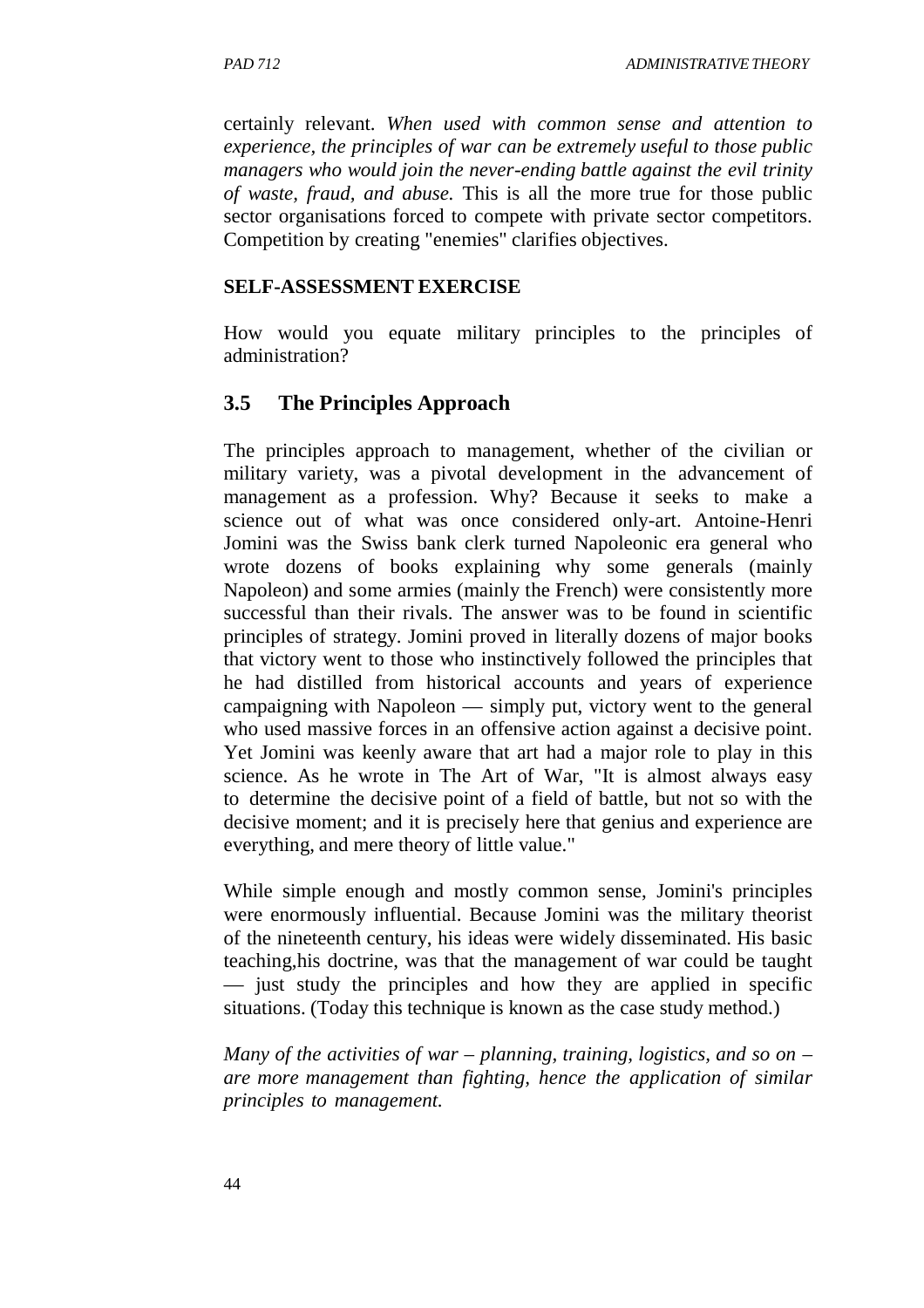certainly relevant. *When used with common sense and attention to experience, the principles of war can be extremely useful to those public managers who would join the never-ending battle against the evil trinity of waste, fraud, and abuse.* This is all the more true for those public sector organisations forced to compete with private sector competitors. Competition by creating "enemies" clarifies objectives.

#### **SELF-ASSESSMENT EXERCISE**

How would you equate military principles to the principles of administration?

### **3.5 The Principles Approach**

The principles approach to management, whether of the civilian or military variety, was a pivotal development in the advancement of management as a profession. Why? Because it seeks to make a science out of what was once considered only-art. Antoine-Henri Jomini was the Swiss bank clerk turned Napoleonic era general who wrote dozens of books explaining why some generals (mainly Napoleon) and some armies (mainly the French) were consistently more successful than their rivals. The answer was to be found in scientific principles of strategy. Jomini proved in literally dozens of major books that victory went to those who instinctively followed the principles that he had distilled from historical accounts and years of experience campaigning with Napoleon — simply put, victory went to the general who used massive forces in an offensive action against a decisive point. Yet Jomini was keenly aware that art had a major role to play in this science. As he wrote in The Art of War, "It is almost always easy to determine the decisive point of a field of battle, but not so with the decisive moment; and it is precisely here that genius and experience are everything, and mere theory of little value."

While simple enough and mostly common sense, Jomini's principles were enormously influential. Because Jomini was the military theorist of the nineteenth century, his ideas were widely disseminated. His basic teaching,his doctrine, was that the management of war could be taught — just study the principles and how they are applied in specific situations. (Today this technique is known as the case study method.)

*Many of the activities of war – planning, training, logistics, and so on – are more management than fighting, hence the application of similar principles to management.*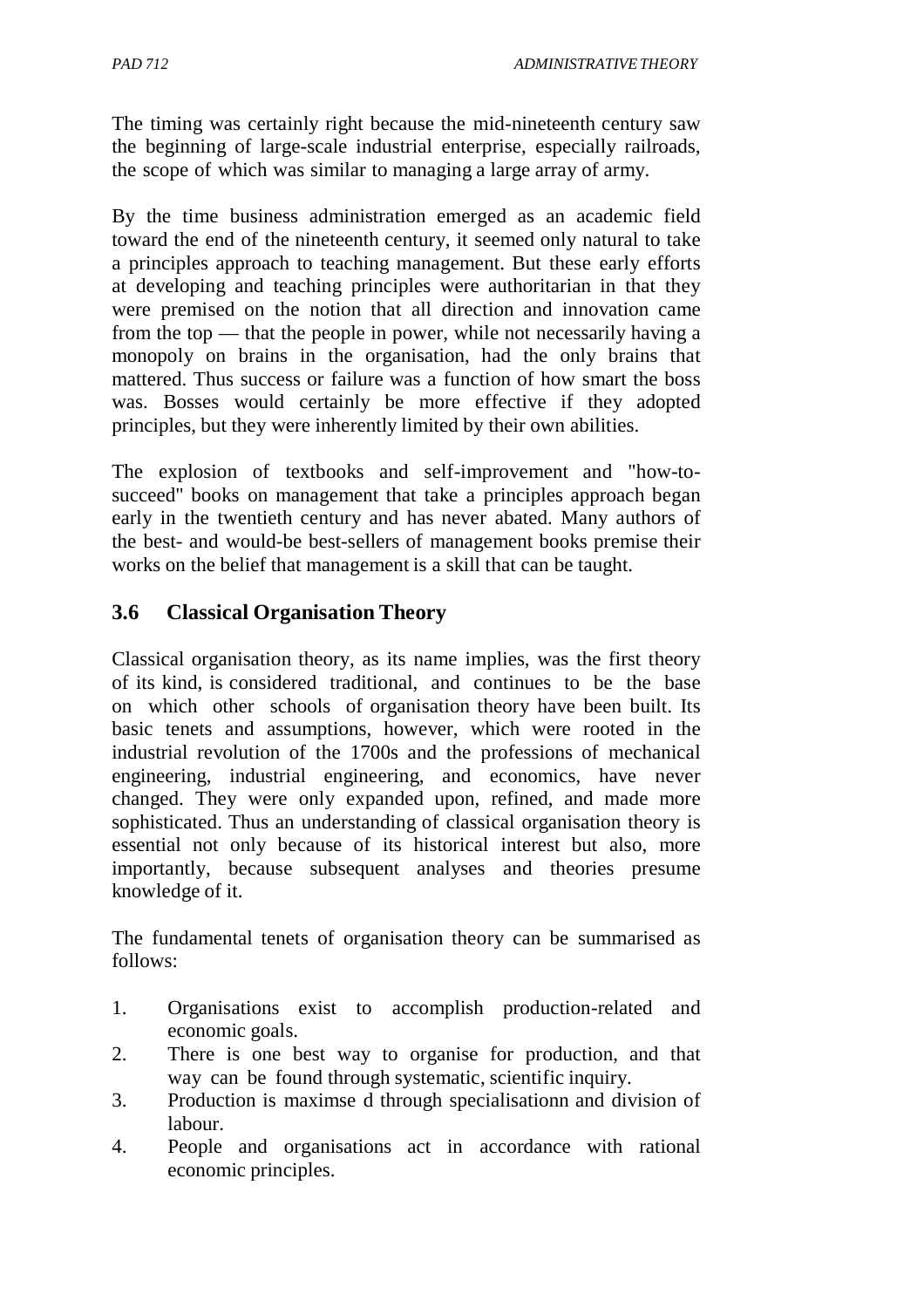*PAD 712 ADMINISTRATIVE THEORY*

The timing was certainly right because the mid-nineteenth century saw the beginning of large-scale industrial enterprise, especially railroads, the scope of which was similar to managing a large array of army.

By the time business administration emerged as an academic field toward the end of the nineteenth century, it seemed only natural to take a principles approach to teaching management. But these early efforts at developing and teaching principles were authoritarian in that they were premised on the notion that all direction and innovation came from the top — that the people in power, while not necessarily having a monopoly on brains in the organisation, had the only brains that mattered. Thus success or failure was a function of how smart the boss was. Bosses would certainly be more effective if they adopted principles, but they were inherently limited by their own abilities.

The explosion of textbooks and self-improvement and "how-tosucceed" books on management that take a principles approach began early in the twentieth century and has never abated. Many authors of the best- and would-be best-sellers of management books premise their works on the belief that management is a skill that can be taught.

# **3.6 Classical Organisation Theory**

Classical organisation theory, as its name implies, was the first theory of its kind, is considered traditional, and continues to be the base on which other schools of organisation theory have been built. Its basic tenets and assumptions, however, which were rooted in the industrial revolution of the 1700s and the professions of mechanical engineering, industrial engineering, and economics, have never changed. They were only expanded upon, refined, and made more sophisticated. Thus an understanding of classical organisation theory is essential not only because of its historical interest but also, more importantly, because subsequent analyses and theories presume knowledge of it.

The fundamental tenets of organisation theory can be summarised as follows:

- 1. Organisations exist to accomplish production-related and economic goals.
- 2. There is one best way to organise for production, and that way can be found through systematic, scientific inquiry.
- 3. Production is maximse d through specialisationn and division of labour.
- 4. People and organisations act in accordance with rational economic principles.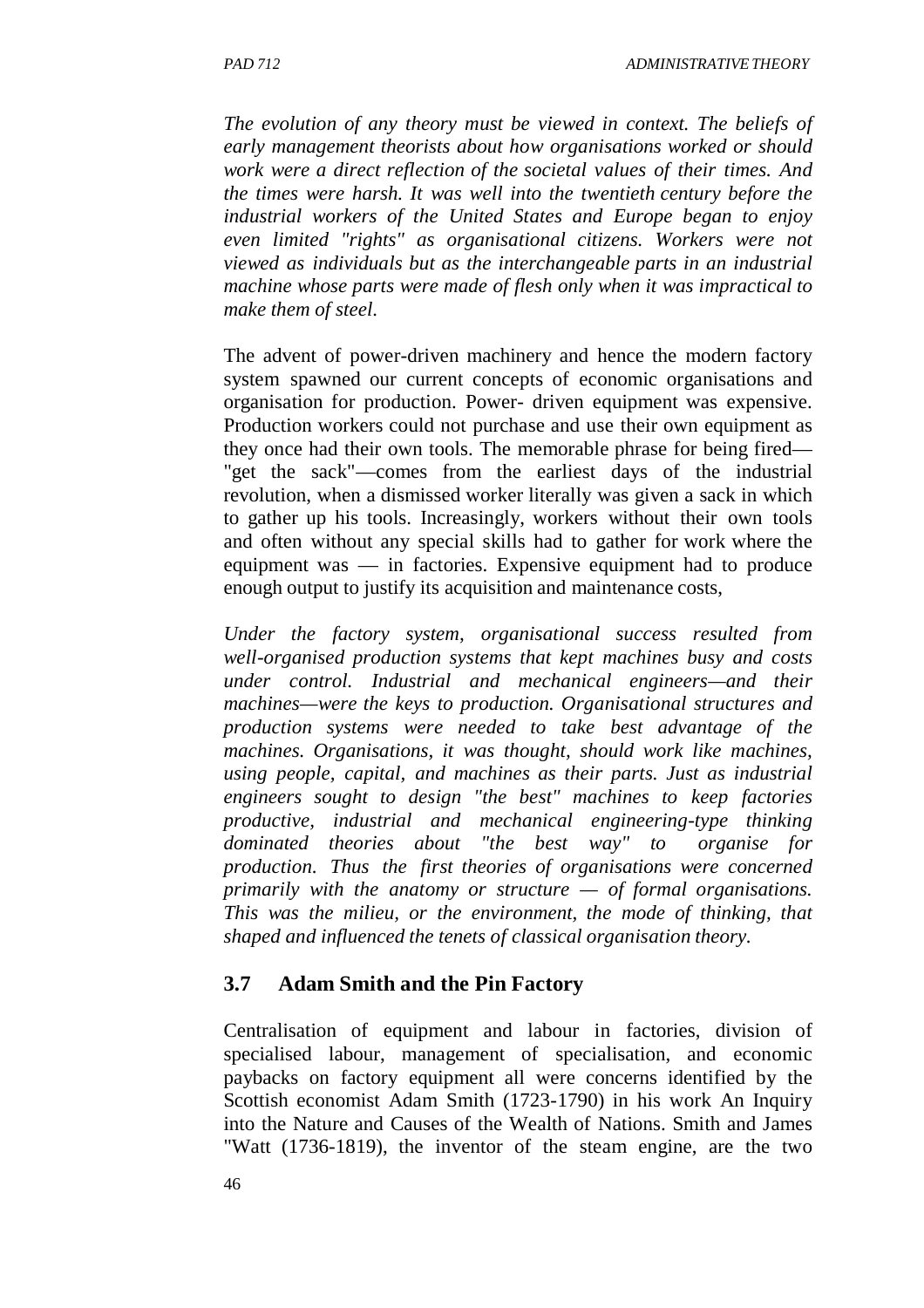*The evolution of any theory must be viewed in context. The beliefs of early management theorists about how organisations worked or should work were a direct reflection of the societal values of their times. And the times were harsh. It was well into the twentieth century before the industrial workers of the United States and Europe began to enjoy even limited "rights" as organisational citizens. Workers were not viewed as individuals but as the interchangeable parts in an industrial machine whose parts were made of flesh only when it was impractical to make them of steel.*

The advent of power-driven machinery and hence the modern factory system spawned our current concepts of economic organisations and organisation for production. Power- driven equipment was expensive. Production workers could not purchase and use their own equipment as they once had their own tools. The memorable phrase for being fired— "get the sack"—comes from the earliest days of the industrial revolution, when a dismissed worker literally was given a sack in which to gather up his tools. Increasingly, workers without their own tools and often without any special skills had to gather for work where the equipment was — in factories. Expensive equipment had to produce enough output to justify its acquisition and maintenance costs,

*Under the factory system, organisational success resulted from well-organised production systems that kept machines busy and costs under control. Industrial and mechanical engineers—and their machines—were the keys to production. Organisational structures and production systems were needed to take best advantage of the machines. Organisations, it was thought, should work like machines, using people, capital, and machines as their parts. Just as industrial engineers sought to design "the best" machines to keep factories productive, industrial and mechanical engineering-type thinking dominated theories about "the best way" to organise for production. Thus the first theories of organisations were concerned primarily with the anatomy or structure — of formal organisations. This was the milieu, or the environment, the mode of thinking, that shaped and influenced the tenets of classical organisation theory.*

# **3.7 Adam Smith and the Pin Factory**

Centralisation of equipment and labour in factories, division of specialised labour, management of specialisation, and economic paybacks on factory equipment all were concerns identified by the Scottish economist Adam Smith (1723-1790) in his work An Inquiry into the Nature and Causes of the Wealth of Nations. Smith and James "Watt (1736-1819), the inventor of the steam engine, are the two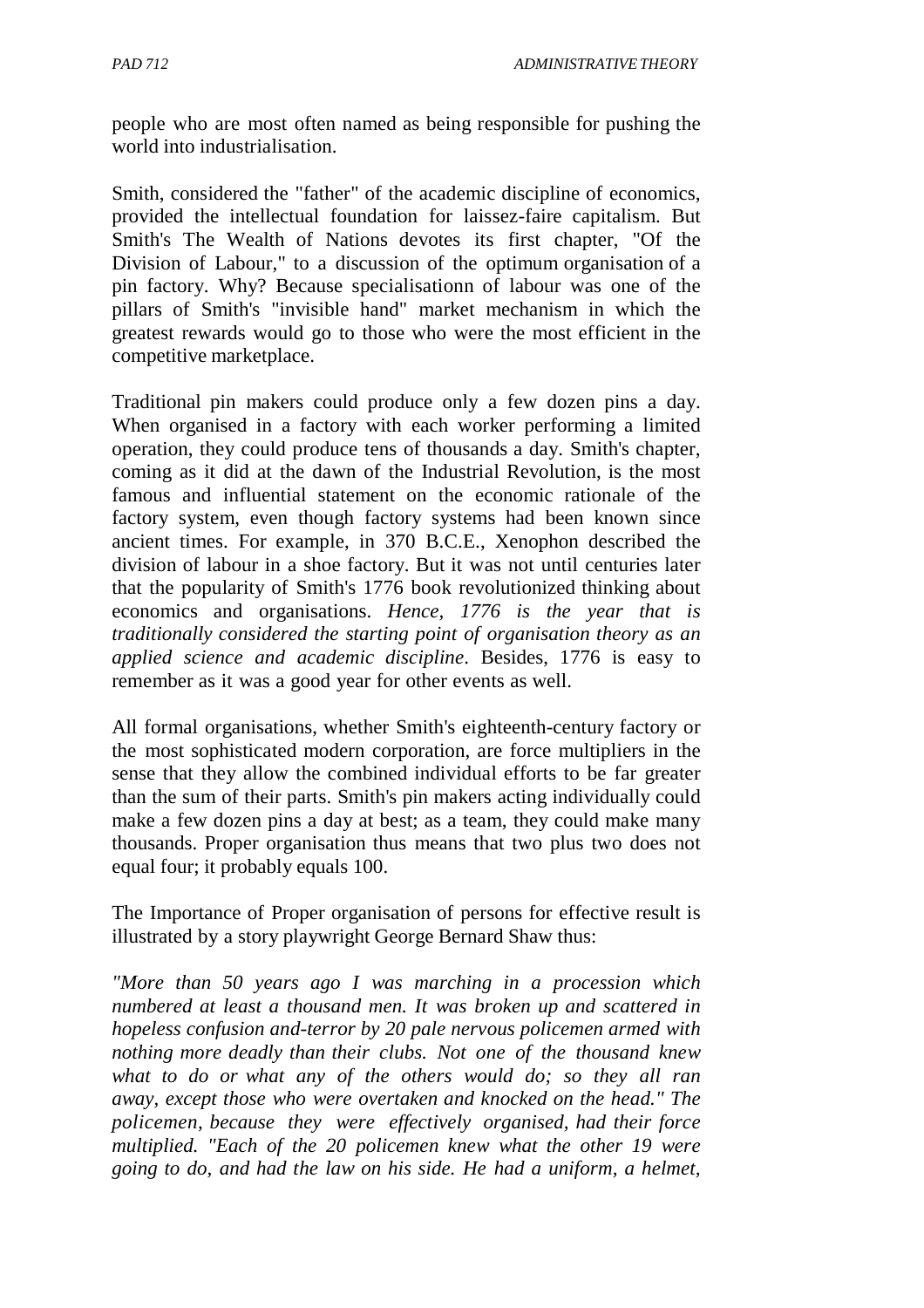people who are most often named as being responsible for pushing the world into industrialisation.

Smith, considered the "father" of the academic discipline of economics, provided the intellectual foundation for laissez-faire capitalism. But Smith's The Wealth of Nations devotes its first chapter, "Of the Division of Labour," to a discussion of the optimum organisation of a pin factory. Why? Because specialisationn of labour was one of the pillars of Smith's "invisible hand" market mechanism in which the greatest rewards would go to those who were the most efficient in the competitive marketplace.

Traditional pin makers could produce only a few dozen pins a day. When organised in a factory with each worker performing a limited operation, they could produce tens of thousands a day. Smith's chapter, coming as it did at the dawn of the Industrial Revolution, is the most famous and influential statement on the economic rationale of the factory system, even though factory systems had been known since ancient times. For example, in 370 B.C.E., Xenophon described the division of labour in a shoe factory. But it was not until centuries later that the popularity of Smith's 1776 book revolutionized thinking about economics and organisations. *Hence, 1776 is the year that is traditionally considered the starting point of organisation theory as an applied science and academic discipline*. Besides, 1776 is easy to remember as it was a good year for other events as well.

All formal organisations, whether Smith's eighteenth-century factory or the most sophisticated modern corporation, are force multipliers in the sense that they allow the combined individual efforts to be far greater than the sum of their parts. Smith's pin makers acting individually could make a few dozen pins a day at best; as a team, they could make many thousands. Proper organisation thus means that two plus two does not equal four; it probably equals 100.

The Importance of Proper organisation of persons for effective result is illustrated by a story playwright George Bernard Shaw thus:

*"More than 50 years ago I was marching in a procession which numbered at least a thousand men. It was broken up and scattered in hopeless confusion and-terror by 20 pale nervous policemen armed with nothing more deadly than their clubs. Not one of the thousand knew what to do or what any of the others would do; so they all ran away, except those who were overtaken and knocked on the head." The policemen, because they were effectively organised, had their force multiplied. "Each of the 20 policemen knew what the other 19 were going to do, and had the law on his side. He had a uniform, a helmet,*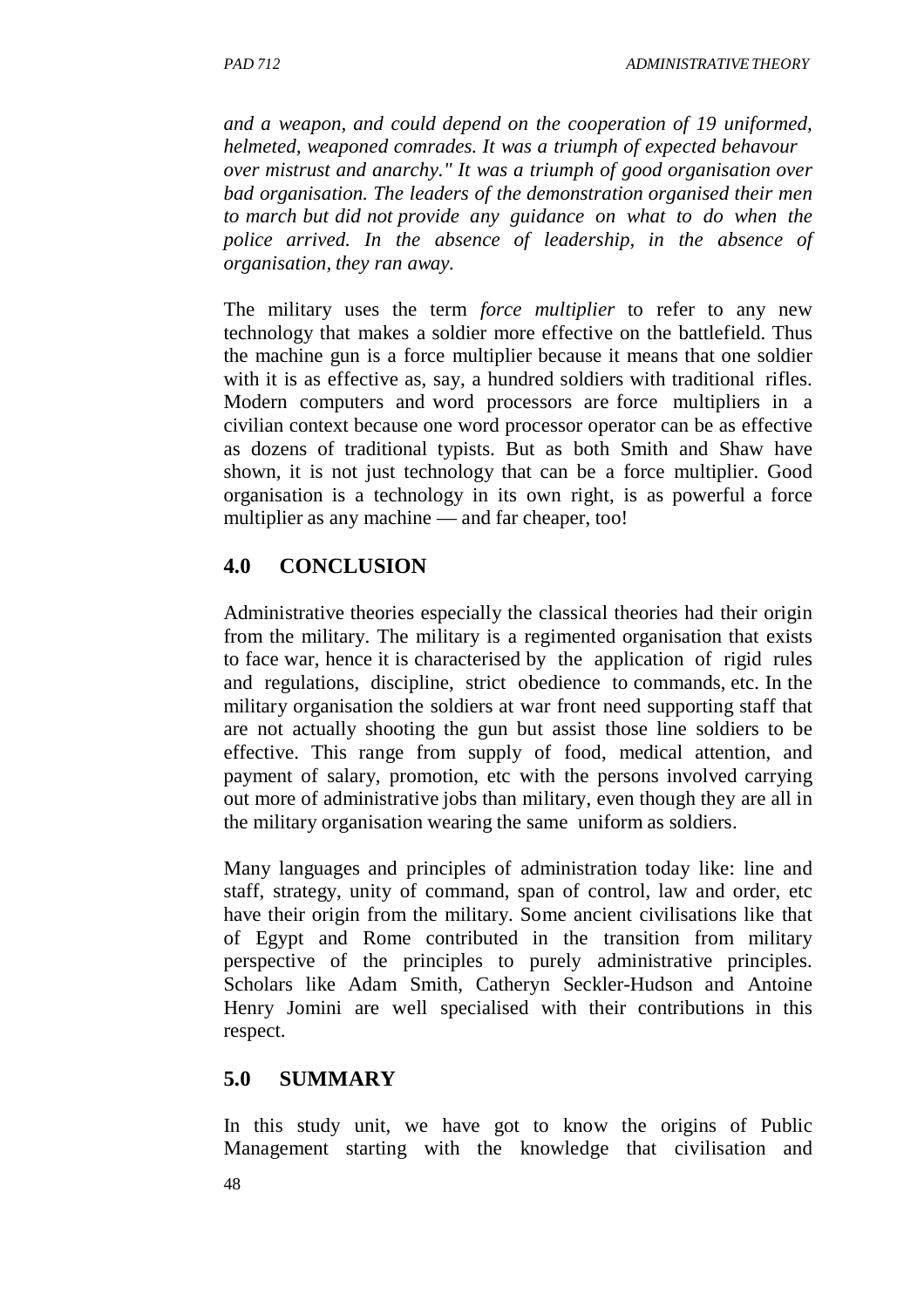*and a weapon, and could depend on the cooperation of 19 uniformed, helmeted, weaponed comrades. It was a triumph of expected behavour over mistrust and anarchy." It was a triumph of good organisation over bad organisation. The leaders of the demonstration organised their men to march but did not provide any guidance on what to do when the police arrived. In the absence of leadership, in the absence of organisation, they ran away.*

The military uses the term *force multiplier* to refer to any new technology that makes a soldier more effective on the battlefield. Thus the machine gun is a force multiplier because it means that one soldier with it is as effective as, say, a hundred soldiers with traditional rifles. Modern computers and word processors are force multipliers in a civilian context because one word processor operator can be as effective as dozens of traditional typists. But as both Smith and Shaw have shown, it is not just technology that can be a force multiplier. Good organisation is a technology in its own right, is as powerful a force multiplier as any machine — and far cheaper, too!

# **4.0 CONCLUSION**

Administrative theories especially the classical theories had their origin from the military. The military is a regimented organisation that exists to face war, hence it is characterised by the application of rigid rules and regulations, discipline, strict obedience to commands, etc. In the military organisation the soldiers at war front need supporting staff that are not actually shooting the gun but assist those line soldiers to be effective. This range from supply of food, medical attention, and payment of salary, promotion, etc with the persons involved carrying out more of administrative jobs than military, even though they are all in the military organisation wearing the same uniform as soldiers.

Many languages and principles of administration today like: line and staff, strategy, unity of command, span of control, law and order, etc have their origin from the military. Some ancient civilisations like that of Egypt and Rome contributed in the transition from military perspective of the principles to purely administrative principles. Scholars like Adam Smith, Catheryn Seckler-Hudson and Antoine Henry Jomini are well specialised with their contributions in this respect.

# **5.0 SUMMARY**

In this study unit, we have got to know the origins of Public Management starting with the knowledge that civilisation and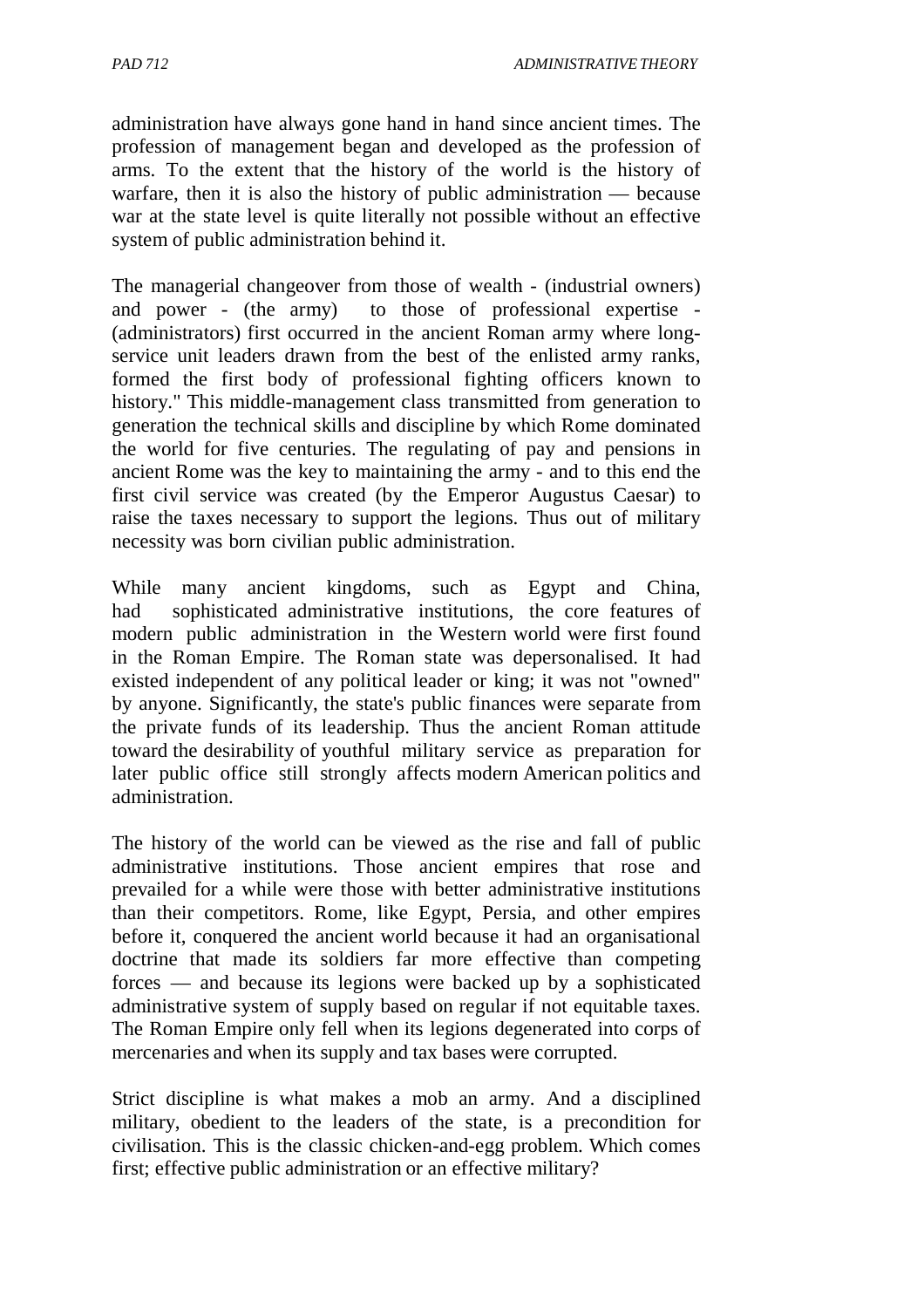*PAD 712 ADMINISTRATIVE THEORY*

administration have always gone hand in hand since ancient times. The profession of management began and developed as the profession of arms. To the extent that the history of the world is the history of warfare, then it is also the history of public administration — because war at the state level is quite literally not possible without an effective system of public administration behind it.

The managerial changeover from those of wealth - (industrial owners) and power - (the army) to those of professional expertise - (administrators) first occurred in the ancient Roman army where longservice unit leaders drawn from the best of the enlisted army ranks, formed the first body of professional fighting officers known to history." This middle-management class transmitted from generation to generation the technical skills and discipline by which Rome dominated the world for five centuries. The regulating of pay and pensions in ancient Rome was the key to maintaining the army - and to this end the first civil service was created (by the Emperor Augustus Caesar) to raise the taxes necessary to support the legions. Thus out of military necessity was born civilian public administration.

While many ancient kingdoms, such as Egypt and China, had sophisticated administrative institutions, the core features of modern public administration in the Western world were first found in the Roman Empire. The Roman state was depersonalised. It had existed independent of any political leader or king; it was not "owned" by anyone. Significantly, the state's public finances were separate from the private funds of its leadership. Thus the ancient Roman attitude toward the desirability of youthful military service as preparation for later public office still strongly affects modern American politics and administration.

The history of the world can be viewed as the rise and fall of public administrative institutions. Those ancient empires that rose and prevailed for a while were those with better administrative institutions than their competitors. Rome, like Egypt, Persia, and other empires before it, conquered the ancient world because it had an organisational doctrine that made its soldiers far more effective than competing forces — and because its legions were backed up by a sophisticated administrative system of supply based on regular if not equitable taxes. The Roman Empire only fell when its legions degenerated into corps of mercenaries and when its supply and tax bases were corrupted.

Strict discipline is what makes a mob an army. And a disciplined military, obedient to the leaders of the state, is a precondition for civilisation. This is the classic chicken-and-egg problem. Which comes first; effective public administration or an effective military?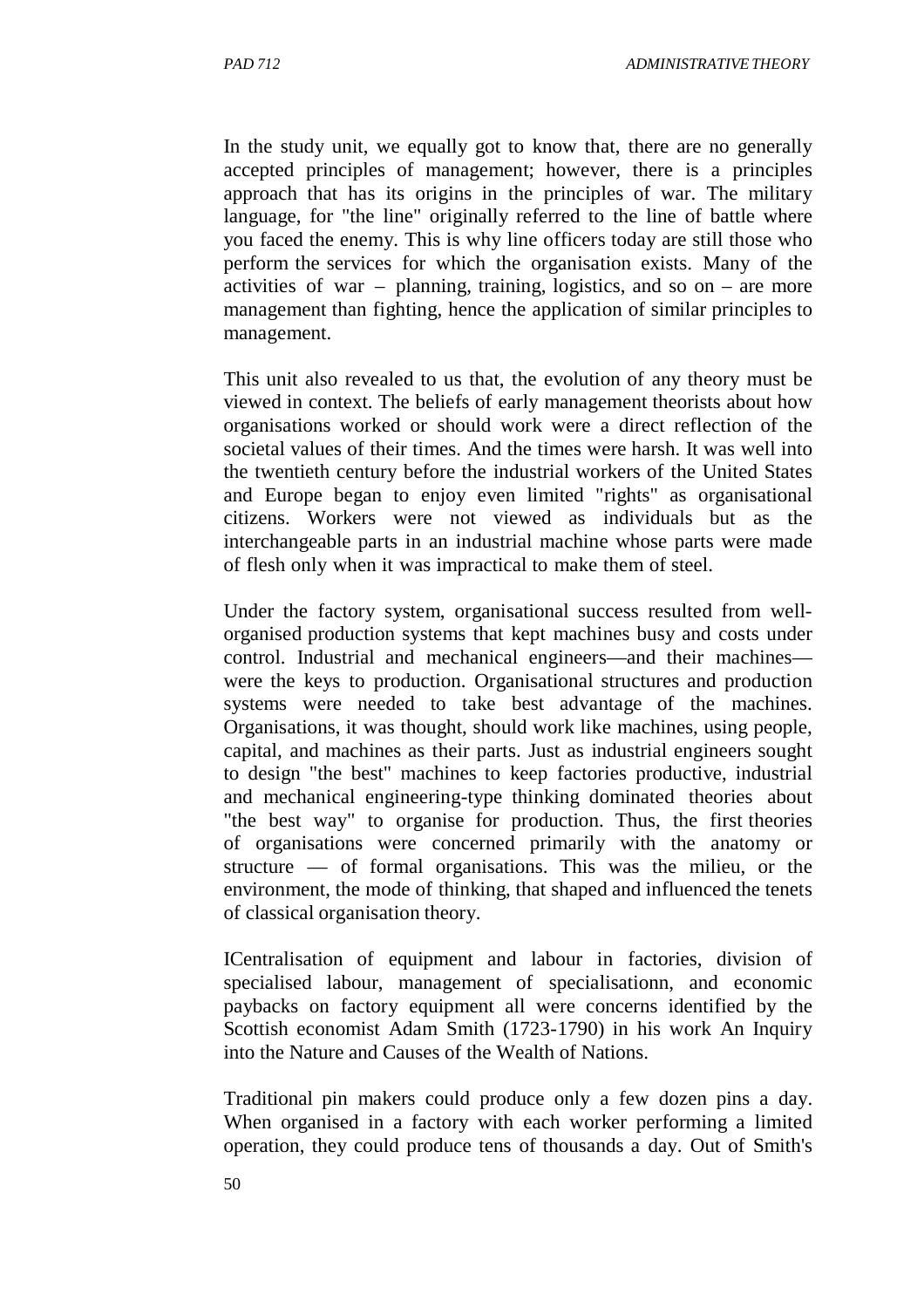In the study unit, we equally got to know that, there are no generally accepted principles of management; however, there is a principles approach that has its origins in the principles of war. The military language, for "the line" originally referred to the line of battle where you faced the enemy. This is why line officers today are still those who perform the services for which the organisation exists. Many of the activities of war – planning, training, logistics, and so on – are more management than fighting, hence the application of similar principles to management.

This unit also revealed to us that, the evolution of any theory must be viewed in context. The beliefs of early management theorists about how organisations worked or should work were a direct reflection of the societal values of their times. And the times were harsh. It was well into the twentieth century before the industrial workers of the United States and Europe began to enjoy even limited "rights" as organisational citizens. Workers were not viewed as individuals but as the interchangeable parts in an industrial machine whose parts were made of flesh only when it was impractical to make them of steel.

Under the factory system, organisational success resulted from wellorganised production systems that kept machines busy and costs under control. Industrial and mechanical engineers—and their machines were the keys to production. Organisational structures and production systems were needed to take best advantage of the machines. Organisations, it was thought, should work like machines, using people, capital, and machines as their parts. Just as industrial engineers sought to design "the best" machines to keep factories productive, industrial and mechanical engineering-type thinking dominated theories about "the best way" to organise for production. Thus, the first theories of organisations were concerned primarily with the anatomy or structure — of formal organisations. This was the milieu, or the environment, the mode of thinking, that shaped and influenced the tenets of classical organisation theory.

ICentralisation of equipment and labour in factories, division of specialised labour, management of specialisationn, and economic paybacks on factory equipment all were concerns identified by the Scottish economist Adam Smith (1723-1790) in his work An Inquiry into the Nature and Causes of the Wealth of Nations.

Traditional pin makers could produce only a few dozen pins a day. When organised in a factory with each worker performing a limited operation, they could produce tens of thousands a day. Out of Smith's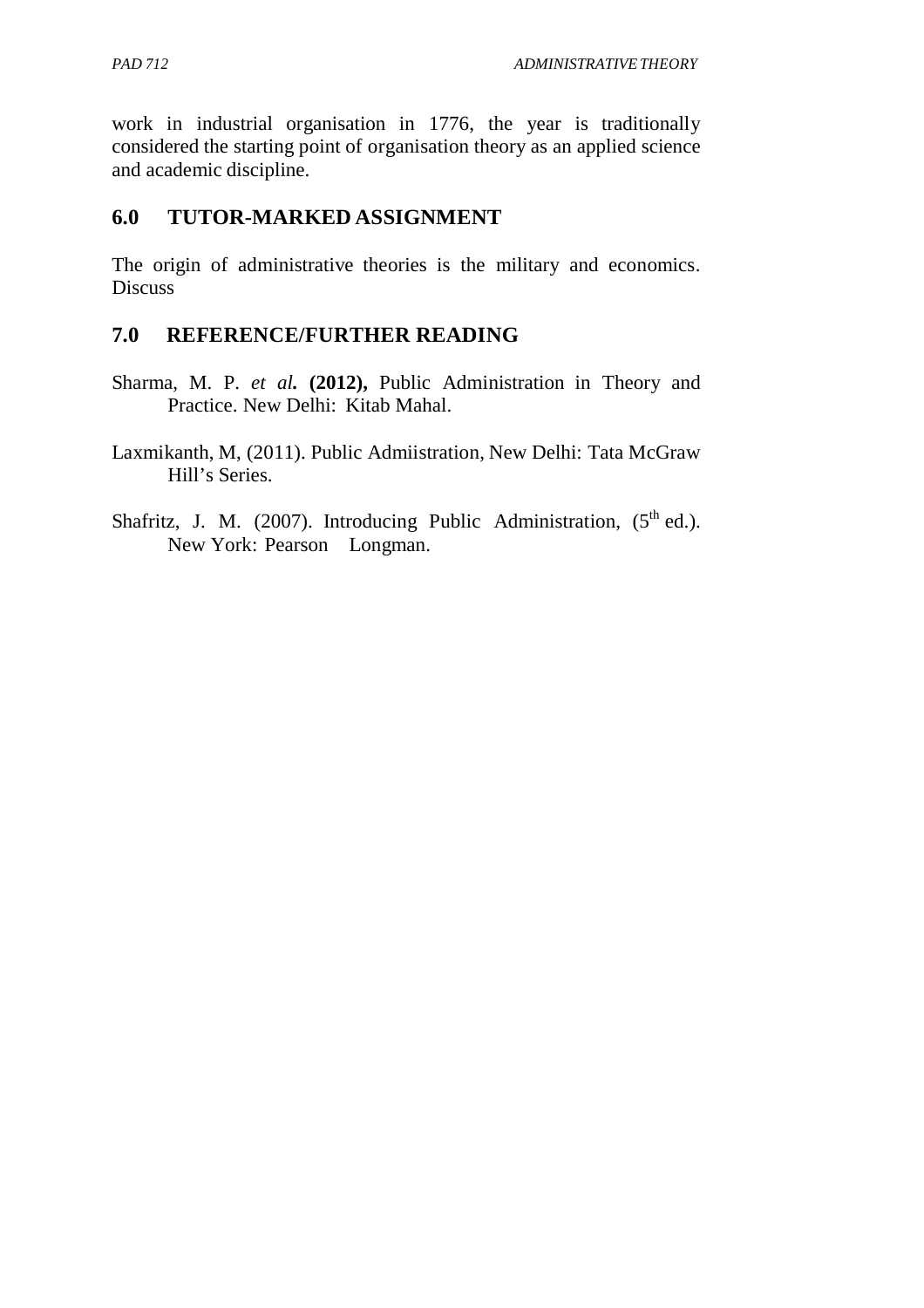work in industrial organisation in 1776, the year is traditionally considered the starting point of organisation theory as an applied science and academic discipline.

### **6.0 TUTOR-MARKED ASSIGNMENT**

The origin of administrative theories is the military and economics. **Discuss** 

### **7.0 REFERENCE/FURTHER READING**

- Sharma, M. P. *et al.* **(2012),** Public Administration in Theory and Practice. New Delhi: Kitab Mahal.
- Laxmikanth, M, (2011). Public Admiistration, New Delhi: Tata McGraw Hill's Series.
- Shafritz, J. M. (2007). Introducing Public Administration,  $(5^{th}$  ed.). New York: Pearson Longman.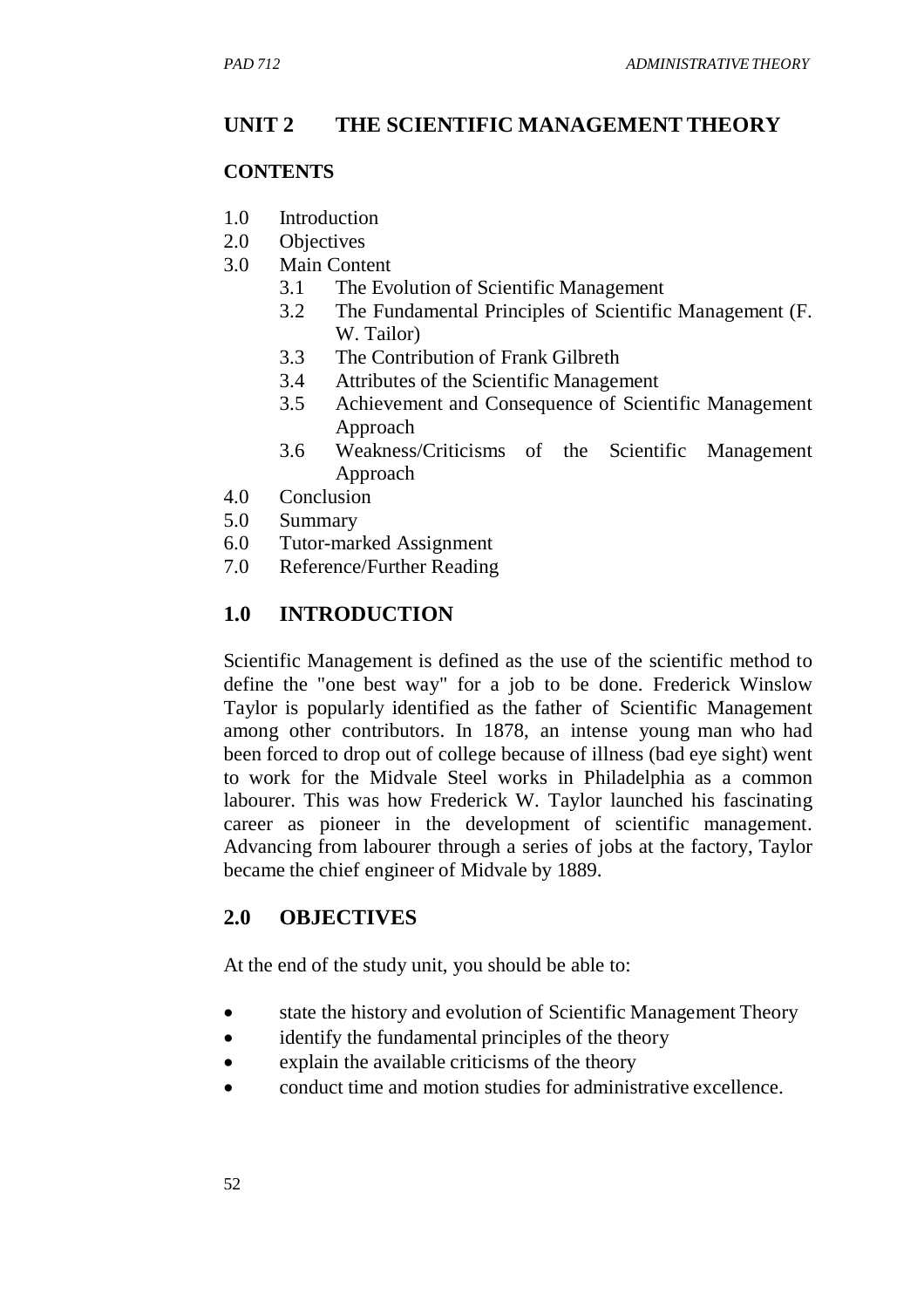### **UNIT 2 THE SCIENTIFIC MANAGEMENT THEORY**

#### **CONTENTS**

- 1.0 Introduction
- 2.0 Objectives
- 3.0 Main Content
	- 3.1 The Evolution of Scientific Management
	- 3.2 The Fundamental Principles of Scientific Management (F. W. Tailor)
	- 3.3 The Contribution of Frank Gilbreth
	- 3.4 Attributes of the Scientific Management
	- 3.5 Achievement and Consequence of Scientific Management Approach
	- 3.6 Weakness/Criticisms of the Scientific Management Approach
- 4.0 Conclusion
- 5.0 Summary
- 6.0 Tutor-marked Assignment
- 7.0 Reference/Further Reading

### **1.0 INTRODUCTION**

Scientific Management is defined as the use of the scientific method to define the "one best way" for a job to be done. Frederick Winslow Taylor is popularly identified as the father of Scientific Management among other contributors. In 1878, an intense young man who had been forced to drop out of college because of illness (bad eye sight) went to work for the Midvale Steel works in Philadelphia as a common labourer. This was how Frederick W. Taylor launched his fascinating career as pioneer in the development of scientific management. Advancing from labourer through a series of jobs at the factory, Taylor became the chief engineer of Midvale by 1889.

#### **2.0 OBJECTIVES**

At the end of the study unit, you should be able to:

- state the history and evolution of Scientific Management Theory
- identify the fundamental principles of the theory
- explain the available criticisms of the theory
- conduct time and motion studies for administrative excellence.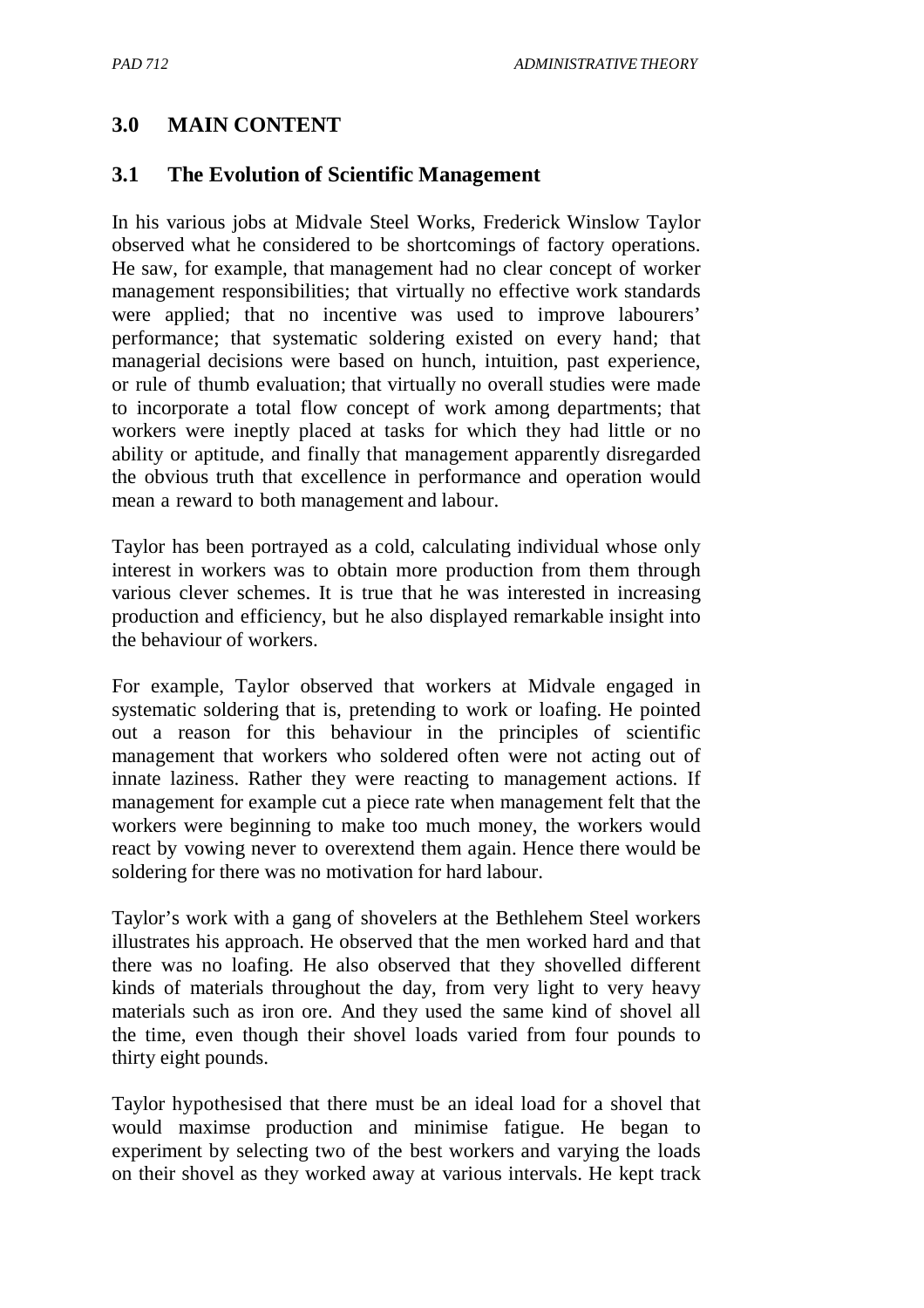# **3.0 MAIN CONTENT**

### **3.1 The Evolution of Scientific Management**

In his various jobs at Midvale Steel Works, Frederick Winslow Taylor observed what he considered to be shortcomings of factory operations. He saw, for example, that management had no clear concept of worker management responsibilities; that virtually no effective work standards were applied; that no incentive was used to improve labourers' performance; that systematic soldering existed on every hand; that managerial decisions were based on hunch, intuition, past experience, or rule of thumb evaluation; that virtually no overall studies were made to incorporate a total flow concept of work among departments; that workers were ineptly placed at tasks for which they had little or no ability or aptitude, and finally that management apparently disregarded the obvious truth that excellence in performance and operation would mean a reward to both management and labour.

Taylor has been portrayed as a cold, calculating individual whose only interest in workers was to obtain more production from them through various clever schemes. It is true that he was interested in increasing production and efficiency, but he also displayed remarkable insight into the behaviour of workers.

For example, Taylor observed that workers at Midvale engaged in systematic soldering that is, pretending to work or loafing. He pointed out a reason for this behaviour in the principles of scientific management that workers who soldered often were not acting out of innate laziness. Rather they were reacting to management actions. If management for example cut a piece rate when management felt that the workers were beginning to make too much money, the workers would react by vowing never to overextend them again. Hence there would be soldering for there was no motivation for hard labour.

Taylor's work with a gang of shovelers at the Bethlehem Steel workers illustrates his approach. He observed that the men worked hard and that there was no loafing. He also observed that they shovelled different kinds of materials throughout the day, from very light to very heavy materials such as iron ore. And they used the same kind of shovel all the time, even though their shovel loads varied from four pounds to thirty eight pounds.

Taylor hypothesised that there must be an ideal load for a shovel that would maximse production and minimise fatigue. He began to experiment by selecting two of the best workers and varying the loads on their shovel as they worked away at various intervals. He kept track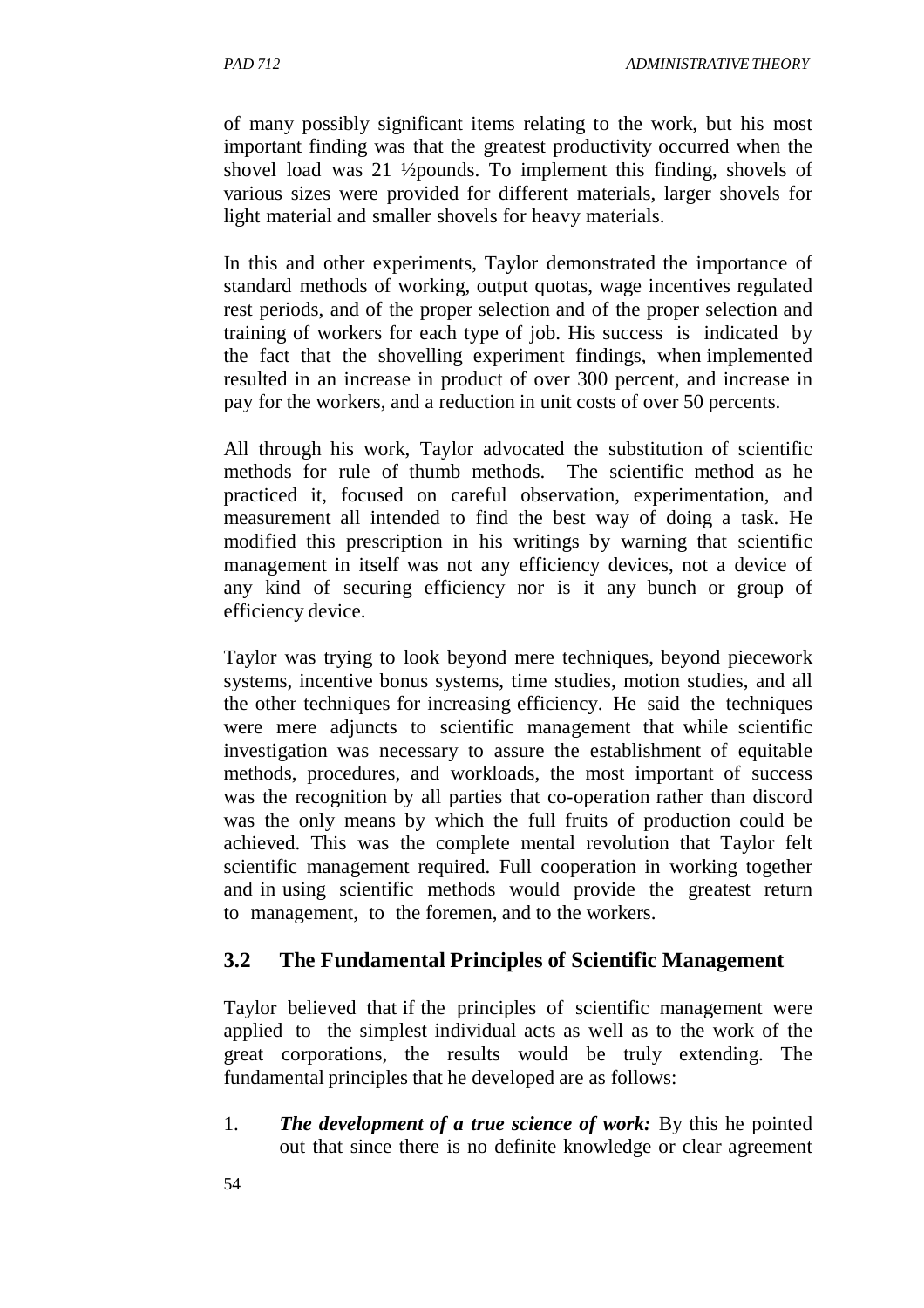of many possibly significant items relating to the work, but his most important finding was that the greatest productivity occurred when the shovel load was 21 ½pounds. To implement this finding, shovels of various sizes were provided for different materials, larger shovels for light material and smaller shovels for heavy materials.

In this and other experiments, Taylor demonstrated the importance of standard methods of working, output quotas, wage incentives regulated rest periods, and of the proper selection and of the proper selection and training of workers for each type of job. His success is indicated by the fact that the shovelling experiment findings, when implemented resulted in an increase in product of over 300 percent, and increase in pay for the workers, and a reduction in unit costs of over 50 percents.

All through his work, Taylor advocated the substitution of scientific methods for rule of thumb methods. The scientific method as he practiced it, focused on careful observation, experimentation, and measurement all intended to find the best way of doing a task. He modified this prescription in his writings by warning that scientific management in itself was not any efficiency devices, not a device of any kind of securing efficiency nor is it any bunch or group of efficiency device.

Taylor was trying to look beyond mere techniques, beyond piecework systems, incentive bonus systems, time studies, motion studies, and all the other techniques for increasing efficiency. He said the techniques were mere adjuncts to scientific management that while scientific investigation was necessary to assure the establishment of equitable methods, procedures, and workloads, the most important of success was the recognition by all parties that co-operation rather than discord was the only means by which the full fruits of production could be achieved. This was the complete mental revolution that Taylor felt scientific management required. Full cooperation in working together and in using scientific methods would provide the greatest return to management, to the foremen, and to the workers.

# **3.2 The Fundamental Principles of Scientific Management**

Taylor believed that if the principles of scientific management were applied to the simplest individual acts as well as to the work of the great corporations, the results would be truly extending. The fundamental principles that he developed are as follows:

1. *The development of a true science of work:* By this he pointed out that since there is no definite knowledge or clear agreement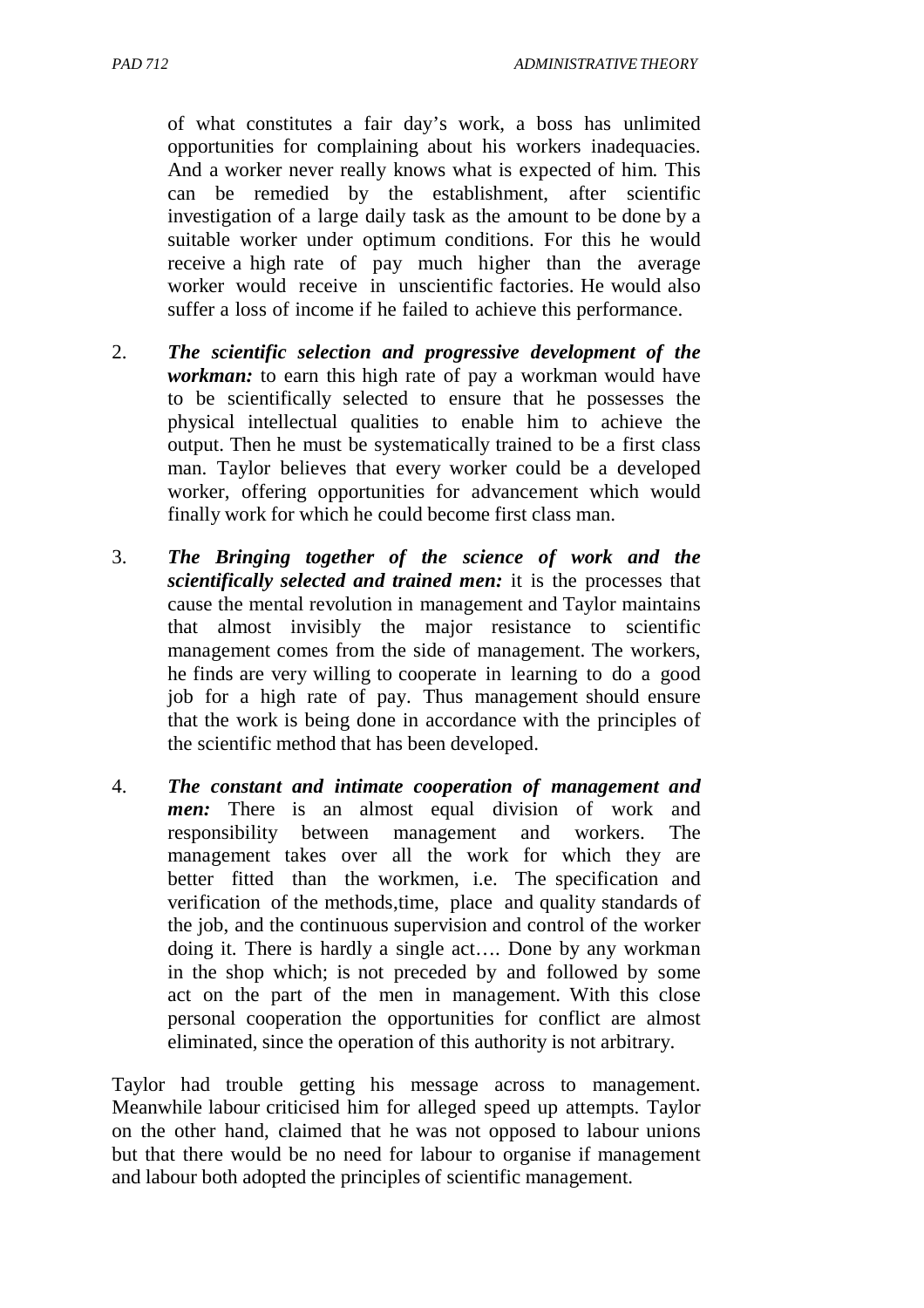of what constitutes a fair day's work, a boss has unlimited opportunities for complaining about his workers inadequacies. And a worker never really knows what is expected of him. This can be remedied by the establishment, after scientific investigation of a large daily task as the amount to be done by a suitable worker under optimum conditions. For this he would receive a high rate of pay much higher than the average worker would receive in unscientific factories. He would also suffer a loss of income if he failed to achieve this performance.

- 2. *The scientific selection and progressive development of the workman:* to earn this high rate of pay a workman would have to be scientifically selected to ensure that he possesses the physical intellectual qualities to enable him to achieve the output. Then he must be systematically trained to be a first class man. Taylor believes that every worker could be a developed worker, offering opportunities for advancement which would finally work for which he could become first class man.
- 3. *The Bringing together of the science of work and the scientifically selected and trained men:* it is the processes that cause the mental revolution in management and Taylor maintains that almost invisibly the major resistance to scientific management comes from the side of management. The workers, he finds are very willing to cooperate in learning to do a good job for a high rate of pay. Thus management should ensure that the work is being done in accordance with the principles of the scientific method that has been developed.
- 4. *The constant and intimate cooperation of management and men:* There is an almost equal division of work and responsibility between management and workers. The management takes over all the work for which they are better fitted than the workmen, i.e. The specification and verification of the methods,time, place and quality standards of the job, and the continuous supervision and control of the worker doing it. There is hardly a single act…. Done by any workman in the shop which; is not preceded by and followed by some act on the part of the men in management. With this close personal cooperation the opportunities for conflict are almost eliminated, since the operation of this authority is not arbitrary.

Taylor had trouble getting his message across to management. Meanwhile labour criticised him for alleged speed up attempts. Taylor on the other hand, claimed that he was not opposed to labour unions but that there would be no need for labour to organise if management and labour both adopted the principles of scientific management.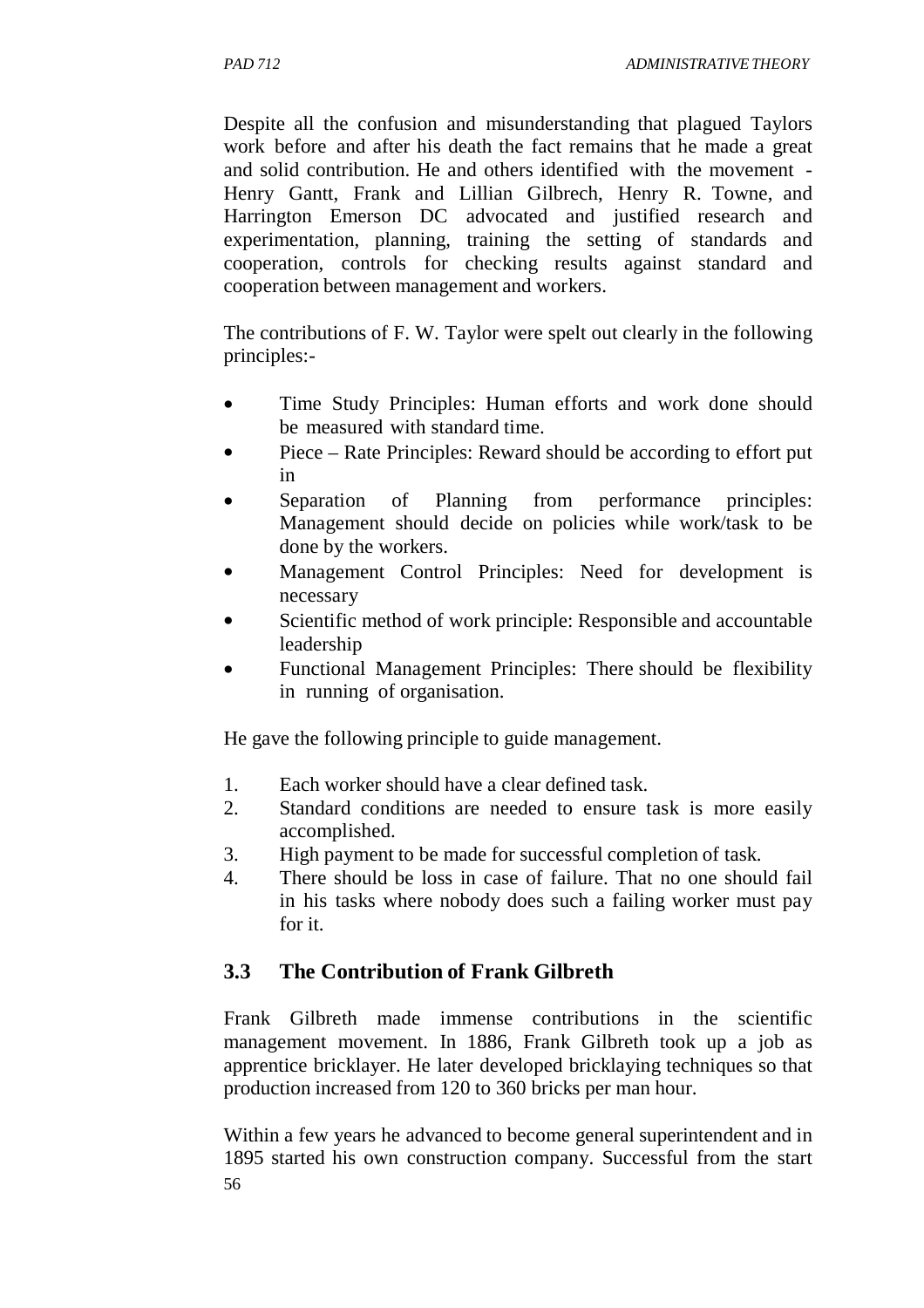Despite all the confusion and misunderstanding that plagued Taylors work before and after his death the fact remains that he made a great and solid contribution. He and others identified with the movement - Henry Gantt, Frank and Lillian Gilbrech, Henry R. Towne, and Harrington Emerson DC advocated and justified research and experimentation, planning, training the setting of standards and cooperation, controls for checking results against standard and cooperation between management and workers.

The contributions of F. W. Taylor were spelt out clearly in the following principles:-

- Time Study Principles: Human efforts and work done should be measured with standard time.
- Piece Rate Principles: Reward should be according to effort put in
- Separation of Planning from performance principles: Management should decide on policies while work/task to be done by the workers.
- Management Control Principles: Need for development is necessary
- Scientific method of work principle: Responsible and accountable leadership
- Functional Management Principles: There should be flexibility in running of organisation.

He gave the following principle to guide management.

- 1. Each worker should have a clear defined task.
- 2. Standard conditions are needed to ensure task is more easily accomplished.
- 3. High payment to be made for successful completion of task.
- 4. There should be loss in case of failure. That no one should fail in his tasks where nobody does such a failing worker must pay for it.

# **3.3 The Contribution of Frank Gilbreth**

Frank Gilbreth made immense contributions in the scientific management movement. In 1886, Frank Gilbreth took up a job as apprentice bricklayer. He later developed bricklaying techniques so that production increased from 120 to 360 bricks per man hour.

56 Within a few years he advanced to become general superintendent and in 1895 started his own construction company. Successful from the start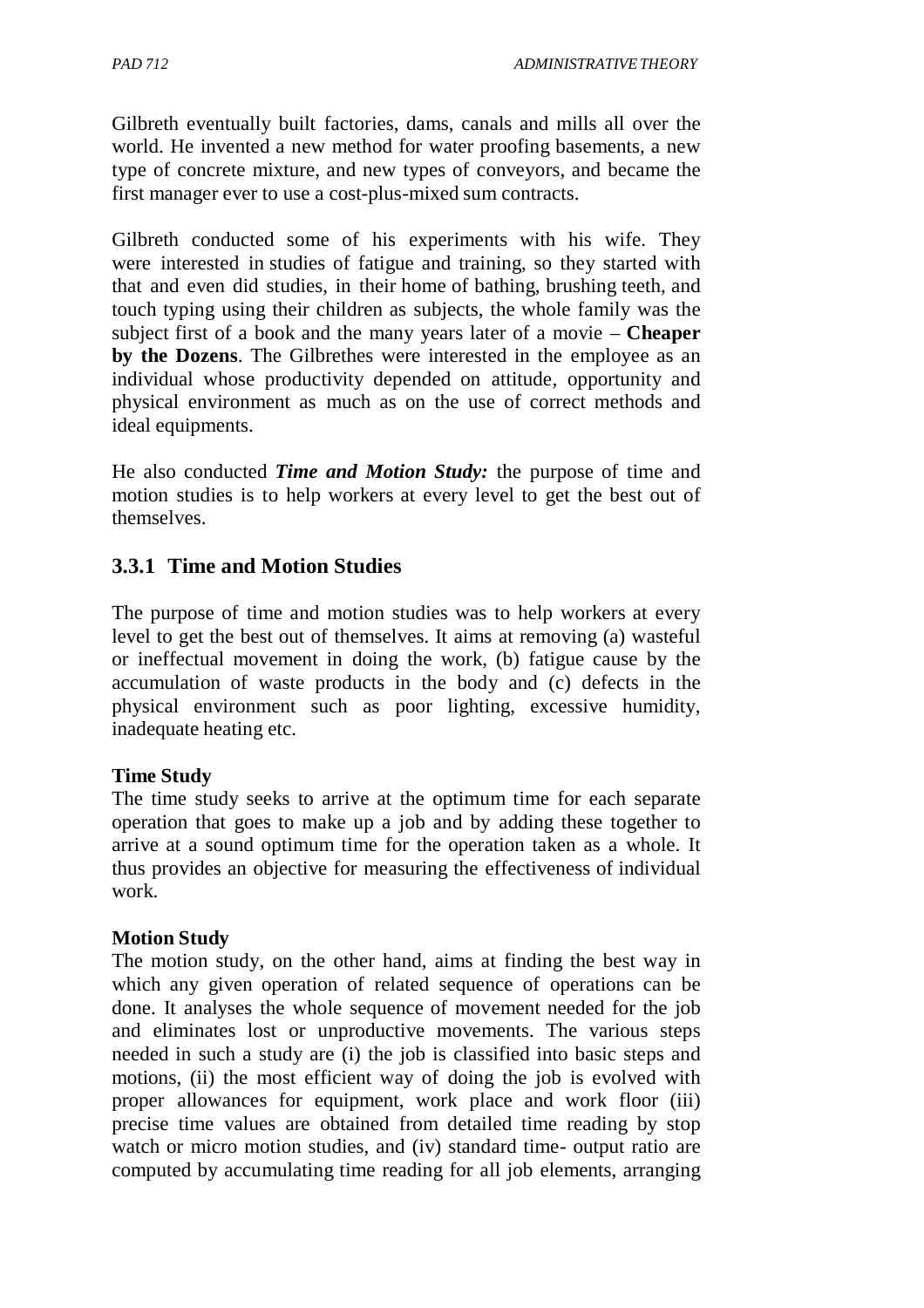*PAD 712 ADMINISTRATIVE THEORY*

Gilbreth eventually built factories, dams, canals and mills all over the world. He invented a new method for water proofing basements, a new type of concrete mixture, and new types of conveyors, and became the first manager ever to use a cost-plus-mixed sum contracts.

Gilbreth conducted some of his experiments with his wife. They were interested in studies of fatigue and training, so they started with that and even did studies, in their home of bathing, brushing teeth, and touch typing using their children as subjects, the whole family was the subject first of a book and the many years later of a movie – **Cheaper by the Dozens**. The Gilbrethes were interested in the employee as an individual whose productivity depended on attitude, opportunity and physical environment as much as on the use of correct methods and ideal equipments.

He also conducted *Time and Motion Study:* the purpose of time and motion studies is to help workers at every level to get the best out of themselves.

# **3.3.1 Time and Motion Studies**

The purpose of time and motion studies was to help workers at every level to get the best out of themselves. It aims at removing (a) wasteful or ineffectual movement in doing the work, (b) fatigue cause by the accumulation of waste products in the body and (c) defects in the physical environment such as poor lighting, excessive humidity, inadequate heating etc.

#### **Time Study**

The time study seeks to arrive at the optimum time for each separate operation that goes to make up a job and by adding these together to arrive at a sound optimum time for the operation taken as a whole. It thus provides an objective for measuring the effectiveness of individual work.

#### **Motion Study**

The motion study, on the other hand, aims at finding the best way in which any given operation of related sequence of operations can be done. It analyses the whole sequence of movement needed for the job and eliminates lost or unproductive movements. The various steps needed in such a study are (i) the job is classified into basic steps and motions, (ii) the most efficient way of doing the job is evolved with proper allowances for equipment, work place and work floor (iii) precise time values are obtained from detailed time reading by stop watch or micro motion studies, and (iv) standard time- output ratio are computed by accumulating time reading for all job elements, arranging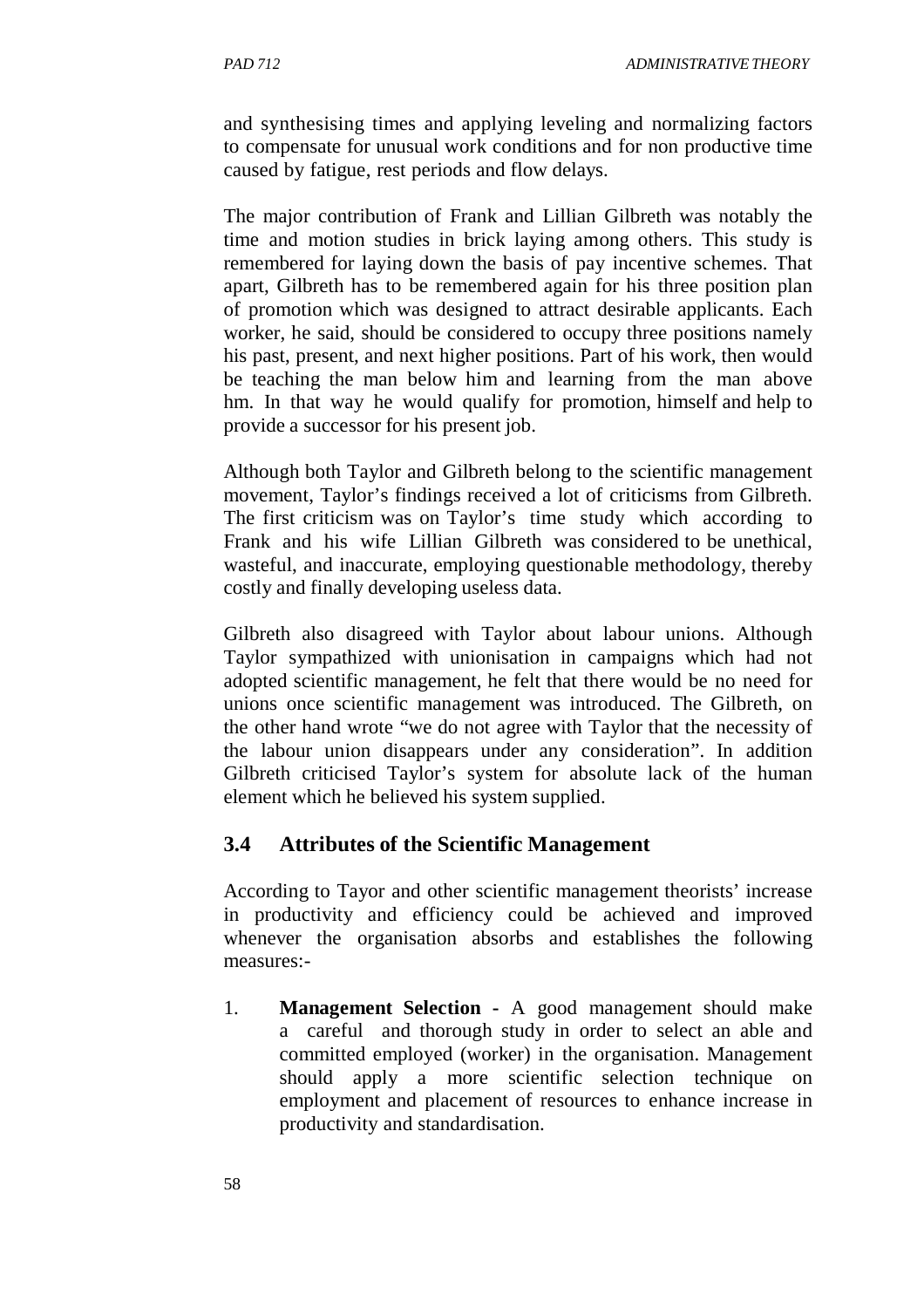and synthesising times and applying leveling and normalizing factors to compensate for unusual work conditions and for non productive time caused by fatigue, rest periods and flow delays.

The major contribution of Frank and Lillian Gilbreth was notably the time and motion studies in brick laying among others. This study is remembered for laying down the basis of pay incentive schemes. That apart, Gilbreth has to be remembered again for his three position plan of promotion which was designed to attract desirable applicants. Each worker, he said, should be considered to occupy three positions namely his past, present, and next higher positions. Part of his work, then would be teaching the man below him and learning from the man above hm. In that way he would qualify for promotion, himself and help to provide a successor for his present job.

Although both Taylor and Gilbreth belong to the scientific management movement, Taylor's findings received a lot of criticisms from Gilbreth. The first criticism was on Taylor's time study which according to Frank and his wife Lillian Gilbreth was considered to be unethical, wasteful, and inaccurate, employing questionable methodology, thereby costly and finally developing useless data.

Gilbreth also disagreed with Taylor about labour unions. Although Taylor sympathized with unionisation in campaigns which had not adopted scientific management, he felt that there would be no need for unions once scientific management was introduced. The Gilbreth, on the other hand wrote "we do not agree with Taylor that the necessity of the labour union disappears under any consideration". In addition Gilbreth criticised Taylor's system for absolute lack of the human element which he believed his system supplied.

# **3.4 Attributes of the Scientific Management**

According to Tayor and other scientific management theorists' increase in productivity and efficiency could be achieved and improved whenever the organisation absorbs and establishes the following measures:-

1. **Management Selection -** A good management should make a careful and thorough study in order to select an able and committed employed (worker) in the organisation. Management should apply a more scientific selection technique on employment and placement of resources to enhance increase in productivity and standardisation.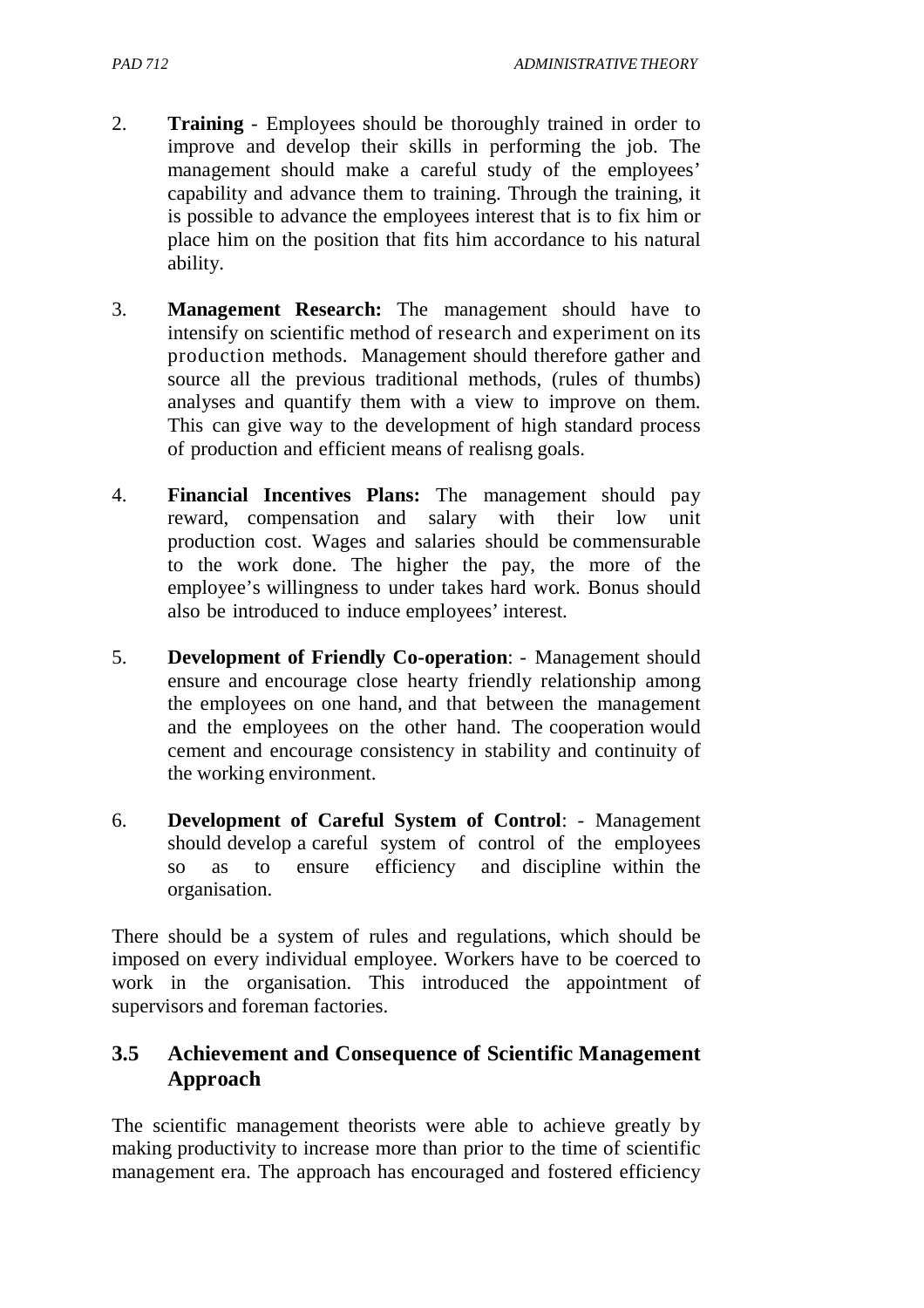- 2. **Training**  Employees should be thoroughly trained in order to improve and develop their skills in performing the job. The management should make a careful study of the employees' capability and advance them to training. Through the training, it is possible to advance the employees interest that is to fix him or place him on the position that fits him accordance to his natural ability.
- 3. **Management Research:** The management should have to intensify on scientific method of research and experiment on its production methods. Management should therefore gather and source all the previous traditional methods, (rules of thumbs) analyses and quantify them with a view to improve on them. This can give way to the development of high standard process of production and efficient means of realisng goals.
- 4. **Financial Incentives Plans:** The management should pay reward, compensation and salary with their low unit production cost. Wages and salaries should be commensurable to the work done. The higher the pay, the more of the employee's willingness to under takes hard work. Bonus should also be introduced to induce employees' interest.
- 5. **Development of Friendly Co-operation**: Management should ensure and encourage close hearty friendly relationship among the employees on one hand, and that between the management and the employees on the other hand. The cooperation would cement and encourage consistency in stability and continuity of the working environment.
- 6. **Development of Careful System of Control**: Management should develop a careful system of control of the employees so as to ensure efficiency and discipline within the organisation.

There should be a system of rules and regulations, which should be imposed on every individual employee. Workers have to be coerced to work in the organisation. This introduced the appointment of supervisors and foreman factories.

# **3.5 Achievement and Consequence of Scientific Management Approach**

The scientific management theorists were able to achieve greatly by making productivity to increase more than prior to the time of scientific management era. The approach has encouraged and fostered efficiency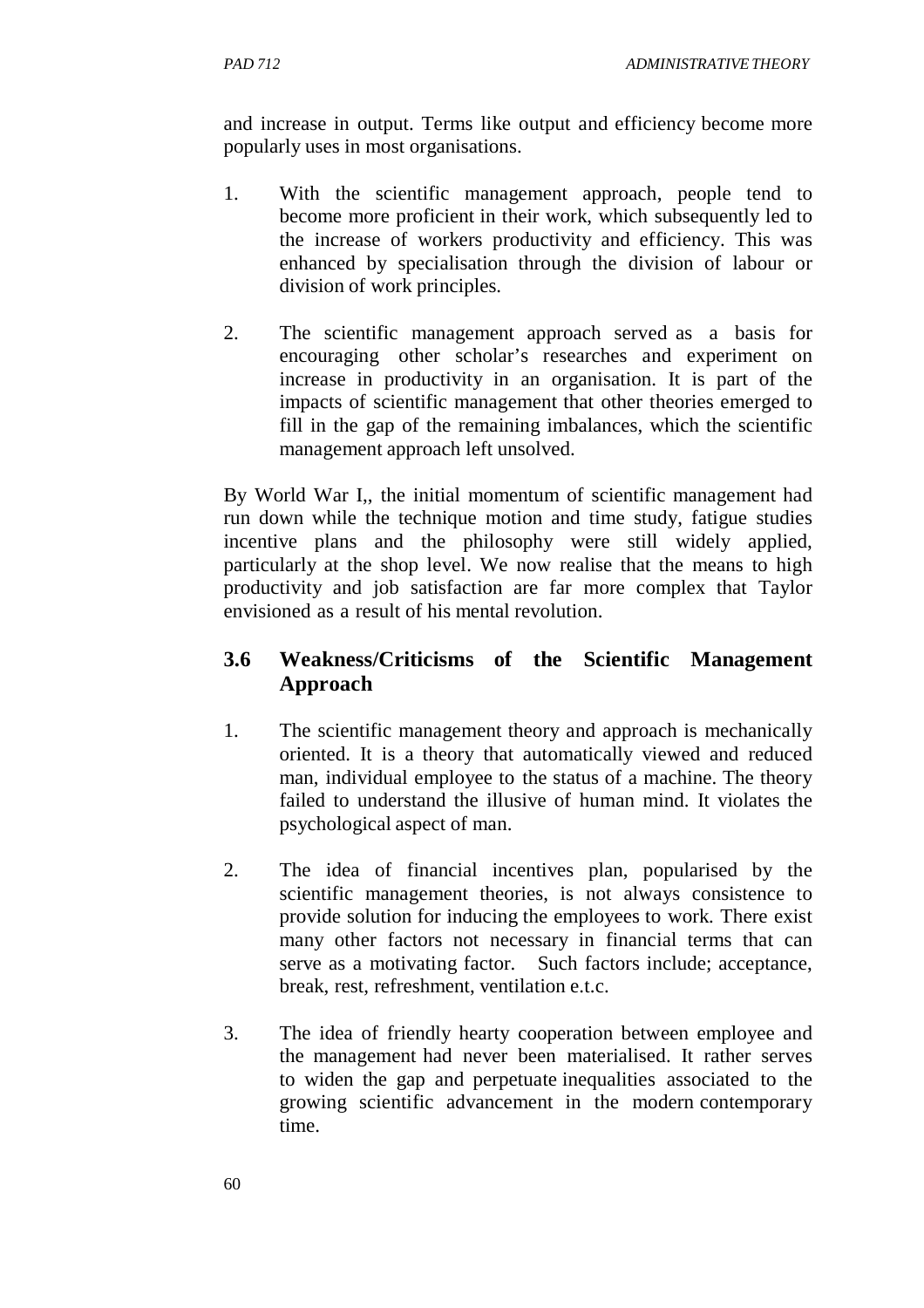and increase in output. Terms like output and efficiency become more popularly uses in most organisations.

- 1. With the scientific management approach, people tend to become more proficient in their work, which subsequently led to the increase of workers productivity and efficiency. This was enhanced by specialisation through the division of labour or division of work principles.
- 2. The scientific management approach served as a basis for encouraging other scholar's researches and experiment on increase in productivity in an organisation. It is part of the impacts of scientific management that other theories emerged to fill in the gap of the remaining imbalances, which the scientific management approach left unsolved.

By World War I,, the initial momentum of scientific management had run down while the technique motion and time study, fatigue studies incentive plans and the philosophy were still widely applied, particularly at the shop level. We now realise that the means to high productivity and job satisfaction are far more complex that Taylor envisioned as a result of his mental revolution.

# **3.6 Weakness/Criticisms of the Scientific Management Approach**

- 1. The scientific management theory and approach is mechanically oriented. It is a theory that automatically viewed and reduced man, individual employee to the status of a machine. The theory failed to understand the illusive of human mind. It violates the psychological aspect of man.
- 2. The idea of financial incentives plan, popularised by the scientific management theories, is not always consistence to provide solution for inducing the employees to work. There exist many other factors not necessary in financial terms that can serve as a motivating factor. Such factors include; acceptance, break, rest, refreshment, ventilation e.t.c.
- 3. The idea of friendly hearty cooperation between employee and the management had never been materialised. It rather serves to widen the gap and perpetuate inequalities associated to the growing scientific advancement in the modern contemporary time.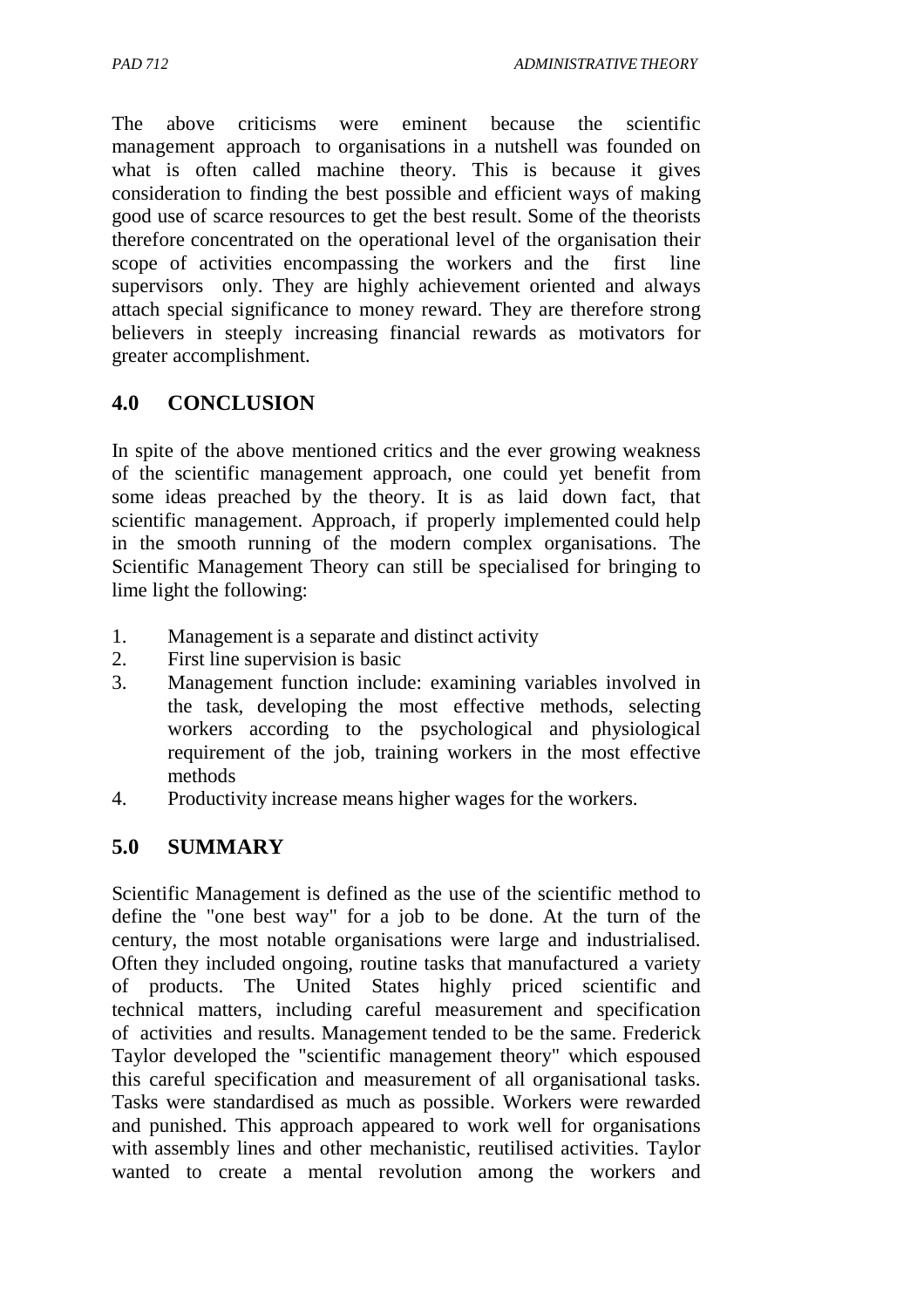The above criticisms were eminent because the scientific management approach to organisations in a nutshell was founded on what is often called machine theory. This is because it gives consideration to finding the best possible and efficient ways of making good use of scarce resources to get the best result. Some of the theorists therefore concentrated on the operational level of the organisation their scope of activities encompassing the workers and the first line supervisors only. They are highly achievement oriented and always attach special significance to money reward. They are therefore strong believers in steeply increasing financial rewards as motivators for greater accomplishment.

# **4.0 CONCLUSION**

In spite of the above mentioned critics and the ever growing weakness of the scientific management approach, one could yet benefit from some ideas preached by the theory. It is as laid down fact, that scientific management. Approach, if properly implemented could help in the smooth running of the modern complex organisations. The Scientific Management Theory can still be specialised for bringing to lime light the following:

- 1. Management is a separate and distinct activity
- 2. First line supervision is basic
- 3. Management function include: examining variables involved in the task, developing the most effective methods, selecting workers according to the psychological and physiological requirement of the job, training workers in the most effective methods
- 4. Productivity increase means higher wages for the workers.

# **5.0 SUMMARY**

Scientific Management is defined as the use of the scientific method to define the "one best way" for a job to be done. At the turn of the century, the most notable organisations were large and industrialised. Often they included ongoing, routine tasks that manufactured a variety of products. The United States highly priced scientific and technical matters, including careful measurement and specification of activities and results. Management tended to be the same. Frederick Taylor developed the "scientific management theory" which espoused this careful specification and measurement of all organisational tasks. Tasks were standardised as much as possible. Workers were rewarded and punished. This approach appeared to work well for organisations with assembly lines and other mechanistic, reutilised activities. Taylor wanted to create a mental revolution among the workers and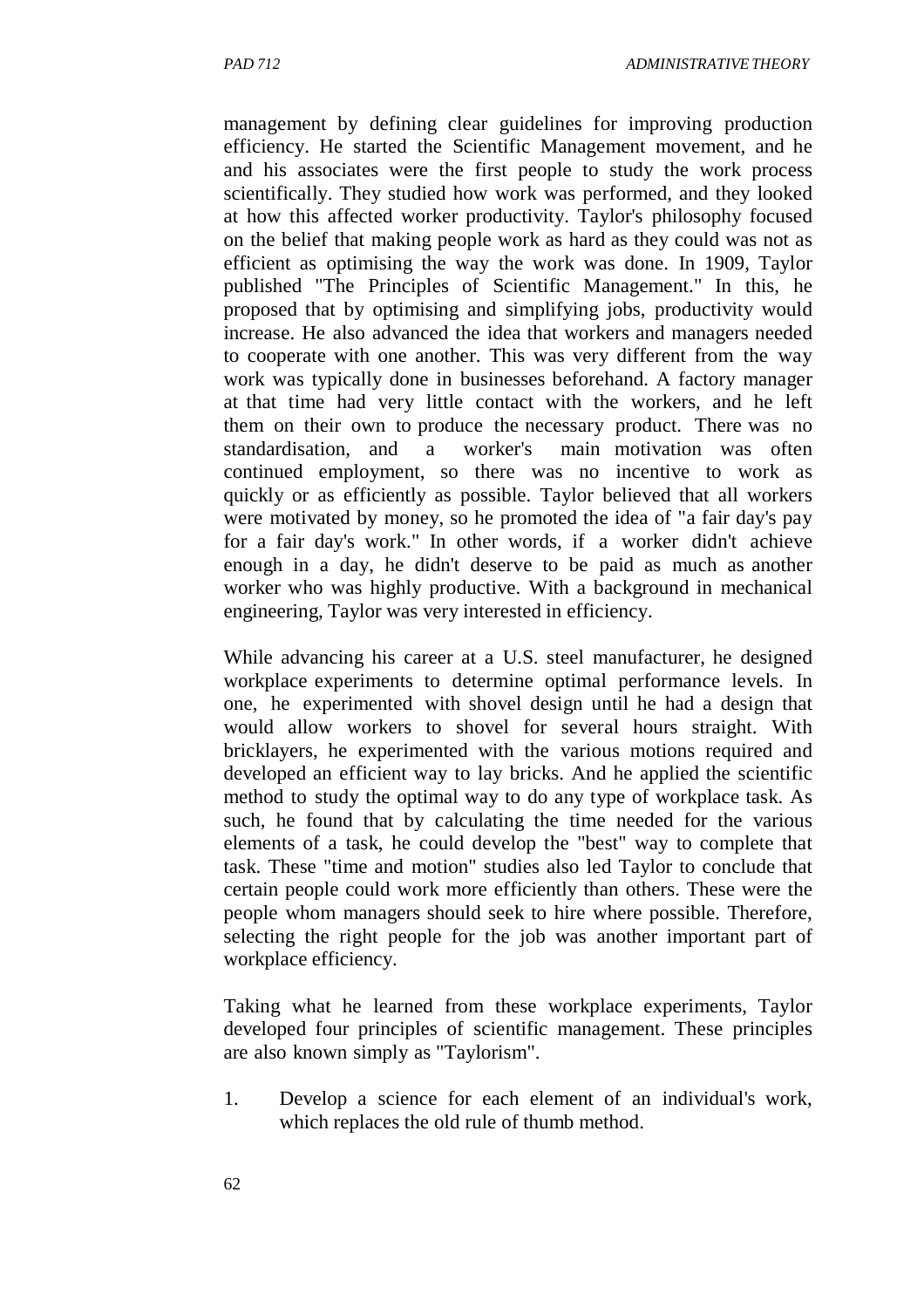management by defining clear guidelines for improving production efficiency. He started the Scientific Management movement, and he and his associates were the first people to study the work process scientifically. They studied how work was performed, and they looked at how this affected worker productivity. Taylor's philosophy focused on the belief that making people work as hard as they could was not as efficient as optimising the way the work was done. In 1909, Taylor published "The Principles of Scientific Management." In this, he proposed that by optimising and simplifying jobs, productivity would increase. He also advanced the idea that workers and managers needed to cooperate with one another. This was very different from the way work was typically done in businesses beforehand. A factory manager at that time had very little contact with the workers, and he left them on their own to produce the necessary product. There was no standardisation, and a worker's main motivation was often continued employment, so there was no incentive to work as quickly or as efficiently as possible. Taylor believed that all workers were motivated by money, so he promoted the idea of "a fair day's pay for a fair day's work." In other words, if a worker didn't achieve enough in a day, he didn't deserve to be paid as much as another worker who was highly productive. With a background in mechanical engineering, Taylor was very interested in efficiency.

While advancing his career at a U.S. steel manufacturer, he designed workplace experiments to determine optimal performance levels. In one, he experimented with shovel design until he had a design that would allow workers to shovel for several hours straight. With bricklayers, he experimented with the various motions required and developed an efficient way to lay bricks. And he applied the scientific method to study the optimal way to do any type of workplace task. As such, he found that by calculating the time needed for the various elements of a task, he could develop the "best" way to complete that task. These "time and motion" studies also led Taylor to conclude that certain people could work more efficiently than others. These were the people whom managers should seek to hire where possible. Therefore, selecting the right people for the job was another important part of workplace efficiency.

Taking what he learned from these workplace experiments, Taylor developed four principles of scientific management. These principles are also known simply as "Taylorism".

1. Develop a science for each element of an individual's work, which replaces the old rule of thumb method.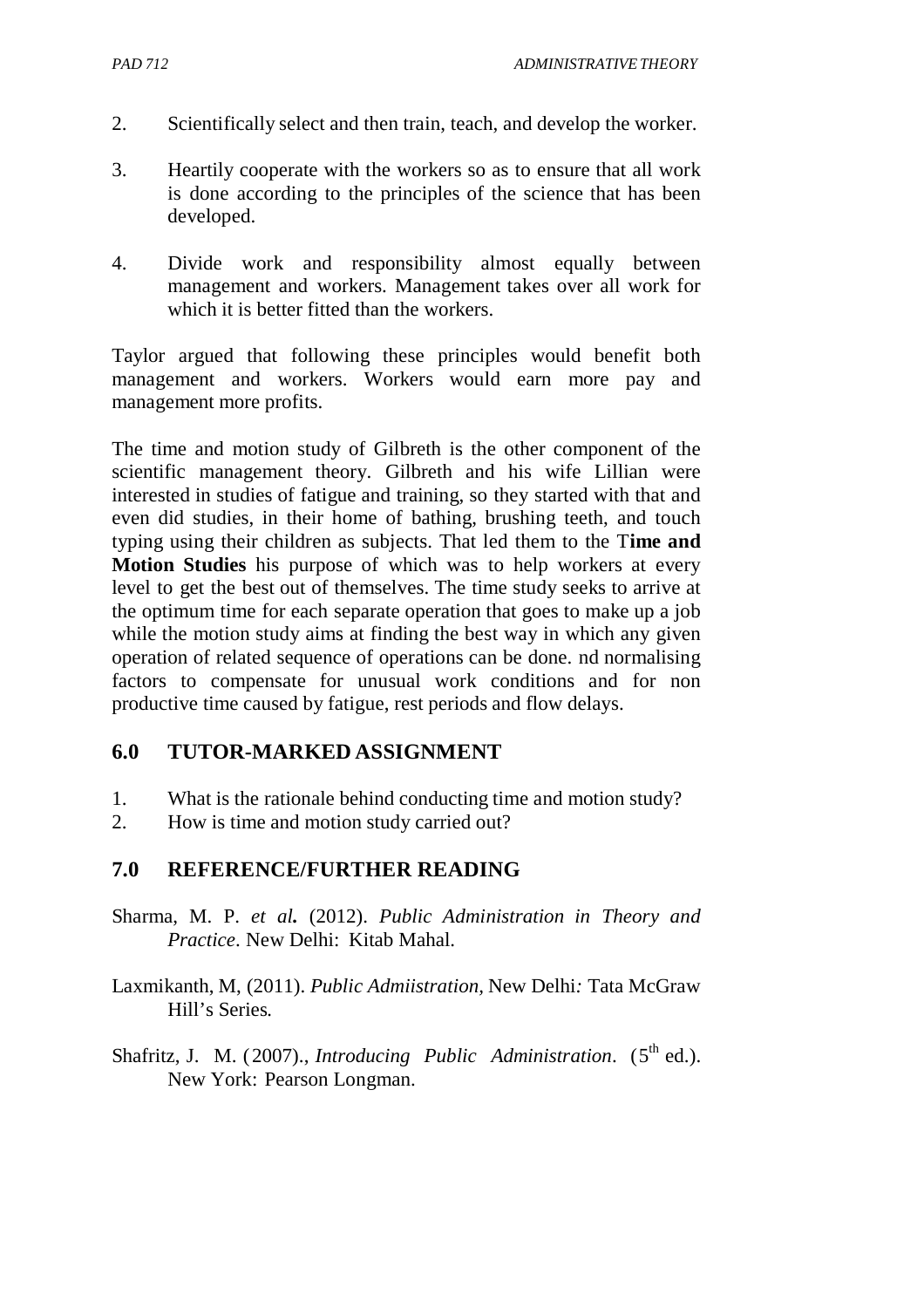- 2. Scientifically select and then train, teach, and develop the worker.
- 3. Heartily cooperate with the workers so as to ensure that all work is done according to the principles of the science that has been developed.
- 4. Divide work and responsibility almost equally between management and workers. Management takes over all work for which it is better fitted than the workers.

Taylor argued that following these principles would benefit both management and workers. Workers would earn more pay and management more profits.

The time and motion study of Gilbreth is the other component of the scientific management theory. Gilbreth and his wife Lillian were interested in studies of fatigue and training, so they started with that and even did studies, in their home of bathing, brushing teeth, and touch typing using their children as subjects. That led them to the T**ime and Motion Studies** his purpose of which was to help workers at every level to get the best out of themselves. The time study seeks to arrive at the optimum time for each separate operation that goes to make up a job while the motion study aims at finding the best way in which any given operation of related sequence of operations can be done. nd normalising factors to compensate for unusual work conditions and for non productive time caused by fatigue, rest periods and flow delays.

#### **6.0 TUTOR-MARKED ASSIGNMENT**

- 1. What is the rationale behind conducting time and motion study?
- 2. How is time and motion study carried out?

#### **7.0 REFERENCE/FURTHER READING**

- Sharma, M. P. *et al.* (2012). *Public Administration in Theory and Practice*. New Delhi: Kitab Mahal.
- Laxmikanth, M, (2011). *Public Admiistration,* New Delhi*:* Tata McGraw Hill's Series*.*
- Shafritz, J. M. (2007)., *Introducing Public Administration*. (5<sup>th</sup> ed.). New York: Pearson Longman.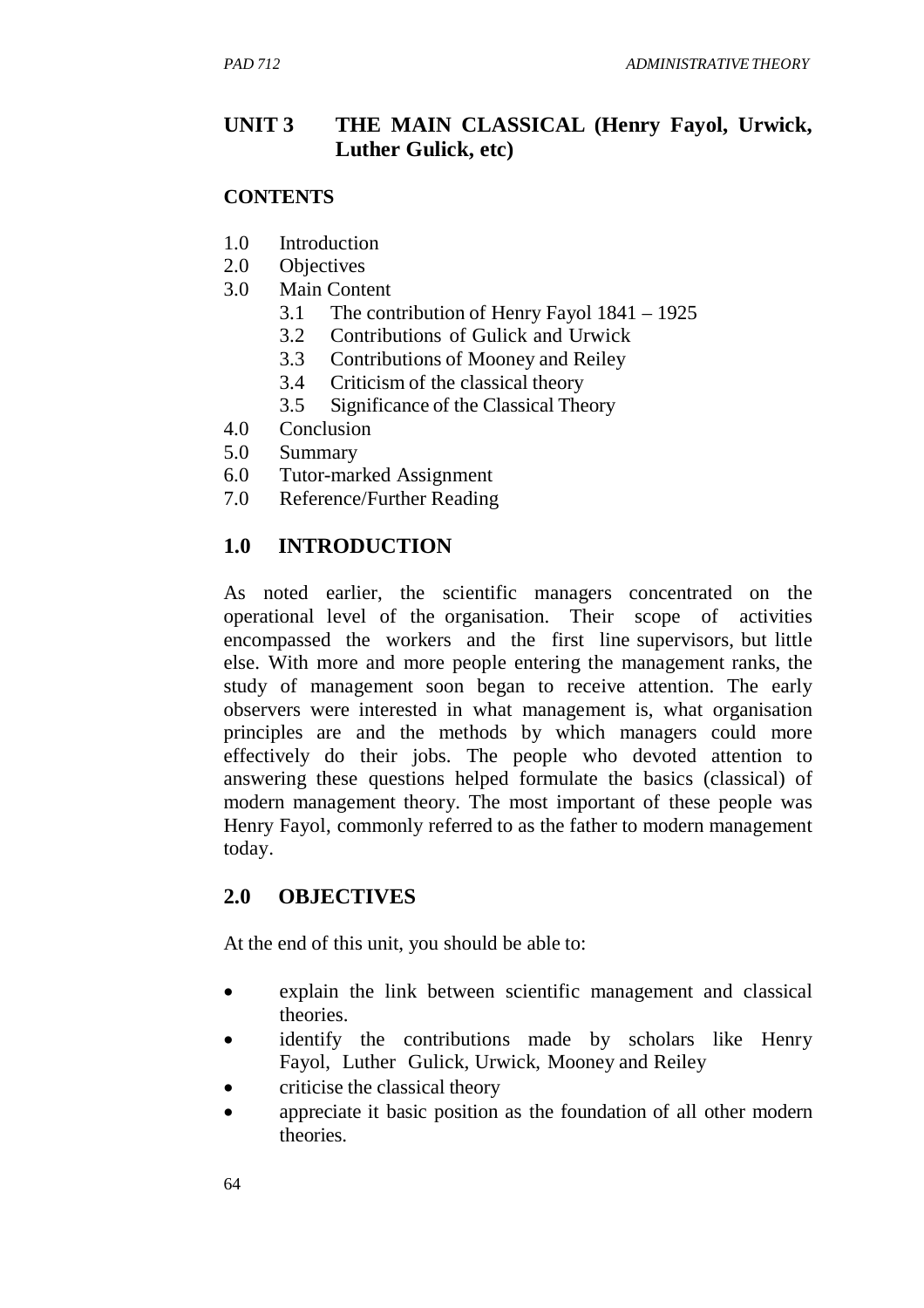# **UNIT 3 THE MAIN CLASSICAL (Henry Fayol, Urwick, Luther Gulick, etc)**

#### **CONTENTS**

- 1.0 Introduction
- 2.0 Objectives
- 3.0 Main Content
	- 3.1 The contribution of Henry Fayol 1841 1925
	- 3.2 Contributions of Gulick and Urwick
	- 3.3 Contributions of Mooney and Reiley
	- 3.4 Criticism of the classical theory
	- 3.5 Significance of the Classical Theory
- 4.0 Conclusion
- 5.0 Summary
- 6.0 Tutor-marked Assignment
- 7.0 Reference/Further Reading

# **1.0 INTRODUCTION**

As noted earlier, the scientific managers concentrated on the operational level of the organisation. Their scope of activities encompassed the workers and the first line supervisors, but little else. With more and more people entering the management ranks, the study of management soon began to receive attention. The early observers were interested in what management is, what organisation principles are and the methods by which managers could more effectively do their jobs. The people who devoted attention to answering these questions helped formulate the basics (classical) of modern management theory. The most important of these people was Henry Fayol, commonly referred to as the father to modern management today.

# **2.0 OBJECTIVES**

At the end of this unit, you should be able to:

- explain the link between scientific management and classical theories.
- identify the contributions made by scholars like Henry Fayol, Luther Gulick, Urwick, Mooney and Reiley
- criticise the classical theory
- appreciate it basic position as the foundation of all other modern theories.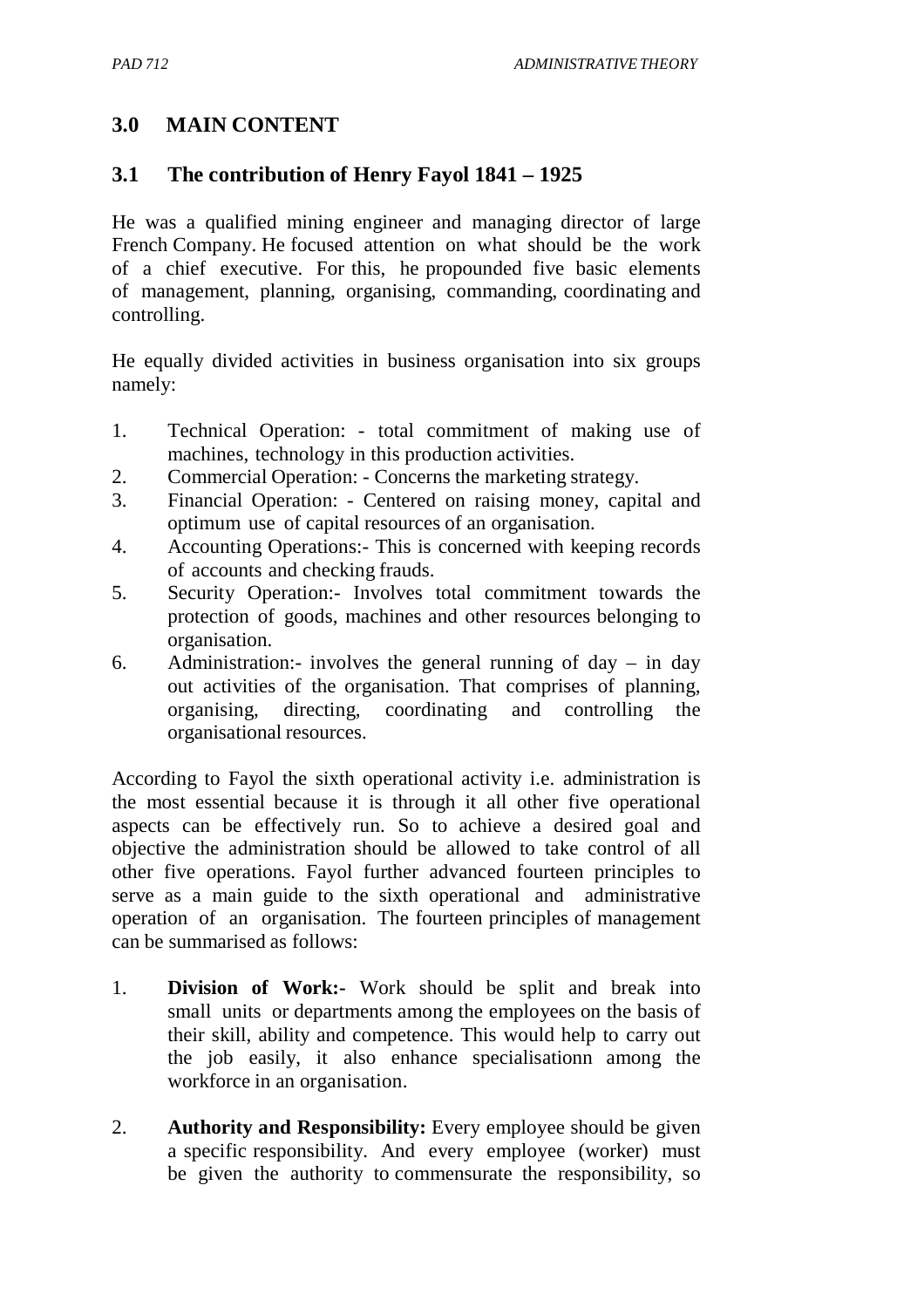# **3.0 MAIN CONTENT**

### **3.1 The contribution of Henry Fayol 1841 – 1925**

He was a qualified mining engineer and managing director of large French Company. He focused attention on what should be the work of a chief executive. For this, he propounded five basic elements of management, planning, organising, commanding, coordinating and controlling.

He equally divided activities in business organisation into six groups namely:

- 1. Technical Operation: total commitment of making use of machines, technology in this production activities.
- 2. Commercial Operation: Concerns the marketing strategy.
- 3. Financial Operation: Centered on raising money, capital and optimum use of capital resources of an organisation.
- 4. Accounting Operations:- This is concerned with keeping records of accounts and checking frauds.
- 5. Security Operation:- Involves total commitment towards the protection of goods, machines and other resources belonging to organisation.
- 6. Administration:- involves the general running of day in day out activities of the organisation. That comprises of planning, organising, directing, coordinating and controlling the organisational resources.

According to Fayol the sixth operational activity i.e. administration is the most essential because it is through it all other five operational aspects can be effectively run. So to achieve a desired goal and objective the administration should be allowed to take control of all other five operations. Fayol further advanced fourteen principles to serve as a main guide to the sixth operational and administrative operation of an organisation. The fourteen principles of management can be summarised as follows:

- 1. **Division of Work:-** Work should be split and break into small units or departments among the employees on the basis of their skill, ability and competence. This would help to carry out the job easily, it also enhance specialisationn among the workforce in an organisation.
- 2. **Authority and Responsibility:** Every employee should be given a specific responsibility. And every employee (worker) must be given the authority to commensurate the responsibility, so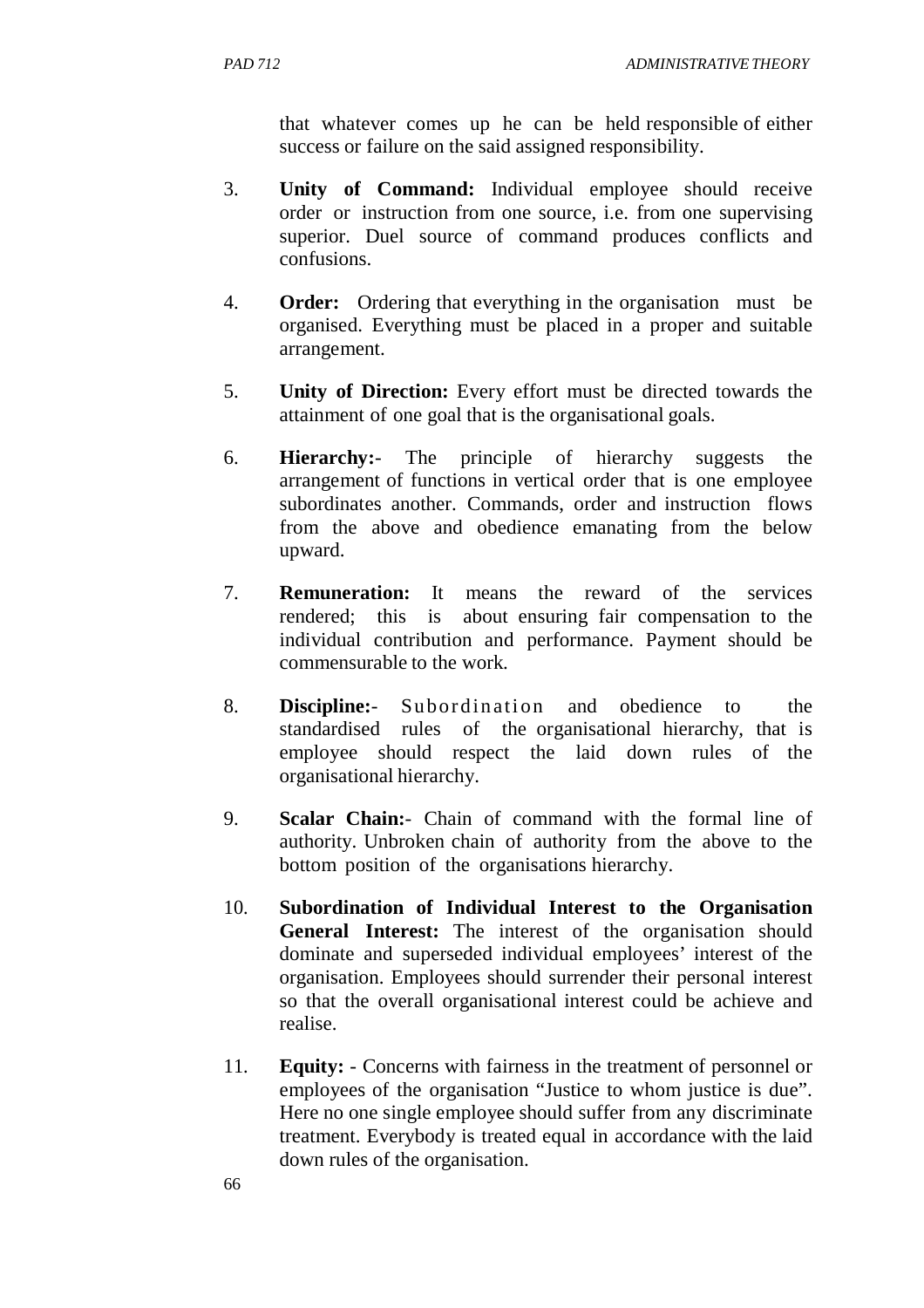that whatever comes up he can be held responsible of either success or failure on the said assigned responsibility.

- 3. **Unity of Command:** Individual employee should receive order or instruction from one source, i.e. from one supervising superior. Duel source of command produces conflicts and confusions.
- 4. **Order:** Ordering that everything in the organisation must be organised. Everything must be placed in a proper and suitable arrangement.
- 5. **Unity of Direction:** Every effort must be directed towards the attainment of one goal that is the organisational goals.
- 6. **Hierarchy:** The principle of hierarchy suggests the arrangement of functions in vertical order that is one employee subordinates another. Commands, order and instruction flows from the above and obedience emanating from the below upward.
- 7. **Remuneration:** It means the reward of the services rendered; this is about ensuring fair compensation to the individual contribution and performance. Payment should be commensurable to the work.
- 8. **Discipline:** Subordination and obedience to the standardised rules of the organisational hierarchy, that is employee should respect the laid down rules of the organisational hierarchy.
- 9. **Scalar Chain:** Chain of command with the formal line of authority. Unbroken chain of authority from the above to the bottom position of the organisations hierarchy.
- 10. **Subordination of Individual Interest to the Organisation General Interest:** The interest of the organisation should dominate and superseded individual employees' interest of the organisation. Employees should surrender their personal interest so that the overall organisational interest could be achieve and realise.
- 11. **Equity:**  Concerns with fairness in the treatment of personnel or employees of the organisation "Justice to whom justice is due". Here no one single employee should suffer from any discriminate treatment. Everybody is treated equal in accordance with the laid down rules of the organisation.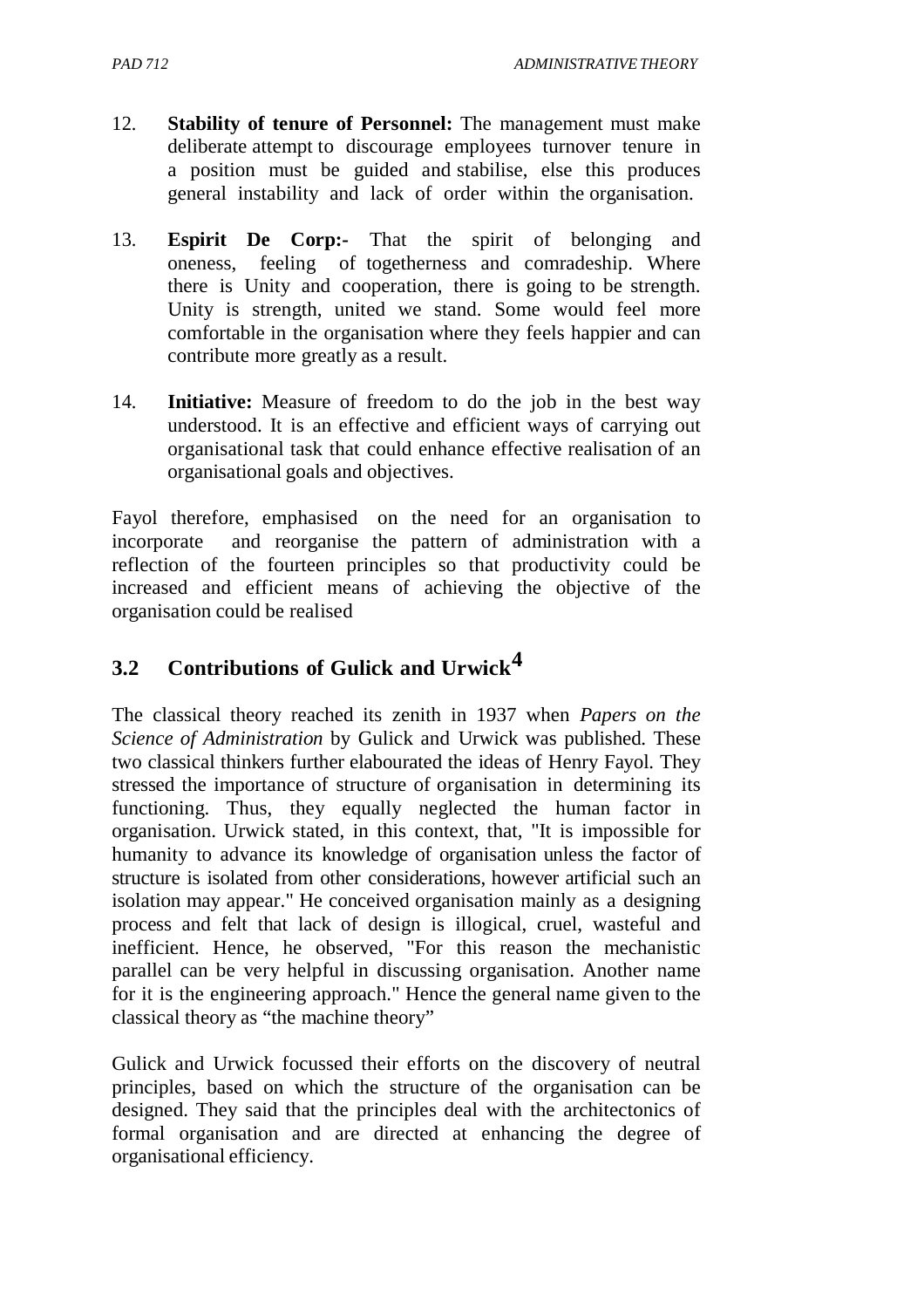- 12. **Stability of tenure of Personnel:** The management must make deliberate attempt to discourage employees turnover tenure in a position must be guided and stabilise, else this produces general instability and lack of order within the organisation.
- 13. **Espirit De Corp:-** That the spirit of belonging and oneness, feeling of togetherness and comradeship. Where there is Unity and cooperation, there is going to be strength. Unity is strength, united we stand. Some would feel more comfortable in the organisation where they feels happier and can contribute more greatly as a result.
- 14. **Initiative:** Measure of freedom to do the job in the best way understood. It is an effective and efficient ways of carrying out organisational task that could enhance effective realisation of an organisational goals and objectives.

Fayol therefore, emphasised on the need for an organisation to incorporate and reorganise the pattern of administration with a reflection of the fourteen principles so that productivity could be increased and efficient means of achieving the objective of the organisation could be realised

# **3.2 Contributions of Gulick and Urwick<sup>4</sup>**

The classical theory reached its zenith in 1937 when *Papers on the Science of Administration* by Gulick and Urwick was published. These two classical thinkers further elabourated the ideas of Henry Fayol. They stressed the importance of structure of organisation in determining its functioning. Thus, they equally neglected the human factor in organisation. Urwick stated, in this context, that, "It is impossible for humanity to advance its knowledge of organisation unless the factor of structure is isolated from other considerations, however artificial such an isolation may appear." He conceived organisation mainly as a designing process and felt that lack of design is illogical, cruel, wasteful and inefficient. Hence, he observed, "For this reason the mechanistic parallel can be very helpful in discussing organisation. Another name for it is the engineering approach." Hence the general name given to the classical theory as "the machine theory"

Gulick and Urwick focussed their efforts on the discovery of neutral principles, based on which the structure of the organisation can be designed. They said that the principles deal with the architectonics of formal organisation and are directed at enhancing the degree of organisational efficiency.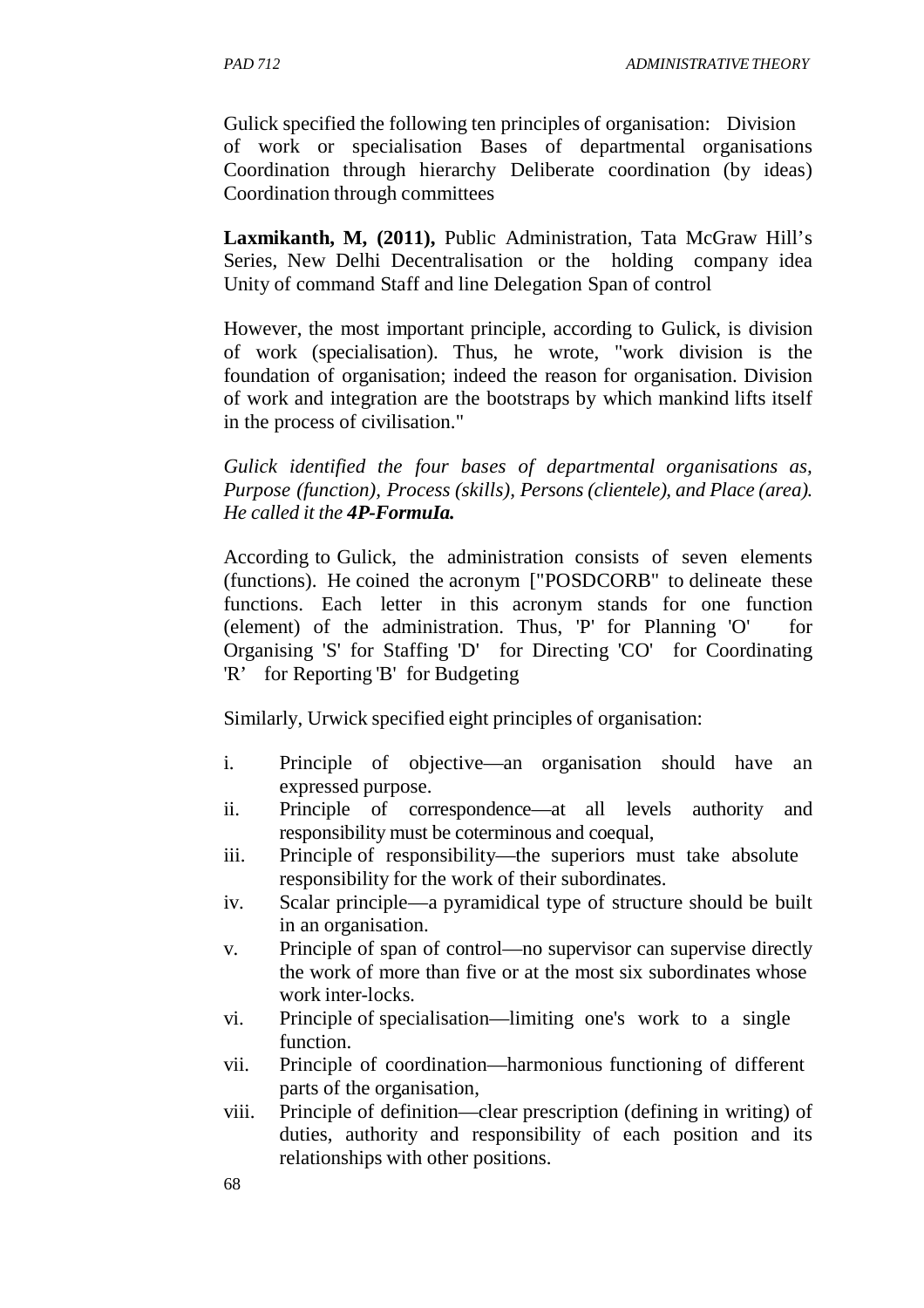Gulick specified the following ten principles of organisation: Division of work or specialisation Bases of departmental organisations Coordination through hierarchy Deliberate coordination (by ideas) Coordination through committees

Laxmikanth, M, (2011), Public Administration, Tata McGraw Hill's Series, New Delhi Decentralisation or the holding company idea Unity of command Staff and line Delegation Span of control

However, the most important principle, according to Gulick, is division of work (specialisation). Thus, he wrote, "work division is the foundation of organisation; indeed the reason for organisation. Division of work and integration are the bootstraps by which mankind lifts itself in the process of civilisation."

*Gulick identified the four bases of departmental organisations as, Purpose (function), Process (skills), Persons (clientele), and Place (area). He called it the 4P-FormuIa.*

According to Gulick, the administration consists of seven elements (functions). He coined the acronym ["POSDCORB" to delineate these functions. Each letter in this acronym stands for one function (element) of the administration. Thus, 'P' for Planning 'O' for Organising 'S' for Staffing 'D' for Directing 'CO' for Coordinating 'R' for Reporting 'B' for Budgeting

Similarly, Urwick specified eight principles of organisation:

- i. Principle of objective—an organisation should have an expressed purpose.
- ii. Principle of correspondence—at all levels authority and responsibility must be coterminous and coequal,
- iii. Principle of responsibility—the superiors must take absolute responsibility for the work of their subordinates.
- iv. Scalar principle—a pyramidical type of structure should be built in an organisation.
- v. Principle of span of control—no supervisor can supervise directly the work of more than five or at the most six subordinates whose work inter-locks.
- vi. Principle of specialisation—limiting one's work to a single function.
- vii. Principle of coordination—harmonious functioning of different parts of the organisation,
- viii. Principle of definition—clear prescription (defining in writing) of duties, authority and responsibility of each position and its relationships with other positions.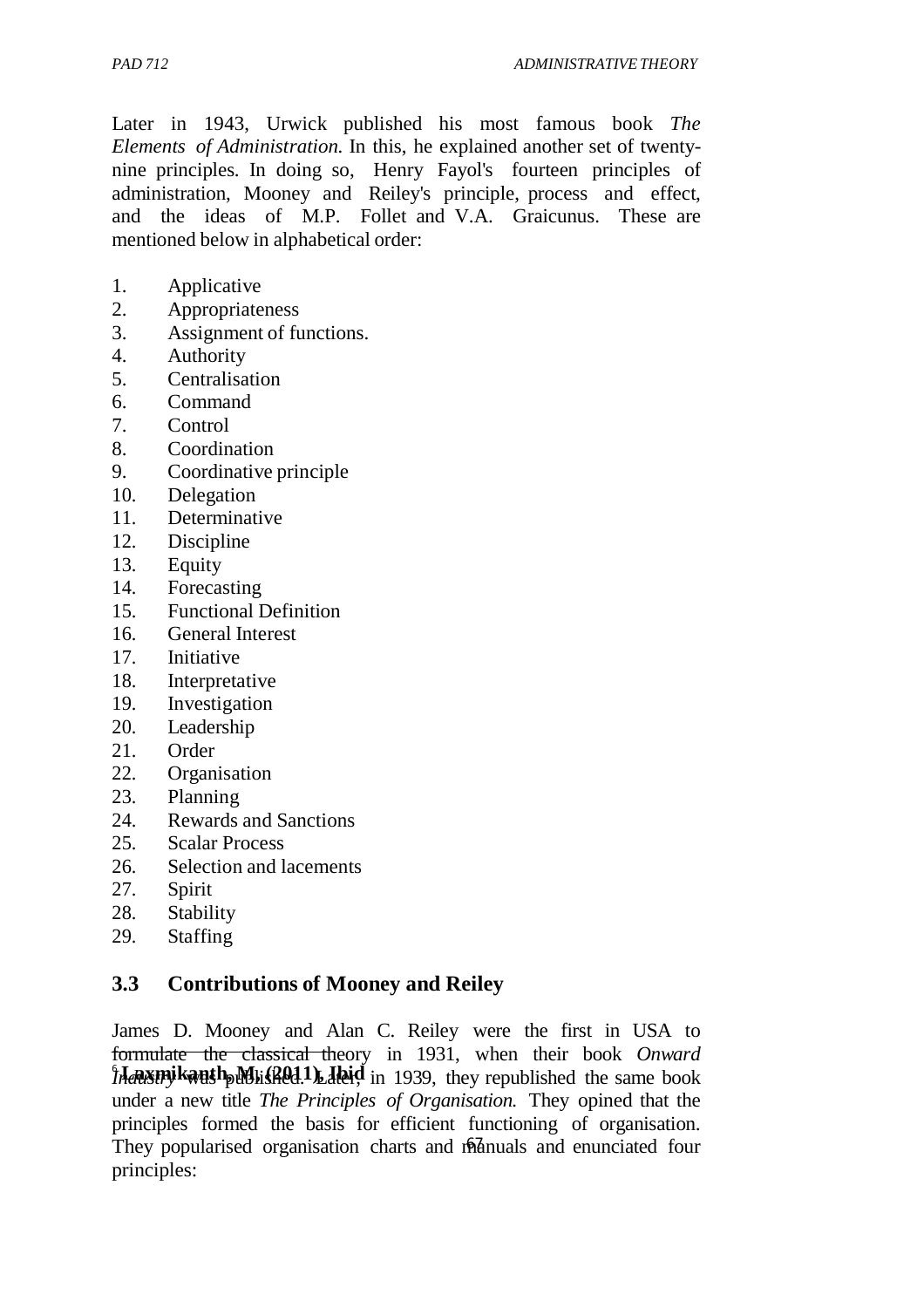Later in 1943, Urwick published his most famous book *The Elements of Administration.* In this, he explained another set of twentynine principles. In doing so, Henry Fayol's fourteen principles of administration, Mooney and Reiley's principle, process and effect, and the ideas of M.P. Follet and V.A. Graicunus. These are mentioned below in alphabetical order:

- 1. Applicative
- 2. Appropriateness
- 3. Assignment of functions.
- 4. Authority
- 5. Centralisation
- 6. Command
- 7. Control
- 8. Coordination
- 9. Coordinative principle
- 10. Delegation
- 11. Determinative
- 12. Discipline
- 13. Equity
- 14. Forecasting
- 15. Functional Definition
- 16. General Interest
- 17 Initiative
- 18. Interpretative
- 19. Investigation
- 20. Leadership
- 21. Order
- 22. Organisation
- 23. Planning
- 24. Rewards and Sanctions
- 25. Scalar Process
- 26. Selection and lacements
- 27. Spirit
- 28. Stability
- 29. Staffing

#### **3.3 Contributions of Mooney and Reiley**

<sup>6</sup> **Laxmikanth, M, (2011), Ibid** *Industry* was published. Later, in 1939, they republished the same book They popularised organisation charts and manuals and enunciated four James D. Mooney and Alan C. Reiley were the first in USA to formulate the classical theory in 1931, when their book *Onward*  under a new title *The Principles of Organisation.* They opined that the principles formed the basis for efficient functioning of organisation. principles: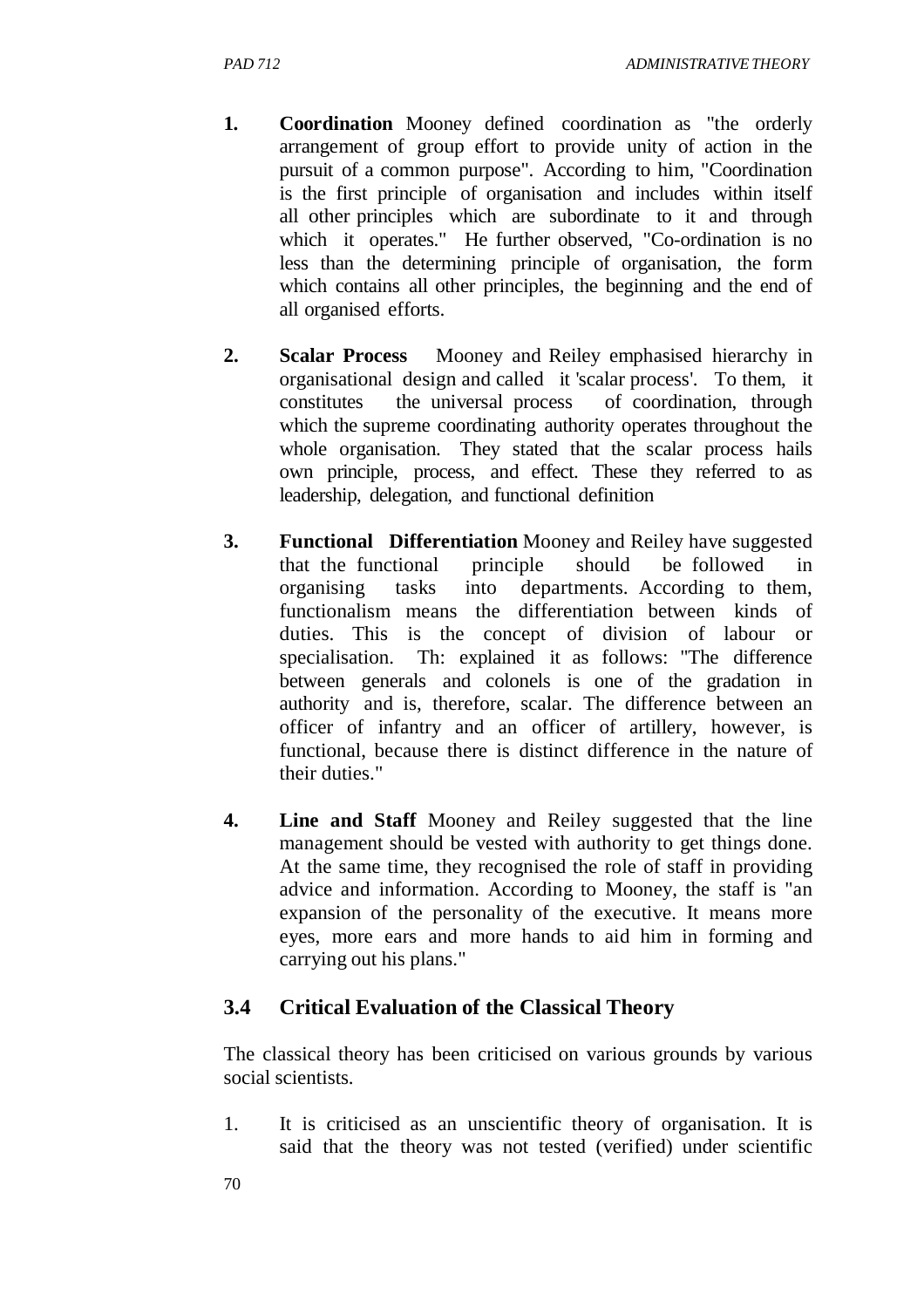- **1. Coordination** Mooney defined coordination as "the orderly arrangement of group effort to provide unity of action in the pursuit of a common purpose". According to him, "Coordination is the first principle of organisation and includes within itself all other principles which are subordinate to it and through which it operates." He further observed, "Co-ordination is no less than the determining principle of organisation, the form which contains all other principles, the beginning and the end of all organised efforts.
- **2. Scalar Process** Mooney and Reiley emphasised hierarchy in organisational design and called it 'scalar process'. To them, it constitutes the universal process of coordination, through which the supreme coordinating authority operates throughout the whole organisation. They stated that the scalar process hails own principle, process, and effect. These they referred to as leadership, delegation, and functional definition
- **3. Functional Differentiation** Mooney and Reiley have suggested that the functional principle should be followed in organising tasks into departments. According to them, functionalism means the differentiation between kinds of duties. This is the concept of division of labour or specialisation. Th: explained it as follows: "The difference between generals and colonels is one of the gradation in authority and is, therefore, scalar. The difference between an officer of infantry and an officer of artillery, however, is functional, because there is distinct difference in the nature of their duties."
- **4. Line and Staff** Mooney and Reiley suggested that the line management should be vested with authority to get things done. At the same time, they recognised the role of staff in providing advice and information. According to Mooney, the staff is "an expansion of the personality of the executive. It means more eyes, more ears and more hands to aid him in forming and carrying out his plans."

### **3.4 Critical Evaluation of the Classical Theory**

The classical theory has been criticised on various grounds by various social scientists.

1. It is criticised as an unscientific theory of organisation. It is said that the theory was not tested (verified) under scientific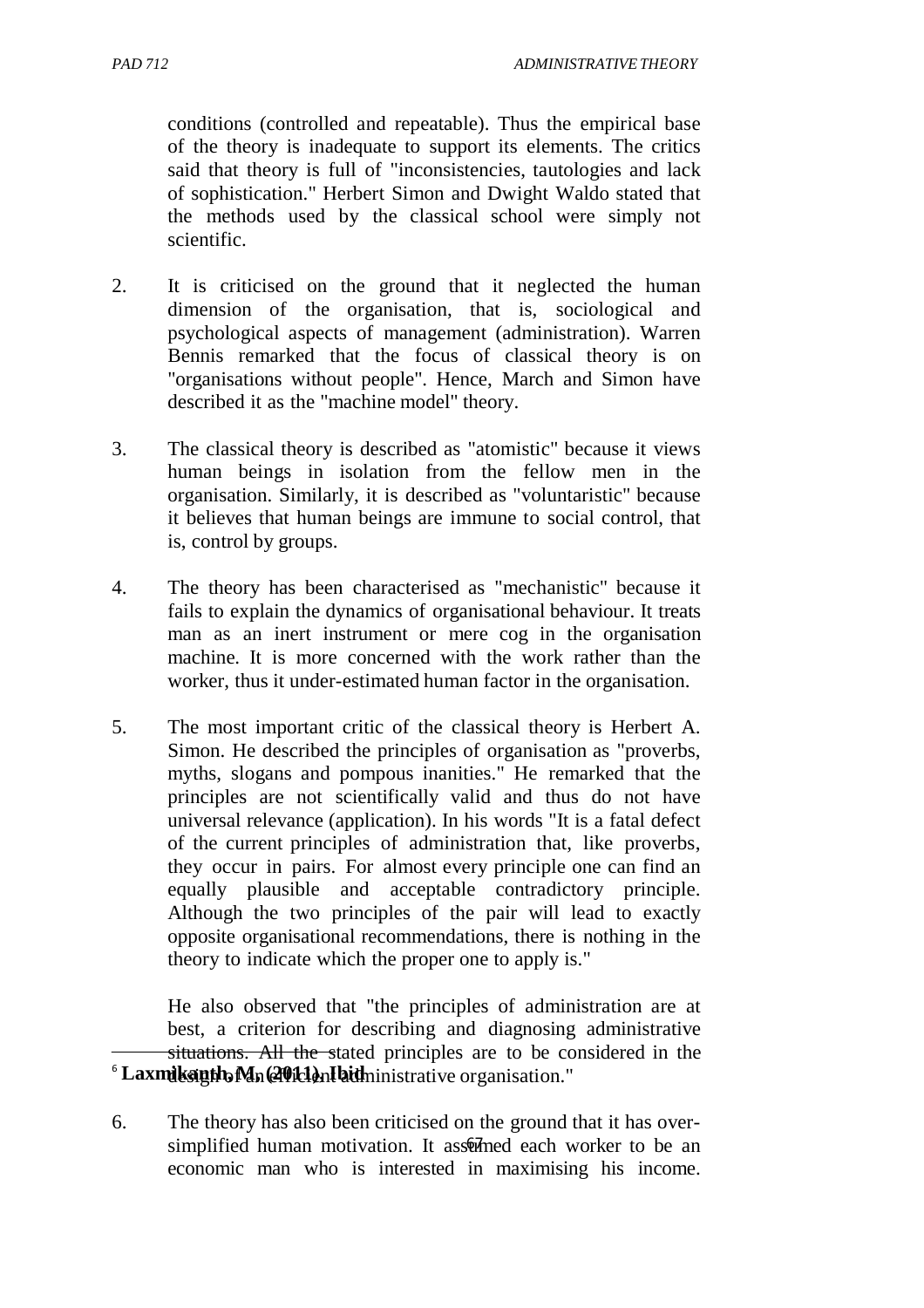conditions (controlled and repeatable). Thus the empirical base of the theory is inadequate to support its elements. The critics said that theory is full of "inconsistencies, tautologies and lack of sophistication." Herbert Simon and Dwight Waldo stated that the methods used by the classical school were simply not scientific.

- 2. It is criticised on the ground that it neglected the human dimension of the organisation, that is, sociological and psychological aspects of management (administration). Warren Bennis remarked that the focus of classical theory is on "organisations without people". Hence, March and Simon have described it as the "machine model" theory.
- 3. The classical theory is described as "atomistic" because it views human beings in isolation from the fellow men in the organisation. Similarly, it is described as "voluntaristic" because it believes that human beings are immune to social control, that is, control by groups.
- 4. The theory has been characterised as "mechanistic" because it fails to explain the dynamics of organisational behaviour. It treats man as an inert instrument or mere cog in the organisation machine. It is more concerned with the work rather than the worker, thus it under-estimated human factor in the organisation.
- 5. The most important critic of the classical theory is Herbert A. Simon. He described the principles of organisation as "proverbs, myths, slogans and pompous inanities." He remarked that the principles are not scientifically valid and thus do not have universal relevance (application). In his words "It is a fatal defect of the current principles of administration that, like proverbs, they occur in pairs. For almost every principle one can find an equally plausible and acceptable contradictory principle. Although the two principles of the pair will lead to exactly opposite organisational recommendations, there is nothing in the theory to indicate which the proper one to apply is."

<sup>6</sup> **Laxmikanth, M, (2011), Ibid** design of an efficient administrative organisation." He also observed that "the principles of administration are at best, a criterion for describing and diagnosing administrative situations. All the stated principles are to be considered in the

simplified human motivation. It assent each worker to be an 6. The theory has also been criticised on the ground that it has overeconomic man who is interested in maximising his income.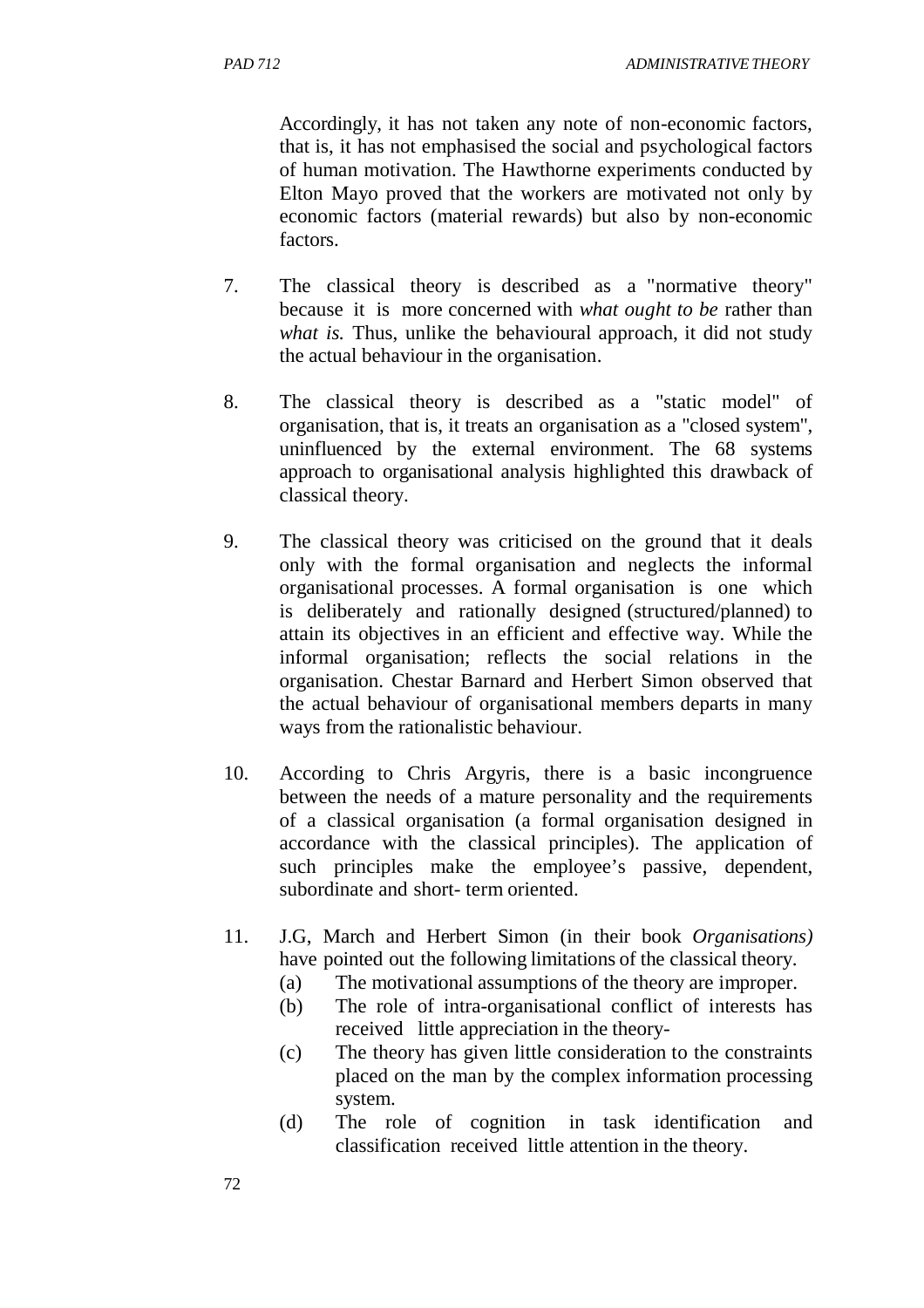Accordingly, it has not taken any note of non-economic factors, that is, it has not emphasised the social and psychological factors of human motivation. The Hawthorne experiments conducted by Elton Mayo proved that the workers are motivated not only by economic factors (material rewards) but also by non-economic factors.

- 7. The classical theory is described as a "normative theory" because it is more concerned with *what ought to be* rather than *what is.* Thus, unlike the behavioural approach, it did not study the actual behaviour in the organisation.
- 8. The classical theory is described as a "static model" of organisation, that is, it treats an organisation as a "closed system", uninfluenced by the external environment. The 68 systems approach to organisational analysis highlighted this drawback of classical theory.
- 9. The classical theory was criticised on the ground that it deals only with the formal organisation and neglects the informal organisational processes. A formal organisation is one which is deliberately and rationally designed (structured/planned) to attain its objectives in an efficient and effective way. While the informal organisation; reflects the social relations in the organisation. Chestar Barnard and Herbert Simon observed that the actual behaviour of organisational members departs in many ways from the rationalistic behaviour.
- 10. According to Chris Argyris, there is a basic incongruence between the needs of a mature personality and the requirements of a classical organisation (a formal organisation designed in accordance with the classical principles). The application of such principles make the employee's passive, dependent, subordinate and short- term oriented.
- 11. J.G, March and Herbert Simon (in their book *Organisations)*  have pointed out the following limitations of the classical theory.
	- (a) The motivational assumptions of the theory are improper.
	- (b) The role of intra-organisational conflict of interests has received little appreciation in the theory-
	- (c) The theory has given little consideration to the constraints placed on the man by the complex information processing system.
	- (d) The role of cognition in task identification and classification received little attention in the theory.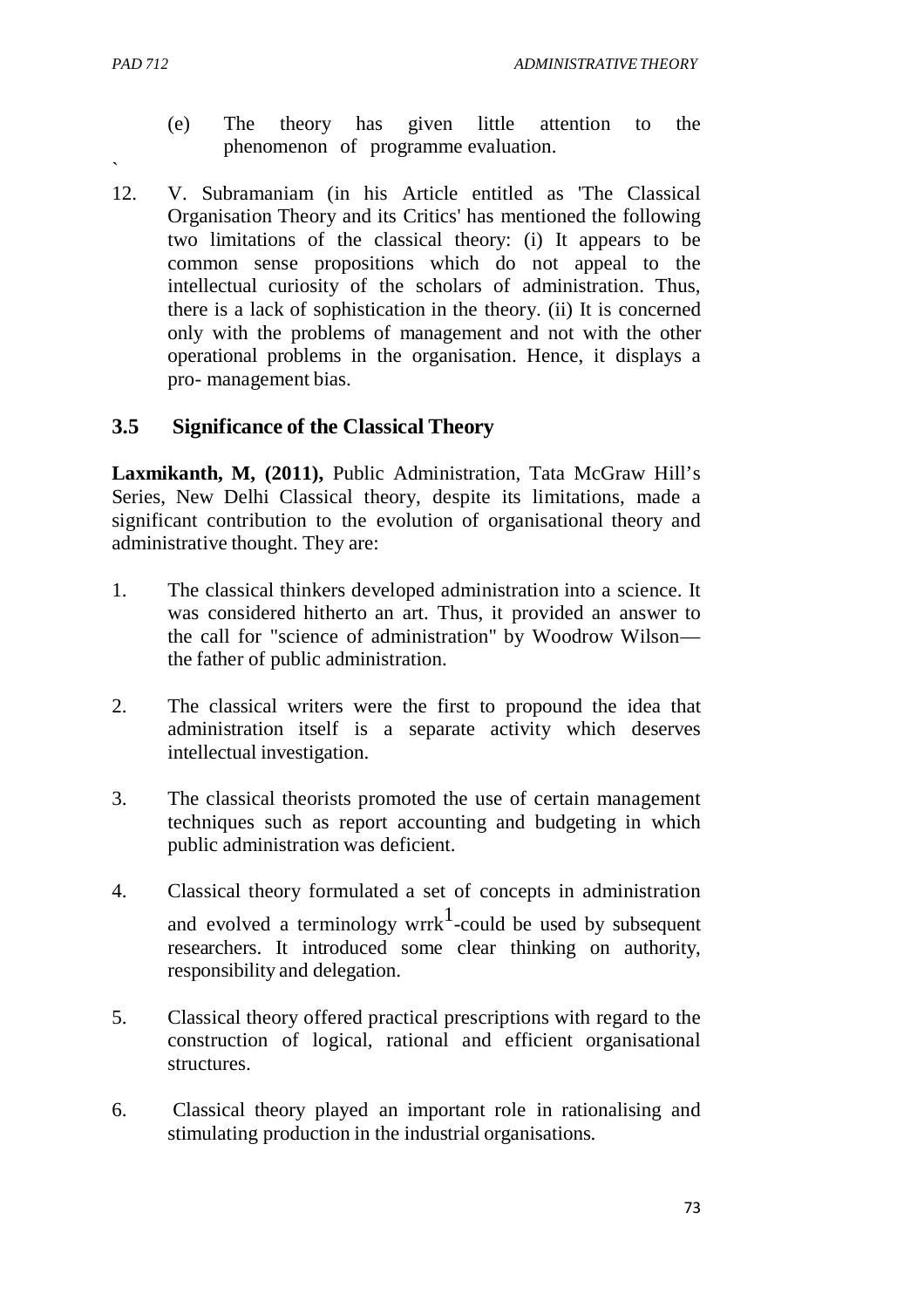- (e) The theory has given little attention to the phenomenon of programme evaluation.
- `
- 12. V. Subramaniam (in his Article entitled as 'The Classical Organisation Theory and its Critics' has mentioned the following two limitations of the classical theory: (i) It appears to be common sense propositions which do not appeal to the intellectual curiosity of the scholars of administration. Thus, there is a lack of sophistication in the theory. (ii) It is concerned only with the problems of management and not with the other operational problems in the organisation. Hence, it displays a pro- management bias.

### **3.5 Significance of the Classical Theory**

Laxmikanth, M, (2011), Public Administration, Tata McGraw Hill's Series, New Delhi Classical theory, despite its limitations, made a significant contribution to the evolution of organisational theory and administrative thought. They are:

- 1. The classical thinkers developed administration into a science. It was considered hitherto an art. Thus, it provided an answer to the call for "science of administration" by Woodrow Wilson the father of public administration.
- 2. The classical writers were the first to propound the idea that administration itself is a separate activity which deserves intellectual investigation.
- 3. The classical theorists promoted the use of certain management techniques such as report accounting and budgeting in which public administration was deficient.
- 4. Classical theory formulated a set of concepts in administration and evolved a terminology wrrk<sup>1</sup>-could be used by subsequent researchers. It introduced some clear thinking on authority, responsibility and delegation.
- 5. Classical theory offered practical prescriptions with regard to the construction of logical, rational and efficient organisational structures.
- 6. Classical theory played an important role in rationalising and stimulating production in the industrial organisations.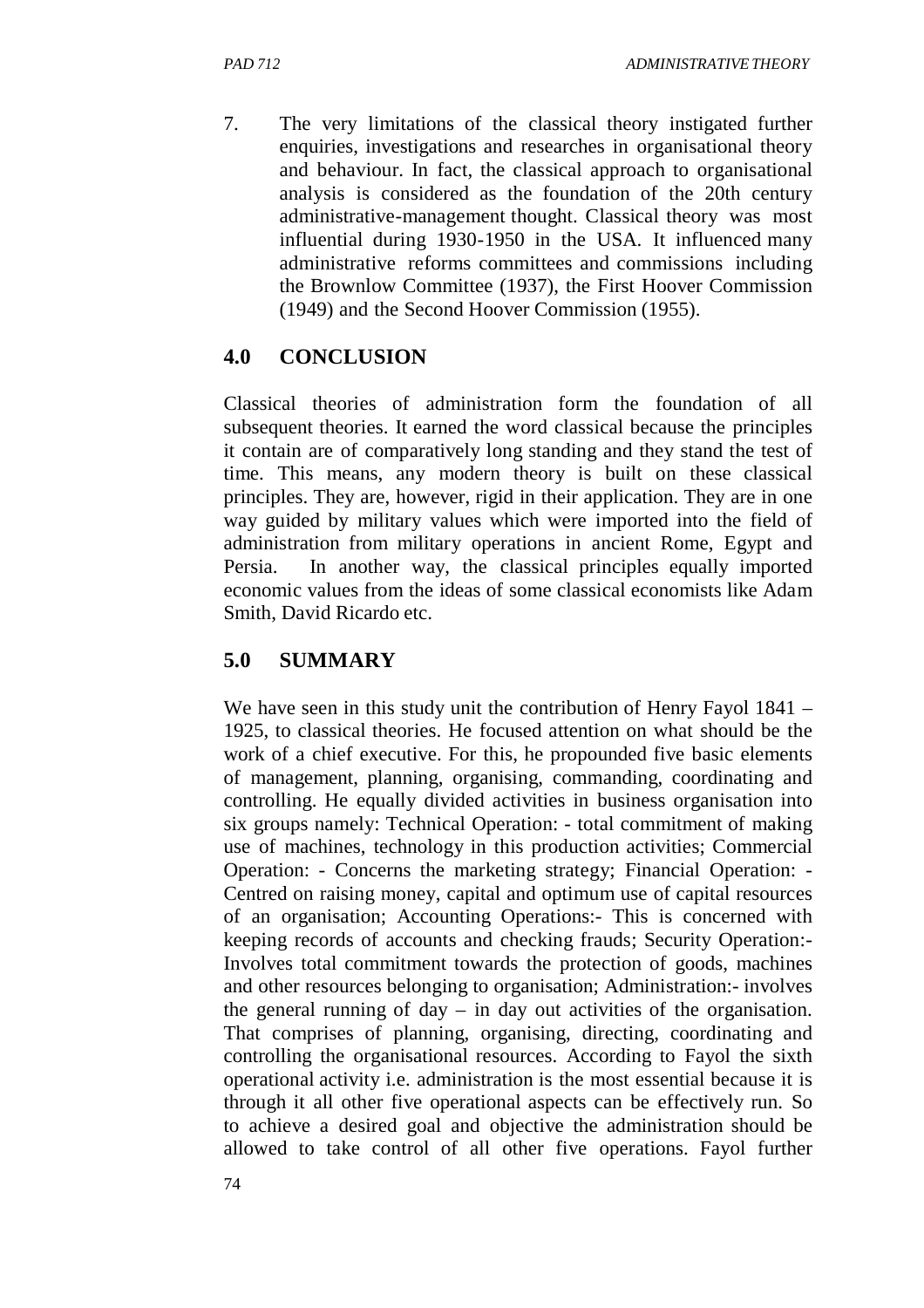7. The very limitations of the classical theory instigated further enquiries, investigations and researches in organisational theory and behaviour. In fact, the classical approach to organisational analysis is considered as the foundation of the 20th century administrative-management thought. Classical theory was most influential during 1930-1950 in the USA. It influenced many administrative reforms committees and commissions including the Brownlow Committee (1937), the First Hoover Commission (1949) and the Second Hoover Commission (1955).

### **4.0 CONCLUSION**

Classical theories of administration form the foundation of all subsequent theories. It earned the word classical because the principles it contain are of comparatively long standing and they stand the test of time. This means, any modern theory is built on these classical principles. They are, however, rigid in their application. They are in one way guided by military values which were imported into the field of administration from military operations in ancient Rome, Egypt and Persia. In another way, the classical principles equally imported economic values from the ideas of some classical economists like Adam Smith, David Ricardo etc.

### **5.0 SUMMARY**

We have seen in this study unit the contribution of Henry Fayol 1841 – 1925, to classical theories. He focused attention on what should be the work of a chief executive. For this, he propounded five basic elements of management, planning, organising, commanding, coordinating and controlling. He equally divided activities in business organisation into six groups namely: Technical Operation: - total commitment of making use of machines, technology in this production activities; Commercial Operation: - Concerns the marketing strategy; Financial Operation: - Centred on raising money, capital and optimum use of capital resources of an organisation; Accounting Operations:- This is concerned with keeping records of accounts and checking frauds; Security Operation:- Involves total commitment towards the protection of goods, machines and other resources belonging to organisation; Administration:- involves the general running of day – in day out activities of the organisation. That comprises of planning, organising, directing, coordinating and controlling the organisational resources. According to Fayol the sixth operational activity i.e. administration is the most essential because it is through it all other five operational aspects can be effectively run. So to achieve a desired goal and objective the administration should be allowed to take control of all other five operations. Fayol further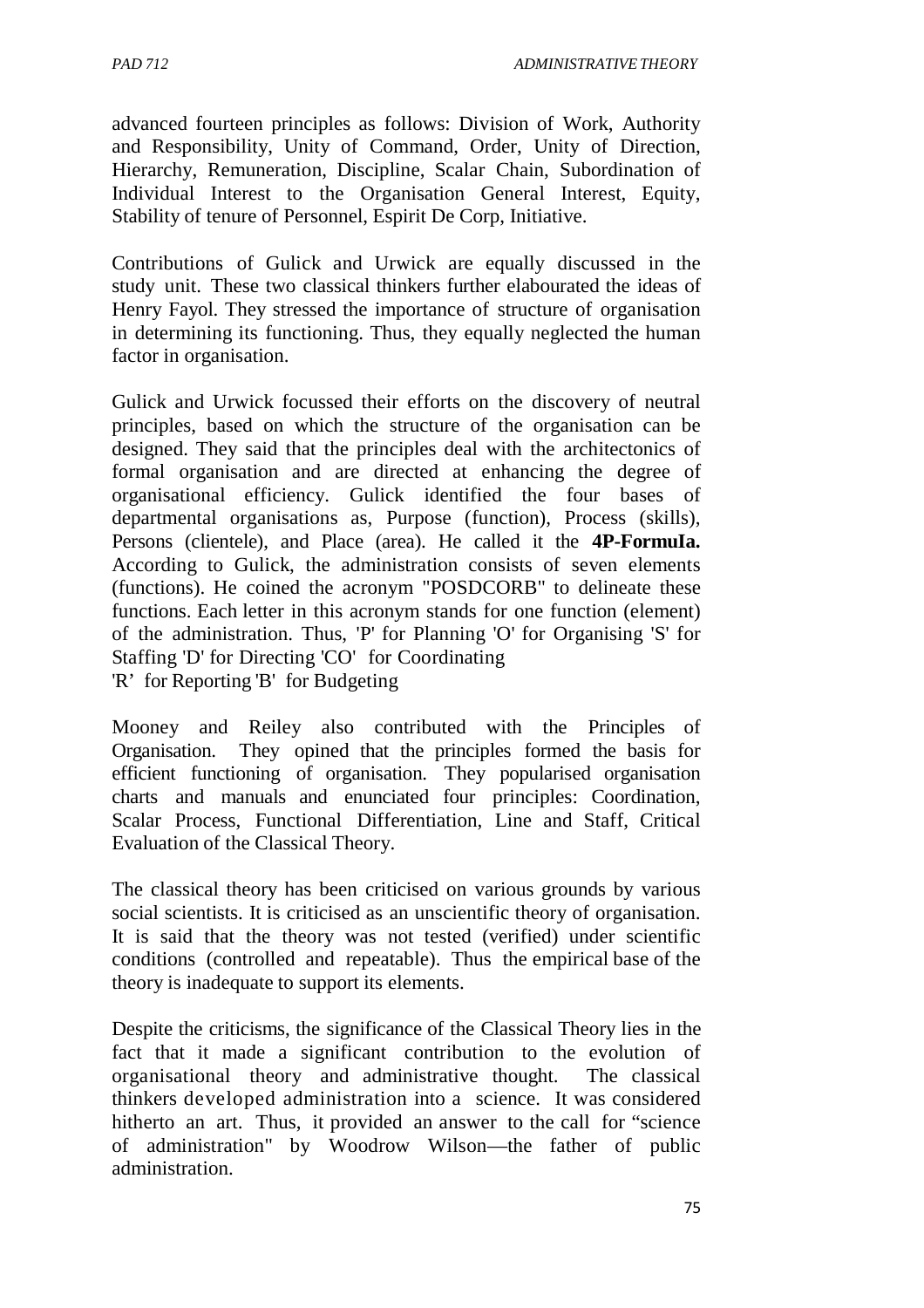advanced fourteen principles as follows: Division of Work, Authority and Responsibility, Unity of Command, Order, Unity of Direction, Hierarchy, Remuneration, Discipline, Scalar Chain, Subordination of Individual Interest to the Organisation General Interest, Equity, Stability of tenure of Personnel, Espirit De Corp, Initiative.

Contributions of Gulick and Urwick are equally discussed in the study unit. These two classical thinkers further elabourated the ideas of Henry Fayol. They stressed the importance of structure of organisation in determining its functioning. Thus, they equally neglected the human factor in organisation.

Gulick and Urwick focussed their efforts on the discovery of neutral principles, based on which the structure of the organisation can be designed. They said that the principles deal with the architectonics of formal organisation and are directed at enhancing the degree of organisational efficiency. Gulick identified the four bases of departmental organisations as, Purpose (function), Process (skills), Persons (clientele), and Place (area). He called it the **4P-FormuIa.**  According to Gulick, the administration consists of seven elements (functions). He coined the acronym "POSDCORB" to delineate these functions. Each letter in this acronym stands for one function (element) of the administration. Thus, 'P' for Planning 'O' for Organising 'S' for Staffing 'D' for Directing 'CO' for Coordinating 'R' for Reporting 'B' for Budgeting

Mooney and Reiley also contributed with the Principles of Organisation. They opined that the principles formed the basis for efficient functioning of organisation. They popularised organisation charts and manuals and enunciated four principles: Coordination, Scalar Process, Functional Differentiation, Line and Staff, Critical Evaluation of the Classical Theory.

The classical theory has been criticised on various grounds by various social scientists. It is criticised as an unscientific theory of organisation. It is said that the theory was not tested (verified) under scientific conditions (controlled and repeatable). Thus the empirical base of the theory is inadequate to support its elements.

Despite the criticisms, the significance of the Classical Theory lies in the fact that it made a significant contribution to the evolution of organisational theory and administrative thought. The classical thinkers developed administration into a science. It was considered hitherto an art. Thus, it provided an answer to the call for "science" of administration" by Woodrow Wilson—the father of public administration.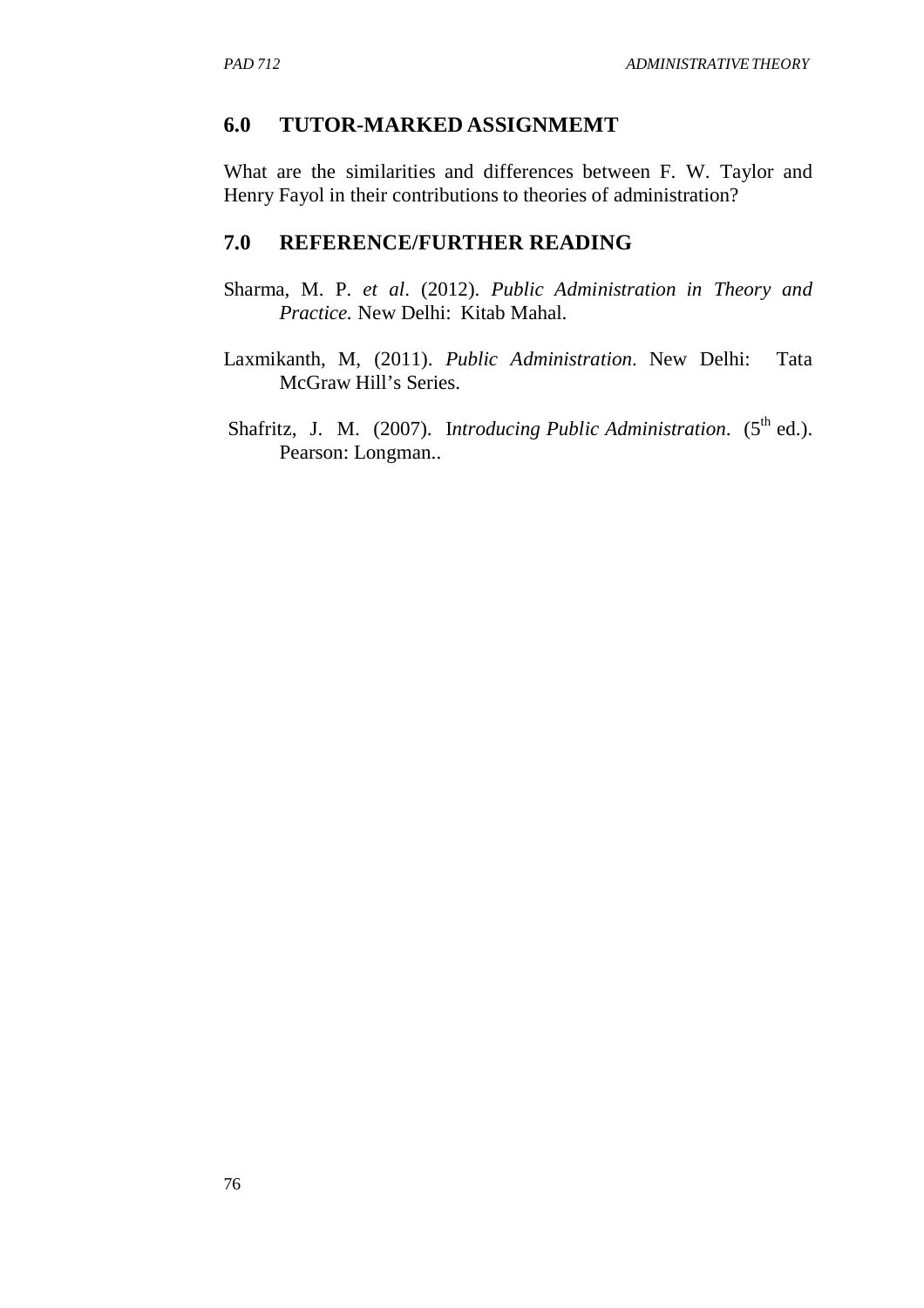#### **6.0 TUTOR-MARKED ASSIGNMEMT**

What are the similarities and differences between F. W. Taylor and Henry Fayol in their contributions to theories of administration?

#### **7.0 REFERENCE/FURTHER READING**

- Sharma, M. P. *et al*. (2012). *Public Administration in Theory and Practice.* New Delhi: Kitab Mahal.
- Laxmikanth, M, (2011). *Public Administration*. New Delhi: Tata McGraw Hill's Series.
- Shafritz, J. M. (2007). Introducing Public Administration. (5<sup>th</sup> ed.). Pearson: Longman..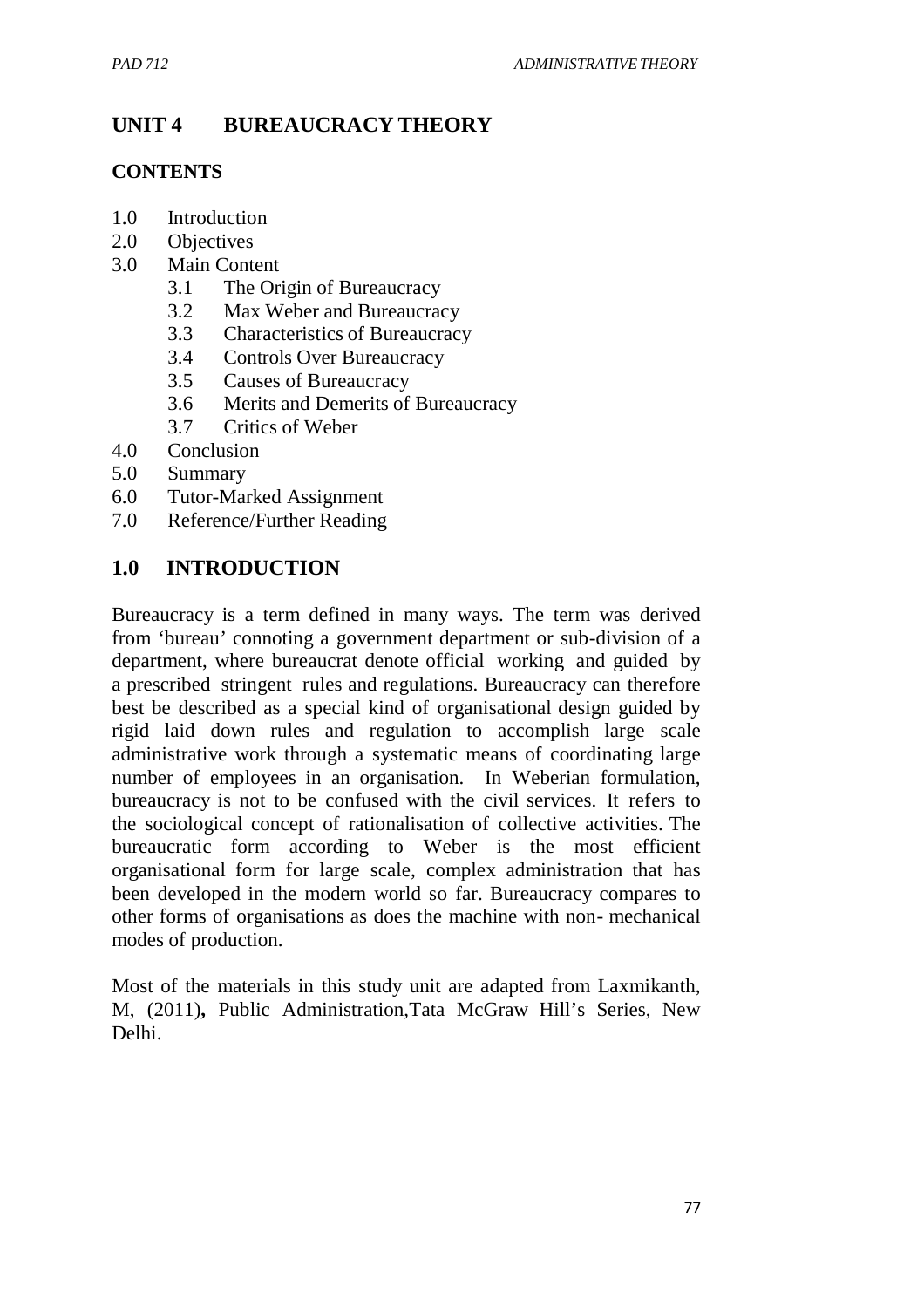# **UNIT 4 BUREAUCRACY THEORY**

### **CONTENTS**

- 1.0 Introduction
- 2.0 Objectives
- 3.0 Main Content
	- 3.1 The Origin of Bureaucracy
	- 3.2 Max Weber and Bureaucracy
	- 3.3 Characteristics of Bureaucracy
	- 3.4 Controls Over Bureaucracy
	- 3.5 Causes of Bureaucracy
	- 3.6 Merits and Demerits of Bureaucracy
	- 3.7 Critics of Weber
- 4.0 Conclusion
- 5.0 Summary
- 6.0 Tutor-Marked Assignment
- 7.0 Reference/Further Reading

# **1.0 INTRODUCTION**

Bureaucracy is a term defined in many ways. The term was derived from 'bureau' connoting a government department or sub-division of a department, where bureaucrat denote official working and guided by a prescribed stringent rules and regulations. Bureaucracy can therefore best be described as a special kind of organisational design guided by rigid laid down rules and regulation to accomplish large scale administrative work through a systematic means of coordinating large number of employees in an organisation. In Weberian formulation, bureaucracy is not to be confused with the civil services. It refers to the sociological concept of rationalisation of collective activities. The bureaucratic form according to Weber is the most efficient organisational form for large scale, complex administration that has been developed in the modern world so far. Bureaucracy compares to other forms of organisations as does the machine with non- mechanical modes of production.

Most of the materials in this study unit are adapted from Laxmikanth, M, (2011)**,** Public Administration,Tata McGraw Hill's Series, New Delhi.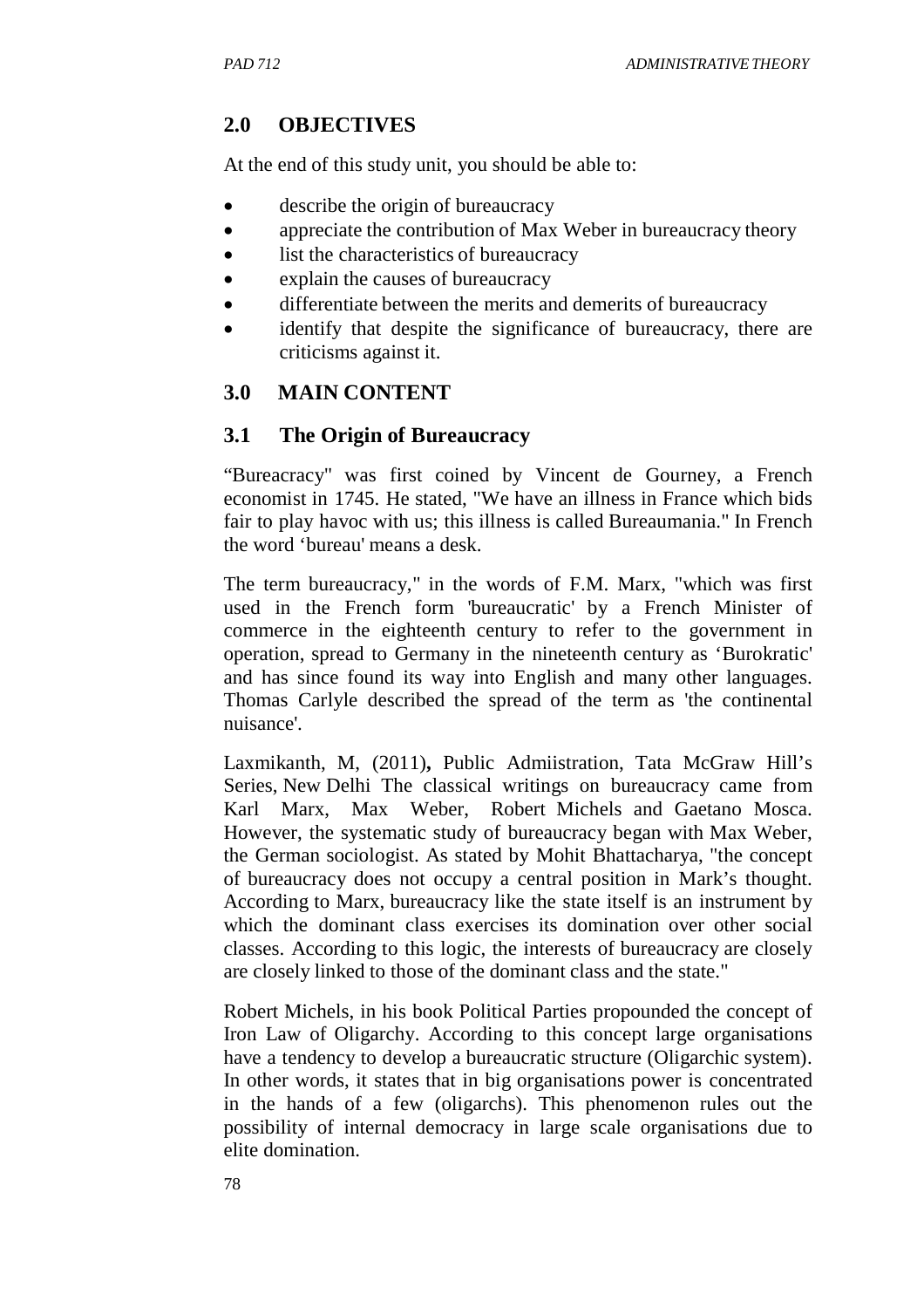# **2.0 OBJECTIVES**

At the end of this study unit, you should be able to:

- describe the origin of bureaucracy
- appreciate the contribution of Max Weber in bureaucracy theory
- list the characteristics of bureaucracy
- explain the causes of bureaucracy
- differentiate between the merits and demerits of bureaucracy
- identify that despite the significance of bureaucracy, there are criticisms against it.

# **3.0 MAIN CONTENT**

## **3.1 The Origin of Bureaucracy**

"Bureacracy" was first coined by Vincent de Gourney, a French economist in 1745. He stated, "We have an illness in France which bids fair to play havoc with us; this illness is called Bureaumania." In French the word 'bureau' means a desk.

The term bureaucracy," in the words of F.M. Marx, "which was first used in the French form 'bureaucratic' by a French Minister of commerce in the eighteenth century to refer to the government in operation, spread to Germany in the nineteenth century as 'Burokratic' and has since found its way into English and many other languages. Thomas Carlyle described the spread of the term as 'the continental nuisance'.

Laxmikanth, M, (2011)**,** Public Admiistration, Tata McGraw Hill's Series, New Delhi The classical writings on bureaucracy came from Karl Marx, Max Weber, Robert Michels and Gaetano Mosca. However, the systematic study of bureaucracy began with Max Weber, the German sociologist. As stated by Mohit Bhattacharya, "the concept of bureaucracy does not occupy a central position in Mark's thought. According to Marx, bureaucracy like the state itself is an instrument by which the dominant class exercises its domination over other social classes. According to this logic, the interests of bureaucracy are closely are closely linked to those of the dominant class and the state."

Robert Michels, in his book Political Parties propounded the concept of Iron Law of Oligarchy. According to this concept large organisations have a tendency to develop a bureaucratic structure (Oligarchic system). In other words, it states that in big organisations power is concentrated in the hands of a few (oligarchs). This phenomenon rules out the possibility of internal democracy in large scale organisations due to elite domination.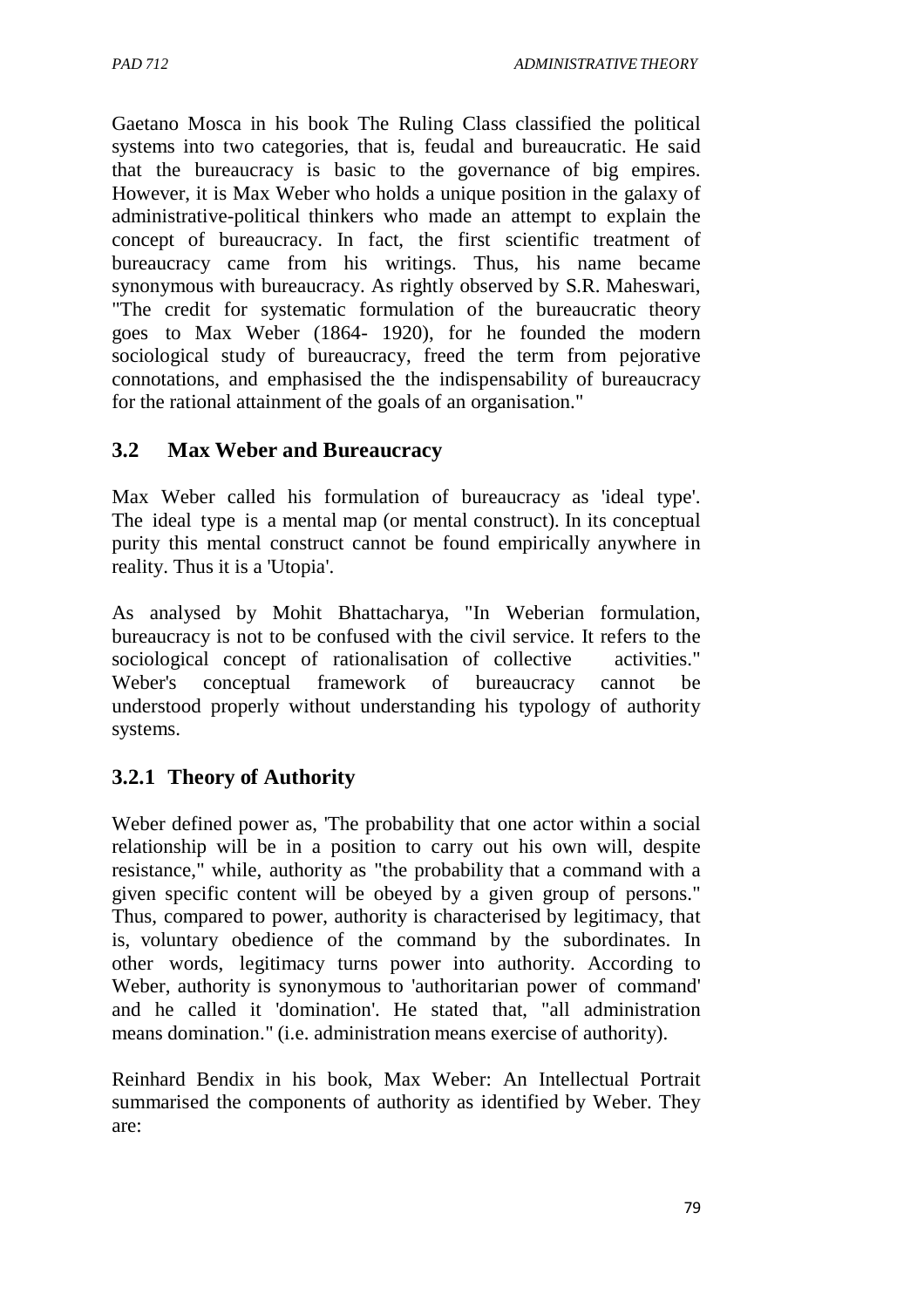Gaetano Mosca in his book The Ruling Class classified the political systems into two categories, that is, feudal and bureaucratic. He said that the bureaucracy is basic to the governance of big empires. However, it is Max Weber who holds a unique position in the galaxy of administrative-political thinkers who made an attempt to explain the concept of bureaucracy. In fact, the first scientific treatment of bureaucracy came from his writings. Thus, his name became synonymous with bureaucracy. As rightly observed by S.R. Maheswari, "The credit for systematic formulation of the bureaucratic theory goes to Max Weber (1864- 1920), for he founded the modern sociological study of bureaucracy, freed the term from pejorative connotations, and emphasised the the indispensability of bureaucracy for the rational attainment of the goals of an organisation."

### **3.2 Max Weber and Bureaucracy**

Max Weber called his formulation of bureaucracy as 'ideal type'. The ideal type is a mental map (or mental construct). In its conceptual purity this mental construct cannot be found empirically anywhere in reality. Thus it is a 'Utopia'.

As analysed by Mohit Bhattacharya, "In Weberian formulation, bureaucracy is not to be confused with the civil service. It refers to the sociological concept of rationalisation of collective activities." Weber's conceptual framework of bureaucracy cannot be understood properly without understanding his typology of authority systems.

### **3.2.1 Theory of Authority**

Weber defined power as, 'The probability that one actor within a social relationship will be in a position to carry out his own will, despite resistance," while, authority as "the probability that a command with a given specific content will be obeyed by a given group of persons." Thus, compared to power, authority is characterised by legitimacy, that is, voluntary obedience of the command by the subordinates. In other words, legitimacy turns power into authority. According to Weber, authority is synonymous to 'authoritarian power of command' and he called it 'domination'. He stated that, "all administration means domination." (i.e. administration means exercise of authority).

Reinhard Bendix in his book, Max Weber: An Intellectual Portrait summarised the components of authority as identified by Weber. They are: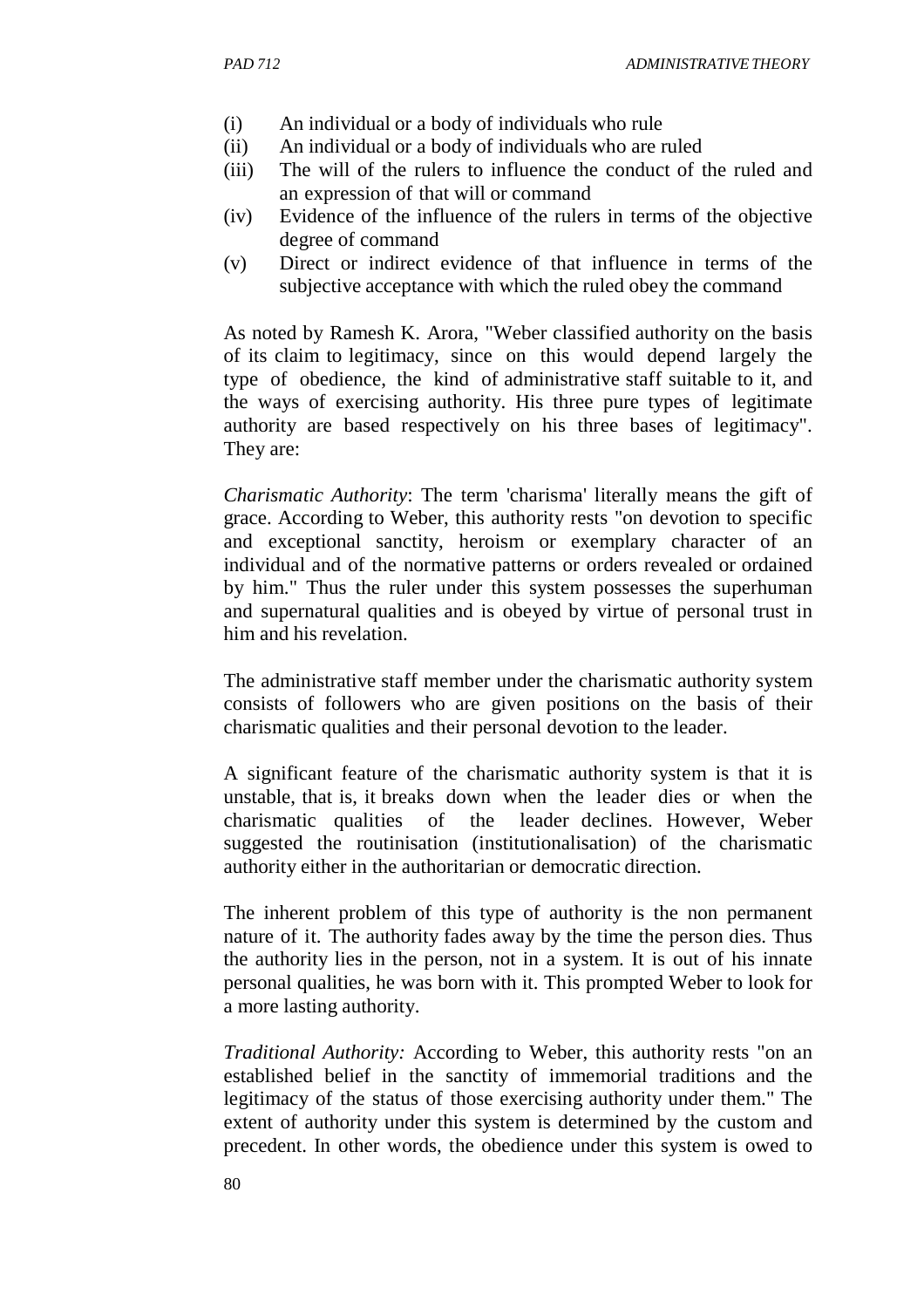- (i) An individual or a body of individuals who rule
- (ii) An individual or a body of individuals who are ruled
- (iii) The will of the rulers to influence the conduct of the ruled and an expression of that will or command
- (iv) Evidence of the influence of the rulers in terms of the objective degree of command
- (v) Direct or indirect evidence of that influence in terms of the subjective acceptance with which the ruled obey the command

As noted by Ramesh K. Arora, "Weber classified authority on the basis of its claim to legitimacy, since on this would depend largely the type of obedience, the kind of administrative staff suitable to it, and the ways of exercising authority. His three pure types of legitimate authority are based respectively on his three bases of legitimacy". They are:

*Charismatic Authority*: The term 'charisma' literally means the gift of grace. According to Weber, this authority rests "on devotion to specific and exceptional sanctity, heroism or exemplary character of an individual and of the normative patterns or orders revealed or ordained by him." Thus the ruler under this system possesses the superhuman and supernatural qualities and is obeyed by virtue of personal trust in him and his revelation.

The administrative staff member under the charismatic authority system consists of followers who are given positions on the basis of their charismatic qualities and their personal devotion to the leader.

A significant feature of the charismatic authority system is that it is unstable, that is, it breaks down when the leader dies or when the charismatic qualities of the leader declines. However, Weber suggested the routinisation (institutionalisation) of the charismatic authority either in the authoritarian or democratic direction.

The inherent problem of this type of authority is the non permanent nature of it. The authority fades away by the time the person dies. Thus the authority lies in the person, not in a system. It is out of his innate personal qualities, he was born with it. This prompted Weber to look for a more lasting authority.

*Traditional Authority:* According to Weber, this authority rests "on an established belief in the sanctity of immemorial traditions and the legitimacy of the status of those exercising authority under them." The extent of authority under this system is determined by the custom and precedent. In other words, the obedience under this system is owed to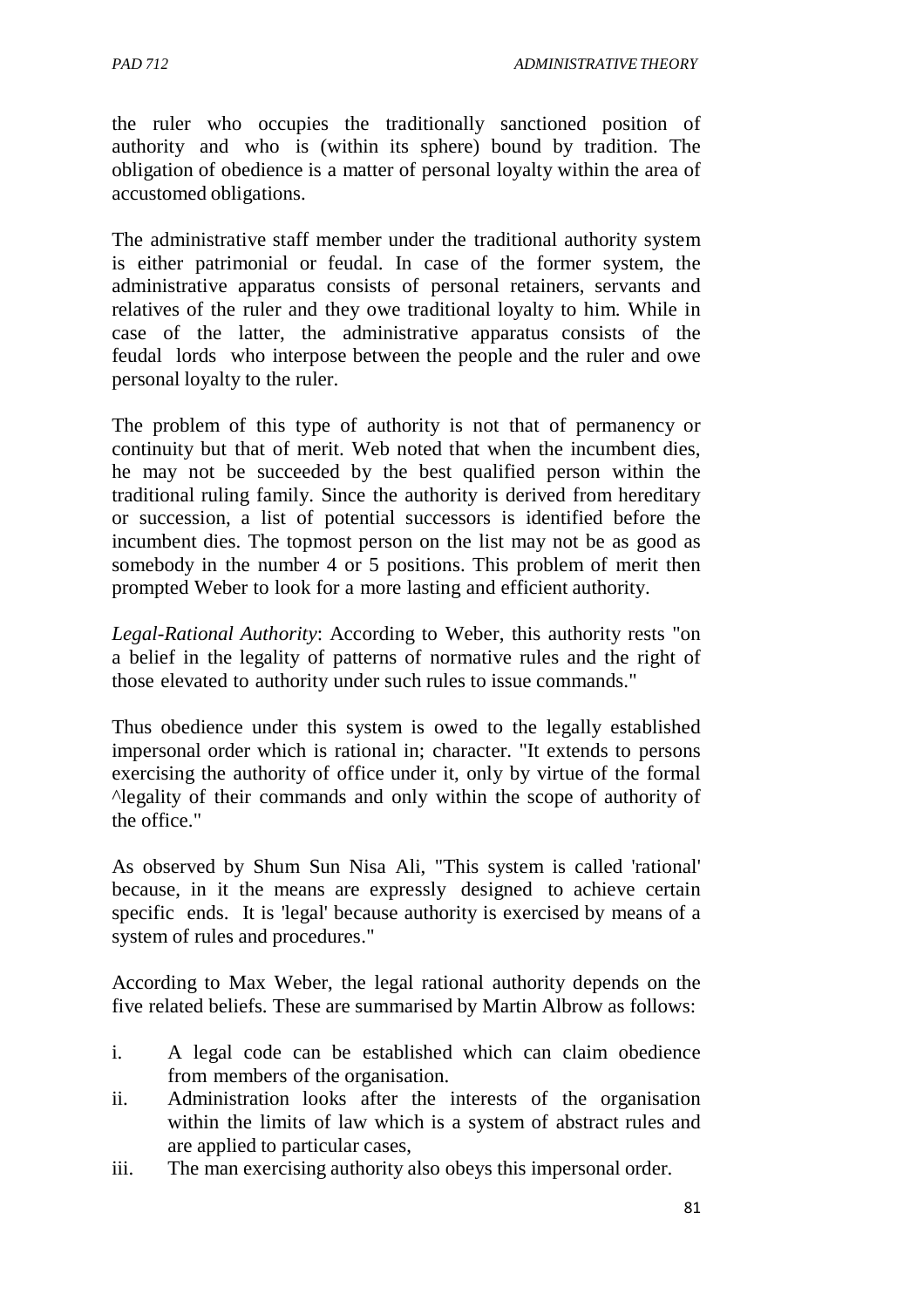*PAD 712 ADMINISTRATIVE THEORY*

the ruler who occupies the traditionally sanctioned position of authority and who is (within its sphere) bound by tradition. The obligation of obedience is a matter of personal loyalty within the area of accustomed obligations.

The administrative staff member under the traditional authority system is either patrimonial or feudal. In case of the former system, the administrative apparatus consists of personal retainers, servants and relatives of the ruler and they owe traditional loyalty to him. While in case of the latter, the administrative apparatus consists of the feudal lords who interpose between the people and the ruler and owe personal loyalty to the ruler.

The problem of this type of authority is not that of permanency or continuity but that of merit. Web noted that when the incumbent dies, he may not be succeeded by the best qualified person within the traditional ruling family. Since the authority is derived from hereditary or succession, a list of potential successors is identified before the incumbent dies. The topmost person on the list may not be as good as somebody in the number 4 or 5 positions. This problem of merit then prompted Weber to look for a more lasting and efficient authority.

*Legal-Rational Authority*: According to Weber, this authority rests "on a belief in the legality of patterns of normative rules and the right of those elevated to authority under such rules to issue commands."

Thus obedience under this system is owed to the legally established impersonal order which is rational in; character. "It extends to persons exercising the authority of office under it, only by virtue of the formal ^legality of their commands and only within the scope of authority of the office."

As observed by Shum Sun Nisa Ali, "This system is called 'rational' because, in it the means are expressly designed to achieve certain specific ends. It is 'legal' because authority is exercised by means of a system of rules and procedures."

According to Max Weber, the legal rational authority depends on the five related beliefs. These are summarised by Martin Albrow as follows:

- i. A legal code can be established which can claim obedience from members of the organisation.
- ii. Administration looks after the interests of the organisation within the limits of law which is a system of abstract rules and are applied to particular cases,
- iii. The man exercising authority also obeys this impersonal order.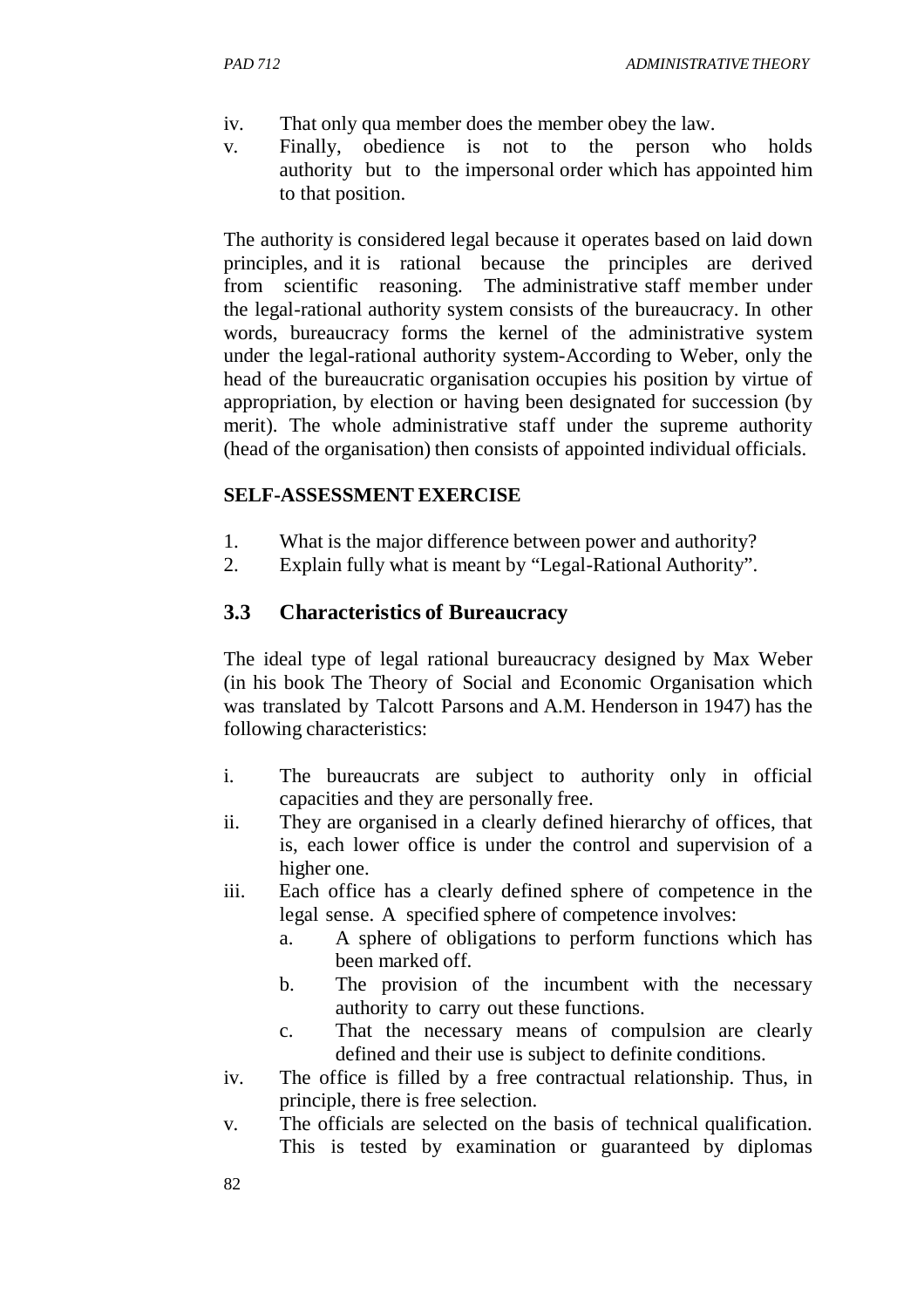- iv. That only qua member does the member obey the law.
- v. Finally, obedience is not to the person who holds authority but to the impersonal order which has appointed him to that position.

The authority is considered legal because it operates based on laid down principles, and it is rational because the principles are derived from scientific reasoning. The administrative staff member under the legal-rational authority system consists of the bureaucracy. In other words, bureaucracy forms the kernel of the administrative system under the legal-rational authority system-According to Weber, only the head of the bureaucratic organisation occupies his position by virtue of appropriation, by election or having been designated for succession (by merit). The whole administrative staff under the supreme authority (head of the organisation) then consists of appointed individual officials.

#### **SELF-ASSESSMENT EXERCISE**

- 1. What is the major difference between power and authority?
- 2. Explain fully what is meant by "Legal-Rational Authority".

### **3.3 Characteristics of Bureaucracy**

The ideal type of legal rational bureaucracy designed by Max Weber (in his book The Theory of Social and Economic Organisation which was translated by Talcott Parsons and A.M. Henderson in 1947) has the following characteristics:

- i. The bureaucrats are subject to authority only in official capacities and they are personally free.
- ii. They are organised in a clearly defined hierarchy of offices, that is, each lower office is under the control and supervision of a higher one.
- iii. Each office has a clearly defined sphere of competence in the legal sense. A specified sphere of competence involves:
	- a. A sphere of obligations to perform functions which has been marked off.
	- b. The provision of the incumbent with the necessary authority to carry out these functions.
	- c. That the necessary means of compulsion are clearly defined and their use is subject to definite conditions.
- iv. The office is filled by a free contractual relationship. Thus, in principle, there is free selection.
- v. The officials are selected on the basis of technical qualification. This is tested by examination or guaranteed by diplomas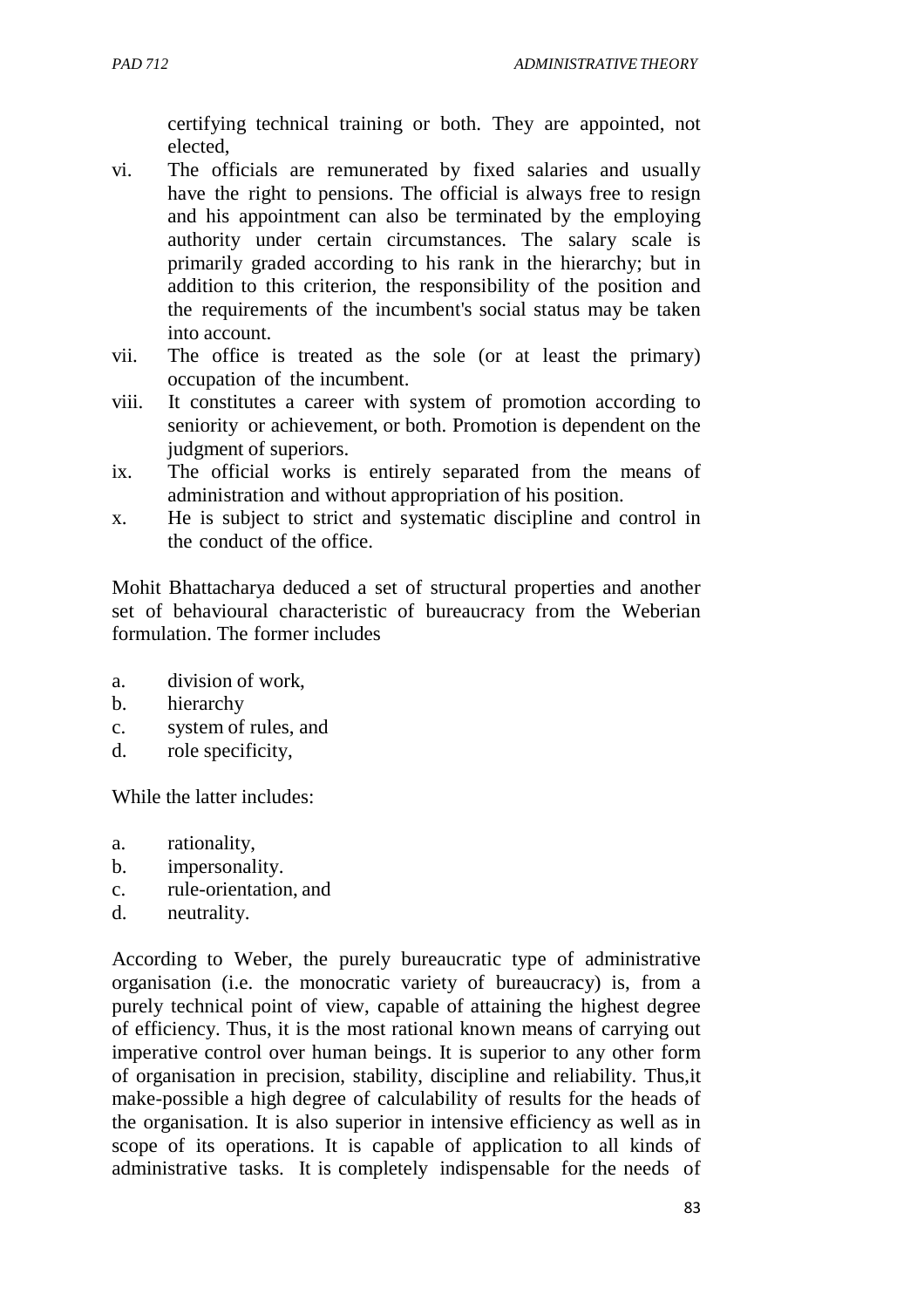certifying technical training or both. They are appointed, not elected,

- vi. The officials are remunerated by fixed salaries and usually have the right to pensions. The official is always free to resign and his appointment can also be terminated by the employing authority under certain circumstances. The salary scale is primarily graded according to his rank in the hierarchy; but in addition to this criterion, the responsibility of the position and the requirements of the incumbent's social status may be taken into account.
- vii. The office is treated as the sole (or at least the primary) occupation of the incumbent.
- viii. It constitutes a career with system of promotion according to seniority or achievement, or both. Promotion is dependent on the judgment of superiors.
- ix. The official works is entirely separated from the means of administration and without appropriation of his position.
- x. He is subject to strict and systematic discipline and control in the conduct of the office.

Mohit Bhattacharya deduced a set of structural properties and another set of behavioural characteristic of bureaucracy from the Weberian formulation. The former includes

- a. division of work,
- b. hierarchy
- c. system of rules, and
- d. role specificity,

While the latter includes:

- a. rationality,
- b. impersonality.
- c. rule-orientation, and
- d. neutrality.

According to Weber, the purely bureaucratic type of administrative organisation (i.e. the monocratic variety of bureaucracy) is, from a purely technical point of view, capable of attaining the highest degree of efficiency. Thus, it is the most rational known means of carrying out imperative control over human beings. It is superior to any other form of organisation in precision, stability, discipline and reliability. Thus,it make-possible a high degree of calculability of results for the heads of the organisation. It is also superior in intensive efficiency as well as in scope of its operations. It is capable of application to all kinds of administrative tasks. It is completely indispensable for the needs of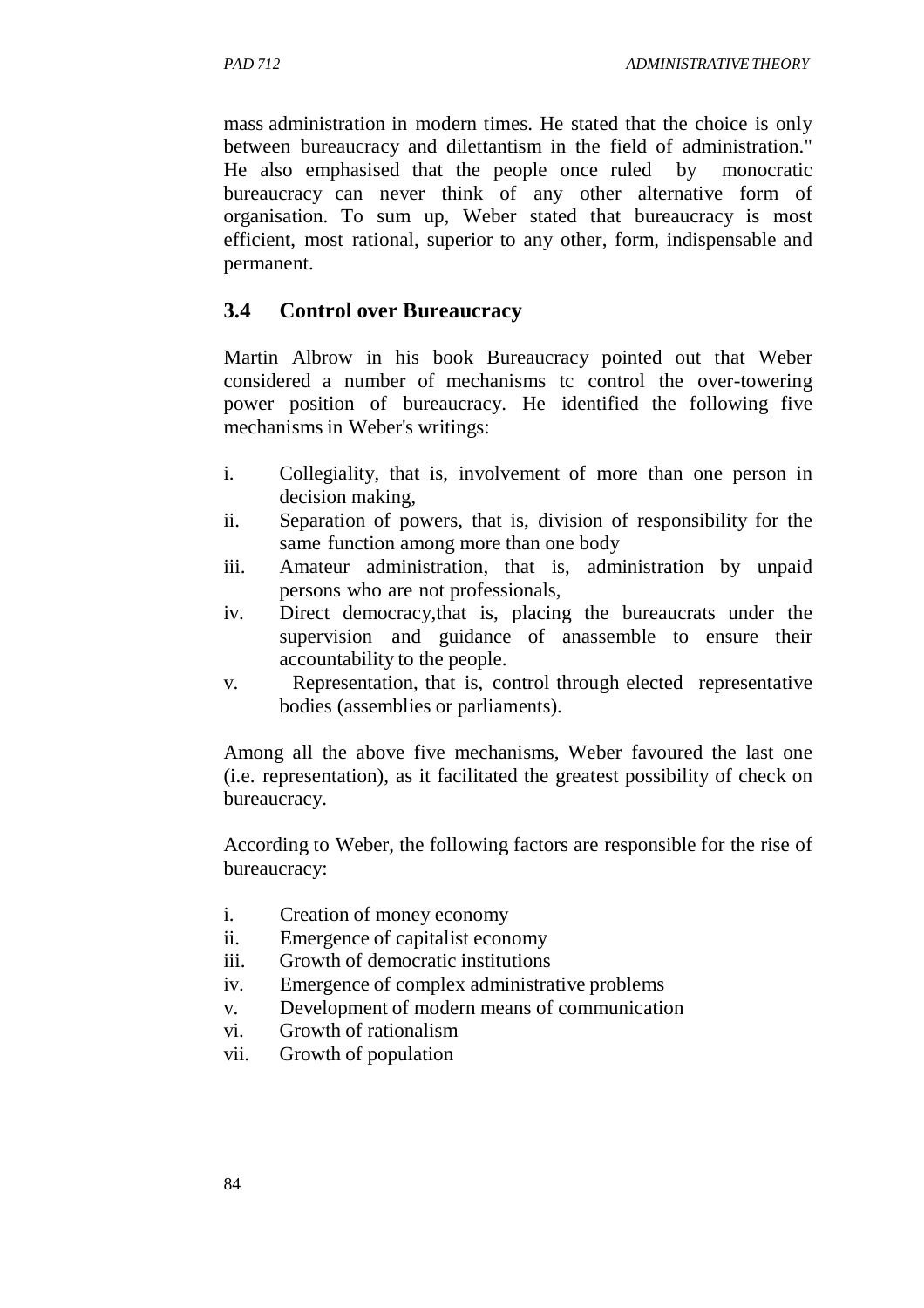mass administration in modern times. He stated that the choice is only between bureaucracy and dilettantism in the field of administration." He also emphasised that the people once ruled by monocratic bureaucracy can never think of any other alternative form of organisation. To sum up, Weber stated that bureaucracy is most efficient, most rational, superior to any other, form, indispensable and permanent.

### **3.4 Control over Bureaucracy**

Martin Albrow in his book Bureaucracy pointed out that Weber considered a number of mechanisms tc control the over-towering power position of bureaucracy. He identified the following five mechanisms in Weber's writings:

- i. Collegiality, that is, involvement of more than one person in decision making,
- ii. Separation of powers, that is, division of responsibility for the same function among more than one body
- iii. Amateur administration, that is, administration by unpaid persons who are not professionals,
- iv. Direct democracy,that is, placing the bureaucrats under the supervision and guidance of anassemble to ensure their accountability to the people.
- v. Representation, that is, control through elected representative bodies (assemblies or parliaments).

Among all the above five mechanisms, Weber favoured the last one (i.e. representation), as it facilitated the greatest possibility of check on bureaucracy.

According to Weber, the following factors are responsible for the rise of bureaucracy:

- i. Creation of money economy
- ii. Emergence of capitalist economy
- iii. Growth of democratic institutions
- iv. Emergence of complex administrative problems
- v. Development of modern means of communication
- vi. Growth of rationalism
- vii. Growth of population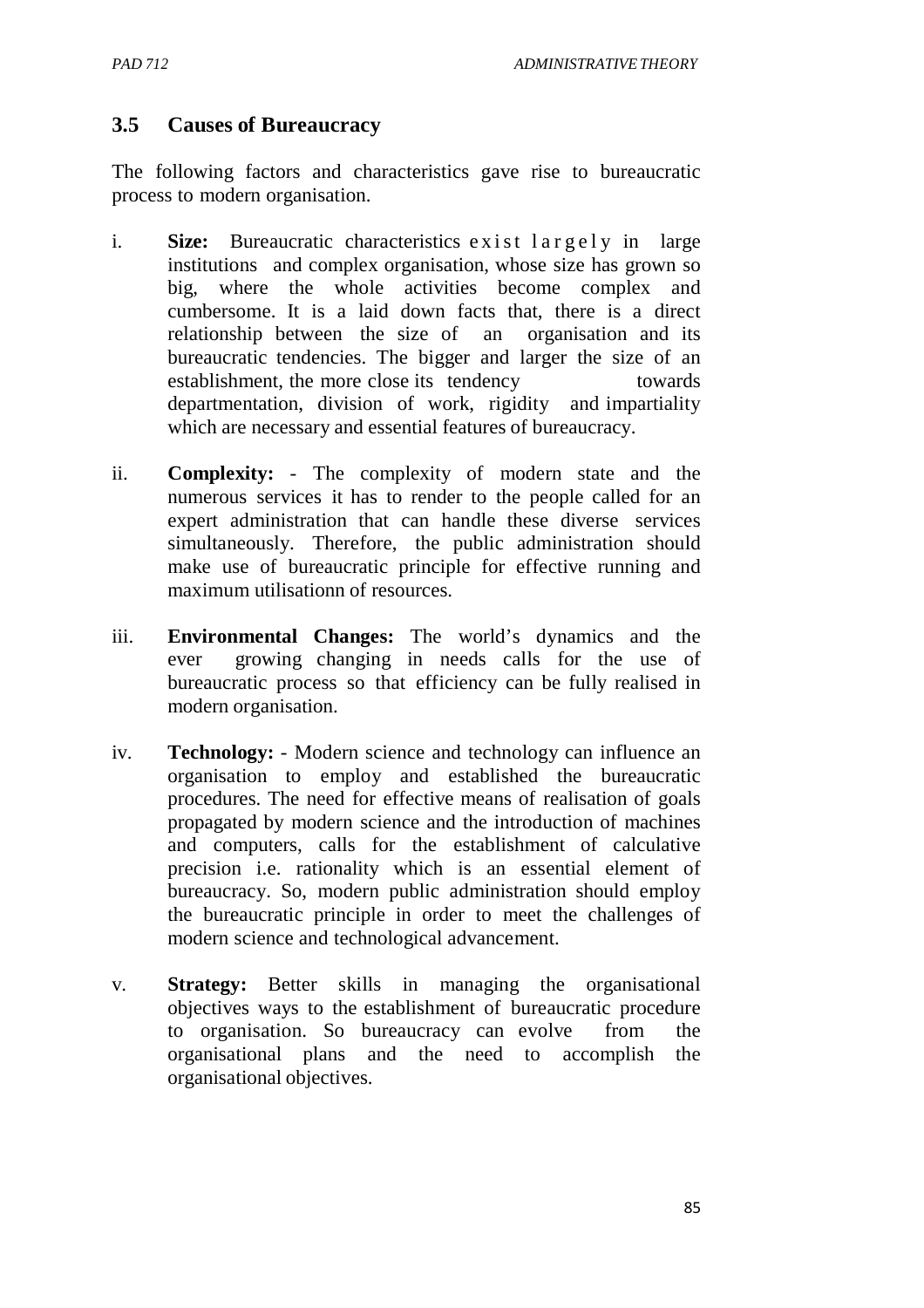### **3.5 Causes of Bureaucracy**

The following factors and characteristics gave rise to bureaucratic process to modern organisation.

- i. **Size:** Bureaucratic characteristics exist largely in large institutions and complex organisation, whose size has grown so big, where the whole activities become complex and cumbersome. It is a laid down facts that, there is a direct relationship between the size of an organisation and its bureaucratic tendencies. The bigger and larger the size of an establishment, the more close its tendency towards departmentation, division of work, rigidity and impartiality which are necessary and essential features of bureaucracy.
- ii. **Complexity:**  The complexity of modern state and the numerous services it has to render to the people called for an expert administration that can handle these diverse services simultaneously. Therefore, the public administration should make use of bureaucratic principle for effective running and maximum utilisationn of resources.
- iii. **Environmental Changes:** The world's dynamics and the ever growing changing in needs calls for the use of bureaucratic process so that efficiency can be fully realised in modern organisation.
- iv. **Technology:**  Modern science and technology can influence an organisation to employ and established the bureaucratic procedures. The need for effective means of realisation of goals propagated by modern science and the introduction of machines and computers, calls for the establishment of calculative precision i.e. rationality which is an essential element of bureaucracy. So, modern public administration should employ the bureaucratic principle in order to meet the challenges of modern science and technological advancement.
- v. **Strategy:** Better skills in managing the organisational objectives ways to the establishment of bureaucratic procedure to organisation. So bureaucracy can evolve from the organisational plans and the need to accomplish the organisational objectives.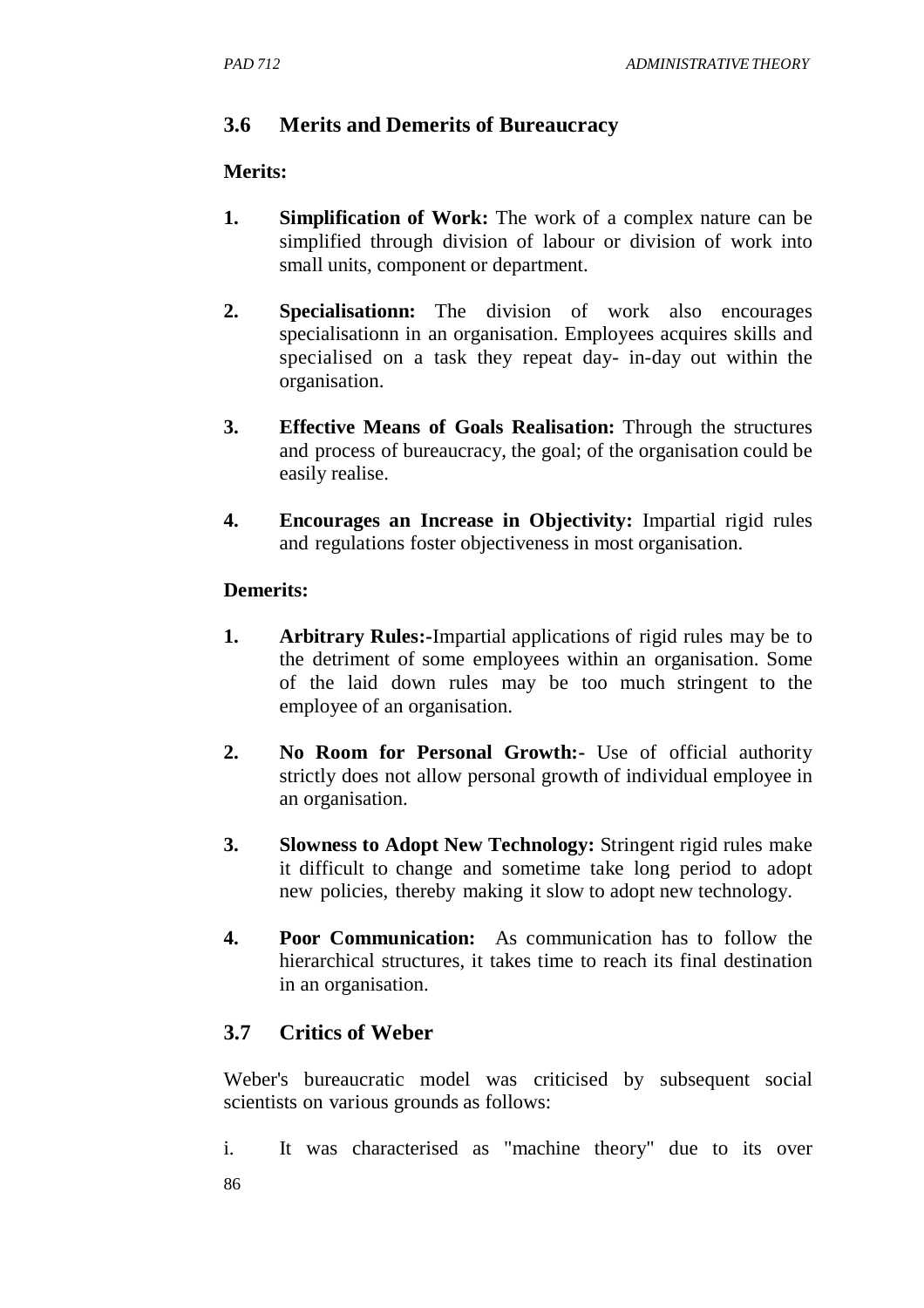## **3.6 Merits and Demerits of Bureaucracy**

#### **Merits:**

- **1.** Simplification of Work: The work of a complex nature can be simplified through division of labour or division of work into small units, component or department.
- **2. Specialisationn:** The division of work also encourages specialisationn in an organisation. Employees acquires skills and specialised on a task they repeat day- in-day out within the organisation.
- **3. Effective Means of Goals Realisation:** Through the structures and process of bureaucracy, the goal; of the organisation could be easily realise.
- **4. Encourages an Increase in Objectivity:** Impartial rigid rules and regulations foster objectiveness in most organisation.

#### **Demerits:**

- **1. Arbitrary Rules:-**Impartial applications of rigid rules may be to the detriment of some employees within an organisation. Some of the laid down rules may be too much stringent to the employee of an organisation.
- **2. No Room for Personal Growth:-** Use of official authority strictly does not allow personal growth of individual employee in an organisation.
- **3. Slowness to Adopt New Technology:** Stringent rigid rules make it difficult to change and sometime take long period to adopt new policies, thereby making it slow to adopt new technology.
- **4. Poor Communication:** As communication has to follow the hierarchical structures, it takes time to reach its final destination in an organisation.

### **3.7 Critics of Weber**

Weber's bureaucratic model was criticised by subsequent social scientists on various grounds as follows:

86 i. It was characterised as "machine theory" due to its over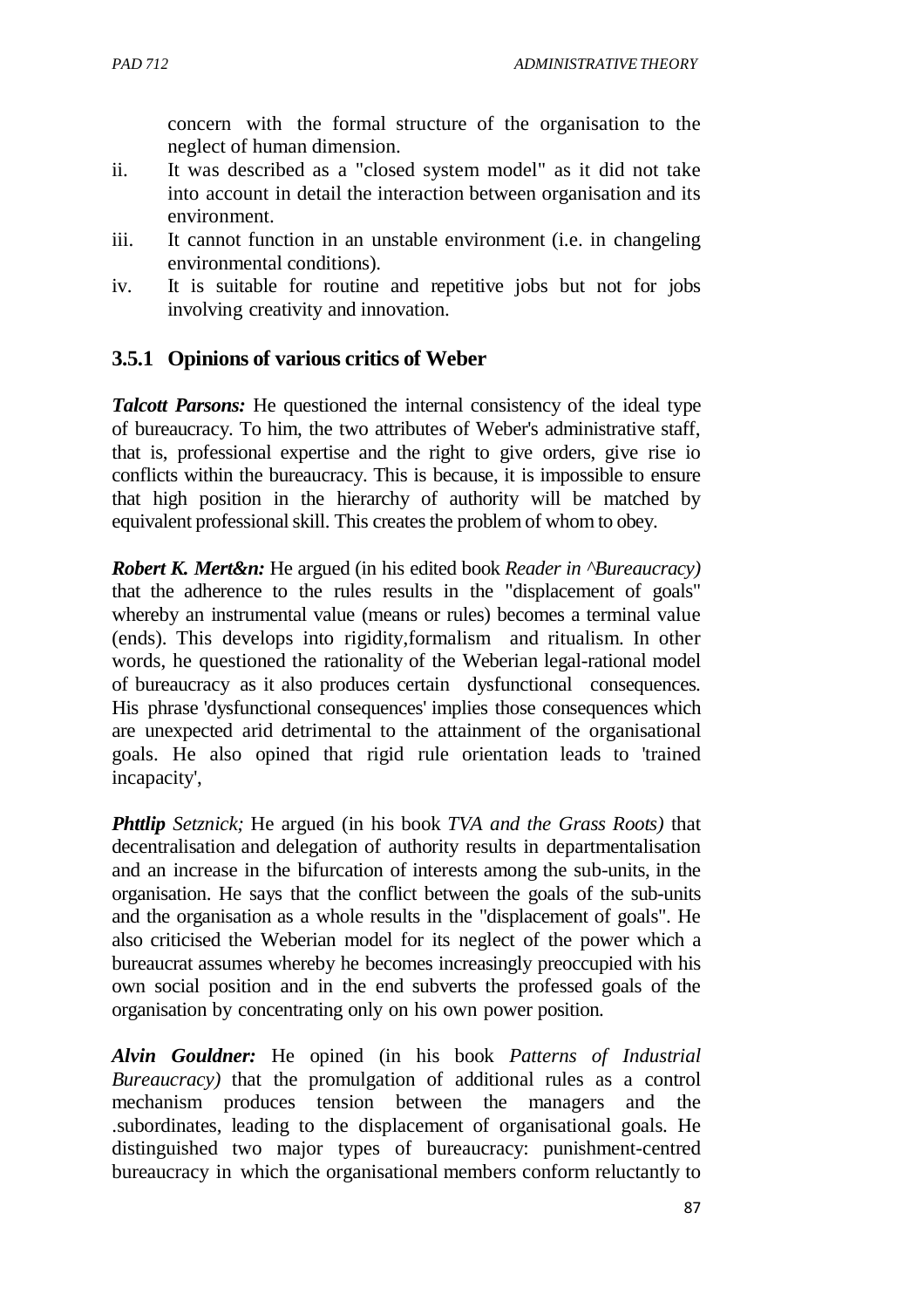concern with the formal structure of the organisation to the neglect of human dimension.

- ii. It was described as a "closed system model" as it did not take into account in detail the interaction between organisation and its environment.
- iii. It cannot function in an unstable environment (i.e. in changeling environmental conditions).
- iv. It is suitable for routine and repetitive jobs but not for jobs involving creativity and innovation.

### **3.5.1 Opinions of various critics of Weber**

*Talcott Parsons:* He questioned the internal consistency of the ideal type of bureaucracy. To him, the two attributes of Weber's administrative staff, that is, professional expertise and the right to give orders, give rise io conflicts within the bureaucracy. This is because, it is impossible to ensure that high position in the hierarchy of authority will be matched by equivalent professional skill. This creates the problem of whom to obey.

*Robert K. Mert&n:* He argued (in his edited book *Reader in ^Bureaucracy)*  that the adherence to the rules results in the "displacement of goals" whereby an instrumental value (means or rules) becomes a terminal value (ends). This develops into rigidity,formalism and ritualism. In other words, he questioned the rationality of the Weberian legal-rational model of bureaucracy as it also produces certain dysfunctional consequences. His phrase 'dysfunctional consequences' implies those consequences which are unexpected arid detrimental to the attainment of the organisational goals. He also opined that rigid rule orientation leads to 'trained incapacity',

*Phttlip Setznick;* He argued (in his book *TVA and the Grass Roots)* that decentralisation and delegation of authority results in departmentalisation and an increase in the bifurcation of interests among the sub-units, in the organisation. He says that the conflict between the goals of the sub-units and the organisation as a whole results in the "displacement of goals". He also criticised the Weberian model for its neglect of the power which a bureaucrat assumes whereby he becomes increasingly preoccupied with his own social position and in the end subverts the professed goals of the organisation by concentrating only on his own power position.

*Alvin Gouldner:* He opined (in his book *Patterns of Industrial Bureaucracy)* that the promulgation of additional rules as a control mechanism produces tension between the managers and the .subordinates, leading to the displacement of organisational goals. He distinguished two major types of bureaucracy: punishment-centred bureaucracy in which the organisational members conform reluctantly to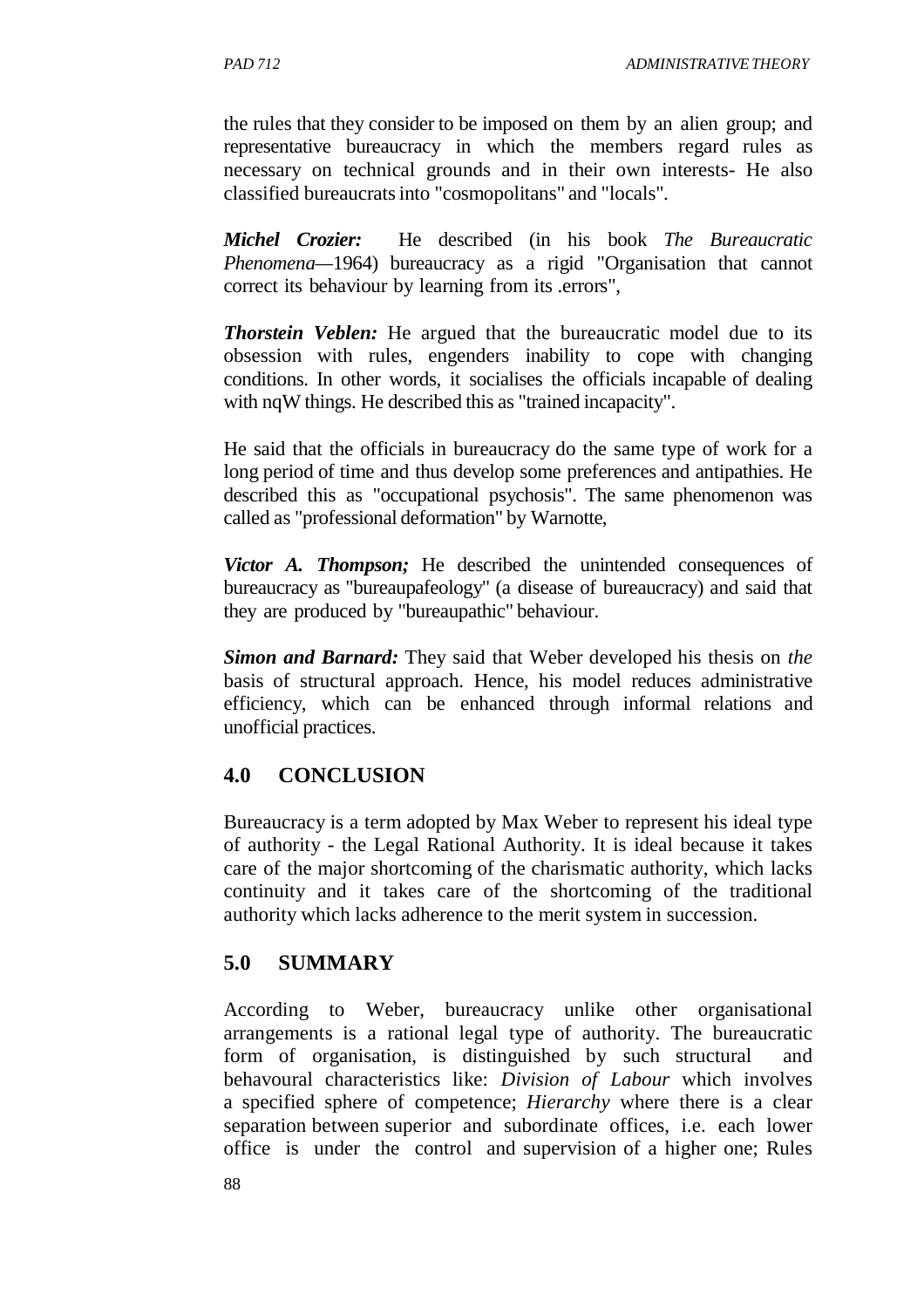the rules that they consider to be imposed on them by an alien group; and representative bureaucracy in which the members regard rules as necessary on technical grounds and in their own interests- He also classified bureaucrats into "cosmopolitans" and "locals".

*Michel Crozier:* He described (in his book *The Bureaucratic Phenomena—*1964) bureaucracy as a rigid "Organisation that cannot correct its behaviour by learning from its .errors",

*Thorstein Veblen:* He argued that the bureaucratic model due to its obsession with rules, engenders inability to cope with changing conditions. In other words, it socialises the officials incapable of dealing with nqW things. He described this as "trained incapacity".

He said that the officials in bureaucracy do the same type of work for a long period of time and thus develop some preferences and antipathies. He described this as "occupational psychosis". The same phenomenon was called as "professional deformation" by Warnotte,

*Victor A. Thompson;* He described the unintended consequences of bureaucracy as "bureaupafeology" (a disease of bureaucracy) and said that they are produced by "bureaupathic" behaviour.

*Simon and Barnard:* They said that Weber developed his thesis on *the*  basis of structural approach. Hence, his model reduces administrative efficiency, which can be enhanced through informal relations and unofficial practices.

### **4.0 CONCLUSION**

Bureaucracy is a term adopted by Max Weber to represent his ideal type of authority - the Legal Rational Authority. It is ideal because it takes care of the major shortcoming of the charismatic authority, which lacks continuity and it takes care of the shortcoming of the traditional authority which lacks adherence to the merit system in succession.

### **5.0 SUMMARY**

According to Weber, bureaucracy unlike other organisational arrangements is a rational legal type of authority. The bureaucratic form of organisation, is distinguished by such structural and behavoural characteristics like: *Division of Labour* which involves a specified sphere of competence; *Hierarchy* where there is a clear separation between superior and subordinate offices, i.e. each lower office is under the control and supervision of a higher one; Rules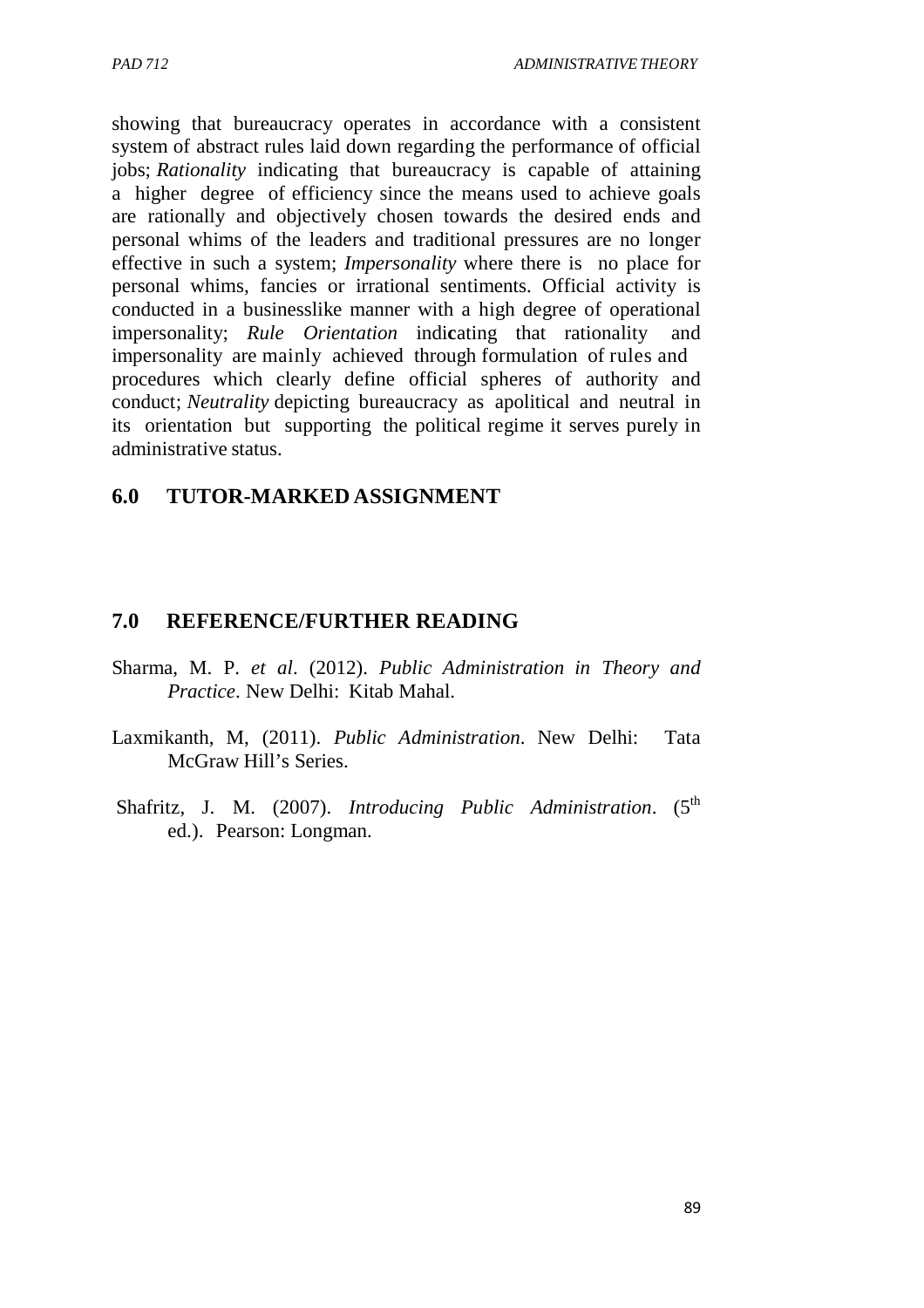showing that bureaucracy operates in accordance with a consistent system of abstract rules laid down regarding the performance of official jobs; *Rationality* indicating that bureaucracy is capable of attaining a higher degree of efficiency since the means used to achieve goals are rationally and objectively chosen towards the desired ends and personal whims of the leaders and traditional pressures are no longer effective in such a system; *Impersonality* where there is no place for personal whims, fancies or irrational sentiments. Official activity is conducted in a businesslike manner with a high degree of operational impersonality; *Rule Orientation* indi**c**ating that rationality and impersonality are mainly achieved through formulation of rules and procedures which clearly define official spheres of authority and conduct; *Neutrality* depicting bureaucracy as apolitical and neutral in its orientation but supporting the political regime it serves purely in administrative status.

#### **6.0 TUTOR-MARKED ASSIGNMENT**

#### **7.0 REFERENCE/FURTHER READING**

- Sharma, M. P. *et al*. (2012). *Public Administration in Theory and Practice*. New Delhi: Kitab Mahal.
- Laxmikanth, M, (2011). *Public Administration*. New Delhi: Tata McGraw Hill's Series.
- Shafritz, J. M. (2007). *Introducing Public Administration*. (5<sup>th</sup> ed.). Pearson: Longman.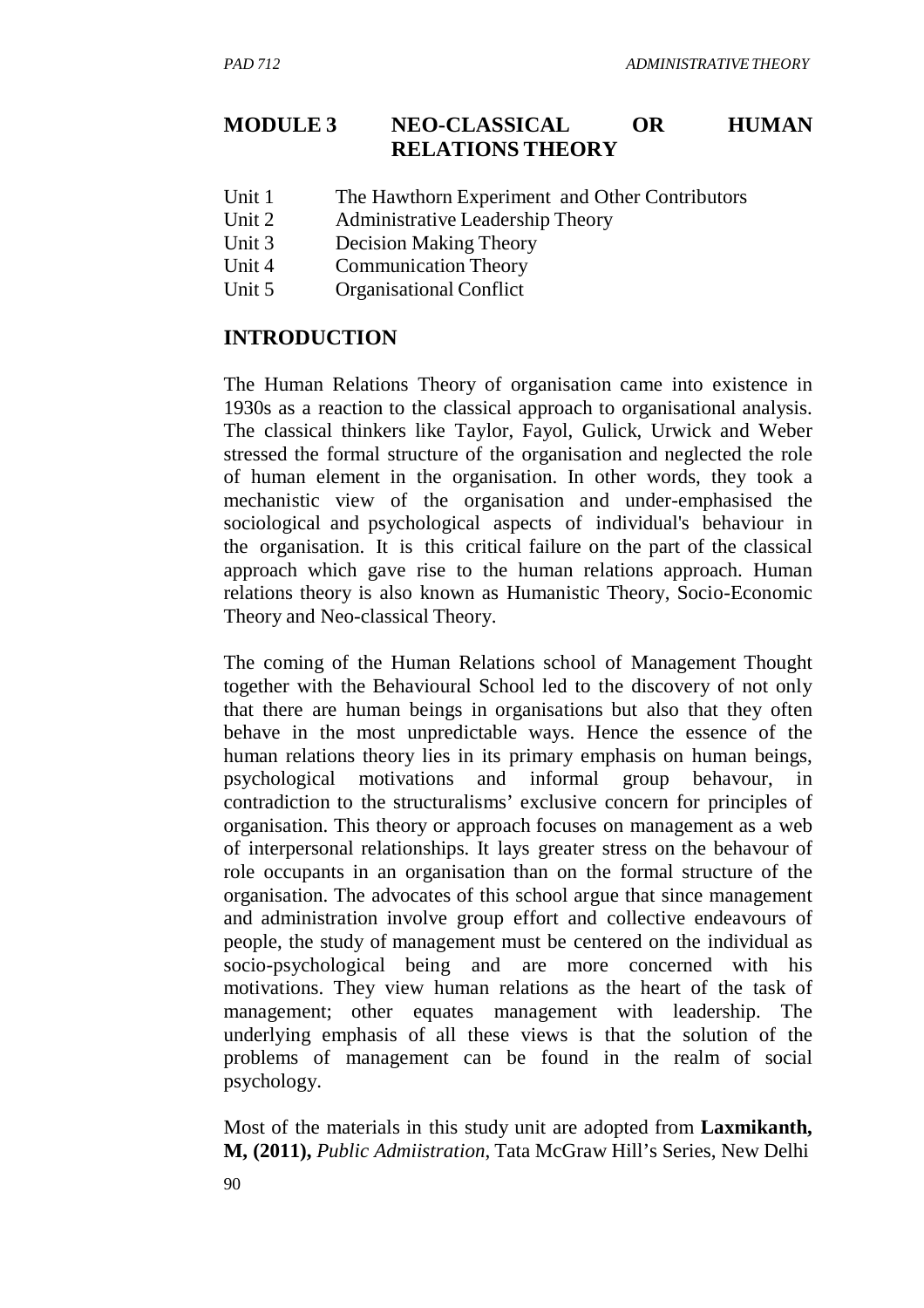### **MODULE 3 NEO-CLASSICAL OR HUMAN RELATIONS THEORY**

- Unit 1 The Hawthorn Experiment and Other Contributors
- Unit 2 Administrative Leadership Theory
- Unit 3 Decision Making Theory
- Unit 4 Communication Theory
- Unit 5 Organisational Conflict

## **INTRODUCTION**

The Human Relations Theory of organisation came into existence in 1930s as a reaction to the classical approach to organisational analysis. The classical thinkers like Taylor, Fayol, Gulick, Urwick and Weber stressed the formal structure of the organisation and neglected the role of human element in the organisation. In other words, they took a mechanistic view of the organisation and under-emphasised the sociological and psychological aspects of individual's behaviour in the organisation. It is this critical failure on the part of the classical approach which gave rise to the human relations approach. Human relations theory is also known as Humanistic Theory, Socio-Economic Theory and Neo-classical Theory.

The coming of the Human Relations school of Management Thought together with the Behavioural School led to the discovery of not only that there are human beings in organisations but also that they often behave in the most unpredictable ways. Hence the essence of the human relations theory lies in its primary emphasis on human beings, psychological motivations and informal group behavour, in contradiction to the structuralisms' exclusive concern for principles of organisation. This theory or approach focuses on management as a web of interpersonal relationships. It lays greater stress on the behavour of role occupants in an organisation than on the formal structure of the organisation. The advocates of this school argue that since management and administration involve group effort and collective endeavours of people, the study of management must be centered on the individual as socio-psychological being and are more concerned with his motivations. They view human relations as the heart of the task of management; other equates management with leadership. The underlying emphasis of all these views is that the solution of the problems of management can be found in the realm of social psychology.

Most of the materials in this study unit are adopted from **Laxmikanth, M, (2011),** *Public Admiistration*, Tata McGraw Hill's Series, New Delhi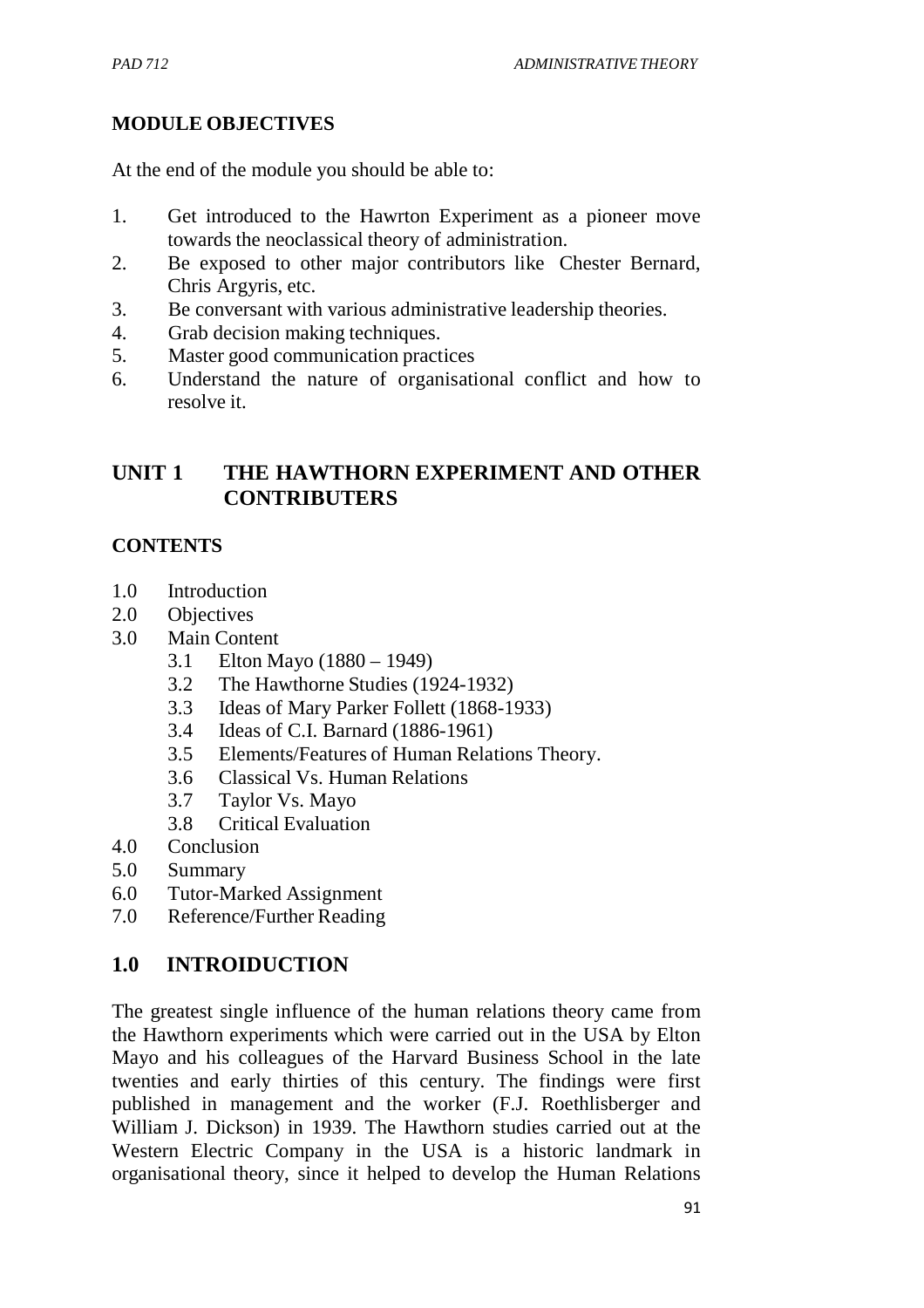## **MODULE OBJECTIVES**

At the end of the module you should be able to:

- 1. Get introduced to the Hawrton Experiment as a pioneer move towards the neoclassical theory of administration.
- 2. Be exposed to other major contributors like Chester Bernard, Chris Argyris, etc.
- 3. Be conversant with various administrative leadership theories.
- 4. Grab decision making techniques.
- 5. Master good communication practices
- 6. Understand the nature of organisational conflict and how to resolve it.

## **UNIT 1 THE HAWTHORN EXPERIMENT AND OTHER CONTRIBUTERS**

### **CONTENTS**

- 1.0 Introduction
- 2.0 Objectives
- 3.0 Main Content
	- 3.1 Elton Mayo (1880 1949)
	- 3.2 The Hawthorne Studies (1924-1932)
	- 3.3 Ideas of Mary Parker Follett (1868-1933)
	- 3.4 Ideas of C.I. Barnard (1886-1961)
	- 3.5 Elements/Features of Human Relations Theory.
	- 3.6 Classical Vs. Human Relations
	- 3.7 Taylor Vs. Mayo
	- 3.8 Critical Evaluation
- 4.0 Conclusion
- 5.0 Summary
- 6.0 Tutor-Marked Assignment
- 7.0 Reference/Further Reading

### **1.0 INTROIDUCTION**

The greatest single influence of the human relations theory came from the Hawthorn experiments which were carried out in the USA by Elton Mayo and his colleagues of the Harvard Business School in the late twenties and early thirties of this century. The findings were first published in management and the worker (F.J. Roethlisberger and William J. Dickson) in 1939. The Hawthorn studies carried out at the Western Electric Company in the USA is a historic landmark in organisational theory, since it helped to develop the Human Relations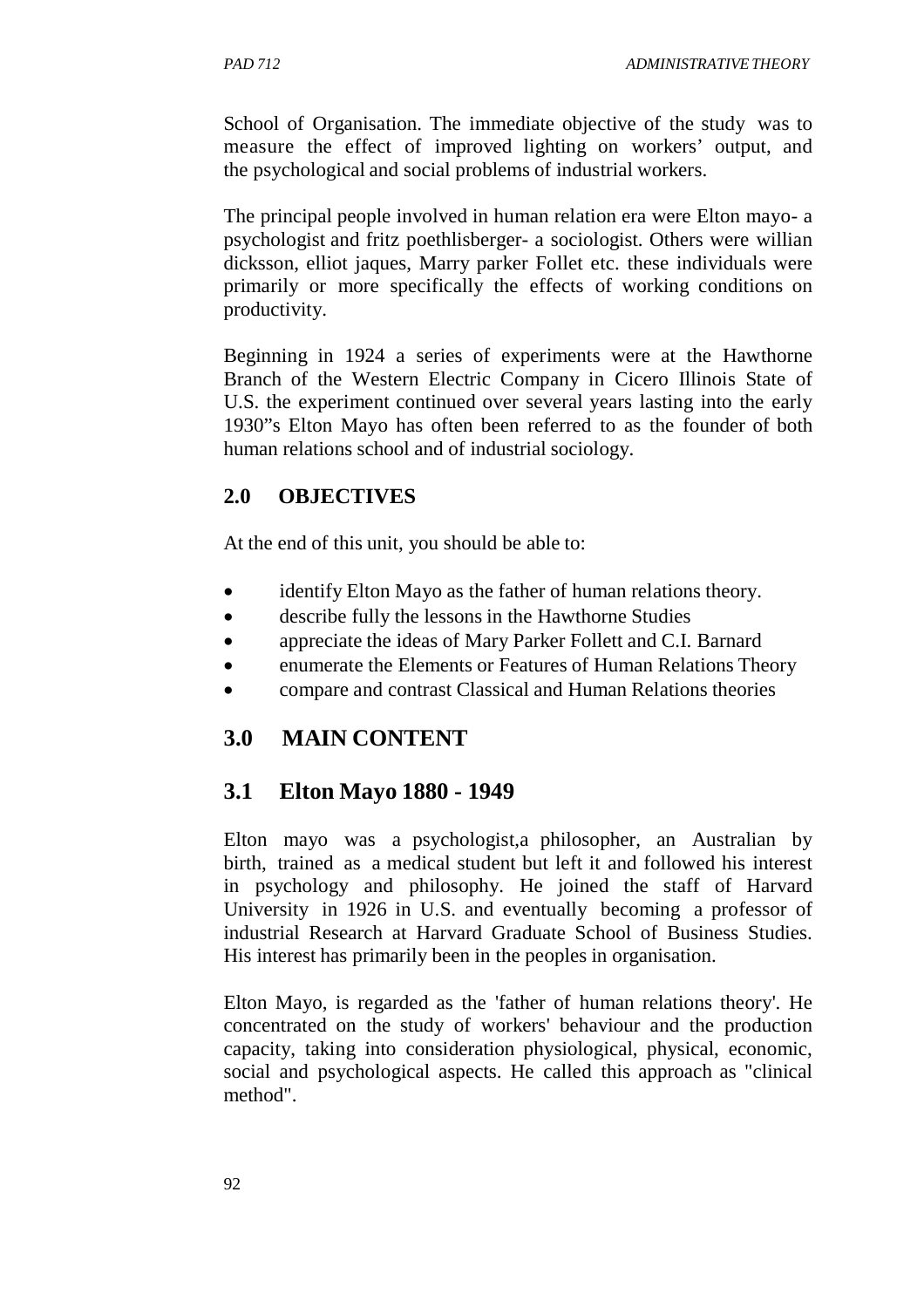School of Organisation. The immediate objective of the study was to measure the effect of improved lighting on workers' output, and the psychological and social problems of industrial workers.

The principal people involved in human relation era were Elton mayo- a psychologist and fritz poethlisberger- a sociologist. Others were willian dicksson, elliot jaques, Marry parker Follet etc. these individuals were primarily or more specifically the effects of working conditions on productivity.

Beginning in 1924 a series of experiments were at the Hawthorne Branch of the Western Electric Company in Cicero Illinois State of U.S. the experiment continued over several years lasting into the early 1930"s Elton Mayo has often been referred to as the founder of both human relations school and of industrial sociology.

## **2.0 OBJECTIVES**

At the end of this unit, you should be able to:

- identify Elton Mayo as the father of human relations theory.
- describe fully the lessons in the Hawthorne Studies
- appreciate the ideas of Mary Parker Follett and C.I. Barnard
- enumerate the Elements or Features of Human Relations Theory
- compare and contrast Classical and Human Relations theories

# **3.0 MAIN CONTENT**

# **3.1 Elton Mayo 1880 - 1949**

Elton mayo was a psychologist,a philosopher, an Australian by birth, trained as a medical student but left it and followed his interest in psychology and philosophy. He joined the staff of Harvard University in 1926 in U.S. and eventually becoming a professor of industrial Research at Harvard Graduate School of Business Studies. His interest has primarily been in the peoples in organisation.

Elton Mayo, is regarded as the 'father of human relations theory'. He concentrated on the study of workers' behaviour and the production capacity, taking into consideration physiological, physical, economic, social and psychological aspects. He called this approach as "clinical method".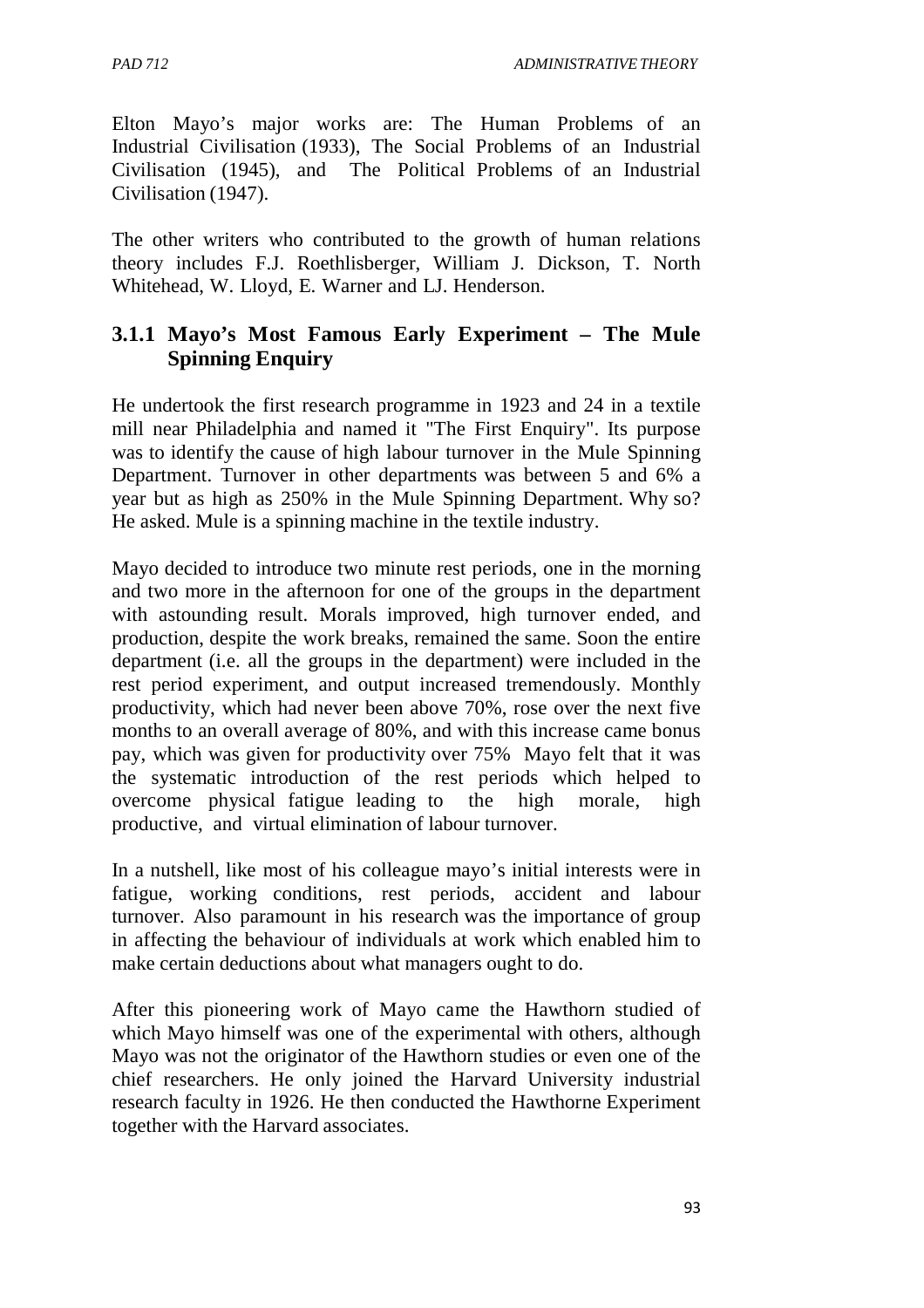Elton Mayo's major works are: The Human Problems of an Industrial Civilisation (1933), The Social Problems of an Industrial Civilisation (1945), and The Political Problems of an Industrial Civilisation (1947).

The other writers who contributed to the growth of human relations theory includes F.J. Roethlisberger, William J. Dickson, T. North Whitehead, W. Lloyd, E. Warner and LJ. Henderson.

## **3.1.1 Mayo's Most Famous Early Experiment – The Mule Spinning Enquiry**

He undertook the first research programme in 1923 and 24 in a textile mill near Philadelphia and named it "The First Enquiry". Its purpose was to identify the cause of high labour turnover in the Mule Spinning Department. Turnover in other departments was between 5 and 6% a year but as high as 250% in the Mule Spinning Department. Why so? He asked. Mule is a spinning machine in the textile industry.

Mayo decided to introduce two minute rest periods, one in the morning and two more in the afternoon for one of the groups in the department with astounding result. Morals improved, high turnover ended, and production, despite the work breaks, remained the same. Soon the entire department (i.e. all the groups in the department) were included in the rest period experiment, and output increased tremendously. Monthly productivity, which had never been above 70%, rose over the next five months to an overall average of 80%, and with this increase came bonus pay, which was given for productivity over 75% Mayo felt that it was the systematic introduction of the rest periods which helped to overcome physical fatigue leading to the high morale, high productive, and virtual elimination of labour turnover.

In a nutshell, like most of his colleague mayo's initial interests were in fatigue, working conditions, rest periods, accident and labour turnover. Also paramount in his research was the importance of group in affecting the behaviour of individuals at work which enabled him to make certain deductions about what managers ought to do.

After this pioneering work of Mayo came the Hawthorn studied of which Mayo himself was one of the experimental with others, although Mayo was not the originator of the Hawthorn studies or even one of the chief researchers. He only joined the Harvard University industrial research faculty in 1926. He then conducted the Hawthorne Experiment together with the Harvard associates.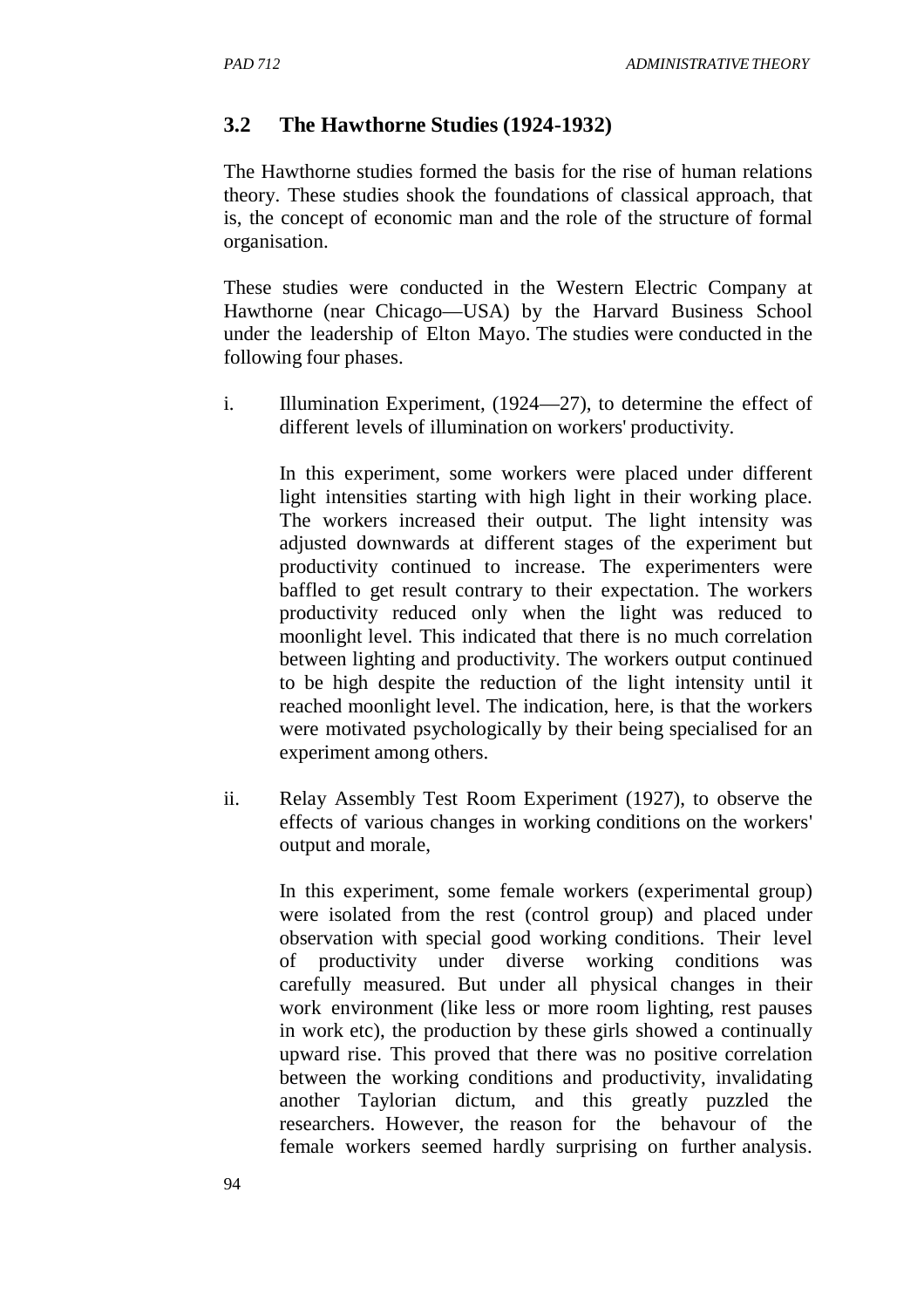### **3.2 The Hawthorne Studies (1924-1932)**

The Hawthorne studies formed the basis for the rise of human relations theory. These studies shook the foundations of classical approach, that is, the concept of economic man and the role of the structure of formal organisation.

These studies were conducted in the Western Electric Company at Hawthorne (near Chicago—USA) by the Harvard Business School under the leadership of Elton Mayo. The studies were conducted in the following four phases.

i. Illumination Experiment, (1924—27), to determine the effect of different levels of illumination on workers' productivity.

In this experiment, some workers were placed under different light intensities starting with high light in their working place. The workers increased their output. The light intensity was adjusted downwards at different stages of the experiment but productivity continued to increase. The experimenters were baffled to get result contrary to their expectation. The workers productivity reduced only when the light was reduced to moonlight level. This indicated that there is no much correlation between lighting and productivity. The workers output continued to be high despite the reduction of the light intensity until it reached moonlight level. The indication, here, is that the workers were motivated psychologically by their being specialised for an experiment among others.

ii. Relay Assembly Test Room Experiment (1927), to observe the effects of various changes in working conditions on the workers' output and morale,

In this experiment, some female workers (experimental group) were isolated from the rest (control group) and placed under observation with special good working conditions. Their level of productivity under diverse working conditions was carefully measured. But under all physical changes in their work environment (like less or more room lighting, rest pauses in work etc), the production by these girls showed a continually upward rise. This proved that there was no positive correlation between the working conditions and productivity, invalidating another Taylorian dictum, and this greatly puzzled the researchers. However, the reason for the behavour of the female workers seemed hardly surprising on further analysis.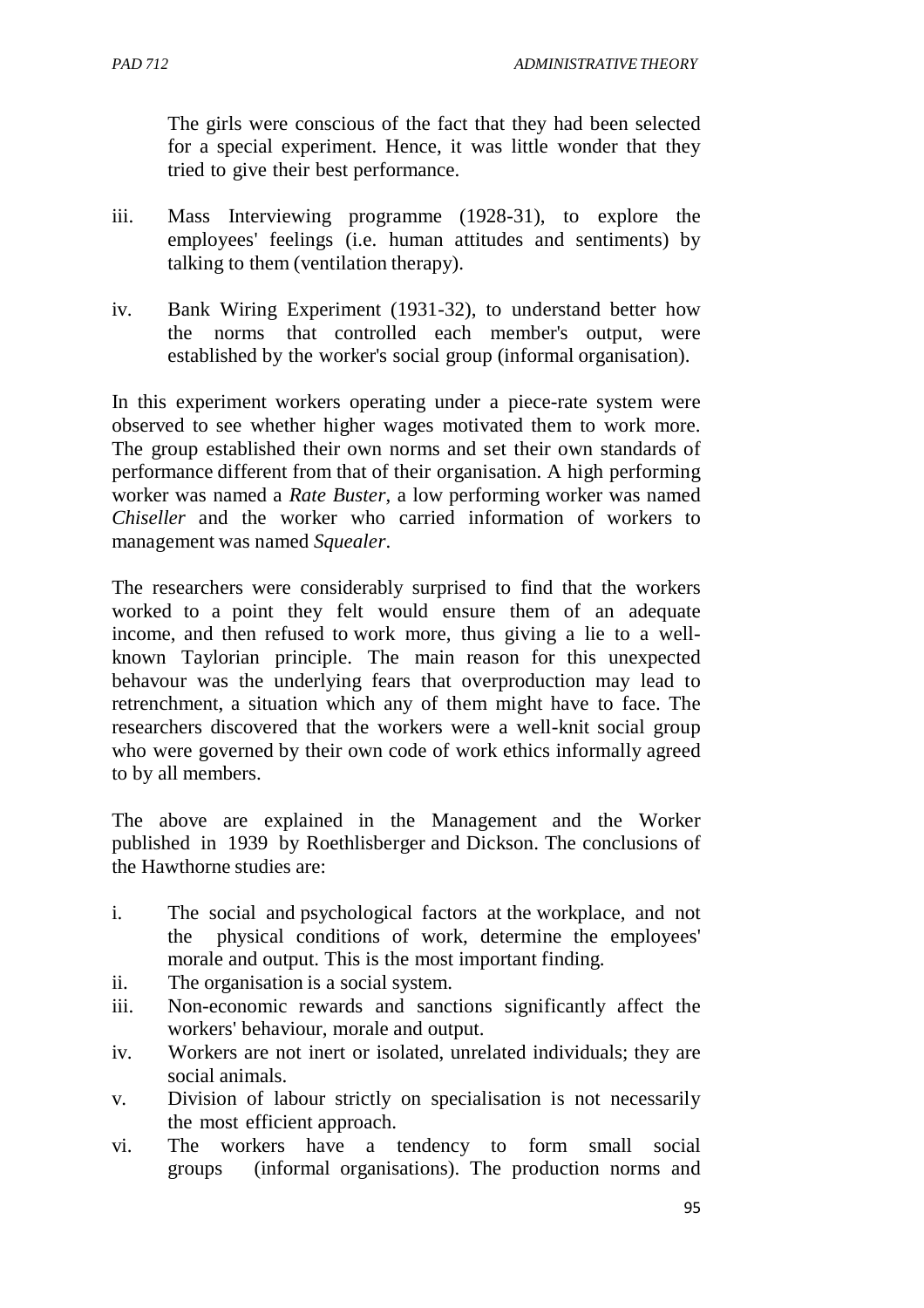The girls were conscious of the fact that they had been selected for a special experiment. Hence, it was little wonder that they tried to give their best performance.

- iii. Mass Interviewing programme (1928-31), to explore the employees' feelings (i.e. human attitudes and sentiments) by talking to them (ventilation therapy).
- iv. Bank Wiring Experiment (1931-32), to understand better how the norms that controlled each member's output, were established by the worker's social group (informal organisation).

In this experiment workers operating under a piece-rate system were observed to see whether higher wages motivated them to work more. The group established their own norms and set their own standards of performance different from that of their organisation. A high performing worker was named a *Rate Buster*, a low performing worker was named *Chiseller* and the worker who carried information of workers to management was named *Squealer*.

The researchers were considerably surprised to find that the workers worked to a point they felt would ensure them of an adequate income, and then refused to work more, thus giving a lie to a wellknown Taylorian principle. The main reason for this unexpected behavour was the underlying fears that overproduction may lead to retrenchment, a situation which any of them might have to face. The researchers discovered that the workers were a well-knit social group who were governed by their own code of work ethics informally agreed to by all members.

The above are explained in the Management and the Worker published in 1939 by Roethlisberger and Dickson. The conclusions of the Hawthorne studies are:

- i. The social and psychological factors at the workplace, and not the physical conditions of work, determine the employees' morale and output. This is the most important finding.
- ii. The organisation is a social system.
- iii. Non-economic rewards and sanctions significantly affect the workers' behaviour, morale and output.
- iv. Workers are not inert or isolated, unrelated individuals; they are social animals.
- v. Division of labour strictly on specialisation is not necessarily the most efficient approach.
- vi. The workers have a tendency to form small social groups (informal organisations). The production norms and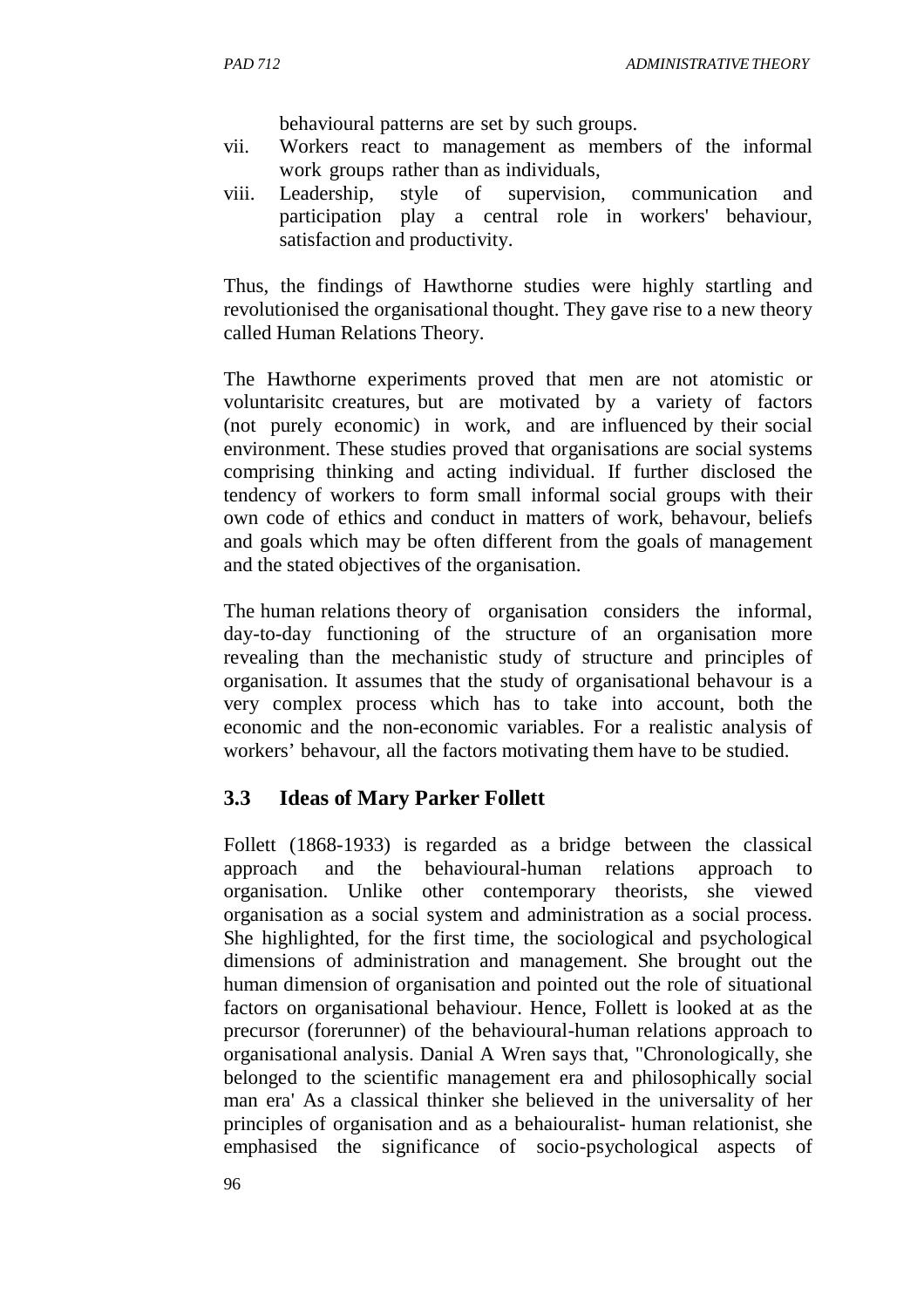behavioural patterns are set by such groups.

- vii. Workers react to management as members of the informal work groups rather than as individuals,
- viii. Leadership, style of supervision, communication and participation play a central role in workers' behaviour, satisfaction and productivity.

Thus, the findings of Hawthorne studies were highly startling and revolutionised the organisational thought. They gave rise to a new theory called Human Relations Theory.

The Hawthorne experiments proved that men are not atomistic or voluntarisitc creatures, but are motivated by a variety of factors (not purely economic) in work, and are influenced by their social environment. These studies proved that organisations are social systems comprising thinking and acting individual. If further disclosed the tendency of workers to form small informal social groups with their own code of ethics and conduct in matters of work, behavour, beliefs and goals which may be often different from the goals of management and the stated objectives of the organisation.

The human relations theory of organisation considers the informal, day-to-day functioning of the structure of an organisation more revealing than the mechanistic study of structure and principles of organisation. It assumes that the study of organisational behavour is a very complex process which has to take into account, both the economic and the non-economic variables. For a realistic analysis of workers' behavour, all the factors motivating them have to be studied.

#### **3.3 Ideas of Mary Parker Follett**

Follett (1868-1933) is regarded as a bridge between the classical approach and the behavioural-human relations approach to organisation. Unlike other contemporary theorists, she viewed organisation as a social system and administration as a social process. She highlighted, for the first time, the sociological and psychological dimensions of administration and management. She brought out the human dimension of organisation and pointed out the role of situational factors on organisational behaviour. Hence, Follett is looked at as the precursor (forerunner) of the behavioural-human relations approach to organisational analysis. Danial A Wren says that, "Chronologically, she belonged to the scientific management era and philosophically social man era' As a classical thinker she believed in the universality of her principles of organisation and as a behaiouralist- human relationist, she emphasised the significance of socio-psychological aspects of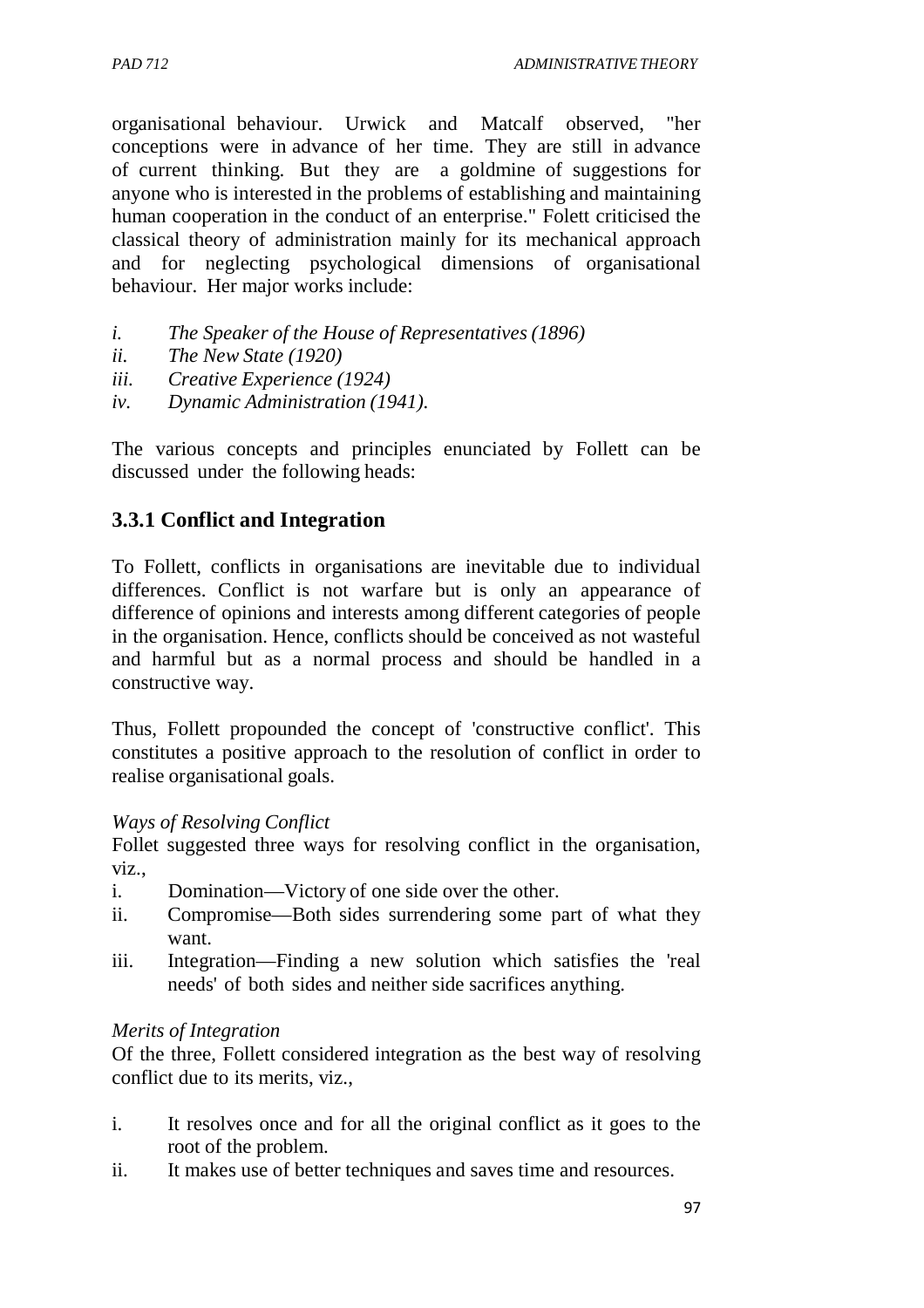organisational behaviour. Urwick and Matcalf observed, "her conceptions were in advance of her time. They are still in advance of current thinking. But they are a goldmine of suggestions for anyone who is interested in the problems of establishing and maintaining human cooperation in the conduct of an enterprise." Folett criticised the classical theory of administration mainly for its mechanical approach and for neglecting psychological dimensions of organisational behaviour. Her major works include:

- *i. The Speaker of the House of Representatives (1896)*
- *ii. The New State (1920)*
- *iii. Creative Experience (1924)*
- *iv. Dynamic Administration (1941).*

The various concepts and principles enunciated by Follett can be discussed under the following heads:

### **3.3.1 Conflict and Integration**

To Follett, conflicts in organisations are inevitable due to individual differences. Conflict is not warfare but is only an appearance of difference of opinions and interests among different categories of people in the organisation. Hence, conflicts should be conceived as not wasteful and harmful but as a normal process and should be handled in a constructive way.

Thus, Follett propounded the concept of 'constructive conflict'. This constitutes a positive approach to the resolution of conflict in order to realise organisational goals.

*Ways of Resolving Conflict*

Follet suggested three ways for resolving conflict in the organisation, viz.,

- i. Domination—Victory of one side over the other.
- ii. Compromise—Both sides surrendering some part of what they want.
- iii. Integration—Finding a new solution which satisfies the 'real needs' of both sides and neither side sacrifices anything.

#### *Merits of Integration*

Of the three, Follett considered integration as the best way of resolving conflict due to its merits, viz.,

- i. It resolves once and for all the original conflict as it goes to the root of the problem.
- ii. It makes use of better techniques and saves time and resources.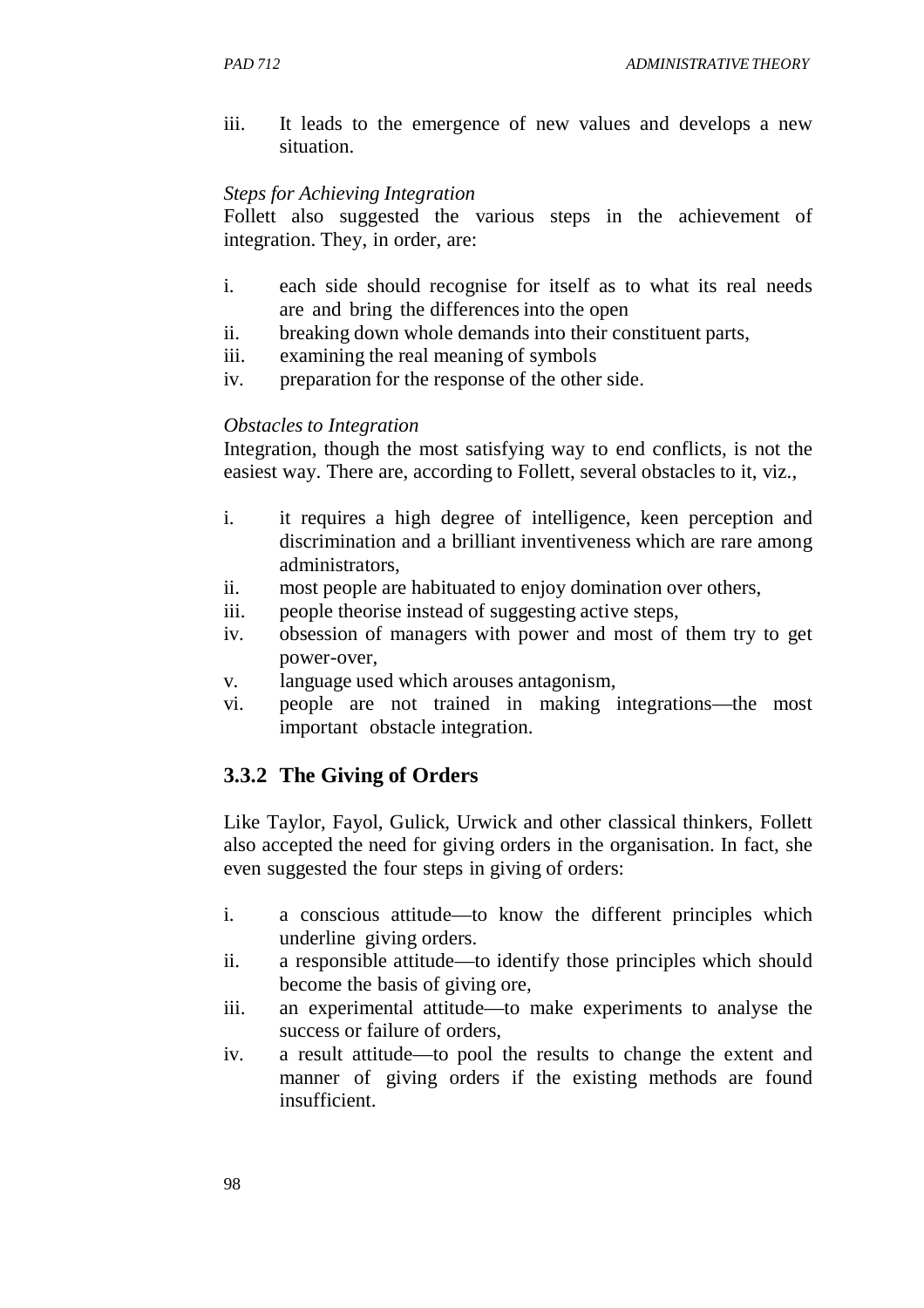iii. It leads to the emergence of new values and develops a new situation.

#### *Steps for Achieving Integration*

Follett also suggested the various steps in the achievement of integration. They, in order, are:

- i. each side should recognise for itself as to what its real needs are and bring the differences into the open
- ii. breaking down whole demands into their constituent parts,
- iii. examining the real meaning of symbols
- iv. preparation for the response of the other side.

#### *Obstacles to Integration*

Integration, though the most satisfying way to end conflicts, is not the easiest way. There are, according to Follett, several obstacles to it, viz.,

- i. it requires a high degree of intelligence, keen perception and discrimination and a brilliant inventiveness which are rare among administrators,
- ii. most people are habituated to enjoy domination over others,
- iii. people theorise instead of suggesting active steps,
- iv. obsession of managers with power and most of them try to get power-over,
- v. language used which arouses antagonism,
- vi. people are not trained in making integrations—the most important obstacle integration.

### **3.3.2 The Giving of Orders**

Like Taylor, Fayol, Gulick, Urwick and other classical thinkers, Follett also accepted the need for giving orders in the organisation. In fact, she even suggested the four steps in giving of orders:

- i. a conscious attitude—to know the different principles which underline giving orders.
- ii. a responsible attitude—to identify those principles which should become the basis of giving ore,
- iii. an experimental attitude—to make experiments to analyse the success or failure of orders,
- iv. a result attitude—to pool the results to change the extent and manner of giving orders if the existing methods are found insufficient.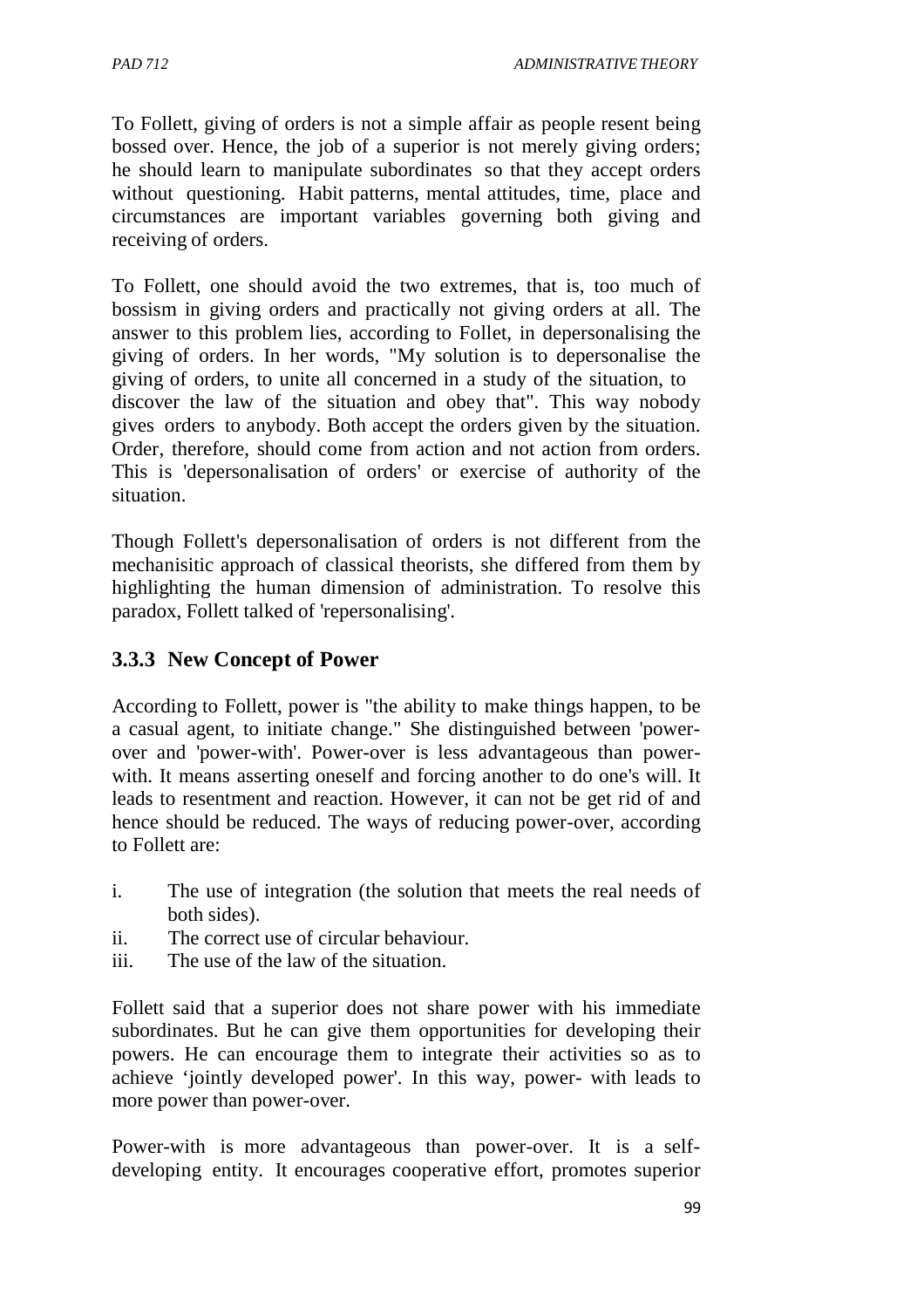*PAD 712 ADMINISTRATIVE THEORY*

To Follett, giving of orders is not a simple affair as people resent being bossed over. Hence, the job of a superior is not merely giving orders; he should learn to manipulate subordinates so that they accept orders without questioning. Habit patterns, mental attitudes, time, place and circumstances are important variables governing both giving and receiving of orders.

To Follett, one should avoid the two extremes, that is, too much of bossism in giving orders and practically not giving orders at all. The answer to this problem lies, according to Follet, in depersonalising the giving of orders. In her words, "My solution is to depersonalise the giving of orders, to unite all concerned in a study of the situation, to discover the law of the situation and obey that". This way nobody gives orders to anybody. Both accept the orders given by the situation. Order, therefore, should come from action and not action from orders. This is 'depersonalisation of orders' or exercise of authority of the situation.

Though Follett's depersonalisation of orders is not different from the mechanisitic approach of classical theorists, she differed from them by highlighting the human dimension of administration. To resolve this paradox, Follett talked of 'repersonalising'.

### **3.3.3 New Concept of Power**

According to Follett, power is "the ability to make things happen, to be a casual agent, to initiate change." She distinguished between 'powerover and 'power-with'. Power-over is less advantageous than powerwith. It means asserting oneself and forcing another to do one's will. It leads to resentment and reaction. However, it can not be get rid of and hence should be reduced. The ways of reducing power-over, according to Follett are:

- i. The use of integration (the solution that meets the real needs of both sides).
- ii. The correct use of circular behaviour.
- iii. The use of the law of the situation.

Follett said that a superior does not share power with his immediate subordinates. But he can give them opportunities for developing their powers. He can encourage them to integrate their activities so as to achieve 'jointly developed power'. In this way, power- with leads to more power than power-over.

Power-with is more advantageous than power-over. It is a selfdeveloping entity. It encourages cooperative effort, promotes superior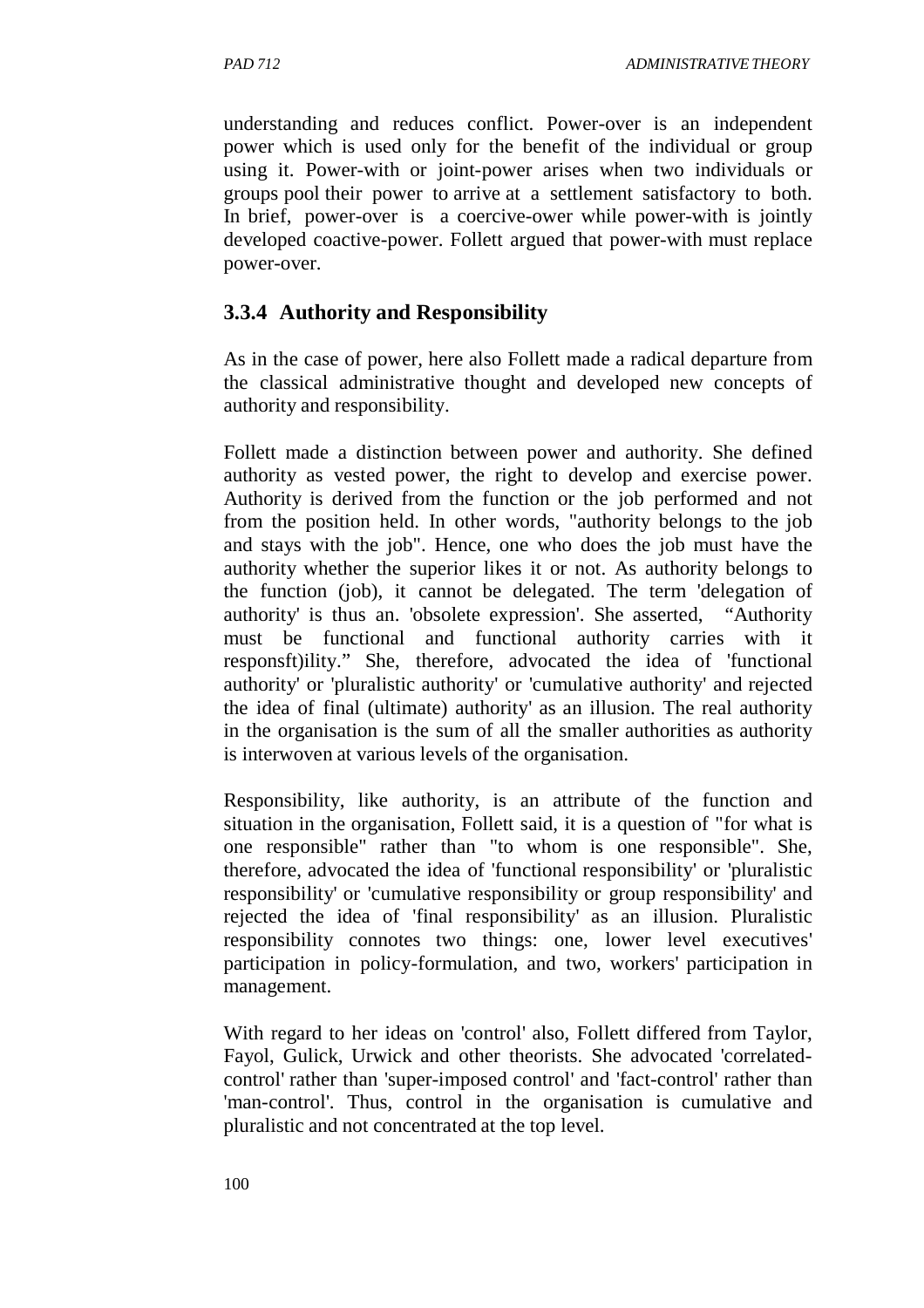understanding and reduces conflict. Power-over is an independent power which is used only for the benefit of the individual or group using it. Power-with or joint-power arises when two individuals or groups pool their power to arrive at a settlement satisfactory to both. In brief, power-over is a coercive-ower while power-with is jointly developed coactive-power. Follett argued that power-with must replace power-over.

# **3.3.4 Authority and Responsibility**

As in the case of power, here also Follett made a radical departure from the classical administrative thought and developed new concepts of authority and responsibility.

Follett made a distinction between power and authority. She defined authority as vested power, the right to develop and exercise power. Authority is derived from the function or the job performed and not from the position held. In other words, "authority belongs to the job and stays with the job". Hence, one who does the job must have the authority whether the superior likes it or not. As authority belongs to the function (job), it cannot be delegated. The term 'delegation of authority' is thus an. 'obsolete expression'. She asserted, "Authority must be functional and functional authority carries with it responsft)ility." She, therefore, advocated the idea of 'functional authority' or 'pluralistic authority' or 'cumulative authority' and rejected the idea of final (ultimate) authority' as an illusion. The real authority in the organisation is the sum of all the smaller authorities as authority is interwoven at various levels of the organisation.

Responsibility, like authority, is an attribute of the function and situation in the organisation, Follett said, it is a question of "for what is one responsible" rather than "to whom is one responsible". She, therefore, advocated the idea of 'functional responsibility' or 'pluralistic responsibility' or 'cumulative responsibility or group responsibility' and rejected the idea of 'final responsibility' as an illusion. Pluralistic responsibility connotes two things: one, lower level executives' participation in policy-formulation, and two, workers' participation in management.

With regard to her ideas on 'control' also, Follett differed from Taylor, Fayol, Gulick, Urwick and other theorists. She advocated 'correlatedcontrol' rather than 'super-imposed control' and 'fact-control' rather than 'man-control'. Thus, control in the organisation is cumulative and pluralistic and not concentrated at the top level.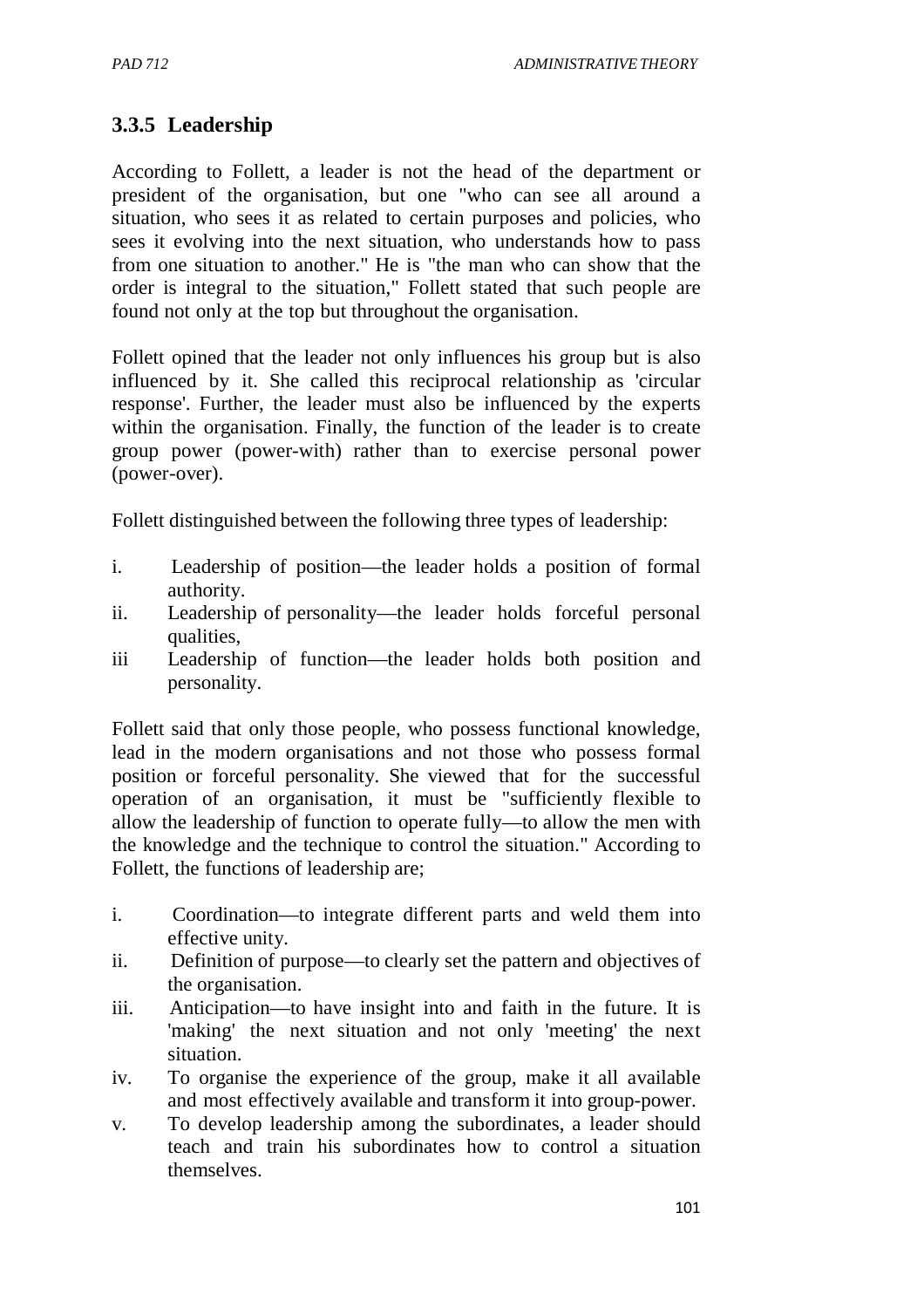# **3.3.5 Leadership**

According to Follett, a leader is not the head of the department or president of the organisation, but one "who can see all around a situation, who sees it as related to certain purposes and policies, who sees it evolving into the next situation, who understands how to pass from one situation to another." He is "the man who can show that the order is integral to the situation," Follett stated that such people are found not only at the top but throughout the organisation.

Follett opined that the leader not only influences his group but is also influenced by it. She called this reciprocal relationship as 'circular response'. Further, the leader must also be influenced by the experts within the organisation. Finally, the function of the leader is to create group power (power-with) rather than to exercise personal power (power-over).

Follett distinguished between the following three types of leadership:

- i. Leadership of position—the leader holds a position of formal authority.
- ii. Leadership of personality—the leader holds forceful personal qualities,
- iii Leadership of function—the leader holds both position and personality.

Follett said that only those people, who possess functional knowledge, lead in the modern organisations and not those who possess formal position or forceful personality. She viewed that for the successful operation of an organisation, it must be "sufficiently flexible to allow the leadership of function to operate fully—to allow the men with the knowledge and the technique to control the situation." According to Follett, the functions of leadership are;

- i. Coordination—to integrate different parts and weld them into effective unity.
- ii. Definition of purpose—to clearly set the pattern and objectives of the organisation.
- iii. Anticipation—to have insight into and faith in the future. It is 'making' the next situation and not only 'meeting' the next situation.
- iv. To organise the experience of the group, make it all available and most effectively available and transform it into group-power.
- v. To develop leadership among the subordinates, a leader should teach and train his subordinates how to control a situation themselves.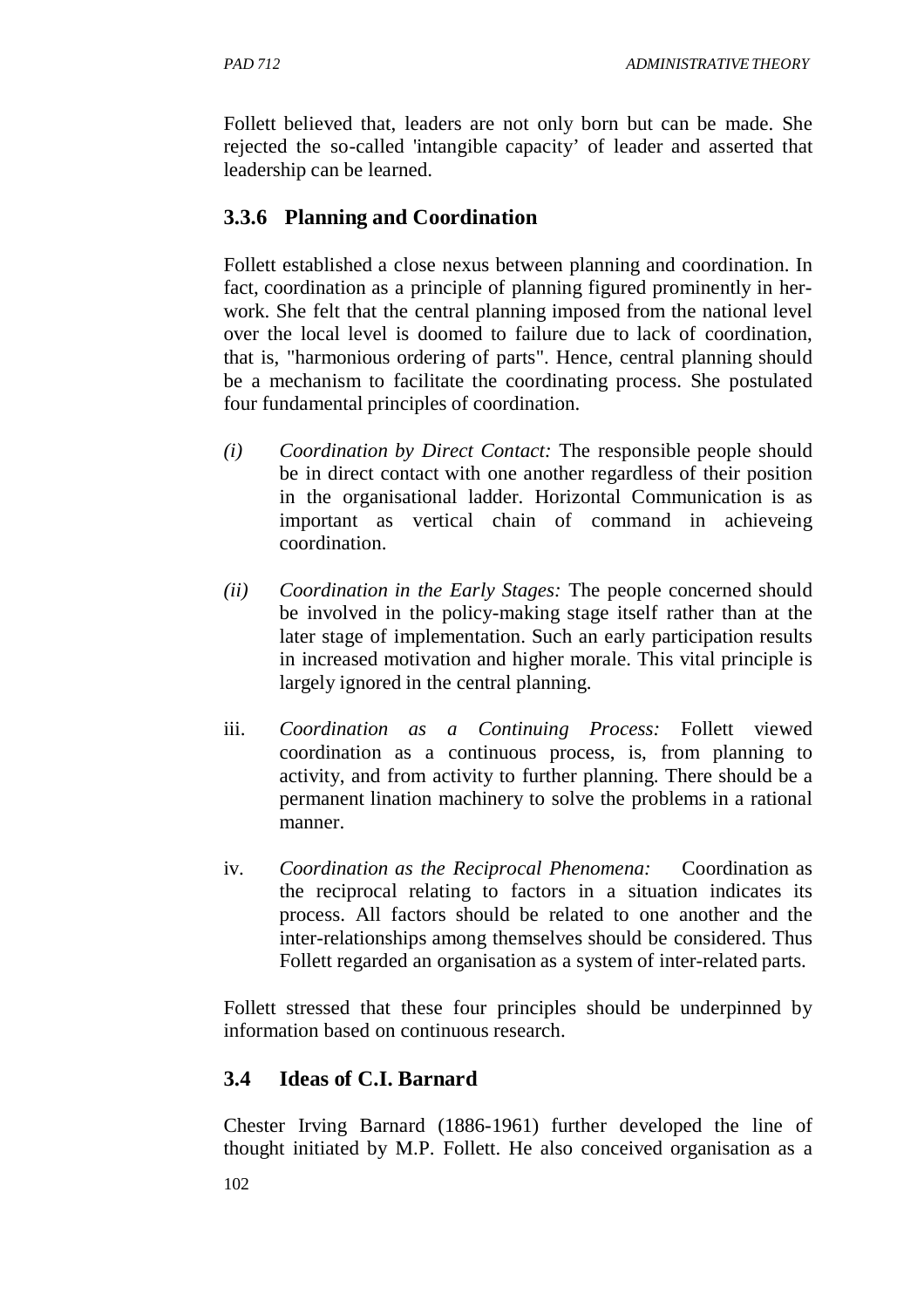Follett believed that, leaders are not only born but can be made. She rejected the so-called 'intangible capacity' of leader and asserted that leadership can be learned.

## **3.3.6 Planning and Coordination**

Follett established a close nexus between planning and coordination. In fact, coordination as a principle of planning figured prominently in herwork. She felt that the central planning imposed from the national level over the local level is doomed to failure due to lack of coordination, that is, "harmonious ordering of parts". Hence, central planning should be a mechanism to facilitate the coordinating process. She postulated four fundamental principles of coordination.

- *(i) Coordination by Direct Contact:* The responsible people should be in direct contact with one another regardless of their position in the organisational ladder. Horizontal Communication is as important as vertical chain of command in achieveing coordination.
- *(ii) Coordination in the Early Stages:* The people concerned should be involved in the policy-making stage itself rather than at the later stage of implementation. Such an early participation results in increased motivation and higher morale. This vital principle is largely ignored in the central planning.
- iii. *Coordination as a Continuing Process:* Follett viewed coordination as a continuous process, is, from planning to activity, and from activity to further planning. There should be a permanent lination machinery to solve the problems in a rational manner.
- iv. *Coordination as the Reciprocal Phenomena:* Coordination as the reciprocal relating to factors in a situation indicates its process. All factors should be related to one another and the inter-relationships among themselves should be considered. Thus Follett regarded an organisation as a system of inter-related parts.

Follett stressed that these four principles should be underpinned by information based on continuous research.

### **3.4 Ideas of C.I. Barnard**

Chester Irving Barnard (1886-1961) further developed the line of thought initiated by M.P. Follett. He also conceived organisation as a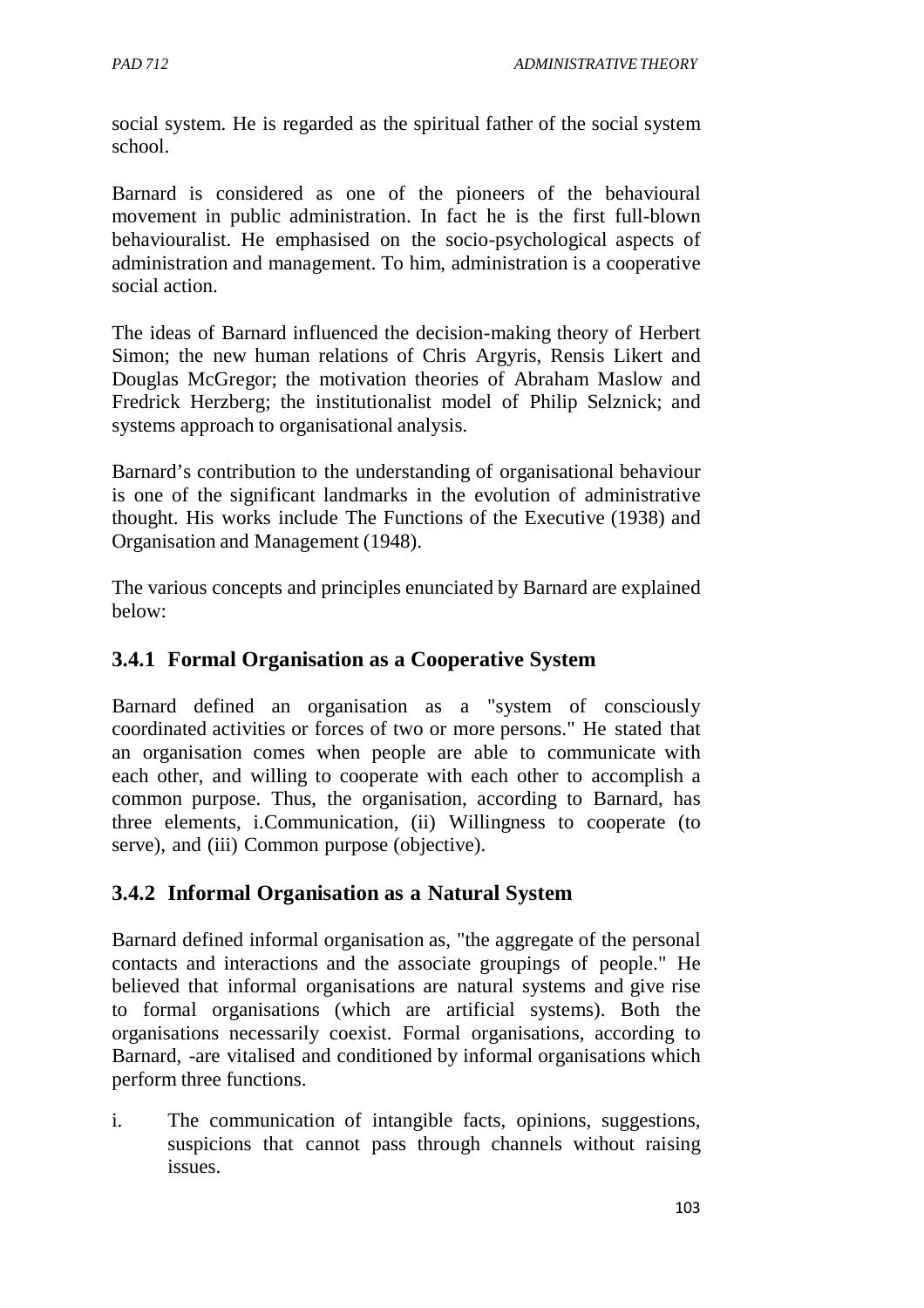social system. He is regarded as the spiritual father of the social system school.

Barnard is considered as one of the pioneers of the behavioural movement in public administration. In fact he is the first full-blown behaviouralist. He emphasised on the socio-psychological aspects of administration and management. To him, administration is a cooperative social action.

The ideas of Barnard influenced the decision-making theory of Herbert Simon; the new human relations of Chris Argyris, Rensis Likert and Douglas McGregor; the motivation theories of Abraham Maslow and Fredrick Herzberg; the institutionalist model of Philip Selznick; and systems approach to organisational analysis.

Barnard's contribution to the understanding of organisational behaviour is one of the significant landmarks in the evolution of administrative thought. His works include The Functions of the Executive (1938) and Organisation and Management (1948).

The various concepts and principles enunciated by Barnard are explained below:

## **3.4.1 Formal Organisation as a Cooperative System**

Barnard defined an organisation as a "system of consciously coordinated activities or forces of two or more persons." He stated that an organisation comes when people are able to communicate with each other, and willing to cooperate with each other to accomplish a common purpose. Thus, the organisation, according to Barnard, has three elements, i.Communication, (ii) Willingness to cooperate (to serve), and (iii) Common purpose (objective).

### **3.4.2 Informal Organisation as a Natural System**

Barnard defined informal organisation as, "the aggregate of the personal contacts and interactions and the associate groupings of people." He believed that informal organisations are natural systems and give rise to formal organisations (which are artificial systems). Both the organisations necessarily coexist. Formal organisations, according to Barnard, -are vitalised and conditioned by informal organisations which perform three functions.

i. The communication of intangible facts, opinions, suggestions, suspicions that cannot pass through channels without raising issues.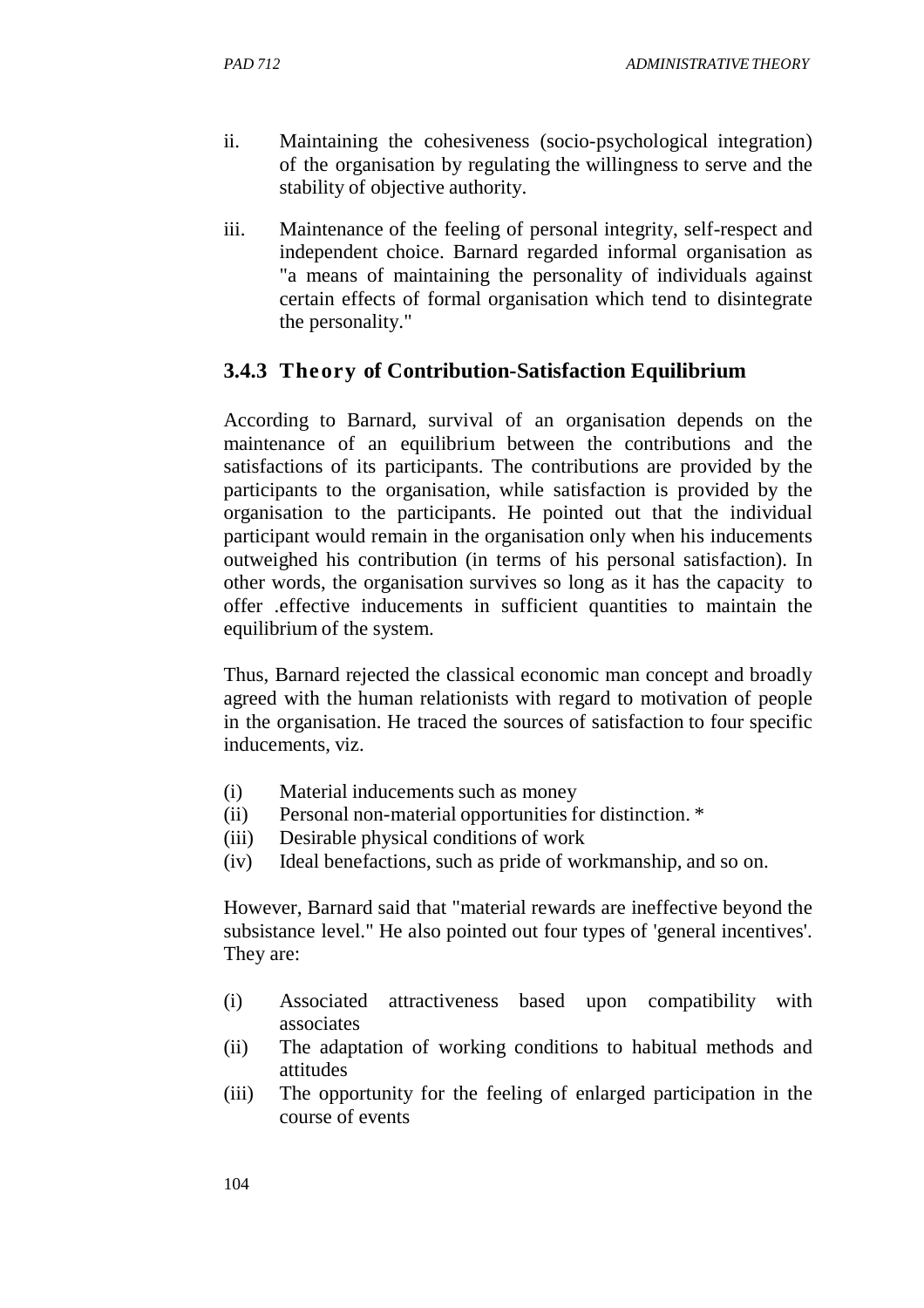- ii. Maintaining the cohesiveness (socio-psychological integration) of the organisation by regulating the willingness to serve and the stability of objective authority.
- iii. Maintenance of the feeling of personal integrity, self-respect and independent choice. Barnard regarded informal organisation as "a means of maintaining the personality of individuals against certain effects of formal organisation which tend to disintegrate the personality."

#### **3.4.3 Theory of Contribution-Satisfaction Equilibrium**

According to Barnard, survival of an organisation depends on the maintenance of an equilibrium between the contributions and the satisfactions of its participants. The contributions are provided by the participants to the organisation, while satisfaction is provided by the organisation to the participants. He pointed out that the individual participant would remain in the organisation only when his inducements outweighed his contribution (in terms of his personal satisfaction). In other words, the organisation survives so long as it has the capacity to offer .effective inducements in sufficient quantities to maintain the equilibrium of the system.

Thus, Barnard rejected the classical economic man concept and broadly agreed with the human relationists with regard to motivation of people in the organisation. He traced the sources of satisfaction to four specific inducements, viz.

- (i) Material inducements such as money
- (ii) Personal non-material opportunities for distinction. \*
- (iii) Desirable physical conditions of work
- (iv) Ideal benefactions, such as pride of workmanship, and so on.

However, Barnard said that "material rewards are ineffective beyond the subsistance level." He also pointed out four types of 'general incentives'. They are:

- (i) Associated attractiveness based upon compatibility with associates
- (ii) The adaptation of working conditions to habitual methods and attitudes
- (iii) The opportunity for the feeling of enlarged participation in the course of events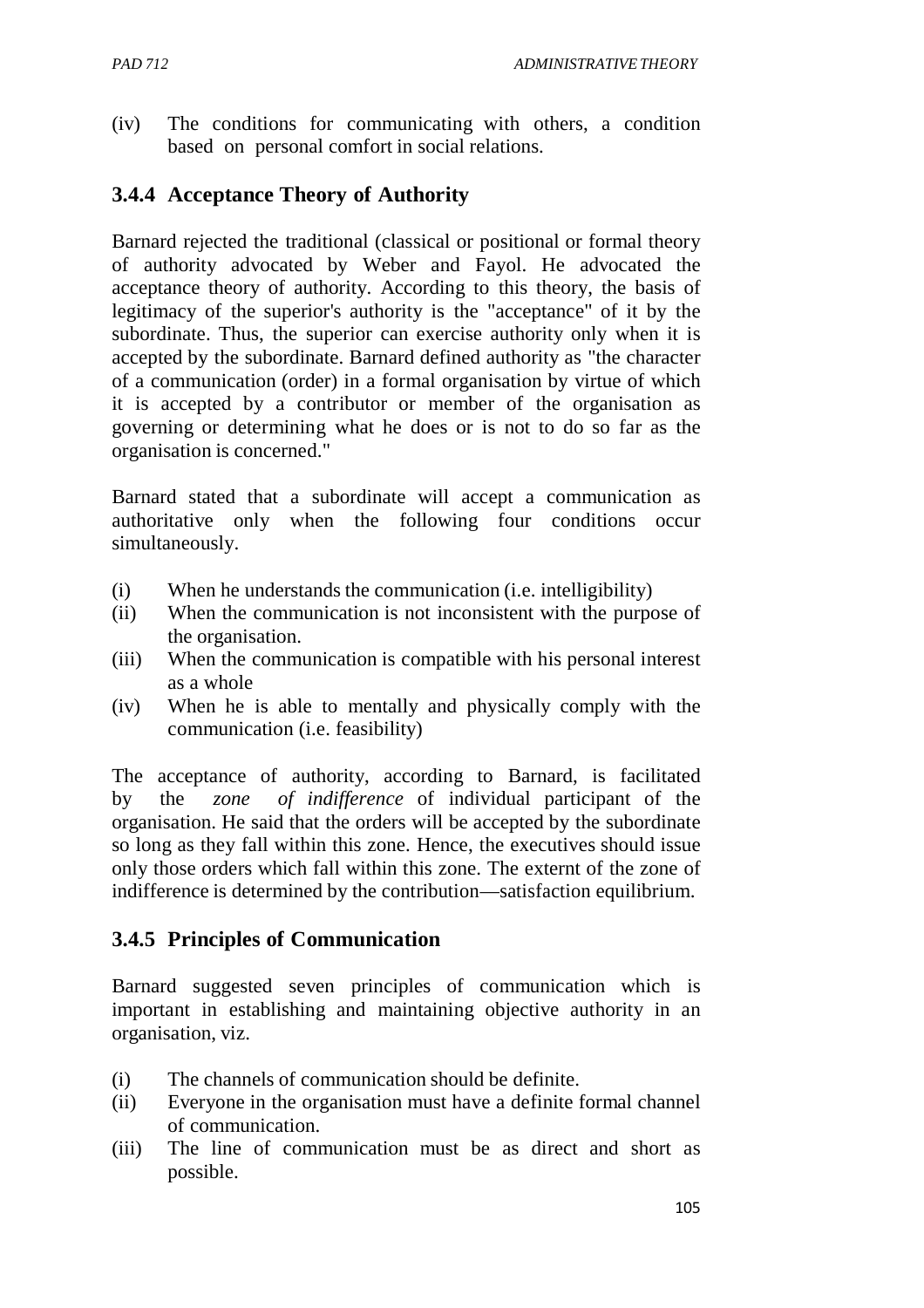(iv) The conditions for communicating with others, a condition based on personal comfort in social relations.

## **3.4.4 Acceptance Theory of Authority**

Barnard rejected the traditional (classical or positional or formal theory of authority advocated by Weber and Fayol. He advocated the acceptance theory of authority. According to this theory, the basis of legitimacy of the superior's authority is the "acceptance" of it by the subordinate. Thus, the superior can exercise authority only when it is accepted by the subordinate. Barnard defined authority as "the character of a communication (order) in a formal organisation by virtue of which it is accepted by a contributor or member of the organisation as governing or determining what he does or is not to do so far as the organisation is concerned."

Barnard stated that a subordinate will accept a communication as authoritative only when the following four conditions occur simultaneously.

- (i) When he understands the communication (i.e. intelligibility)
- (ii) When the communication is not inconsistent with the purpose of the organisation.
- (iii) When the communication is compatible with his personal interest as a whole
- (iv) When he is able to mentally and physically comply with the communication (i.e. feasibility)

The acceptance of authority, according to Barnard, is facilitated by the *zone of indifference* of individual participant of the organisation. He said that the orders will be accepted by the subordinate so long as they fall within this zone. Hence, the executives should issue only those orders which fall within this zone. The externt of the zone of indifference is determined by the contribution—satisfaction equilibrium.

### **3.4.5 Principles of Communication**

Barnard suggested seven principles of communication which is important in establishing and maintaining objective authority in an organisation, viz.

- (i) The channels of communication should be definite.
- (ii) Everyone in the organisation must have a definite formal channel of communication.
- (iii) The line of communication must be as direct and short as possible.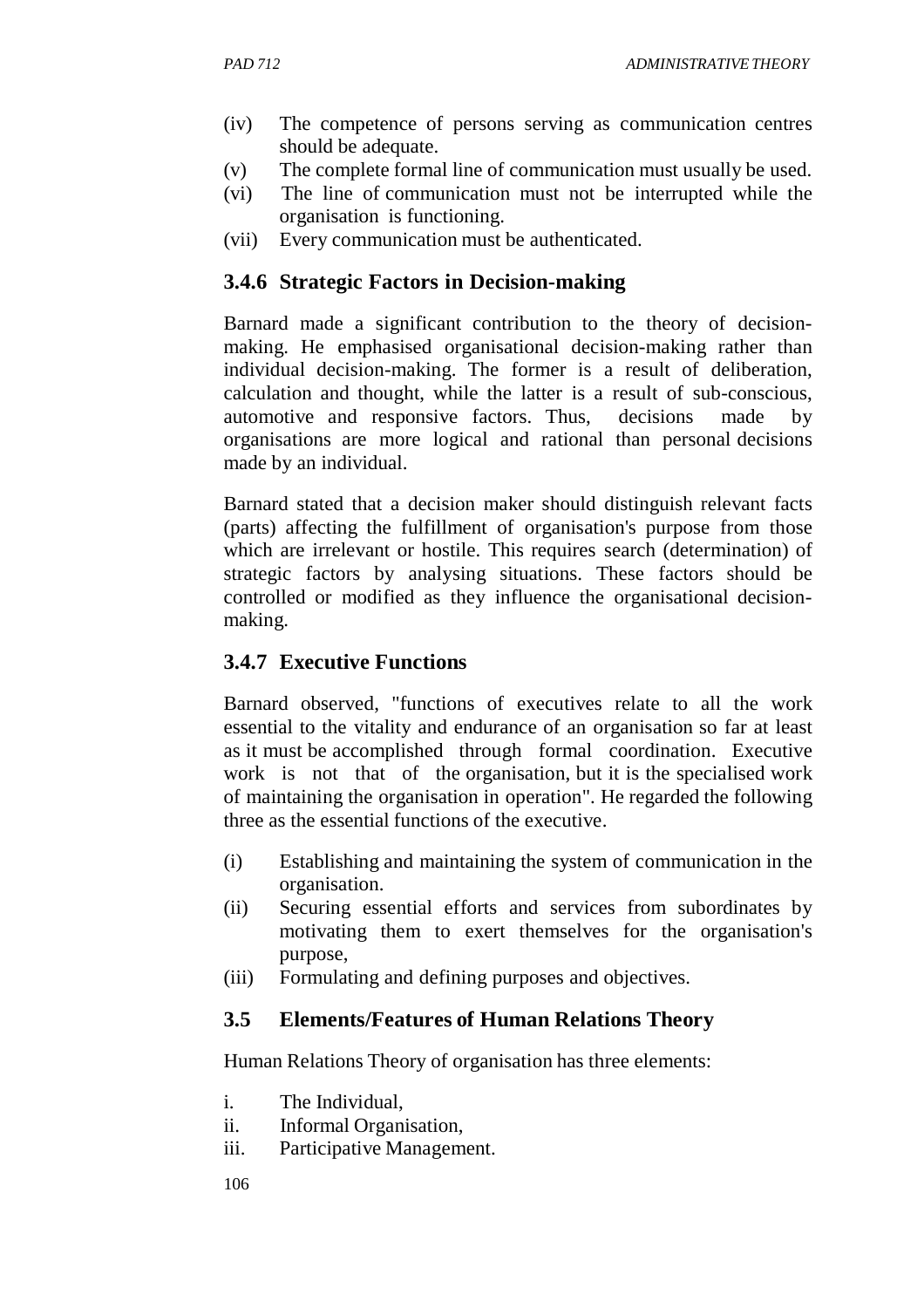- (iv) The competence of persons serving as communication centres should be adequate.
- (v) The complete formal line of communication must usually be used.
- (vi) The line of communication must not be interrupted while the organisation is functioning.
- (vii) Every communication must be authenticated.

# **3.4.6 Strategic Factors in Decision-making**

Barnard made a significant contribution to the theory of decisionmaking. He emphasised organisational decision-making rather than individual decision-making. The former is a result of deliberation, calculation and thought, while the latter is a result of sub-conscious, automotive and responsive factors. Thus, decisions made by organisations are more logical and rational than personal decisions made by an individual.

Barnard stated that a decision maker should distinguish relevant facts (parts) affecting the fulfillment of organisation's purpose from those which are irrelevant or hostile. This requires search (determination) of strategic factors by analysing situations. These factors should be controlled or modified as they influence the organisational decisionmaking.

## **3.4.7 Executive Functions**

Barnard observed, "functions of executives relate to all the work essential to the vitality and endurance of an organisation so far at least as it must be accomplished through formal coordination. Executive work is not that of the organisation, but it is the specialised work of maintaining the organisation in operation". He regarded the following three as the essential functions of the executive.

- (i) Establishing and maintaining the system of communication in the organisation.
- (ii) Securing essential efforts and services from subordinates by motivating them to exert themselves for the organisation's purpose,
- (iii) Formulating and defining purposes and objectives.

### **3.5 Elements/Features of Human Relations Theory**

Human Relations Theory of organisation has three elements:

- i. The Individual,
- ii. Informal Organisation,
- iii. Participative Management.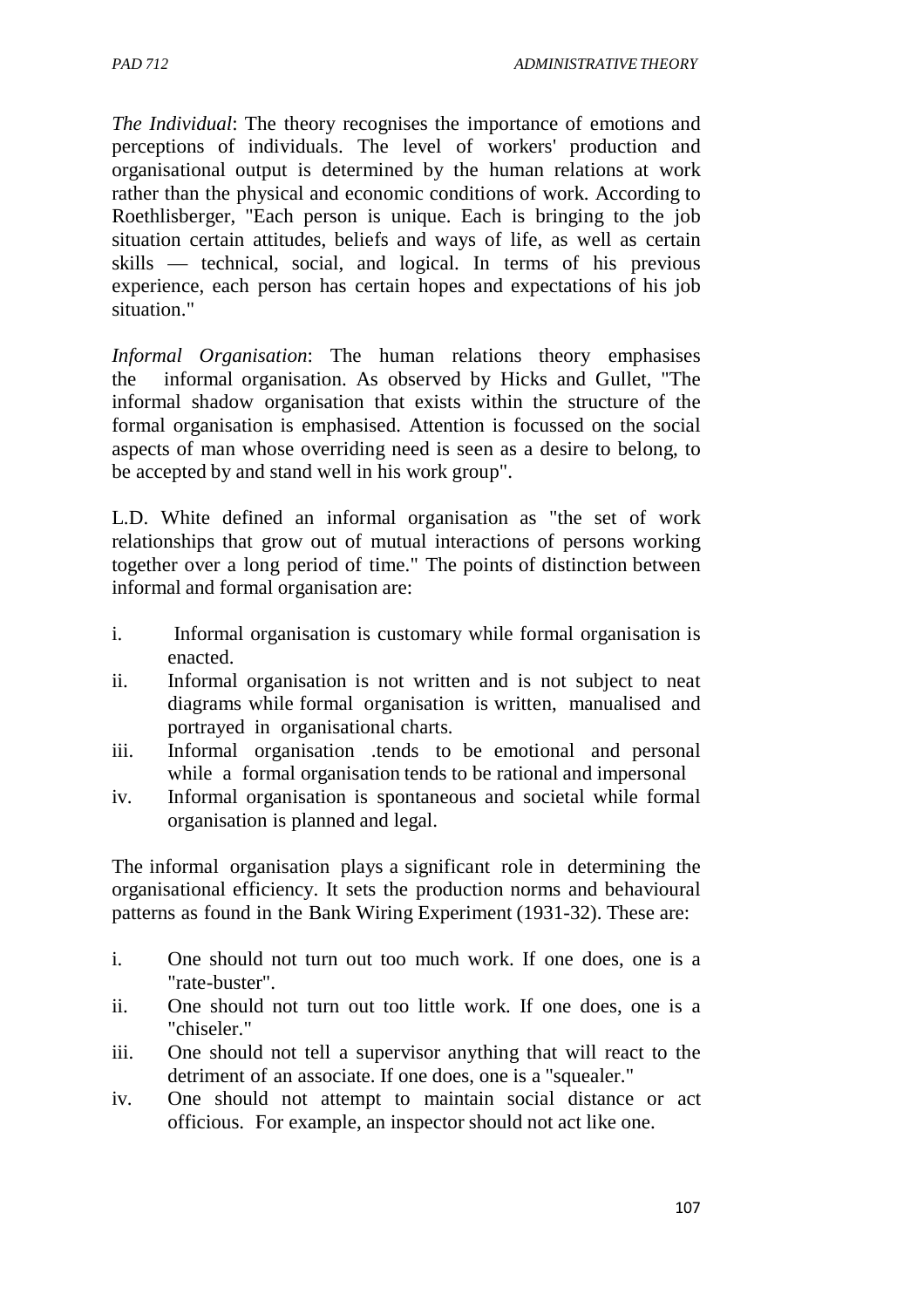*The Individual*: The theory recognises the importance of emotions and perceptions of individuals. The level of workers' production and organisational output is determined by the human relations at work rather than the physical and economic conditions of work. According to Roethlisberger, "Each person is unique. Each is bringing to the job situation certain attitudes, beliefs and ways of life, as well as certain skills — technical, social, and logical. In terms of his previous experience, each person has certain hopes and expectations of his job situation."

*Informal Organisation*: The human relations theory emphasises the informal organisation. As observed by Hicks and Gullet, "The informal shadow organisation that exists within the structure of the formal organisation is emphasised. Attention is focussed on the social aspects of man whose overriding need is seen as a desire to belong, to be accepted by and stand well in his work group".

L.D. White defined an informal organisation as "the set of work relationships that grow out of mutual interactions of persons working together over a long period of time." The points of distinction between informal and formal organisation are:

- i. Informal organisation is customary while formal organisation is enacted.
- ii. Informal organisation is not written and is not subject to neat diagrams while formal organisation is written, manualised and portrayed in organisational charts.
- iii. Informal organisation .tends to be emotional and personal while a formal organisation tends to be rational and impersonal
- iv. Informal organisation is spontaneous and societal while formal organisation is planned and legal.

The informal organisation plays a significant role in determining the organisational efficiency. It sets the production norms and behavioural patterns as found in the Bank Wiring Experiment (1931-32). These are:

- i. One should not turn out too much work. If one does, one is a "rate-buster".
- ii. One should not turn out too little work. If one does, one is a "chiseler."
- iii. One should not tell a supervisor anything that will react to the detriment of an associate. If one does, one is a "squealer."
- iv. One should not attempt to maintain social distance or act officious. For example, an inspector should not act like one.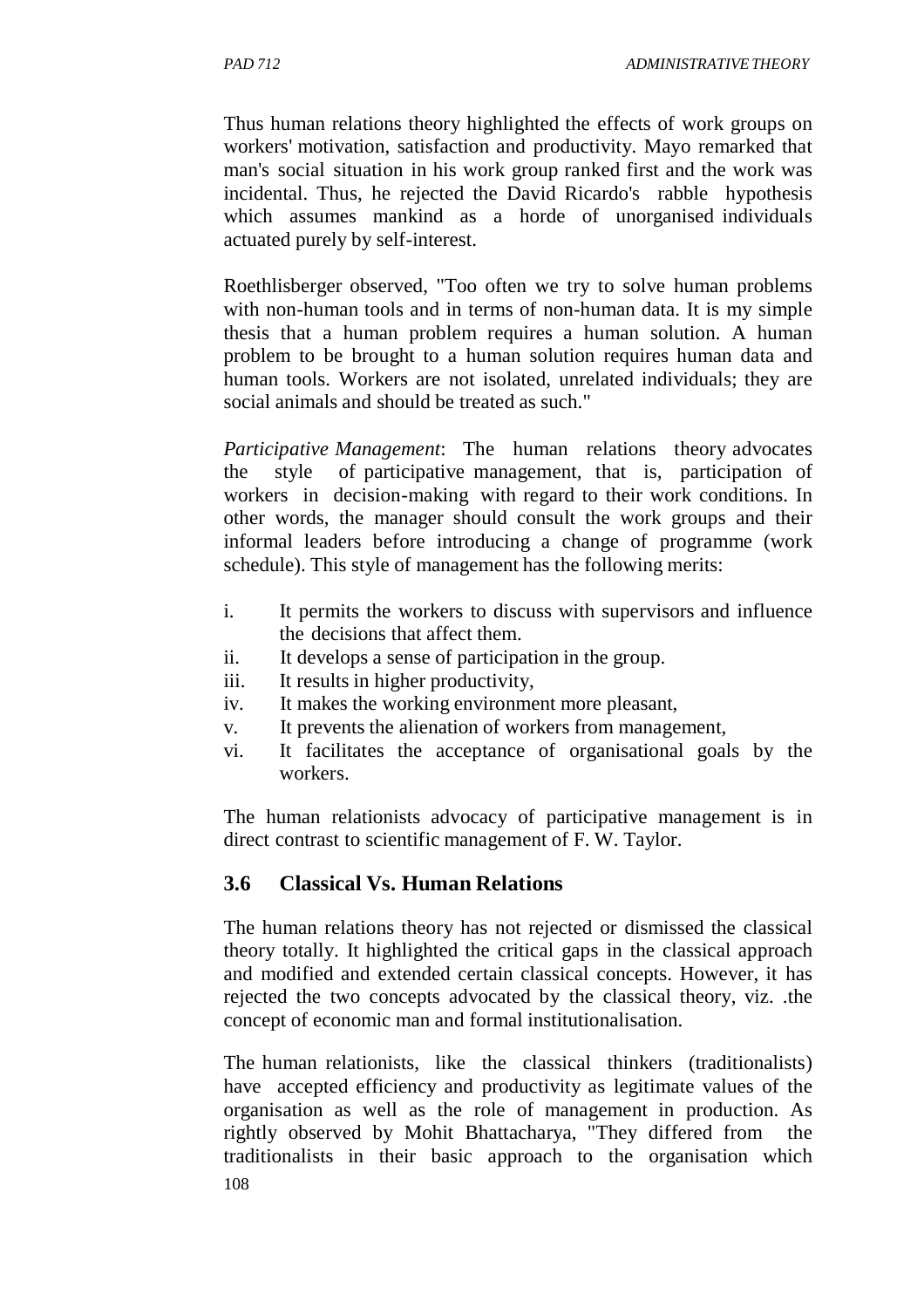Thus human relations theory highlighted the effects of work groups on workers' motivation, satisfaction and productivity. Mayo remarked that man's social situation in his work group ranked first and the work was incidental. Thus, he rejected the David Ricardo's rabble hypothesis which assumes mankind as a horde of unorganised individuals actuated purely by self-interest.

Roethlisberger observed, "Too often we try to solve human problems with non-human tools and in terms of non-human data. It is my simple thesis that a human problem requires a human solution. A human problem to be brought to a human solution requires human data and human tools. Workers are not isolated, unrelated individuals; they are social animals and should be treated as such."

*Participative Management*: The human relations theory advocates the style of participative management, that is, participation of workers in decision-making with regard to their work conditions. In other words, the manager should consult the work groups and their informal leaders before introducing a change of programme (work schedule). This style of management has the following merits:

- i. It permits the workers to discuss with supervisors and influence the decisions that affect them.
- ii. It develops a sense of participation in the group.
- iii. It results in higher productivity,
- iv. It makes the working environment more pleasant,
- v. It prevents the alienation of workers from management,
- vi. It facilitates the acceptance of organisational goals by the workers.

The human relationists advocacy of participative management is in direct contrast to scientific management of F. W. Taylor.

### **3.6 Classical Vs. Human Relations**

The human relations theory has not rejected or dismissed the classical theory totally. It highlighted the critical gaps in the classical approach and modified and extended certain classical concepts. However, it has rejected the two concepts advocated by the classical theory, viz. .the concept of economic man and formal institutionalisation.

108 The human relationists, like the classical thinkers (traditionalists) have accepted efficiency and productivity as legitimate values of the organisation as well as the role of management in production. As rightly observed by Mohit Bhattacharya, "They differed from the traditionalists in their basic approach to the organisation which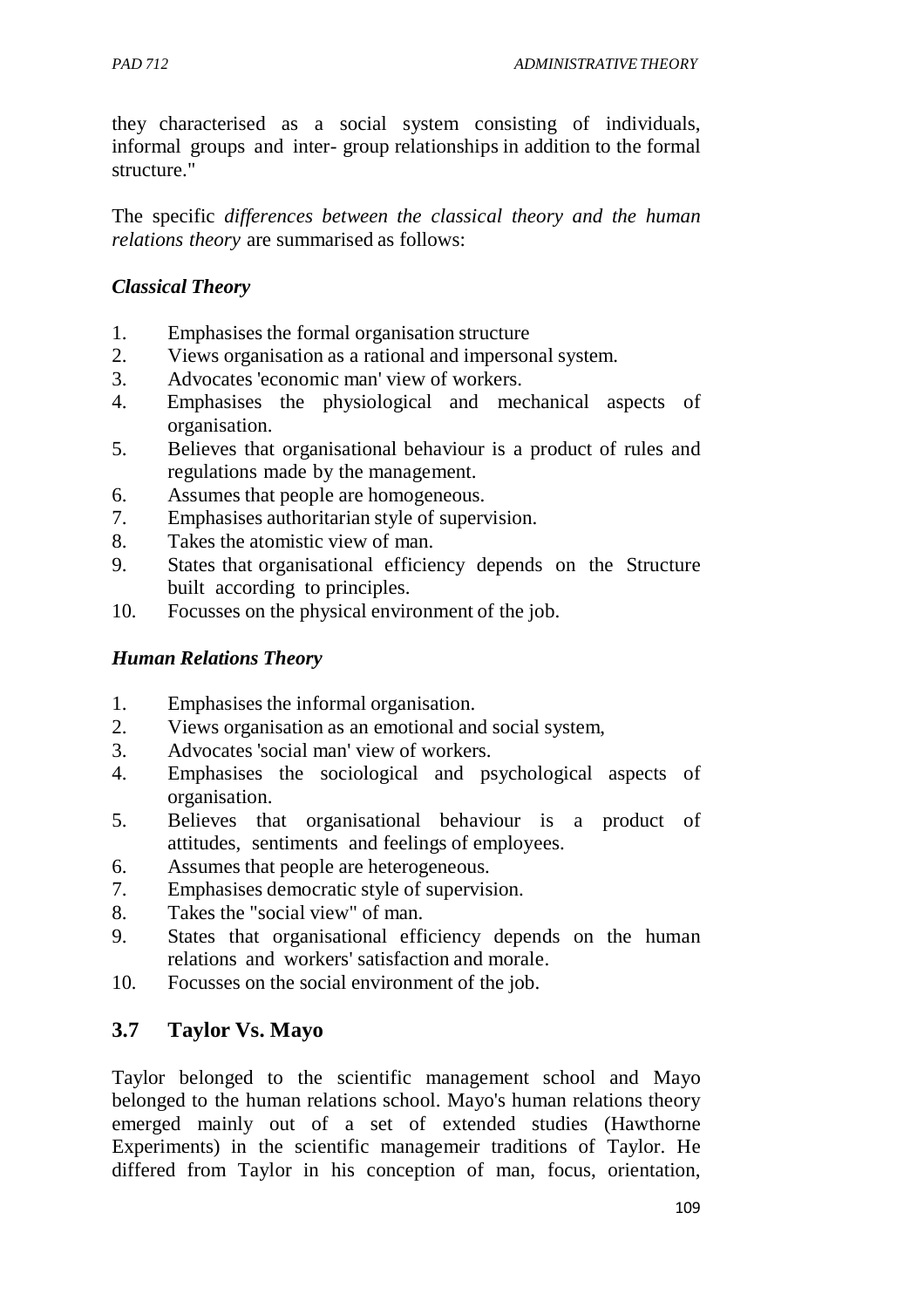they characterised as a social system consisting of individuals, informal groups and inter- group relationships in addition to the formal structure."

The specific *differences between the classical theory and the human relations theory* are summarised as follows:

### *Classical Theory*

- 1. Emphasises the formal organisation structure
- 2. Views organisation as a rational and impersonal system.
- 3. Advocates 'economic man' view of workers.
- 4. Emphasises the physiological and mechanical aspects of organisation.
- 5. Believes that organisational behaviour is a product of rules and regulations made by the management.
- 6. Assumes that people are homogeneous.
- 7. Emphasises authoritarian style of supervision.
- 8. Takes the atomistic view of man.
- 9. States that organisational efficiency depends on the Structure built according to principles.
- 10. Focusses on the physical environment of the job.

#### *Human Relations Theory*

- 1. Emphasises the informal organisation.
- 2. Views organisation as an emotional and social system,
- 3. Advocates 'social man' view of workers.
- 4. Emphasises the sociological and psychological aspects of organisation.
- 5. Believes that organisational behaviour is a product of attitudes, sentiments and feelings of employees.
- 6. Assumes that people are heterogeneous.
- 7. Emphasises democratic style of supervision.
- 8. Takes the "social view" of man.
- 9. States that organisational efficiency depends on the human relations and workers' satisfaction and morale.
- 10. Focusses on the social environment of the job.

#### **3.7 Taylor Vs. Mayo**

Taylor belonged to the scientific management school and Mayo belonged to the human relations school. Mayo's human relations theory emerged mainly out of a set of extended studies (Hawthorne Experiments) in the scientific managemeir traditions of Taylor. He differed from Taylor in his conception of man, focus, orientation,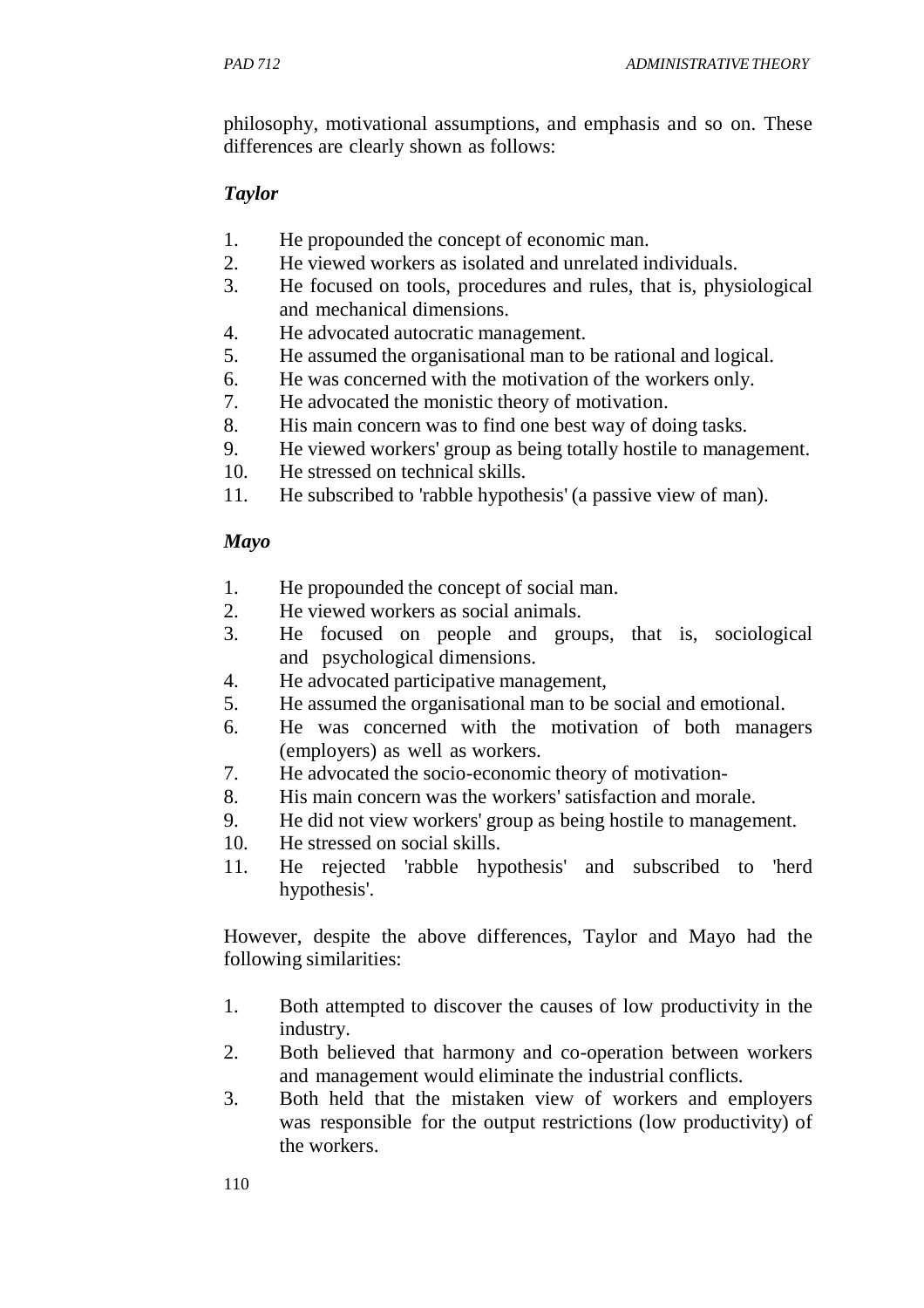philosophy, motivational assumptions, and emphasis and so on. These differences are clearly shown as follows:

## *Taylor*

- 1. He propounded the concept of economic man.
- 2. He viewed workers as isolated and unrelated individuals.
- 3. He focused on tools, procedures and rules, that is, physiological and mechanical dimensions.
- 4. He advocated autocratic management.
- 5. He assumed the organisational man to be rational and logical.
- 6. He was concerned with the motivation of the workers only.
- 7. He advocated the monistic theory of motivation.
- 8. His main concern was to find one best way of doing tasks.
- 9. He viewed workers' group as being totally hostile to management.
- 10. He stressed on technical skills.
- 11. He subscribed to 'rabble hypothesis' (a passive view of man).

## *Mayo*

- 1. He propounded the concept of social man.
- 2. He viewed workers as social animals.
- 3. He focused on people and groups, that is, sociological and psychological dimensions.
- 4. He advocated participative management,
- 5. He assumed the organisational man to be social and emotional.
- 6. He was concerned with the motivation of both managers (employers) as well as workers.
- 7. He advocated the socio-economic theory of motivation-
- 8. His main concern was the workers' satisfaction and morale.
- 9. He did not view workers' group as being hostile to management.
- 10. He stressed on social skills.
- 11. He rejected 'rabble hypothesis' and subscribed to 'herd hypothesis'.

However, despite the above differences, Taylor and Mayo had the following similarities:

- 1. Both attempted to discover the causes of low productivity in the industry.
- 2. Both believed that harmony and co-operation between workers and management would eliminate the industrial conflicts.
- 3. Both held that the mistaken view of workers and employers was responsible for the output restrictions (low productivity) of the workers.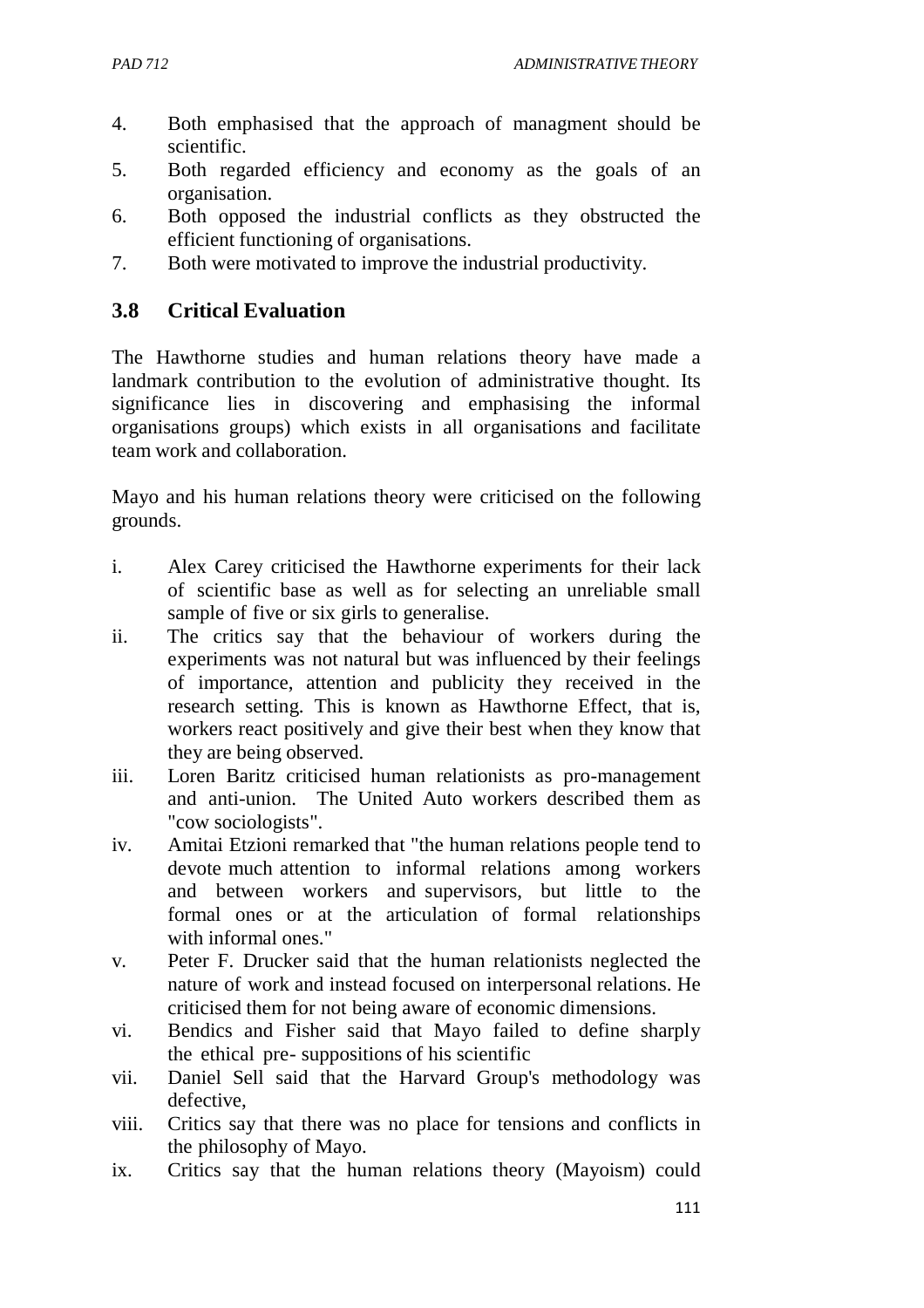- 4. Both emphasised that the approach of managment should be scientific.
- 5. Both regarded efficiency and economy as the goals of an organisation.
- 6. Both opposed the industrial conflicts as they obstructed the efficient functioning of organisations.
- 7. Both were motivated to improve the industrial productivity.

### **3.8 Critical Evaluation**

The Hawthorne studies and human relations theory have made a landmark contribution to the evolution of administrative thought. Its significance lies in discovering and emphasising the informal organisations groups) which exists in all organisations and facilitate team work and collaboration.

Mayo and his human relations theory were criticised on the following grounds.

- i. Alex Carey criticised the Hawthorne experiments for their lack of scientific base as well as for selecting an unreliable small sample of five or six girls to generalise.
- ii. The critics say that the behaviour of workers during the experiments was not natural but was influenced by their feelings of importance, attention and publicity they received in the research setting. This is known as Hawthorne Effect, that is, workers react positively and give their best when they know that they are being observed.
- iii. Loren Baritz criticised human relationists as pro-management and anti-union. The United Auto workers described them as "cow sociologists".
- iv. Amitai Etzioni remarked that "the human relations people tend to devote much attention to informal relations among workers and between workers and supervisors, but little to the formal ones or at the articulation of formal relationships with informal ones."
- v. Peter F. Drucker said that the human relationists neglected the nature of work and instead focused on interpersonal relations. He criticised them for not being aware of economic dimensions.
- vi. Bendics and Fisher said that Mayo failed to define sharply the ethical pre- suppositions of his scientific
- vii. Daniel Sell said that the Harvard Group's methodology was defective,
- viii. Critics say that there was no place for tensions and conflicts in the philosophy of Mayo.
- ix. Critics say that the human relations theory (Mayoism) could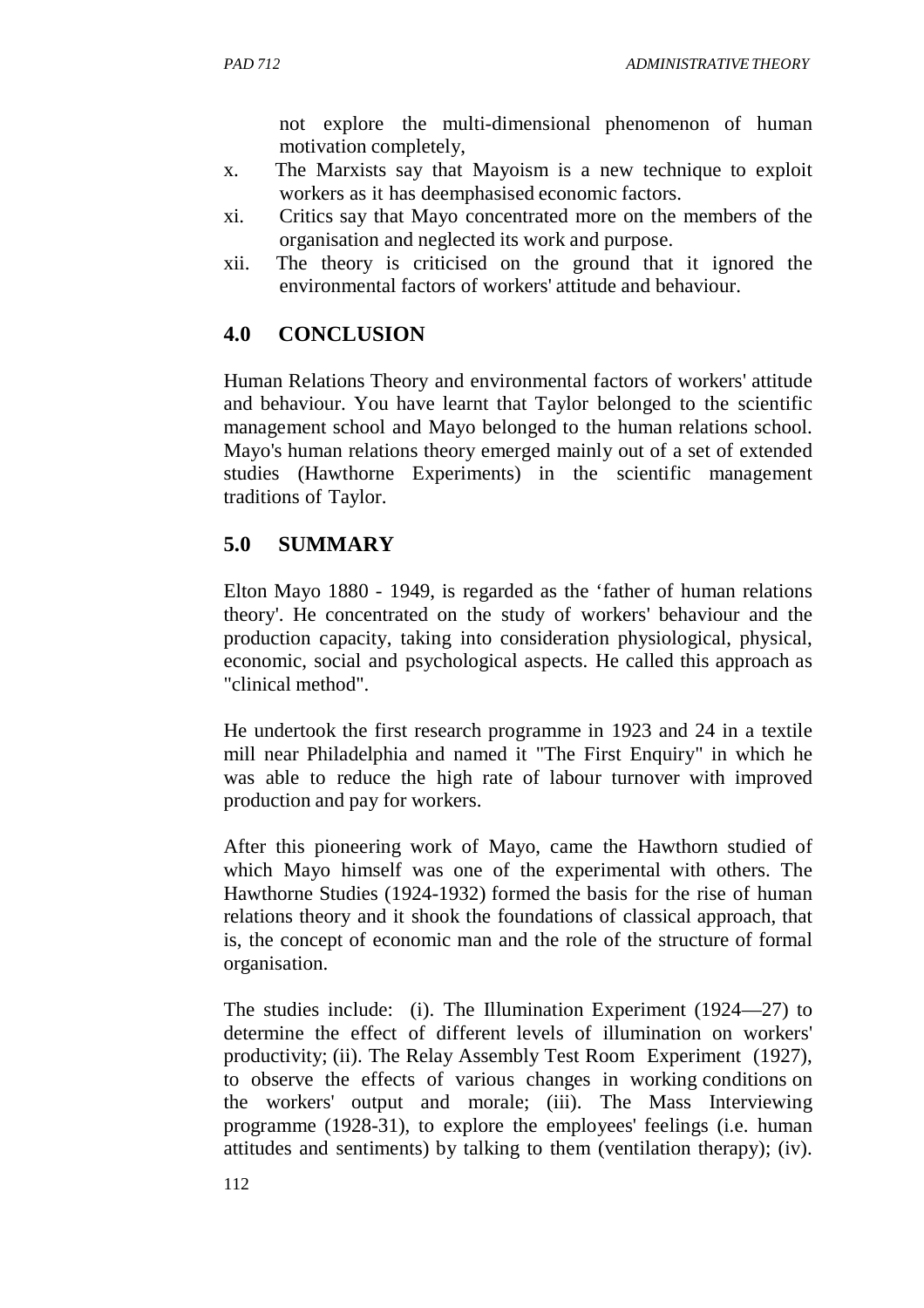not explore the multi-dimensional phenomenon of human motivation completely,

- x. The Marxists say that Mayoism is a new technique to exploit workers as it has deemphasised economic factors.
- xi. Critics say that Mayo concentrated more on the members of the organisation and neglected its work and purpose.
- xii. The theory is criticised on the ground that it ignored the environmental factors of workers' attitude and behaviour.

# **4.0 CONCLUSION**

Human Relations Theory and environmental factors of workers' attitude and behaviour. You have learnt that Taylor belonged to the scientific management school and Mayo belonged to the human relations school. Mayo's human relations theory emerged mainly out of a set of extended studies (Hawthorne Experiments) in the scientific management traditions of Taylor.

# **5.0 SUMMARY**

Elton Mayo 1880 - 1949, is regarded as the 'father of human relations theory'. He concentrated on the study of workers' behaviour and the production capacity, taking into consideration physiological, physical, economic, social and psychological aspects. He called this approach as "clinical method".

He undertook the first research programme in 1923 and 24 in a textile mill near Philadelphia and named it "The First Enquiry" in which he was able to reduce the high rate of labour turnover with improved production and pay for workers.

After this pioneering work of Mayo, came the Hawthorn studied of which Mayo himself was one of the experimental with others. The Hawthorne Studies (1924-1932) formed the basis for the rise of human relations theory and it shook the foundations of classical approach, that is, the concept of economic man and the role of the structure of formal organisation.

The studies include: (i). The Illumination Experiment (1924—27) to determine the effect of different levels of illumination on workers' productivity; (ii). The Relay Assembly Test Room Experiment (1927), to observe the effects of various changes in working conditions on the workers' output and morale; (iii). The Mass Interviewing programme (1928-31), to explore the employees' feelings (i.e. human attitudes and sentiments) by talking to them (ventilation therapy); (iv).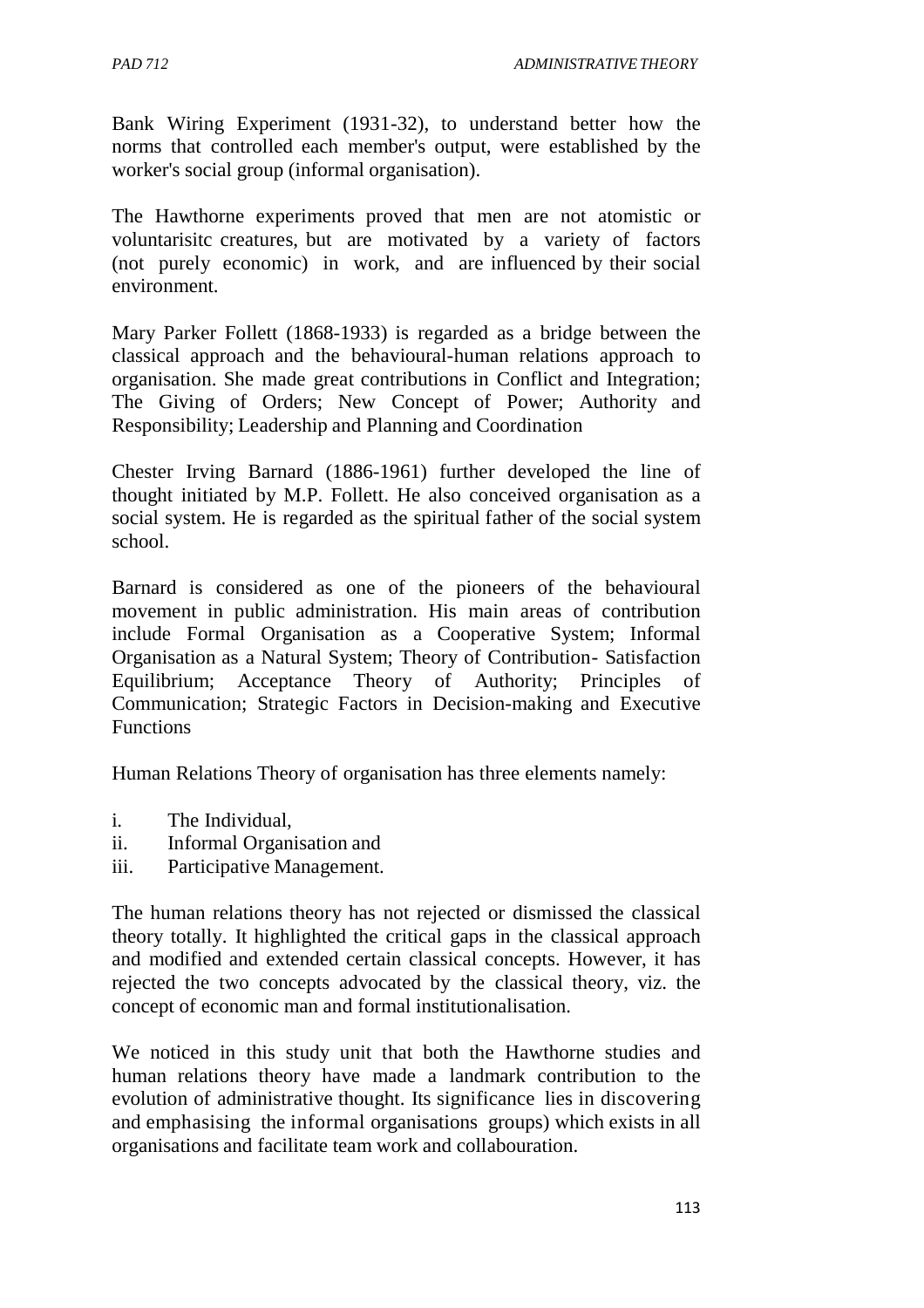*PAD 712 ADMINISTRATIVE THEORY*

Bank Wiring Experiment (1931-32), to understand better how the norms that controlled each member's output, were established by the worker's social group (informal organisation).

The Hawthorne experiments proved that men are not atomistic or voluntarisitc creatures, but are motivated by a variety of factors (not purely economic) in work, and are influenced by their social environment.

Mary Parker Follett (1868-1933) is regarded as a bridge between the classical approach and the behavioural-human relations approach to organisation. She made great contributions in Conflict and Integration; The Giving of Orders; New Concept of Power; Authority and Responsibility; Leadership and Planning and Coordination

Chester Irving Barnard (1886-1961) further developed the line of thought initiated by M.P. Follett. He also conceived organisation as a social system. He is regarded as the spiritual father of the social system school.

Barnard is considered as one of the pioneers of the behavioural movement in public administration. His main areas of contribution include Formal Organisation as a Cooperative System; Informal Organisation as a Natural System; Theory of Contribution- Satisfaction Equilibrium; Acceptance Theory of Authority; Principles of Communication; Strategic Factors in Decision-making and Executive Functions

Human Relations Theory of organisation has three elements namely:

- i. The Individual,
- ii. Informal Organisation and
- iii. Participative Management.

The human relations theory has not rejected or dismissed the classical theory totally. It highlighted the critical gaps in the classical approach and modified and extended certain classical concepts. However, it has rejected the two concepts advocated by the classical theory, viz. the concept of economic man and formal institutionalisation.

We noticed in this study unit that both the Hawthorne studies and human relations theory have made a landmark contribution to the evolution of administrative thought. Its significance lies in discovering and emphasising the informal organisations groups) which exists in all organisations and facilitate team work and collabouration.